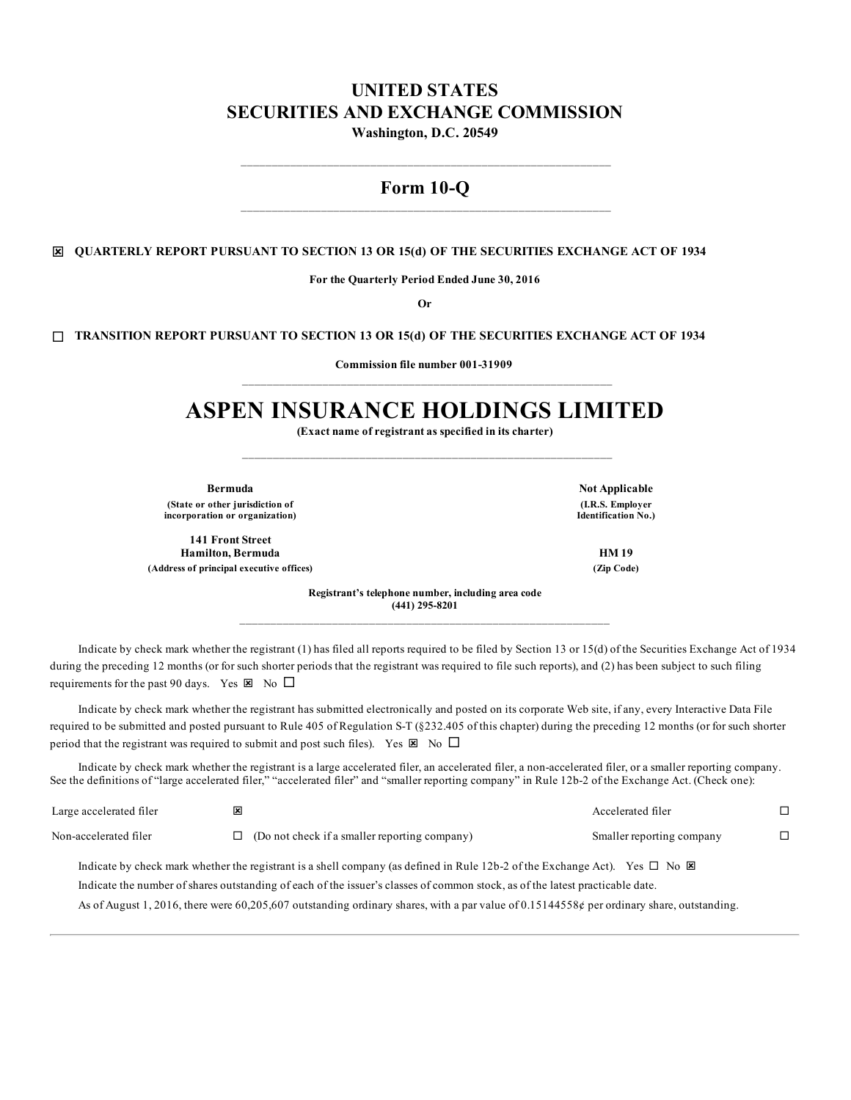# **UNITED STATES SECURITIES AND EXCHANGE COMMISSION Washington, D.C. 20549**

# **Form 10-Q**

## ý **QUARTERLY REPORT PURSUANT TO SECTION 13 OR 15(d) OF THE SECURITIES EXCHANGE ACT OF 1934**

**For the Quarterly Period Ended June 30, 2016**

**Or**

### ¨ **TRANSITION REPORT PURSUANT TO SECTION 13 OR 15(d) OF THE SECURITIES EXCHANGE ACT OF 1934**

**Commission file number 001-31909**

# **ASPEN INSURANCE HOLDINGS LIMITED**

**(Exact name of registrant as specified in its charter)**

**Bermuda Not Applicable (State or other jurisdiction of incorporation or organization)**

**141 Front Street Hamilton, Bermuda HM 19 (Address of principal executive offices) (Zip Code)**

**(I.R.S. Employer Identification No.)**

**Registrant's telephone number, including area code (441) 295-8201**

Indicate by check mark whether the registrant (1) has filed all reports required to be filed by Section 13 or 15(d) of the Securities Exchange Act of 1934 during the preceding 12 months (or for such shorter periods that the registrant was required to file such reports), and (2) has been subject to such filing requirements for the past 90 days. Yes  $\boxtimes$  No  $\square$ 

Indicate by check mark whether the registrant has submitted electronically and posted on its corporate Web site, if any, every Interactive Data File required to be submitted and posted pursuant to Rule 405 of Regulation S-T (§232.405 of this chapter) during the preceding 12 months (or for such shorter period that the registrant was required to submit and post such files). Yes  $\boxtimes$  No  $\square$ 

Indicate by check mark whether the registrant is a large accelerated filer, an accelerated filer, a non-accelerated filer, or a smaller reporting company. See the definitions of "large accelerated filer," "accelerated filer" and "smaller reporting company" in Rule 12b-2 of the Exchange Act. (Check one):

| Large accelerated filer | ⊠ |                                                                                                                                            | Accelerated filer         |  |
|-------------------------|---|--------------------------------------------------------------------------------------------------------------------------------------------|---------------------------|--|
| Non-accelerated filer   | П | (Do not check if a smaller reporting company)                                                                                              | Smaller reporting company |  |
|                         |   | Indicate by check mark whether the registrant is a shell company (as defined in Rule 12b-2 of the Exchange Act). Yes $\Box$ No $\boxtimes$ |                           |  |

Indicate the number of shares outstanding of each of the issuer's classes of common stock, as of the latest practicable date.

As of August 1, 2016, there were 60,205,607 outstanding ordinary shares, with a par value of 0.15144558¢ per ordinary share, outstanding.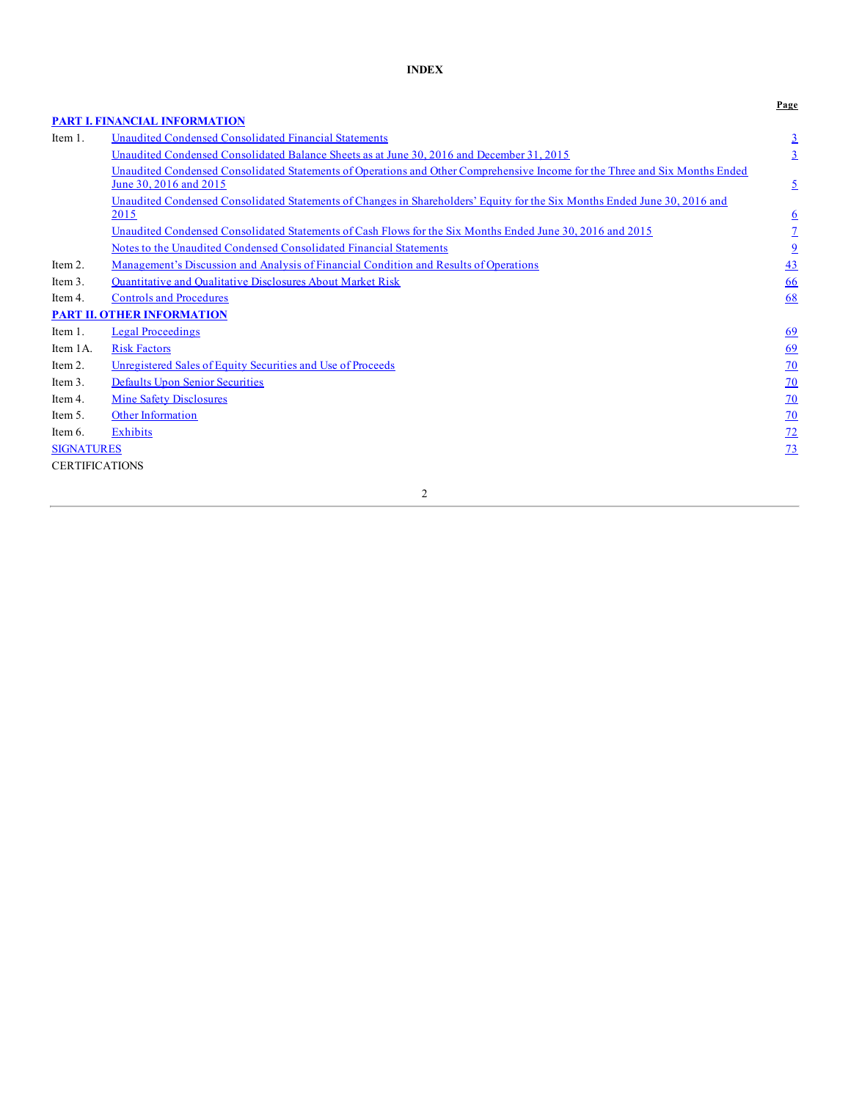# **INDEX**

|                       |                                                                                                                                                       | Page            |
|-----------------------|-------------------------------------------------------------------------------------------------------------------------------------------------------|-----------------|
|                       | <b>PART I. FINANCIAL INFORMATION</b>                                                                                                                  |                 |
| Item 1.               | Unaudited Condensed Consolidated Financial Statements                                                                                                 | $\overline{3}$  |
|                       | Unaudited Condensed Consolidated Balance Sheets as at June 30, 2016 and December 31, 2015                                                             | $\overline{3}$  |
|                       | Unaudited Condensed Consolidated Statements of Operations and Other Comprehensive Income for the Three and Six Months Ended<br>June 30, 2016 and 2015 | $\overline{2}$  |
|                       | Unaudited Condensed Consolidated Statements of Changes in Shareholders' Equity for the Six Months Ended June 30, 2016 and                             |                 |
|                       | 2015                                                                                                                                                  | $\underline{6}$ |
|                       | Unaudited Condensed Consolidated Statements of Cash Flows for the Six Months Ended June 30, 2016 and 2015                                             | $\overline{1}$  |
|                       | Notes to the Unaudited Condensed Consolidated Financial Statements                                                                                    | $\overline{9}$  |
| Item 2.               | <u>Management's Discussion and Analysis of Financial Condition and Results of Operations</u>                                                          | 43              |
| Item 3.               | Quantitative and Qualitative Disclosures About Market Risk                                                                                            | 66              |
| Item 4.               | <b>Controls and Procedures</b>                                                                                                                        | 68              |
|                       | <b>PART II. OTHER INFORMATION</b>                                                                                                                     |                 |
| Item 1.               | <b>Legal Proceedings</b>                                                                                                                              | 69              |
| Item 1A.              | <b>Risk Factors</b>                                                                                                                                   | <u>69</u>       |
| Item 2.               | Unregistered Sales of Equity Securities and Use of Proceeds                                                                                           | 70              |
| Item 3.               | <b>Defaults Upon Senior Securities</b>                                                                                                                | $\overline{20}$ |
| Item 4.               | <b>Mine Safety Disclosures</b>                                                                                                                        | $\overline{20}$ |
| Item 5.               | <b>Other Information</b>                                                                                                                              | $\overline{20}$ |
| Item 6.               | <b>Exhibits</b>                                                                                                                                       | $\overline{12}$ |
| <b>SIGNATURES</b>     |                                                                                                                                                       | <u>73</u>       |
| <b>CERTIFICATIONS</b> |                                                                                                                                                       |                 |
|                       |                                                                                                                                                       |                 |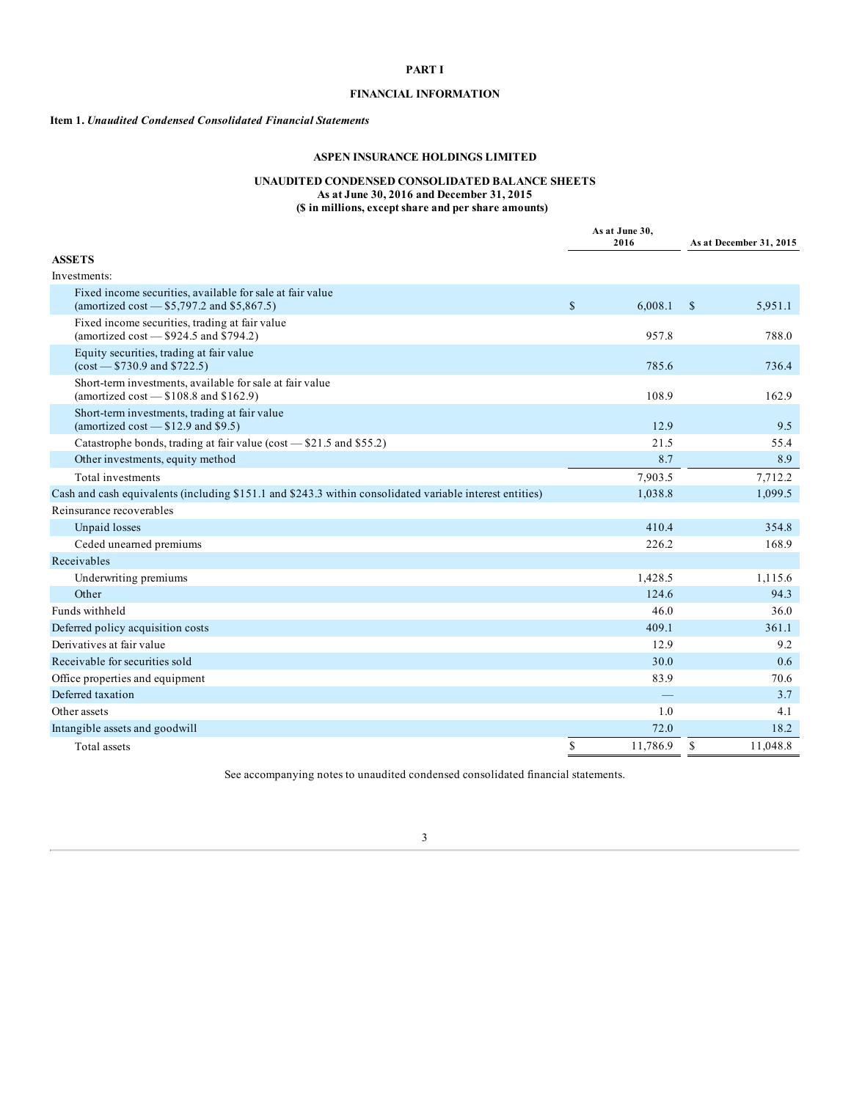# **PART I**

# **FINANCIAL INFORMATION**

#### <span id="page-2-0"></span>**Item 1.** *Unaudited Condensed Consolidated Financial Statements*

## **ASPEN INSURANCE HOLDINGS LIMITED**

#### **UNAUDITED CONDENSED CONSOLIDATED BALANCE SHEETS As at June 30, 2016 and December 31, 2015**

**(\$ in millions, except share and per share amounts)**

|                                                                                                           |              | As at June 30,<br>2016   |              | As at December 31, 2015 |
|-----------------------------------------------------------------------------------------------------------|--------------|--------------------------|--------------|-------------------------|
| <b>ASSETS</b>                                                                                             |              |                          |              |                         |
| Investments:                                                                                              |              |                          |              |                         |
| Fixed income securities, available for sale at fair value<br>(amortized cost $-$ \$5,797.2 and \$5,867.5) | $\mathbb{S}$ | 6,008.1                  | $\mathbb{S}$ | 5,951.1                 |
| Fixed income securities, trading at fair value<br>(amortized cost $-$ \$924.5 and \$794.2)                |              | 957.8                    |              | 788.0                   |
| Equity securities, trading at fair value<br>$(cos t - $730.9$ and \$722.5)                                |              | 785.6                    |              | 736.4                   |
| Short-term investments, available for sale at fair value<br>(amortized cost $-$ \$108.8 and \$162.9)      |              | 108.9                    |              | 162.9                   |
| Short-term investments, trading at fair value<br>(amortized cost $-$ \$12.9 and \$9.5)                    |              | 12.9                     |              | 9.5                     |
| Catastrophe bonds, trading at fair value (cost - \$21.5 and \$55.2)                                       |              | 21.5                     |              | 55.4                    |
| Other investments, equity method                                                                          |              | 8.7                      |              | 8.9                     |
| Total investments                                                                                         |              | 7,903.5                  |              | 7,712.2                 |
| Cash and cash equivalents (including \$151.1 and \$243.3 within consolidated variable interest entities)  |              | 1,038.8                  |              | 1,099.5                 |
| Reinsurance recoverables                                                                                  |              |                          |              |                         |
| Unpaid losses                                                                                             |              | 410.4                    |              | 354.8                   |
| Ceded unearned premiums                                                                                   |              | 226.2                    |              | 168.9                   |
| Receivables                                                                                               |              |                          |              |                         |
| Underwriting premiums                                                                                     |              | 1,428.5                  |              | 1.115.6                 |
| Other                                                                                                     |              | 124.6                    |              | 94.3                    |
| Funds withheld                                                                                            |              | 46.0                     |              | 36.0                    |
| Deferred policy acquisition costs                                                                         |              | 409.1                    |              | 361.1                   |
| Derivatives at fair value                                                                                 |              | 12.9                     |              | 9.2                     |
| Receivable for securities sold                                                                            |              | 30.0                     |              | 0.6                     |
| Office properties and equipment                                                                           |              | 83.9                     |              | 70.6                    |
| Deferred taxation                                                                                         |              | $\overline{\phantom{0}}$ |              | 3.7                     |
| Other assets                                                                                              |              | 1.0                      |              | 4.1                     |
| Intangible assets and goodwill                                                                            |              | 72.0                     |              | 18.2                    |
| Total assets                                                                                              | \$           | 11,786.9                 | \$           | 11,048.8                |

See accompanying notes to unaudited condensed consolidated financial statements.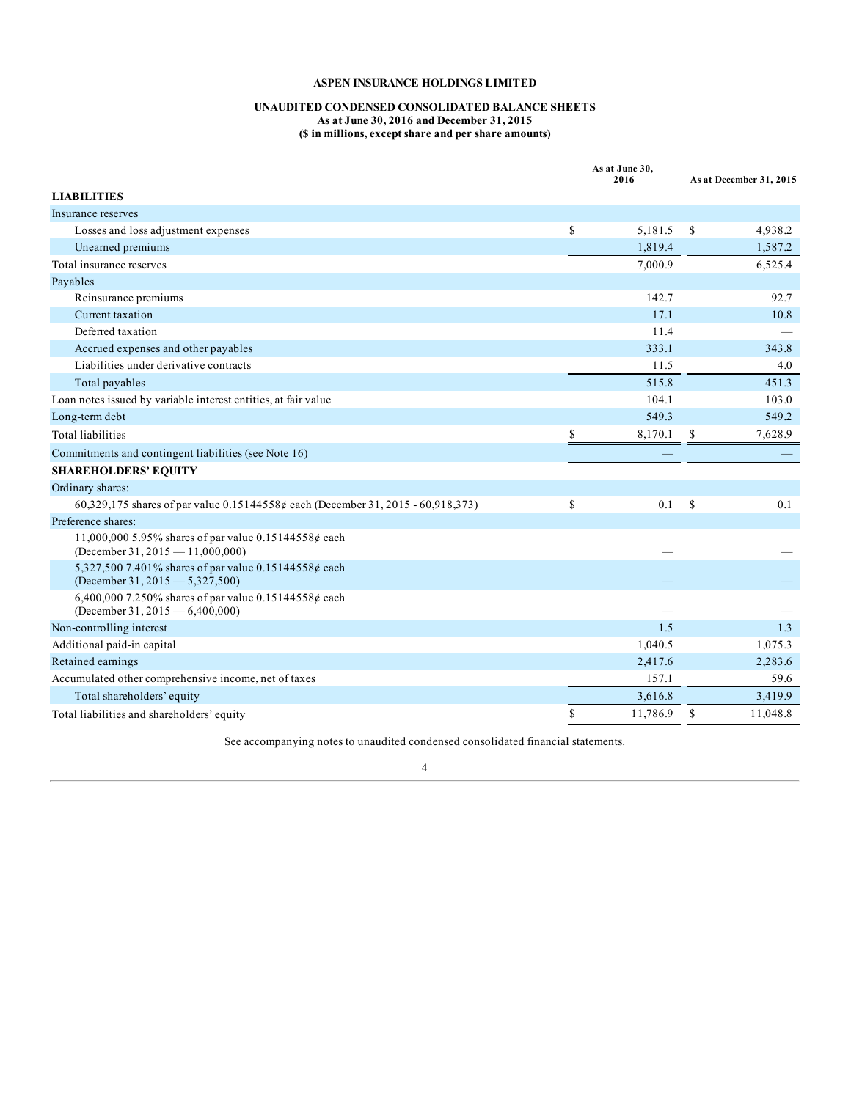### **UNAUDITED CONDENSED CONSOLIDATED BALANCE SHEETS As at June 30, 2016 and December 31, 2015 (\$ in millions, except share and per share amounts)**

<span id="page-3-0"></span>

|                                                                                            | As at June 30,<br>2016 |               | As at December 31, 2015 |
|--------------------------------------------------------------------------------------------|------------------------|---------------|-------------------------|
| <b>LIABILITIES</b>                                                                         |                        |               |                         |
| Insurance reserves                                                                         |                        |               |                         |
| Losses and loss adjustment expenses                                                        | \$<br>5,181.5          | <sup>\$</sup> | 4,938.2                 |
| Unearned premiums                                                                          | 1,819.4                |               | 1,587.2                 |
| Total insurance reserves                                                                   | 7,000.9                |               | 6,525.4                 |
| Payables                                                                                   |                        |               |                         |
| Reinsurance premiums                                                                       | 142.7                  |               | 92.7                    |
| Current taxation                                                                           | 17.1                   |               | 10.8                    |
| Deferred taxation                                                                          | 11.4                   |               |                         |
| Accrued expenses and other payables                                                        | 333.1                  |               | 343.8                   |
| Liabilities under derivative contracts                                                     | 11.5                   |               | 4.0                     |
| Total payables                                                                             | 515.8                  |               | 451.3                   |
| Loan notes issued by variable interest entities, at fair value                             | 104.1                  |               | 103.0                   |
| Long-term debt                                                                             | 549.3                  |               | 549.2                   |
| <b>Total liabilities</b>                                                                   | \$<br>8,170.1          | \$            | 7,628.9                 |
| Commitments and contingent liabilities (see Note 16)                                       |                        |               |                         |
| <b>SHAREHOLDERS' EQUITY</b>                                                                |                        |               |                         |
| Ordinary shares:                                                                           |                        |               |                         |
| 60,329,175 shares of par value 0.15144558¢ each (December 31, 2015 - 60,918,373)           | \$<br>0.1              | $\mathcal{S}$ | 0.1                     |
| Preference shares:                                                                         |                        |               |                         |
| 11,000,000 5.95% shares of par value 0.15144558¢ each<br>(December 31, 2015 - 11,000,000)  |                        |               |                         |
| 5,327,500 7.401% shares of par value 0.15144558¢ each<br>(December 31, 2015 $-$ 5,327,500) |                        |               |                         |
| 6,400,000 7.250% shares of par value 0.15144558¢ each<br>(December 31, 2015 – 6,400,000)   |                        |               |                         |
| Non-controlling interest                                                                   | 1.5                    |               | 1.3                     |
| Additional paid-in capital                                                                 | 1,040.5                |               | 1,075.3                 |
| Retained earnings                                                                          | 2,417.6                |               | 2,283.6                 |
| Accumulated other comprehensive income, net of taxes                                       | 157.1                  |               | 59.6                    |
| Total shareholders' equity                                                                 | 3,616.8                |               | 3,419.9                 |
| Total liabilities and shareholders' equity                                                 | \$<br>11,786.9         | <sup>\$</sup> | 11,048.8                |

See accompanying notes to unaudited condensed consolidated financial statements.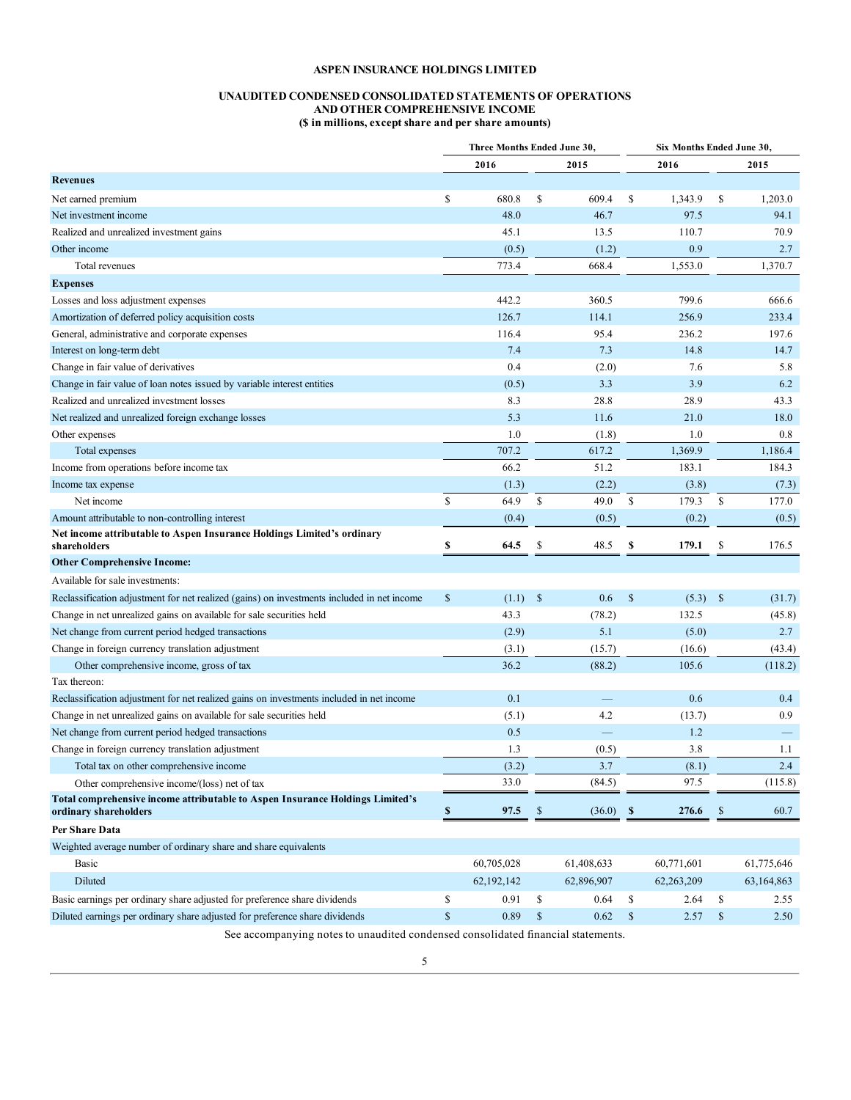#### **UNAUDITED CONDENSED CONSOLIDATED STATEMENTS OF OPERATIONS AND OTHER COMPREHENSIVE INCOME (\$ in millions, except share and per share amounts)**

|                                                                                                                            | Three Months Ended June 30, |               |                    |            |                  | Six Months Ended June 30, |               |            |
|----------------------------------------------------------------------------------------------------------------------------|-----------------------------|---------------|--------------------|------------|------------------|---------------------------|---------------|------------|
|                                                                                                                            |                             | 2016          |                    | 2015       |                  | 2016                      |               | 2015       |
| <b>Revenues</b>                                                                                                            |                             |               |                    |            |                  |                           |               |            |
| Net earned premium                                                                                                         | \$                          | 680.8         | <sup>\$</sup>      | 609.4      | \$               | 1,343.9                   | \$            | 1,203.0    |
| Net investment income                                                                                                      |                             | 48.0          |                    | 46.7       |                  | 97.5                      |               | 94.1       |
| Realized and unrealized investment gains                                                                                   |                             | 45.1          |                    | 13.5       |                  | 110.7                     |               | 70.9       |
| Other income                                                                                                               |                             | (0.5)         |                    | (1.2)      |                  | 0.9                       |               | 2.7        |
| Total revenues                                                                                                             |                             | 773.4         |                    | 668.4      |                  | 1,553.0                   |               | 1,370.7    |
| <b>Expenses</b>                                                                                                            |                             |               |                    |            |                  |                           |               |            |
| Losses and loss adjustment expenses                                                                                        |                             | 442.2         |                    | 360.5      |                  | 799.6                     |               | 666.6      |
| Amortization of deferred policy acquisition costs                                                                          |                             | 126.7         |                    | 114.1      |                  | 256.9                     |               | 233.4      |
| General, administrative and corporate expenses                                                                             |                             | 116.4         |                    | 95.4       |                  | 236.2                     |               | 197.6      |
| Interest on long-term debt                                                                                                 |                             | 7.4           |                    | 7.3        |                  | 14.8                      |               | 14.7       |
| Change in fair value of derivatives                                                                                        |                             | 0.4           |                    | (2.0)      |                  | 7.6                       |               | 5.8        |
| Change in fair value of loan notes issued by variable interest entities                                                    |                             | (0.5)         |                    | 3.3        |                  | 3.9                       |               | 6.2        |
| Realized and unrealized investment losses                                                                                  |                             | 8.3           |                    | 28.8       |                  | 28.9                      |               | 43.3       |
| Net realized and unrealized foreign exchange losses                                                                        |                             | 5.3           |                    | 11.6       |                  | 21.0                      |               | 18.0       |
| Other expenses                                                                                                             |                             | 1.0           |                    | (1.8)      |                  | 1.0                       |               | 0.8        |
| Total expenses                                                                                                             |                             | 707.2         |                    | 617.2      |                  | 1,369.9                   |               | 1,186.4    |
| Income from operations before income tax                                                                                   |                             | 66.2          |                    | 51.2       |                  | 183.1                     |               | 184.3      |
| Income tax expense                                                                                                         |                             | (1.3)         |                    | (2.2)      |                  | (3.8)                     |               | (7.3)      |
| Net income                                                                                                                 | \$                          | 64.9          | <b>S</b>           | 49.0       | \$               | 179.3                     | \$            | 177.0      |
| Amount attributable to non-controlling interest                                                                            |                             | (0.4)         |                    | (0.5)      |                  | (0.2)                     |               | (0.5)      |
| Net income attributable to Aspen Insurance Holdings Limited's ordinary                                                     | \$                          | 64.5          | S                  | 48.5       | \$               | 179.1                     | \$            | 176.5      |
| shareholders<br><b>Other Comprehensive Income:</b>                                                                         |                             |               |                    |            |                  |                           |               |            |
|                                                                                                                            |                             |               |                    |            |                  |                           |               |            |
| Available for sale investments:                                                                                            |                             |               |                    |            |                  |                           |               |            |
| Reclassification adjustment for net realized (gains) on investments included in net income                                 | \$                          | (1.1)         | $\mathbf{\hat{s}}$ | 0.6        | $\mathbb{S}$     | (5.3)                     | $\mathbb{S}$  | (31.7)     |
| Change in net unrealized gains on available for sale securities held                                                       |                             | 43.3          |                    | (78.2)     |                  | 132.5                     |               | (45.8)     |
| Net change from current period hedged transactions                                                                         |                             | (2.9)         |                    | 5.1        |                  | (5.0)                     |               | 2.7        |
| Change in foreign currency translation adjustment                                                                          |                             | (3.1)<br>36.2 |                    | (15.7)     |                  | (16.6)<br>105.6           |               | (43.4)     |
| Other comprehensive income, gross of tax<br>Tax thereon:                                                                   |                             |               |                    | (88.2)     |                  |                           |               | (118.2)    |
|                                                                                                                            |                             | 0.1           |                    |            |                  | 0.6                       |               | 0.4        |
| Reclassification adjustment for net realized gains on investments included in net income                                   |                             | (5.1)         |                    | 4.2        |                  | (13.7)                    |               | 0.9        |
| Change in net unrealized gains on available for sale securities held<br>Net change from current period hedged transactions |                             | 0.5           |                    |            |                  | 1.2                       |               |            |
| Change in foreign currency translation adjustment                                                                          |                             | 1.3           |                    | (0.5)      |                  | 3.8                       |               | 1.1        |
| Total tax on other comprehensive income                                                                                    |                             | (3.2)         |                    | 3.7        |                  | (8.1)                     |               | 2.4        |
| Other comprehensive income/(loss) net of tax                                                                               |                             | 33.0          |                    | (84.5)     |                  | 97.5                      |               | (115.8)    |
| Total comprehensive income attributable to Aspen Insurance Holdings Limited's                                              |                             |               |                    |            |                  |                           |               |            |
| ordinary shareholders                                                                                                      | \$                          | 97.5          | <sup>\$</sup>      | (36.0)     | $\boldsymbol{s}$ | 276.6                     | \$            | 60.7       |
| Per Share Data                                                                                                             |                             |               |                    |            |                  |                           |               |            |
| Weighted average number of ordinary share and share equivalents                                                            |                             |               |                    |            |                  |                           |               |            |
| Basic                                                                                                                      |                             | 60,705,028    |                    | 61,408,633 |                  | 60,771,601                |               | 61,775,646 |
| Diluted                                                                                                                    |                             | 62, 192, 142  |                    | 62,896,907 |                  | 62,263,209                |               | 63,164,863 |
| Basic earnings per ordinary share adjusted for preference share dividends                                                  | \$                          | 0.91          | \$                 | 0.64       | \$               | 2.64                      | \$            | 2.55       |
| Diluted earnings per ordinary share adjusted for preference share dividends                                                | $\mathbb S$                 | 0.89          | $\mathbb{S}$       | 0.62       | $\mathbb{S}$     | 2.57                      | $\mathcal{S}$ | 2.50       |

See accompanying notes to unaudited condensed consolidated financial statements.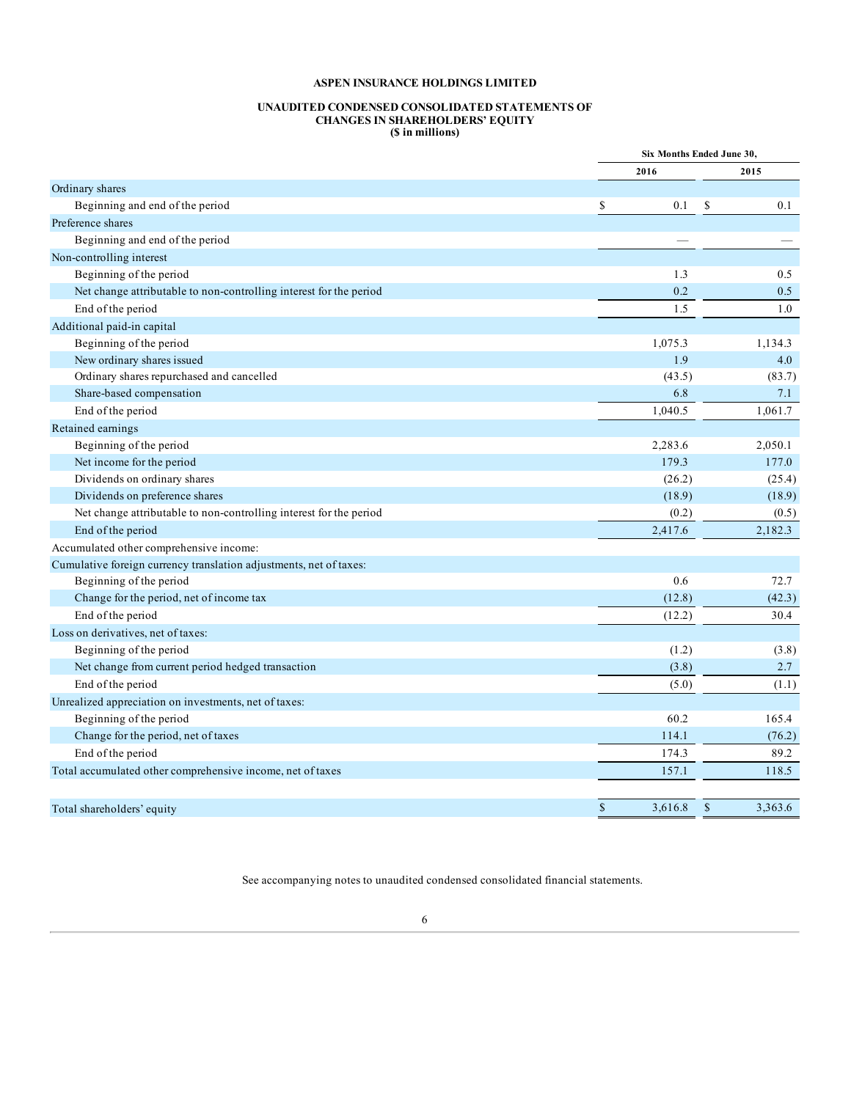#### **UNAUDITED CONDENSED CONSOLIDATED STATEMENTS OF CHANGES IN SHAREHOLDERS' EQUITY (\$ in millions)**

<span id="page-5-0"></span>

|                                                                    |                         | Six Months Ended June 30, |
|--------------------------------------------------------------------|-------------------------|---------------------------|
|                                                                    | 2016                    | 2015                      |
| Ordinary shares                                                    |                         |                           |
| Beginning and end of the period                                    | \$<br>0.1               | \$<br>0.1                 |
| Preference shares                                                  |                         |                           |
| Beginning and end of the period                                    |                         |                           |
| Non-controlling interest                                           |                         |                           |
| Beginning of the period                                            | 1.3                     | 0.5                       |
| Net change attributable to non-controlling interest for the period | 0.2                     | 0.5                       |
| End of the period                                                  | 1.5                     | 1.0                       |
| Additional paid-in capital                                         |                         |                           |
| Beginning of the period                                            | 1,075.3                 | 1,134.3                   |
| New ordinary shares issued                                         | 1.9                     | 4.0                       |
| Ordinary shares repurchased and cancelled                          | (43.5)                  | (83.7)                    |
| Share-based compensation                                           | 6.8                     | 7.1                       |
| End of the period                                                  | 1,040.5                 | 1,061.7                   |
| Retained earnings                                                  |                         |                           |
| Beginning of the period                                            | 2,283.6                 | 2,050.1                   |
| Net income for the period                                          | 179.3                   | 177.0                     |
| Dividends on ordinary shares                                       | (26.2)                  | (25.4)                    |
| Dividends on preference shares                                     | (18.9)                  | (18.9)                    |
| Net change attributable to non-controlling interest for the period | (0.2)                   | (0.5)                     |
| End of the period                                                  | 2,417.6                 | 2,182.3                   |
| Accumulated other comprehensive income:                            |                         |                           |
| Cumulative foreign currency translation adjustments, net of taxes: |                         |                           |
| Beginning of the period                                            | 0.6                     | 72.7                      |
| Change for the period, net of income tax                           | (12.8)                  | (42.3)                    |
| End of the period                                                  | (12.2)                  | 30.4                      |
| Loss on derivatives, net of taxes:                                 |                         |                           |
| Beginning of the period                                            | (1.2)                   | (3.8)                     |
| Net change from current period hedged transaction                  | (3.8)                   | 2.7                       |
| End of the period                                                  | (5.0)                   | (1.1)                     |
| Unrealized appreciation on investments, net of taxes:              |                         |                           |
| Beginning of the period                                            | 60.2                    | 165.4                     |
| Change for the period, net of taxes                                | 114.1                   | (76.2)                    |
| End of the period                                                  | 174.3                   | 89.2                      |
| Total accumulated other comprehensive income, net of taxes         | 157.1                   | 118.5                     |
|                                                                    |                         |                           |
| Total shareholders' equity                                         | $\mathbb{S}$<br>3.616.8 | $\mathcal{S}$<br>3,363.6  |

See accompanying notes to unaudited condensed consolidated financial statements.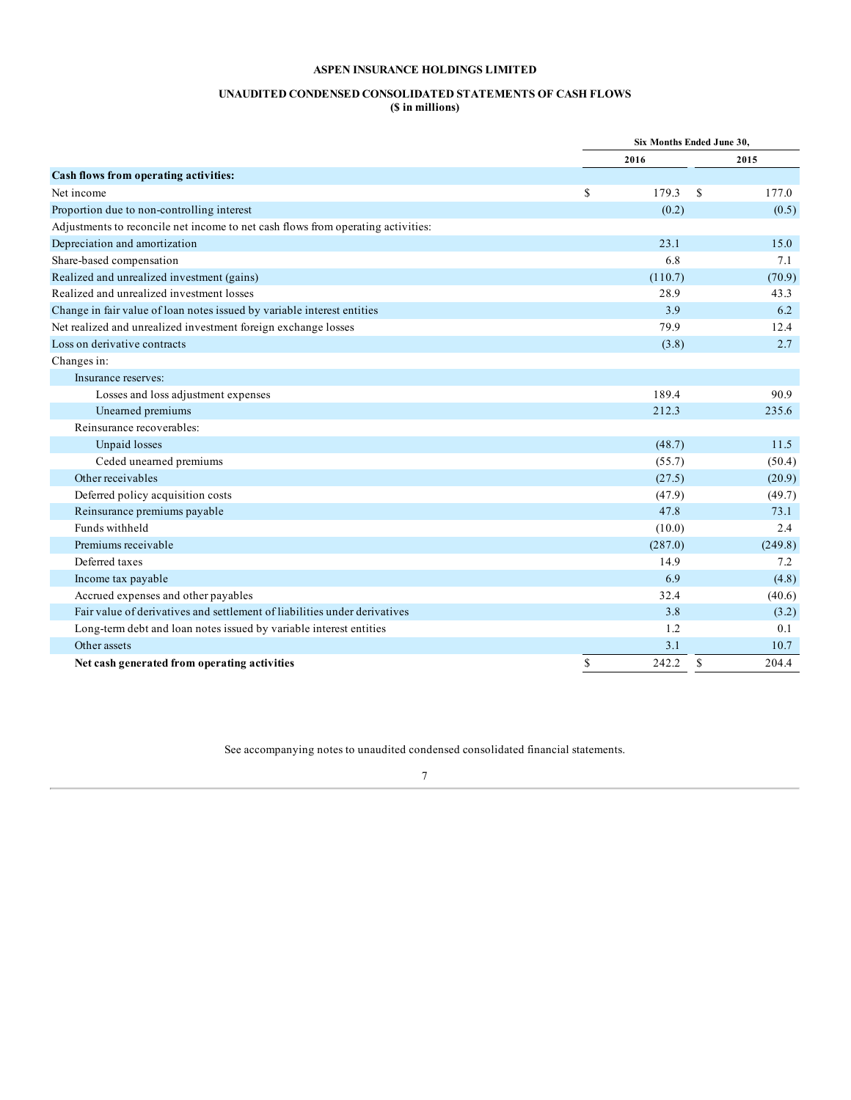#### **UNAUDITED CONDENSED CONSOLIDATED STATEMENTS OF CASH FLOWS (\$ in millions)**

|                                                                                  |             | Six Months Ended June 30, |         |  |
|----------------------------------------------------------------------------------|-------------|---------------------------|---------|--|
|                                                                                  |             | 2016                      | 2015    |  |
| Cash flows from operating activities:                                            |             |                           |         |  |
| Net income                                                                       | S           | 179.3<br>S                | 177.0   |  |
| Proportion due to non-controlling interest                                       |             | (0.2)                     | (0.5)   |  |
| Adjustments to reconcile net income to net cash flows from operating activities: |             |                           |         |  |
| Depreciation and amortization                                                    |             | 23.1                      | 15.0    |  |
| Share-based compensation                                                         |             | 6.8                       | 7.1     |  |
| Realized and unrealized investment (gains)                                       |             | (110.7)                   | (70.9)  |  |
| Realized and unrealized investment losses                                        |             | 28.9                      | 43.3    |  |
| Change in fair value of loan notes issued by variable interest entities          |             | 3.9                       | 6.2     |  |
| Net realized and unrealized investment foreign exchange losses                   |             | 79.9                      | 12.4    |  |
| Loss on derivative contracts                                                     |             | (3.8)                     | 2.7     |  |
| Changes in:                                                                      |             |                           |         |  |
| Insurance reserves:                                                              |             |                           |         |  |
| Losses and loss adjustment expenses                                              |             | 189.4                     | 90.9    |  |
| Unearned premiums                                                                |             | 212.3                     | 235.6   |  |
| Reinsurance recoverables:                                                        |             |                           |         |  |
| Unpaid losses                                                                    |             | (48.7)                    | 11.5    |  |
| Ceded unearned premiums                                                          |             | (55.7)                    | (50.4)  |  |
| Other receivables                                                                |             | (27.5)                    | (20.9)  |  |
| Deferred policy acquisition costs                                                |             | (47.9)                    | (49.7)  |  |
| Reinsurance premiums payable                                                     |             | 47.8                      | 73.1    |  |
| Funds withheld                                                                   |             | (10.0)                    | 2.4     |  |
| Premiums receivable                                                              |             | (287.0)                   | (249.8) |  |
| Deferred taxes                                                                   |             | 14.9                      | 7.2     |  |
| Income tax payable                                                               |             | 6.9                       | (4.8)   |  |
| Accrued expenses and other payables                                              |             | 32.4                      | (40.6)  |  |
| Fair value of derivatives and settlement of liabilities under derivatives        |             | 3.8                       | (3.2)   |  |
| Long-term debt and loan notes issued by variable interest entities               |             | 1.2                       | 0.1     |  |
| Other assets                                                                     |             | 3.1                       | 10.7    |  |
| Net cash generated from operating activities                                     | $\mathbb S$ | $\mathbb{S}$<br>242.2     | 204.4   |  |

See accompanying notes to unaudited condensed consolidated financial statements.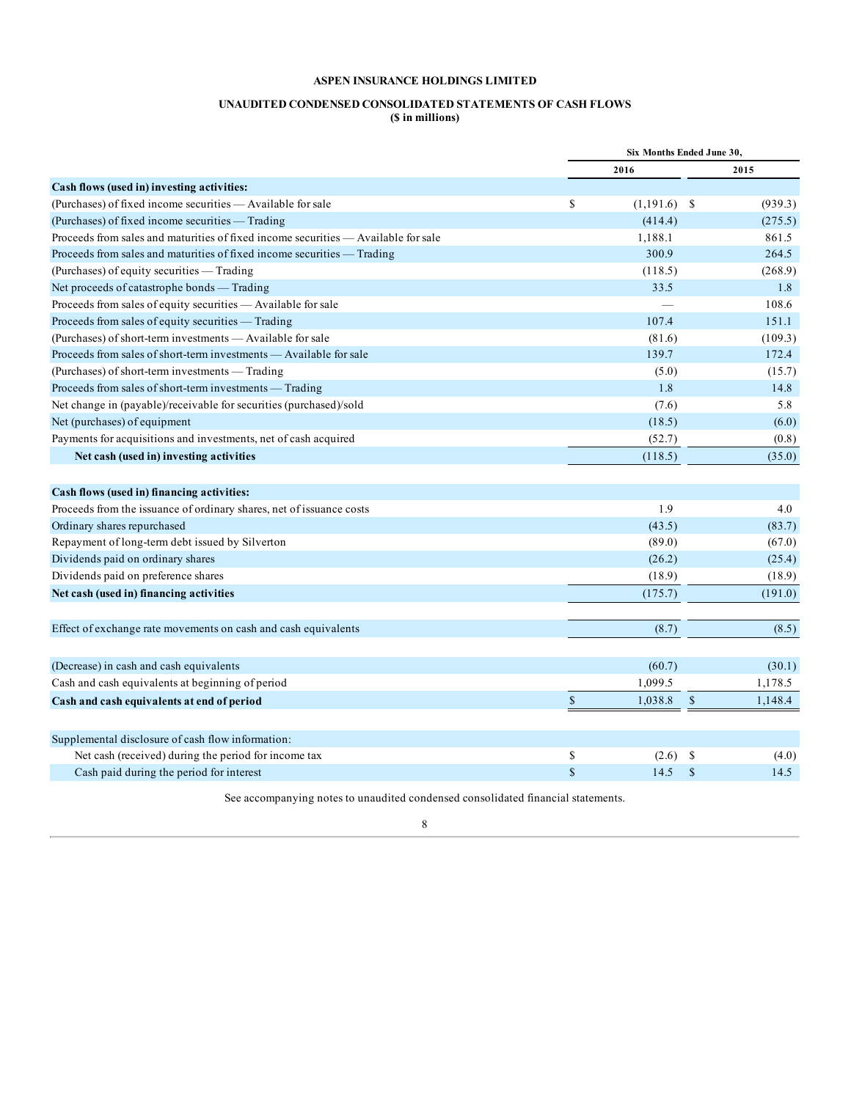### **UNAUDITED CONDENSED CONSOLIDATED STATEMENTS OF CASH FLOWS (\$ in millions)**

|                                                                                    | Six Months Ended June 30, |                |               |         |
|------------------------------------------------------------------------------------|---------------------------|----------------|---------------|---------|
|                                                                                    |                           | 2016           |               | 2015    |
| Cash flows (used in) investing activities:                                         |                           |                |               |         |
| (Purchases) of fixed income securities — Available for sale                        | \$                        | $(1,191.6)$ \$ |               | (939.3) |
| (Purchases) of fixed income securities — Trading                                   |                           | (414.4)        |               | (275.5) |
| Proceeds from sales and maturities of fixed income securities — Available for sale |                           | 1,188.1        |               | 861.5   |
| Proceeds from sales and maturities of fixed income securities — Trading            |                           | 300.9          |               | 264.5   |
| (Purchases) of equity securities - Trading                                         |                           | (118.5)        |               | (268.9) |
| Net proceeds of catastrophe bonds - Trading                                        |                           | 33.5           |               | 1.8     |
| Proceeds from sales of equity securities - Available for sale                      |                           |                |               | 108.6   |
| Proceeds from sales of equity securities - Trading                                 |                           | 107.4          |               | 151.1   |
| (Purchases) of short-term investments - Available for sale                         |                           | (81.6)         |               | (109.3) |
| Proceeds from sales of short-term investments — Available for sale                 |                           | 139.7          |               | 172.4   |
| (Purchases) of short-term investments - Trading                                    |                           | (5.0)          |               | (15.7)  |
| Proceeds from sales of short-term investments - Trading                            |                           | 1.8            |               | 14.8    |
| Net change in (payable)/receivable for securities (purchased)/sold                 |                           | (7.6)          |               | 5.8     |
| Net (purchases) of equipment                                                       |                           | (18.5)         |               | (6.0)   |
| Payments for acquisitions and investments, net of cash acquired                    |                           | (52.7)         |               | (0.8)   |
| Net cash (used in) investing activities                                            |                           | (118.5)        |               | (35.0)  |
|                                                                                    |                           |                |               |         |
| Cash flows (used in) financing activities:                                         |                           |                |               |         |
| Proceeds from the issuance of ordinary shares, net of issuance costs               |                           | 1.9            |               | 4.0     |
| Ordinary shares repurchased                                                        |                           | (43.5)         |               | (83.7)  |
| Repayment of long-term debt issued by Silverton                                    |                           | (89.0)         |               | (67.0)  |
| Dividends paid on ordinary shares                                                  |                           | (26.2)         |               | (25.4)  |
| Dividends paid on preference shares                                                |                           | (18.9)         |               | (18.9)  |
| Net cash (used in) financing activities                                            |                           | (175.7)        |               | (191.0) |
|                                                                                    |                           |                |               |         |
| Effect of exchange rate movements on cash and cash equivalents                     |                           | (8.7)          |               | (8.5)   |
|                                                                                    |                           |                |               |         |
| (Decrease) in cash and cash equivalents                                            |                           | (60.7)         |               | (30.1)  |
| Cash and cash equivalents at beginning of period                                   |                           | 1,099.5        |               | 1,178.5 |
| Cash and cash equivalents at end of period                                         | $\$$                      | 1,038.8        | $\mathbb{S}$  | 1,148.4 |
|                                                                                    |                           |                |               |         |
| Supplemental disclosure of cash flow information:                                  |                           |                |               |         |
| Net cash (received) during the period for income tax                               | \$                        | (2.6)          | -S            | (4.0)   |
| Cash paid during the period for interest                                           | $\mathbf S$               | 14.5           | $\mathcal{S}$ | 14.5    |

See accompanying notes to unaudited condensed consolidated financial statements.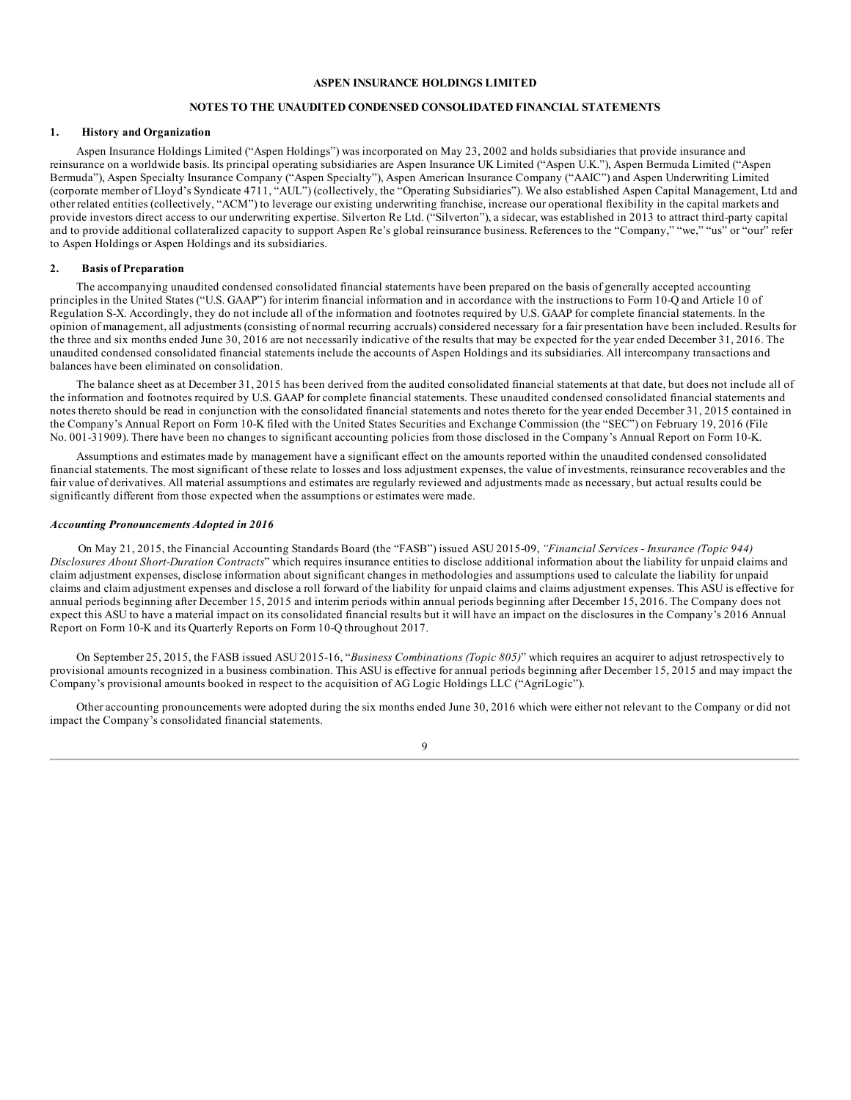### **NOTES TO THE UNAUDITED CONDENSED CONSOLIDATED FINANCIAL STATEMENTS**

#### <span id="page-8-0"></span>**1. History and Organization**

Aspen Insurance Holdings Limited ("Aspen Holdings") was incorporated on May 23, 2002 and holds subsidiaries that provide insurance and reinsurance on a worldwide basis. Its principal operating subsidiaries are Aspen Insurance UK Limited ("Aspen U.K."), Aspen Bermuda Limited ("Aspen Bermuda"), Aspen Specialty Insurance Company ("Aspen Specialty"), Aspen American Insurance Company ("AAIC") and Aspen Underwriting Limited (corporate member of Lloyd's Syndicate 4711, "AUL") (collectively, the "Operating Subsidiaries"). We also established Aspen Capital Management, Ltd and other related entities (collectively, "ACM") to leverage our existing underwriting franchise, increase our operational flexibility in the capital markets and provide investors direct access to our underwriting expertise. Silverton Re Ltd. ("Silverton"), a sidecar, was established in 2013 to attract third-party capital and to provide additional collateralized capacity to support Aspen Re's global reinsurance business. References to the "Company," "we," "us" or "our" refer to Aspen Holdings or Aspen Holdings and its subsidiaries.

#### **2. Basis of Preparation**

The accompanying unaudited condensed consolidated financial statements have been prepared on the basis of generally accepted accounting principles in the United States ("U.S. GAAP") for interim financial information and in accordance with the instructions to Form 10-Q and Article 10 of Regulation S-X. Accordingly, they do not include all of the information and footnotes required by U.S. GAAP for complete financial statements. In the opinion of management, all adjustments (consisting of normal recurring accruals) considered necessary for a fair presentation have been included. Results for the three and six months ended June 30, 2016 are not necessarily indicative of the results that may be expected for the year ended December 31, 2016. The unaudited condensed consolidated financial statements include the accounts of Aspen Holdings and its subsidiaries. All intercompany transactions and balances have been eliminated on consolidation.

The balance sheet as at December 31, 2015 has been derived from the audited consolidated financial statements at that date, but does not include all of the information and footnotes required by U.S. GAAP for complete financial statements. These unaudited condensed consolidated financial statements and notes thereto should be read in conjunction with the consolidated financial statements and notes thereto for the year ended December 31, 2015 contained in the Company's Annual Report on Form 10-K filed with the United States Securities and Exchange Commission (the "SEC") on February 19, 2016 (File No. 001-31909). There have been no changes to significant accounting policies from those disclosed in the Company's Annual Report on Form 10-K.

Assumptions and estimates made by management have a significant effect on the amounts reported within the unaudited condensed consolidated financial statements. The most significant of these relate to losses and loss adjustment expenses, the value of investments, reinsurance recoverables and the fair value of derivatives. All material assumptions and estimates are regularly reviewed and adjustments made as necessary, but actual results could be significantly different from those expected when the assumptions or estimates were made.

#### *Accounting Pronouncements Adopted in 2016*

On May 21, 2015, the Financial Accounting Standards Board (the "FASB") issued ASU 2015-09, *"Financial Services - Insurance (Topic 944) Disclosures About Short-Duration Contracts*" which requires insurance entities to disclose additional information about the liability for unpaid claims and claim adjustment expenses, disclose information about significant changes in methodologies and assumptions used to calculate the liability for unpaid claims and claim adjustment expenses and disclose a roll forward of the liability for unpaid claims and claims adjustment expenses. This ASU is effective for annual periods beginning after December 15, 2015 and interim periods within annual periods beginning after December 15, 2016. The Company does not expect this ASU to have a material impact on its consolidated financial results but it will have an impact on the disclosures in the Company's 2016 Annual Report on Form 10-K and its Quarterly Reports on Form 10-Q throughout 2017.

On September 25, 2015, the FASB issued ASU 2015-16, "*Business Combinations (Topic 805)*" which requires an acquirer to adjust retrospectively to provisional amounts recognized in a business combination. This ASU is effective for annual periods beginning after December 15, 2015 and may impact the Company's provisional amounts booked in respect to the acquisition of AG Logic Holdings LLC ("AgriLogic").

Other accounting pronouncements were adopted during the six months ended June 30, 2016 which were either not relevant to the Company or did not impact the Company's consolidated financial statements.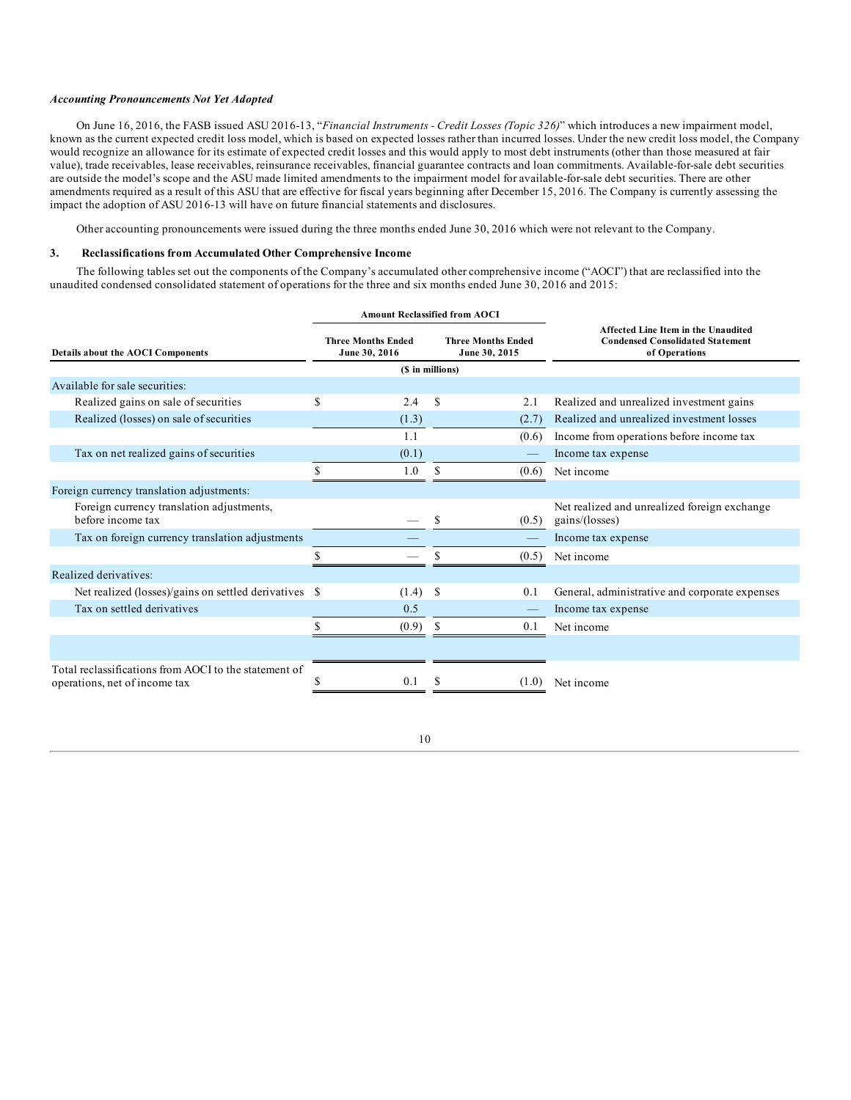#### *Accounting Pronouncements Not Yet Adopted*

On June 16, 2016, the FASB issued ASU 2016-13, "*Financial Instruments - Credit Losses (Topic 326)*" which introduces a new impairment model, known as the current expected credit loss model, which is based on expected losses rather than incurred losses. Under the new credit loss model, the Company would recognize an allowance for its estimate of expected credit losses and this would apply to most debt instruments (other than those measured at fair value), trade receivables, lease receivables, reinsurance receivables, financial guarantee contracts and loan commitments. Available-for-sale debt securities are outside the model's scope and the ASU made limited amendments to the impairment model for available-for-sale debt securities. There are other amendments required as a result of this ASU that are effective for fiscal years beginning after December 15, 2016. The Company is currently assessing the impact the adoption of ASU 2016-13 will have on future financial statements and disclosures.

Other accounting pronouncements were issued during the three months ended June 30, 2016 which were not relevant to the Company.

#### **3. Reclassifications from Accumulated Other Comprehensive Income**

The following tables set out the components of the Company's accumulated other comprehensive income ("AOCI") that are reclassified into the unaudited condensed consolidated statement of operations for the three and six months ended June 30, 2016 and 2015:

|                                                                                        |                                                                                          | <b>Amount Reclassified from AOCI</b> |                                                                                                 |  |  |  |
|----------------------------------------------------------------------------------------|------------------------------------------------------------------------------------------|--------------------------------------|-------------------------------------------------------------------------------------------------|--|--|--|
| <b>Details about the AOCI Components</b>                                               | <b>Three Months Ended</b><br><b>Three Months Ended</b><br>June 30, 2016<br>June 30, 2015 |                                      | Affected Line Item in the Unaudited<br><b>Condensed Consolidated Statement</b><br>of Operations |  |  |  |
|                                                                                        |                                                                                          | (\$ in millions)                     |                                                                                                 |  |  |  |
| Available for sale securities:                                                         |                                                                                          |                                      |                                                                                                 |  |  |  |
| Realized gains on sale of securities                                                   | S<br>2.4                                                                                 | S<br>2.1                             | Realized and unrealized investment gains                                                        |  |  |  |
| Realized (losses) on sale of securities                                                | (1.3)                                                                                    | (2.7)                                | Realized and unrealized investment losses                                                       |  |  |  |
|                                                                                        | 1.1                                                                                      | (0.6)                                | Income from operations before income tax                                                        |  |  |  |
| Tax on net realized gains of securities                                                | (0.1)                                                                                    |                                      | Income tax expense                                                                              |  |  |  |
|                                                                                        | 1.0                                                                                      | S<br>(0.6)                           | Net income                                                                                      |  |  |  |
| Foreign currency translation adjustments:                                              |                                                                                          |                                      |                                                                                                 |  |  |  |
| Foreign currency translation adjustments,<br>before income tax                         |                                                                                          | S<br>(0.5)                           | Net realized and unrealized foreign exchange<br>gains/(losses)                                  |  |  |  |
| Tax on foreign currency translation adjustments                                        |                                                                                          |                                      | Income tax expense                                                                              |  |  |  |
|                                                                                        |                                                                                          | (0.5)                                | Net income                                                                                      |  |  |  |
| Realized derivatives:                                                                  |                                                                                          |                                      |                                                                                                 |  |  |  |
| Net realized (losses)/gains on settled derivatives \$                                  | (1.4)                                                                                    | -S<br>0.1                            | General, administrative and corporate expenses                                                  |  |  |  |
| Tax on settled derivatives                                                             | 0.5                                                                                      |                                      | Income tax expense                                                                              |  |  |  |
|                                                                                        | (0.9)                                                                                    | S<br>0.1                             | Net income                                                                                      |  |  |  |
|                                                                                        |                                                                                          |                                      |                                                                                                 |  |  |  |
| Total reclassifications from AOCI to the statement of<br>operations, net of income tax | 0.1                                                                                      | (1.0)                                | Net income                                                                                      |  |  |  |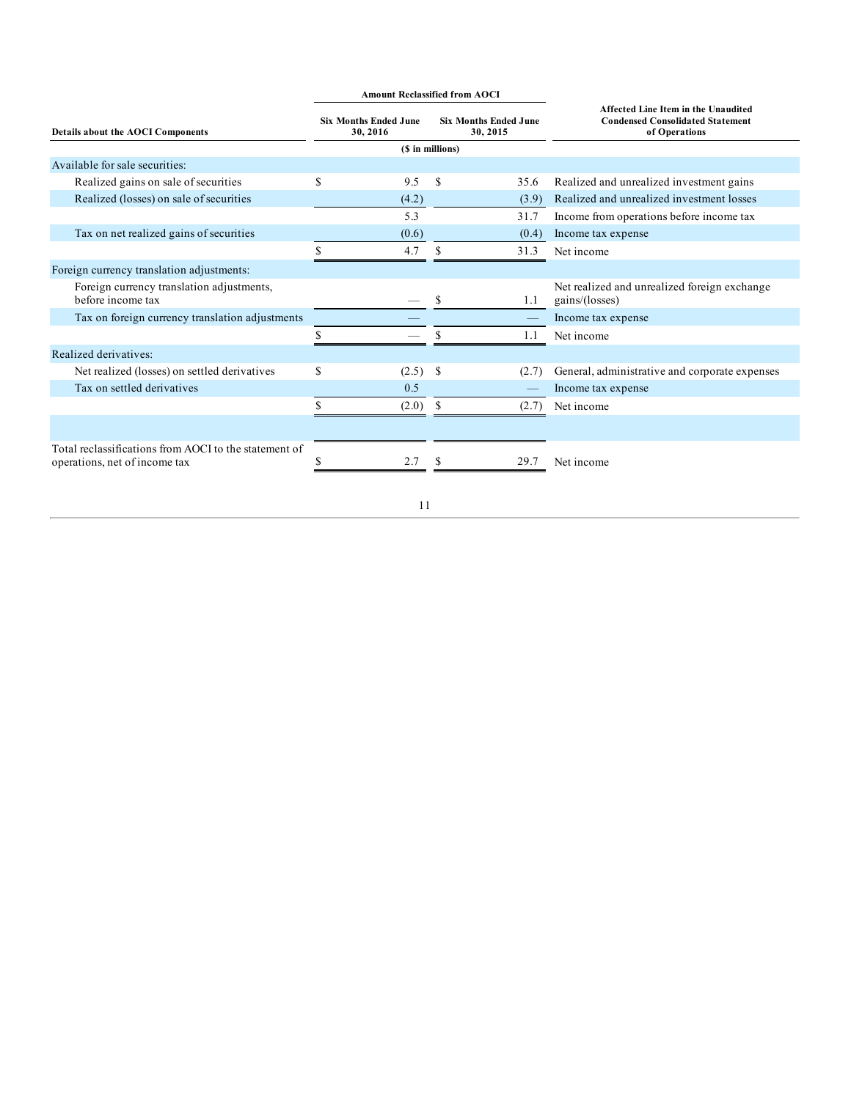|                                                                                        |                                          | <b>Amount Reclassified from AOCI</b> |                                          |       |                                                                                                 |  |  |  |
|----------------------------------------------------------------------------------------|------------------------------------------|--------------------------------------|------------------------------------------|-------|-------------------------------------------------------------------------------------------------|--|--|--|
| <b>Details about the AOCI Components</b>                                               | <b>Six Months Ended June</b><br>30, 2016 |                                      | <b>Six Months Ended June</b><br>30, 2015 |       | Affected Line Item in the Unaudited<br><b>Condensed Consolidated Statement</b><br>of Operations |  |  |  |
|                                                                                        |                                          |                                      | (\$ in millions)                         |       |                                                                                                 |  |  |  |
| Available for sale securities:                                                         |                                          |                                      |                                          |       |                                                                                                 |  |  |  |
| Realized gains on sale of securities                                                   | S                                        | 9.5                                  | S                                        | 35.6  | Realized and unrealized investment gains                                                        |  |  |  |
| Realized (losses) on sale of securities                                                |                                          | (4.2)                                |                                          | (3.9) | Realized and unrealized investment losses                                                       |  |  |  |
|                                                                                        |                                          | 5.3                                  |                                          | 31.7  | Income from operations before income tax                                                        |  |  |  |
| Tax on net realized gains of securities                                                |                                          | (0.6)                                |                                          | (0.4) | Income tax expense                                                                              |  |  |  |
|                                                                                        | ¢                                        | 4.7                                  | \$                                       | 31.3  | Net income                                                                                      |  |  |  |
| Foreign currency translation adjustments:                                              |                                          |                                      |                                          |       |                                                                                                 |  |  |  |
| Foreign currency translation adjustments,<br>before income tax                         |                                          |                                      | S                                        | 1.1   | Net realized and unrealized foreign exchange<br>gains/(losses)                                  |  |  |  |
| Tax on foreign currency translation adjustments                                        |                                          |                                      |                                          |       | Income tax expense                                                                              |  |  |  |
|                                                                                        |                                          |                                      |                                          | 1.1   | Net income                                                                                      |  |  |  |
| Realized derivatives:                                                                  |                                          |                                      |                                          |       |                                                                                                 |  |  |  |
| Net realized (losses) on settled derivatives                                           | S                                        | $(2.5)$ \$                           |                                          | (2.7) | General, administrative and corporate expenses                                                  |  |  |  |
| Tax on settled derivatives                                                             |                                          | 0.5                                  |                                          |       | Income tax expense                                                                              |  |  |  |
|                                                                                        |                                          | (2.0)                                | S                                        | (2.7) | Net income                                                                                      |  |  |  |
|                                                                                        |                                          |                                      |                                          |       |                                                                                                 |  |  |  |
| Total reclassifications from AOCI to the statement of<br>operations, net of income tax |                                          | 2.7                                  |                                          | 29.7  | Net income                                                                                      |  |  |  |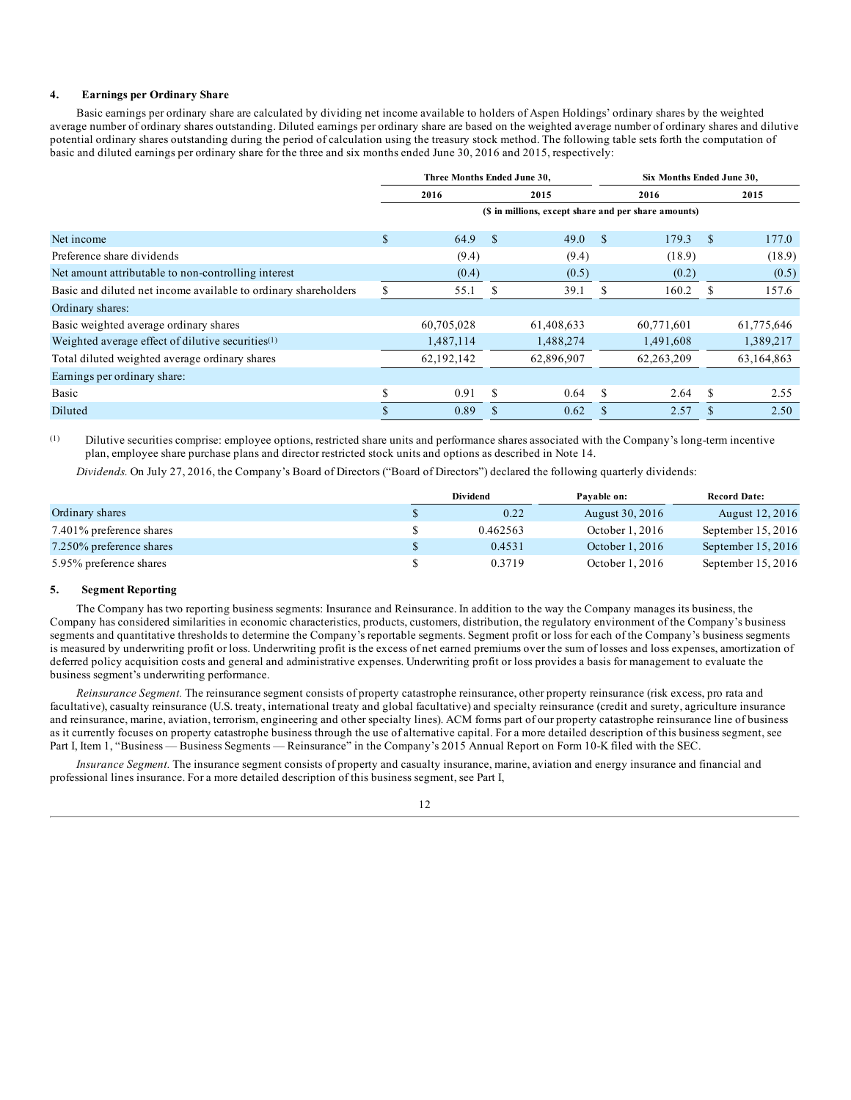#### **4. Earnings per Ordinary Share**

Basic earnings per ordinary share are calculated by dividing net income available to holders of Aspen Holdings' ordinary shares by the weighted average number of ordinary shares outstanding. Diluted earnings per ordinary share are based on the weighted average number of ordinary shares and dilutive potential ordinary shares outstanding during the period of calculation using the treasury stock method. The following table sets forth the computation of basic and diluted earnings per ordinary share for the three and six months ended June 30, 2016 and 2015, respectively:

|                                                                 | Three Months Ended June 30. |            |              |                                                      | Six Months Ended June 30, |            |               |            |
|-----------------------------------------------------------------|-----------------------------|------------|--------------|------------------------------------------------------|---------------------------|------------|---------------|------------|
|                                                                 | 2016                        |            |              | 2015                                                 |                           | 2016       |               | 2015       |
|                                                                 |                             |            |              | (\$ in millions, except share and per share amounts) |                           |            |               |            |
| Net income                                                      | \$                          | 64.9       | $\mathbf{s}$ | 49.0                                                 | \$                        | 179.3      | <sup>\$</sup> | 177.0      |
| Preference share dividends                                      |                             | (9.4)      |              | (9.4)                                                |                           | (18.9)     |               | (18.9)     |
| Net amount attributable to non-controlling interest             |                             | (0.4)      |              | (0.5)                                                |                           | (0.2)      |               | (0.5)      |
| Basic and diluted net income available to ordinary shareholders |                             | 55.1       | -S           | 39.1                                                 | S                         | 160.2      | S.            | 157.6      |
| Ordinary shares:                                                |                             |            |              |                                                      |                           |            |               |            |
| Basic weighted average ordinary shares                          |                             | 60,705,028 |              | 61,408,633                                           |                           | 60,771,601 |               | 61,775,646 |
| Weighted average effect of dilutive securities <sup>(1)</sup>   |                             | 1,487,114  |              | 1,488,274                                            |                           | 1,491,608  |               | 1,389,217  |
| Total diluted weighted average ordinary shares                  |                             | 62,192,142 |              | 62,896,907                                           |                           | 62,263,209 |               | 63,164,863 |
| Earnings per ordinary share:                                    |                             |            |              |                                                      |                           |            |               |            |
| Basic                                                           |                             | 0.91       | S            | 0.64                                                 | <sup>\$</sup>             | 2.64       | S             | 2.55       |
| Diluted                                                         |                             | 0.89       |              | 0.62                                                 |                           | 2.57       |               | 2.50       |

(1) Dilutive securities comprise: employee options, restricted share units and performance shares associated with the Company's long-term incentive plan, employee share purchase plans and director restricted stock units and options as described in Note 14.

*Dividends.* On July 27, 2016, the Company's Board of Directors ("Board of Directors") declared the following quarterly dividends:

|                          | <b>Dividend</b> | Pavable on:      | <b>Record Date:</b>  |  |
|--------------------------|-----------------|------------------|----------------------|--|
| Ordinary shares          | 0.22            | August 30, 2016  | August 12, 2016      |  |
| 7.401% preference shares | 0.462563        | October $1,2016$ | September $15, 2016$ |  |
| 7.250% preference shares | 0.4531          | October $1,2016$ | September $15, 2016$ |  |
| 5.95% preference shares  | 0.3719          | October $1,2016$ | September 15, 2016   |  |

#### **5. Segment Reporting**

The Company has two reporting business segments: Insurance and Reinsurance. In addition to the way the Company manages its business, the Company has considered similarities in economic characteristics, products, customers, distribution, the regulatory environment of the Company's business segments and quantitative thresholds to determine the Company's reportable segments. Segment profit or loss for each of the Company's business segments is measured by underwriting profit or loss. Underwriting profit is the excess of net earned premiums over the sum of losses and loss expenses, amortization of deferred policy acquisition costs and general and administrative expenses. Underwriting profit or loss provides a basis for management to evaluate the business segment's underwriting performance.

*Reinsurance Segment.* The reinsurance segment consists of property catastrophe reinsurance, other property reinsurance (risk excess, pro rata and facultative), casualty reinsurance (U.S. treaty, international treaty and global facultative) and specialty reinsurance (credit and surety, agriculture insurance and reinsurance, marine, aviation, terrorism, engineering and other specialty lines). ACM forms part of our property catastrophe reinsurance line of business as it currently focuses on property catastrophe business through the use of alternative capital. For a more detailed description of this business segment, see Part I, Item 1, "Business — Business Segments — Reinsurance" in the Company's 2015 Annual Report on Form 10-K filed with the SEC.

*Insurance Segment.* The insurance segment consists of property and casualty insurance, marine, aviation and energy insurance and financial and professional lines insurance. For a more detailed description of this business segment, see Part I,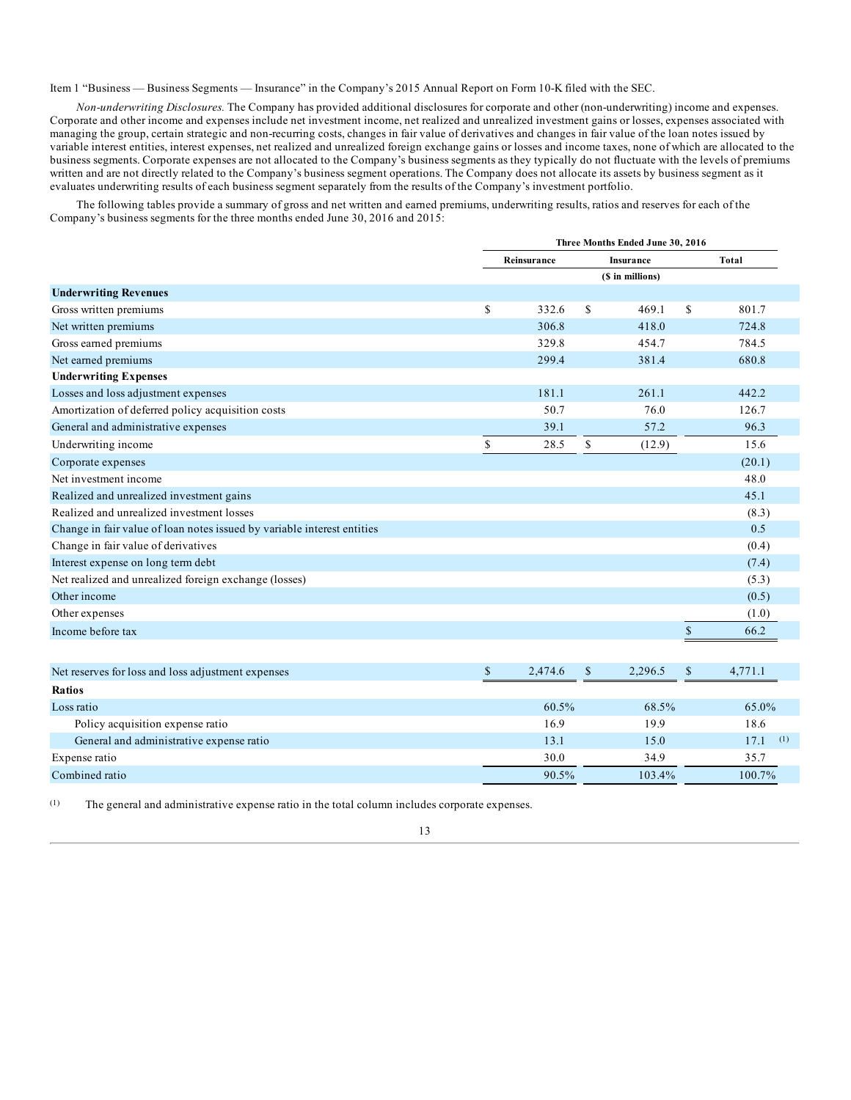Item 1 "Business — Business Segments — Insurance" in the Company's 2015 Annual Report on Form 10-K filed with the SEC.

*Non-underwriting Disclosures.* The Company has provided additional disclosures for corporate and other (non-underwriting) income and expenses. Corporate and other income and expenses include net investment income, net realized and unrealized investment gains or losses, expenses associated with managing the group, certain strategic and non-recurring costs, changes in fair value of derivatives and changes in fair value of the loan notes issued by variable interest entities, interest expenses, net realized and unrealized foreign exchange gains or losses and income taxes, none of which are allocated to the business segments. Corporate expenses are not allocated to the Company's business segments as they typically do not fluctuate with the levels of premiums written and are not directly related to the Company's business segment operations. The Company does not allocate its assets by business segment as it evaluates underwriting results of each business segment separately from the results of the Company's investment portfolio.

The following tables provide a summary of gross and net written and earned premiums, underwriting results, ratios and reserves for each of the Company's business segments for the three months ended June 30, 2016 and 2015:

|               | Three Months Ended June 30, 2016 |         |                                      |              |  |  |  |  |
|---------------|----------------------------------|---------|--------------------------------------|--------------|--|--|--|--|
|               |                                  |         |                                      | <b>Total</b> |  |  |  |  |
|               |                                  |         |                                      |              |  |  |  |  |
|               |                                  |         |                                      |              |  |  |  |  |
| \$<br>332.6   | \$                               | 469.1   | \$                                   | 801.7        |  |  |  |  |
| 306.8         |                                  | 418.0   |                                      | 724.8        |  |  |  |  |
| 329.8         |                                  | 454.7   |                                      | 784.5        |  |  |  |  |
| 299.4         |                                  | 381.4   |                                      | 680.8        |  |  |  |  |
|               |                                  |         |                                      |              |  |  |  |  |
| 181.1         |                                  | 261.1   |                                      | 442.2        |  |  |  |  |
| 50.7          |                                  | 76.0    |                                      | 126.7        |  |  |  |  |
| 39.1          |                                  | 57.2    |                                      | 96.3         |  |  |  |  |
| \$<br>28.5    | \$                               | (12.9)  |                                      | 15.6         |  |  |  |  |
|               |                                  |         |                                      | (20.1)       |  |  |  |  |
|               |                                  |         |                                      | 48.0         |  |  |  |  |
|               |                                  |         |                                      | 45.1         |  |  |  |  |
|               |                                  |         |                                      | (8.3)        |  |  |  |  |
|               |                                  |         |                                      | 0.5          |  |  |  |  |
|               |                                  |         |                                      | (0.4)        |  |  |  |  |
|               |                                  |         |                                      | (7.4)        |  |  |  |  |
|               |                                  |         |                                      | (5.3)        |  |  |  |  |
|               |                                  |         |                                      | (0.5)        |  |  |  |  |
|               |                                  |         |                                      | (1.0)        |  |  |  |  |
|               |                                  |         | \$                                   | 66.2         |  |  |  |  |
|               |                                  |         |                                      |              |  |  |  |  |
| \$<br>2,474.6 | \$                               | 2,296.5 | \$                                   | 4.771.1      |  |  |  |  |
|               | Reinsurance                      |         | <b>Insurance</b><br>(\$ in millions) |              |  |  |  |  |

| Ratios                                   |       |        |             |
|------------------------------------------|-------|--------|-------------|
| Loss ratio                               | 60.5% | 68.5%  | 65.0%       |
| Policy acquisition expense ratio         | 16.9  | 19.9   | 18.6        |
| General and administrative expense ratio | 13.1  | 15.0   | (1)<br>17.1 |
| Expense ratio                            | 30.0  | 34.9   | 35.7        |
| Combined ratio                           | 90.5% | 103.4% | 100.7%      |

(1) The general and administrative expense ratio in the total column includes corporate expenses.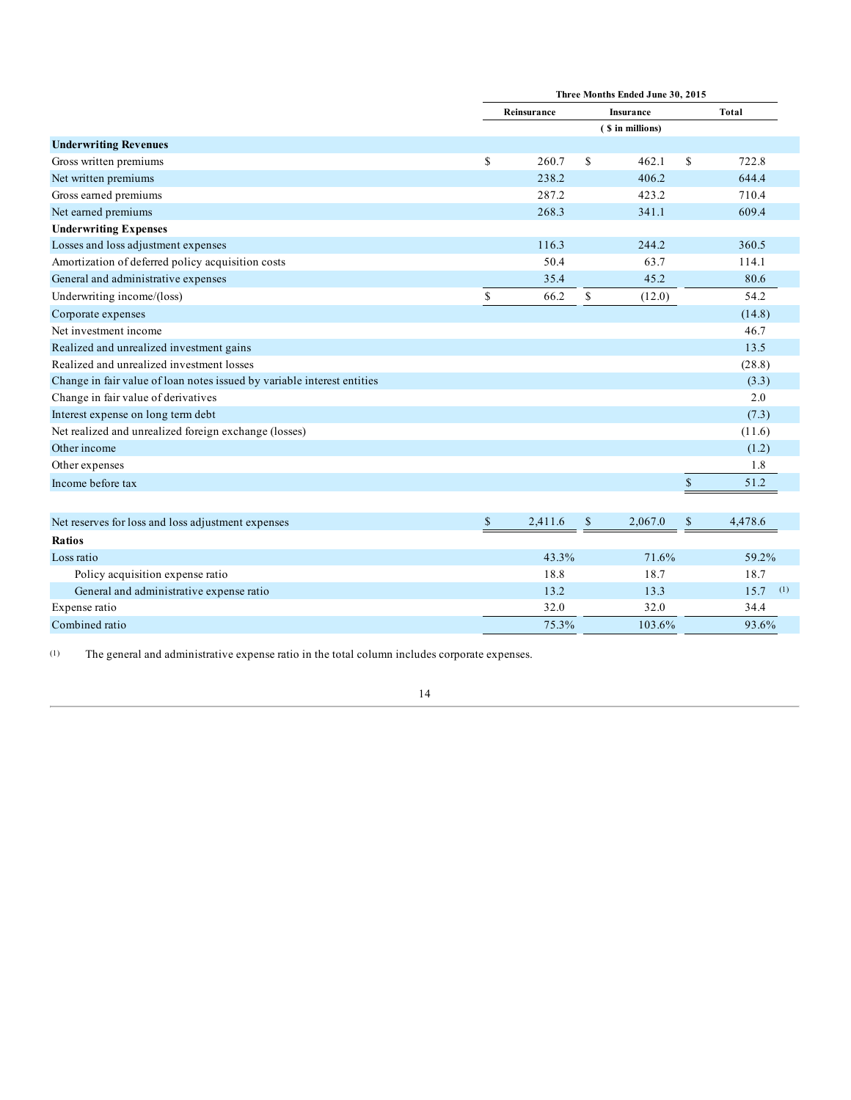|                                                                         |               |              | Three Months Ended June 30, 2015 |               |
|-------------------------------------------------------------------------|---------------|--------------|----------------------------------|---------------|
|                                                                         | Reinsurance   |              | Insurance                        | <b>Total</b>  |
|                                                                         |               |              | (\$ in millions)                 |               |
| <b>Underwriting Revenues</b>                                            |               |              |                                  |               |
| Gross written premiums                                                  | \$<br>260.7   | \$           | 462.1                            | \$<br>722.8   |
| Net written premiums                                                    | 238.2         |              | 406.2                            | 644.4         |
| Gross earned premiums                                                   | 287.2         |              | 423.2                            | 710.4         |
| Net earned premiums                                                     | 268.3         |              | 341.1                            | 609.4         |
| <b>Underwriting Expenses</b>                                            |               |              |                                  |               |
| Losses and loss adjustment expenses                                     | 116.3         |              | 244.2                            | 360.5         |
| Amortization of deferred policy acquisition costs                       | 50.4          |              | 63.7                             | 114.1         |
| General and administrative expenses                                     | 35.4          |              | 45.2                             | 80.6          |
| Underwriting income/(loss)                                              | \$<br>66.2    | $\mathbb{S}$ | (12.0)                           | 54.2          |
| Corporate expenses                                                      |               |              |                                  | (14.8)        |
| Net investment income                                                   |               |              |                                  | 46.7          |
| Realized and unrealized investment gains                                |               |              |                                  | 13.5          |
| Realized and unrealized investment losses                               |               |              |                                  | (28.8)        |
| Change in fair value of loan notes issued by variable interest entities |               |              |                                  | (3.3)         |
| Change in fair value of derivatives                                     |               |              |                                  | 2.0           |
| Interest expense on long term debt                                      |               |              |                                  | (7.3)         |
| Net realized and unrealized foreign exchange (losses)                   |               |              |                                  | (11.6)        |
| Other income                                                            |               |              |                                  | (1.2)         |
| Other expenses                                                          |               |              |                                  | 1.8           |
| Income before tax                                                       |               |              |                                  | \$<br>51.2    |
|                                                                         |               |              |                                  |               |
| Net reserves for loss and loss adjustment expenses                      | \$<br>2,411.6 | \$           | 2,067.0                          | \$<br>4,478.6 |
| <b>Ratios</b>                                                           |               |              |                                  |               |
| Loss ratio                                                              | 43.3%         |              | 71.6%                            | 59.2%         |
| Policy acquisition expense ratio                                        | 18.8          |              | 18.7                             | 18.7          |
| General and administrative expense ratio                                | 13.2          |              | 13.3                             | 15.7<br>(1)   |
| Expense ratio                                                           | 32.0          |              | 32.0                             | 34.4          |
| Combined ratio                                                          | 75.3%         |              | 103.6%                           | 93.6%         |

(1) The general and administrative expense ratio in the total column includes corporate expenses.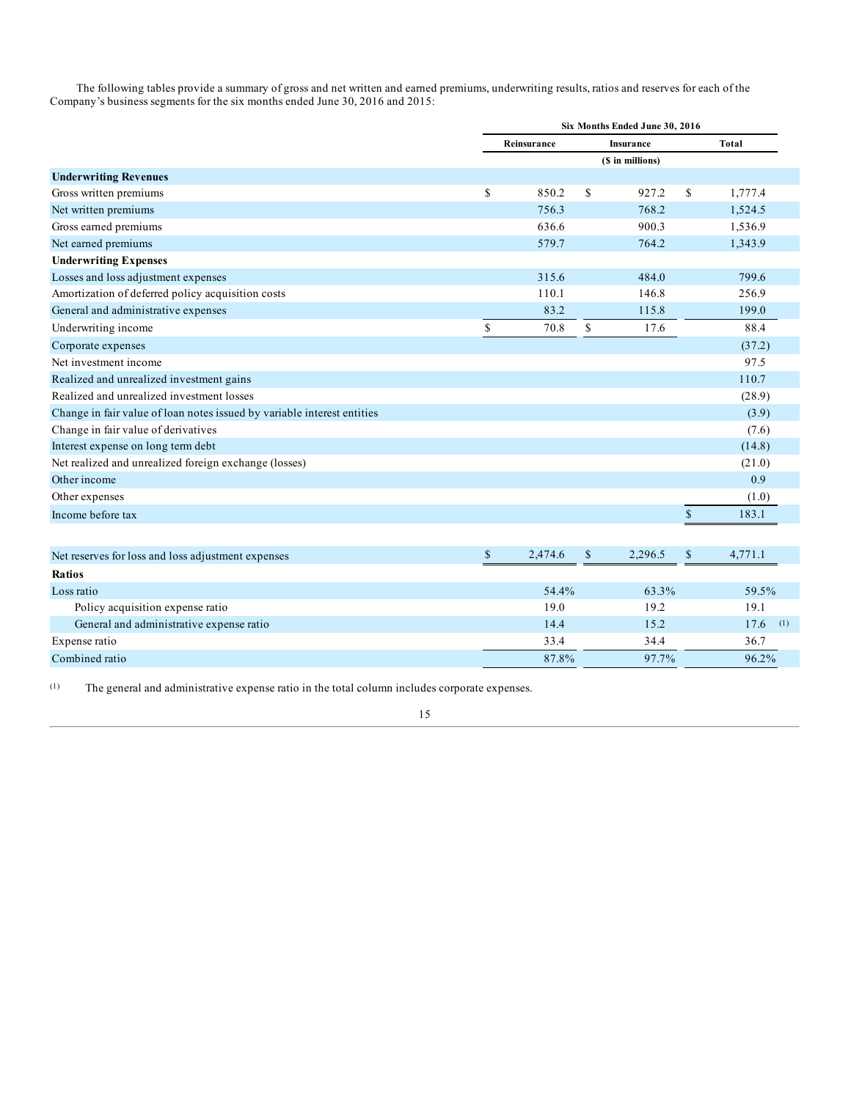The following tables provide a summary of gross and net written and earned premiums, underwriting results, ratios and reserves for each of the Company's business segments for the six months ended June 30, 2016 and 2015:

|                                                                         |               |                  | Six Months Ended June 30, 2016 |              |         |
|-------------------------------------------------------------------------|---------------|------------------|--------------------------------|--------------|---------|
|                                                                         | Reinsurance   | <b>Insurance</b> |                                |              | Total   |
|                                                                         |               |                  | (\$ in millions)               |              |         |
| <b>Underwriting Revenues</b>                                            |               |                  |                                |              |         |
| Gross written premiums                                                  | \$<br>850.2   | \$               | 927.2                          | \$           | 1,777.4 |
| Net written premiums                                                    | 756.3         |                  | 768.2                          |              | 1,524.5 |
| Gross earned premiums                                                   | 636.6         |                  | 900.3                          |              | 1,536.9 |
| Net earned premiums                                                     | 579.7         |                  | 764.2                          |              | 1,343.9 |
| <b>Underwriting Expenses</b>                                            |               |                  |                                |              |         |
| Losses and loss adjustment expenses                                     | 315.6         |                  | 484.0                          |              | 799.6   |
| Amortization of deferred policy acquisition costs                       | 110.1         |                  | 146.8                          |              | 256.9   |
| General and administrative expenses                                     | 83.2          |                  | 115.8                          |              | 199.0   |
| Underwriting income                                                     | \$<br>70.8    | \$               | 17.6                           |              | 88.4    |
| Corporate expenses                                                      |               |                  |                                |              | (37.2)  |
| Net investment income                                                   |               |                  |                                |              | 97.5    |
| Realized and unrealized investment gains                                |               |                  |                                |              | 110.7   |
| Realized and unrealized investment losses                               |               |                  |                                |              | (28.9)  |
| Change in fair value of loan notes issued by variable interest entities |               |                  |                                |              | (3.9)   |
| Change in fair value of derivatives                                     |               |                  |                                |              | (7.6)   |
| Interest expense on long term debt                                      |               |                  |                                |              | (14.8)  |
| Net realized and unrealized foreign exchange (losses)                   |               |                  |                                |              | (21.0)  |
| Other income                                                            |               |                  |                                |              | 0.9     |
| Other expenses                                                          |               |                  |                                |              | (1.0)   |
| Income before tax                                                       |               |                  |                                | $\mathbb{S}$ | 183.1   |
|                                                                         |               |                  |                                |              |         |
| Net reserves for loss and loss adjustment expenses                      | \$<br>2,474.6 | $\mathbb{S}$     | 2,296.5                        | $\mathbb{S}$ | 4,771.1 |

| The reserves for ross and ross adjustment expenses |       | $-1 - 1$ | .           |
|----------------------------------------------------|-------|----------|-------------|
| <b>Ratios</b>                                      |       |          |             |
| Loss ratio                                         | 54.4% | 63.3%    | 59.5%       |
| Policy acquisition expense ratio                   | 19.0  | 19.2     | 19.1        |
| General and administrative expense ratio           | 14.4  | 15.2     | (1)<br>17.6 |
| Expense ratio                                      | 33.4  | 34.4     | 36.7        |
| Combined ratio                                     | 87.8% | 97.7%    | 96.2%       |
|                                                    |       |          |             |

(1) The general and administrative expense ratio in the total column includes corporate expenses.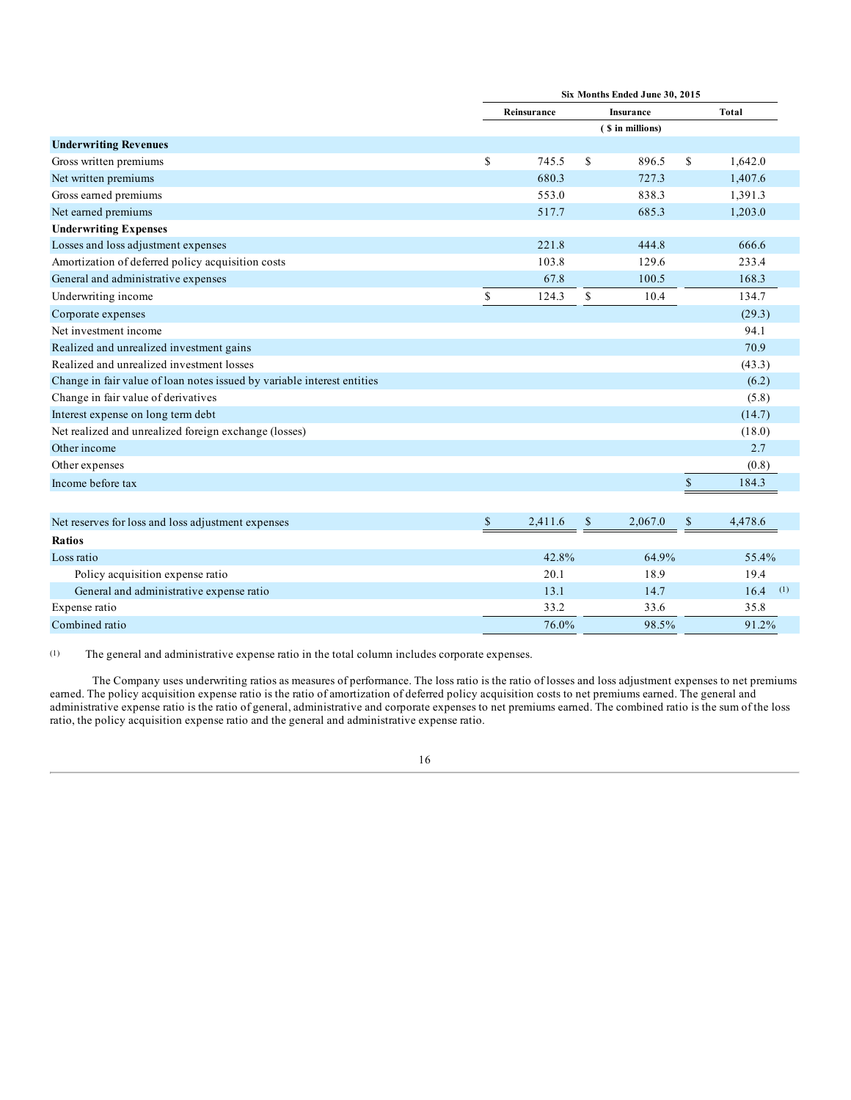|                                                                         |              |             |               | Six Months Ended June 30, 2015 |              |             |
|-------------------------------------------------------------------------|--------------|-------------|---------------|--------------------------------|--------------|-------------|
|                                                                         |              | Reinsurance |               | <b>Insurance</b>               |              | Total       |
|                                                                         |              |             |               | (\$ in millions)               |              |             |
| <b>Underwriting Revenues</b>                                            |              |             |               |                                |              |             |
| Gross written premiums                                                  | \$           | 745.5       | <sup>\$</sup> | 896.5                          | \$           | 1,642.0     |
| Net written premiums                                                    |              | 680.3       |               | 727.3                          |              | 1,407.6     |
| Gross earned premiums                                                   |              | 553.0       |               | 838.3                          |              | 1,391.3     |
| Net earned premiums                                                     |              | 517.7       |               | 685.3                          |              | 1,203.0     |
| <b>Underwriting Expenses</b>                                            |              |             |               |                                |              |             |
| Losses and loss adjustment expenses                                     |              | 221.8       |               | 444.8                          |              | 666.6       |
| Amortization of deferred policy acquisition costs                       |              | 103.8       |               | 129.6                          |              | 233.4       |
| General and administrative expenses                                     |              | 67.8        |               | 100.5                          |              | 168.3       |
| Underwriting income                                                     | \$           | 124.3       | \$            | 10.4                           |              | 134.7       |
| Corporate expenses                                                      |              |             |               |                                |              | (29.3)      |
| Net investment income                                                   |              |             |               |                                |              | 94.1        |
| Realized and unrealized investment gains                                |              |             |               |                                |              | 70.9        |
| Realized and unrealized investment losses                               |              |             |               |                                |              | (43.3)      |
| Change in fair value of loan notes issued by variable interest entities |              |             |               |                                |              | (6.2)       |
| Change in fair value of derivatives                                     |              |             |               |                                |              | (5.8)       |
| Interest expense on long term debt                                      |              |             |               |                                |              | (14.7)      |
| Net realized and unrealized foreign exchange (losses)                   |              |             |               |                                |              | (18.0)      |
| Other income                                                            |              |             |               |                                |              | 2.7         |
| Other expenses                                                          |              |             |               |                                |              | (0.8)       |
| Income before tax                                                       |              |             |               |                                | $\$$         | 184.3       |
|                                                                         |              |             |               |                                |              |             |
| Net reserves for loss and loss adjustment expenses                      | $\mathbb{S}$ | 2,411.6     | $\mathbb{S}$  | 2,067.0                        | $\mathbb{S}$ | 4,478.6     |
| <b>Ratios</b>                                                           |              |             |               |                                |              |             |
| Loss ratio                                                              |              | 42.8%       |               | 64.9%                          |              | 55.4%       |
| Policy acquisition expense ratio                                        |              | 20.1        |               | 18.9                           |              | 19.4        |
| General and administrative expense ratio                                |              | 13.1        |               | 14.7                           |              | 16.4<br>(1) |
| Expense ratio                                                           |              | 33.2        |               | 33.6                           |              | 35.8        |

(1) The general and administrative expense ratio in the total column includes corporate expenses.

The Company uses underwriting ratios as measures of performance. The loss ratio is the ratio of losses and loss adjustment expenses to net premiums earned. The policy acquisition expense ratio is the ratio of amortization of deferred policy acquisition costs to net premiums earned. The general and administrative expense ratio is the ratio of general, administrative and corporate expenses to net premiums earned. The combined ratio is the sum of the loss ratio, the policy acquisition expense ratio and the general and administrative expense ratio.

Combined ratio  $\frac{76.0\%}{98.5\%}$  91.2%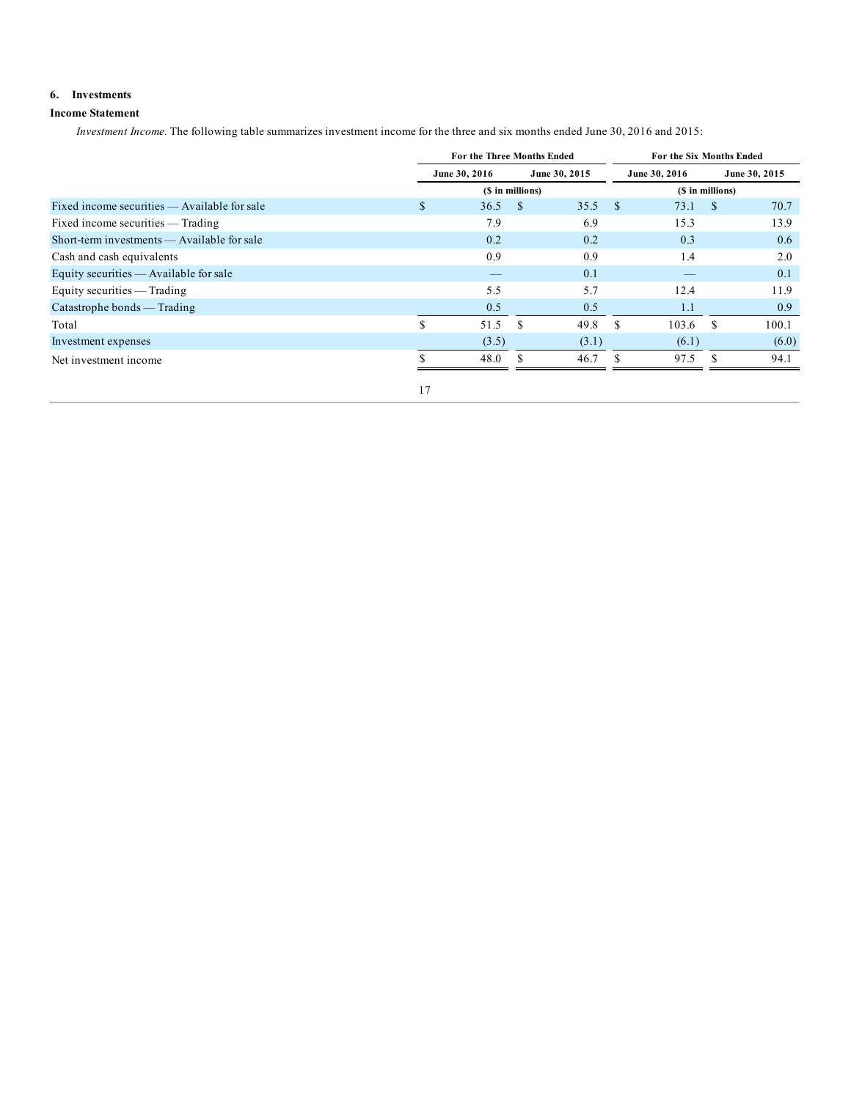# **6. Investments**

# **Income Statement**

*Investment Income.* The following table summarizes investment income for the three and six months ended June 30, 2016 and 2015:

|                                              |    | For the Three Months Ended     | For the Six Months Ended |       |               |       |                  |       |  |
|----------------------------------------------|----|--------------------------------|--------------------------|-------|---------------|-------|------------------|-------|--|
|                                              |    | June 30, 2015<br>June 30, 2016 |                          |       | June 30, 2016 |       | June 30, 2015    |       |  |
|                                              |    |                                | (\$ in millions)         |       |               |       | (\$ in millions) |       |  |
| Fixed income securities — Available for sale | \$ | 36.5                           | - \$                     | 35.5  | -S            | 73.1  | <sup>\$</sup>    | 70.7  |  |
| Fixed income securities — Trading            |    | 7.9                            |                          | 6.9   |               | 15.3  |                  | 13.9  |  |
| Short-term investments — Available for sale  |    | 0.2                            |                          | 0.2   |               | 0.3   |                  | 0.6   |  |
| Cash and cash equivalents                    |    | 0.9                            |                          | 0.9   |               | 1.4   |                  | 2.0   |  |
| Equity securities — Available for sale       |    | $\overline{\phantom{m}}$       |                          | 0.1   |               |       |                  | 0.1   |  |
| Equity securities $-$ Trading                |    | 5.5                            |                          | 5.7   |               | 12.4  |                  | 11.9  |  |
| Catastrophe bonds $-$ Trading                |    | 0.5                            |                          | 0.5   |               | 1.1   |                  | 0.9   |  |
| Total                                        | S  | 51.5                           | -S                       | 49.8  | -S            | 103.6 | <sup>\$</sup>    | 100.1 |  |
| Investment expenses                          |    | (3.5)                          |                          | (3.1) |               | (6.1) |                  | (6.0) |  |
| Net investment income                        |    | 48.0                           |                          | 46.7  |               | 97.5  | £.               | 94.1  |  |
|                                              | 17 |                                |                          |       |               |       |                  |       |  |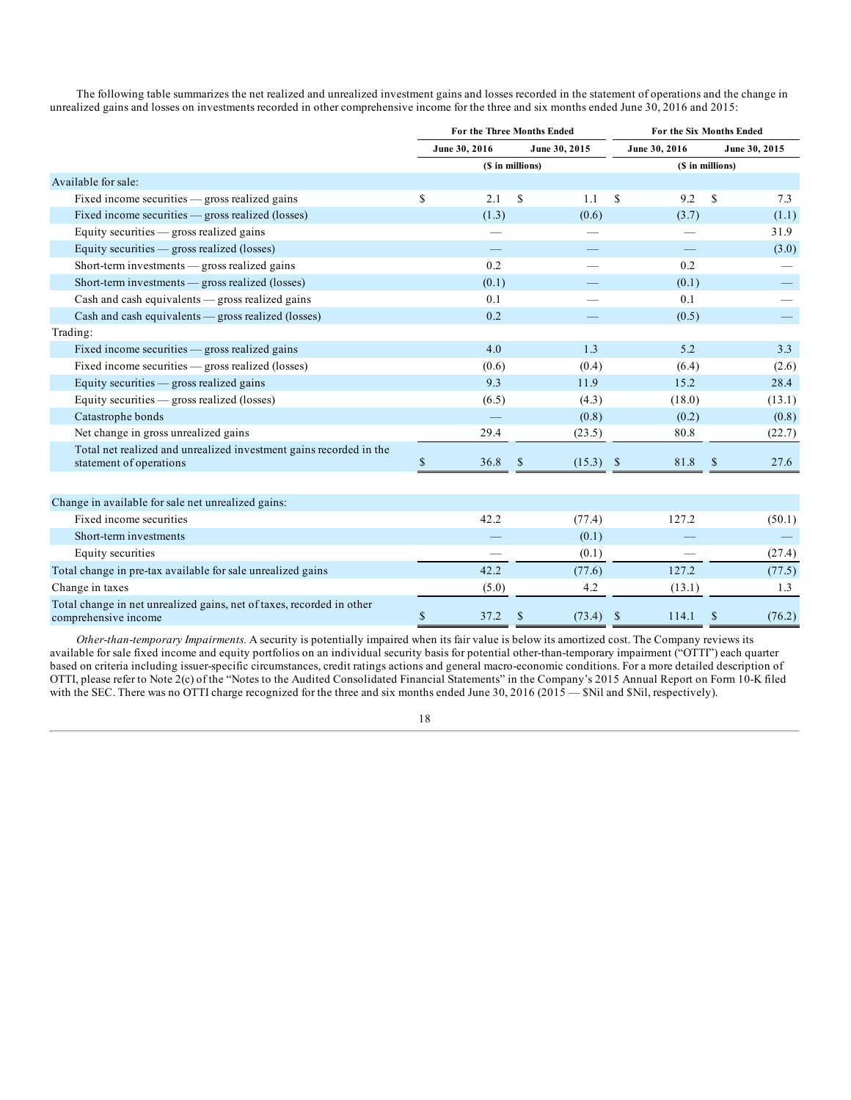The following table summarizes the net realized and unrealized investment gains and losses recorded in the statement of operations and the change in unrealized gains and losses on investments recorded in other comprehensive income for the three and six months ended June 30, 2016 and 2015:

|                                                                                               | For the Three Months Ended |                  |               |               | <b>For the Six Months Ended</b> |               |                  |               |  |
|-----------------------------------------------------------------------------------------------|----------------------------|------------------|---------------|---------------|---------------------------------|---------------|------------------|---------------|--|
|                                                                                               |                            | June 30, 2016    |               | June 30, 2015 |                                 | June 30, 2016 |                  | June 30, 2015 |  |
|                                                                                               |                            | (\$ in millions) |               |               |                                 |               | (\$ in millions) |               |  |
| Available for sale:                                                                           |                            |                  |               |               |                                 |               |                  |               |  |
| Fixed income securities $-$ gross realized gains                                              | \$                         | 2.1              | <sup>\$</sup> | 1.1           | <sup>\$</sup>                   | 9.2           | <sup>\$</sup>    | 7.3           |  |
| Fixed income securities — gross realized (losses)                                             |                            | (1.3)            |               | (0.6)         |                                 | (3.7)         |                  | (1.1)         |  |
| Equity securities $-$ gross realized gains                                                    |                            |                  |               |               |                                 |               |                  | 31.9          |  |
| Equity securities $-$ gross realized (losses)                                                 |                            |                  |               |               |                                 |               |                  | (3.0)         |  |
| Short-term investments $-$ gross realized gains                                               |                            | 0.2              |               |               |                                 | 0.2           |                  |               |  |
| Short-term investments — gross realized (losses)                                              |                            | (0.1)            |               |               |                                 | (0.1)         |                  |               |  |
| Cash and cash equivalents - gross realized gains                                              |                            | 0.1              |               |               |                                 | 0.1           |                  |               |  |
| Cash and cash equivalents - gross realized (losses)                                           |                            | 0.2              |               |               |                                 | (0.5)         |                  |               |  |
| Trading:                                                                                      |                            |                  |               |               |                                 |               |                  |               |  |
| Fixed income securities $-$ gross realized gains                                              |                            | 4.0              |               | 1.3           |                                 | 5.2           |                  | 3.3           |  |
| Fixed income securities — gross realized (losses)                                             |                            | (0.6)            |               | (0.4)         |                                 | (6.4)         |                  | (2.6)         |  |
| Equity securities - gross realized gains                                                      |                            | 9.3              |               | 11.9          |                                 | 15.2          |                  | 28.4          |  |
| Equity securities $-$ gross realized (losses)                                                 |                            | (6.5)            |               | (4.3)         |                                 | (18.0)        |                  | (13.1)        |  |
| Catastrophe bonds                                                                             |                            |                  |               | (0.8)         |                                 | (0.2)         |                  | (0.8)         |  |
| Net change in gross unrealized gains                                                          |                            | 29.4             |               | (23.5)        |                                 | 80.8          |                  | (22.7)        |  |
| Total net realized and unrealized investment gains recorded in the<br>statement of operations | \$                         | 36.8             | $\mathbb{S}$  | (15.3)        | -\$                             | 81.8          | <sup>\$</sup>    | 27.6          |  |
| Change in available for sale net unrealized gains:                                            |                            |                  |               |               |                                 |               |                  |               |  |
| Fixed income securities                                                                       |                            | 42.2             |               | (77.4)        |                                 | 127.2         |                  | (50.1)        |  |
| Short-term investments                                                                        |                            |                  |               | (0.1)         |                                 |               |                  |               |  |
| Equity securities                                                                             |                            |                  |               | (0.1)         |                                 |               |                  | (27.4)        |  |
| Total change in pre-tax available for sale unrealized gains                                   |                            | 42.2             |               | (77.6)        |                                 | 127.2         |                  | (77.5)        |  |
| Change in taxes                                                                               |                            | (5.0)            |               | 4.2           |                                 | (13.1)        |                  | 1.3           |  |
| Total change in net unrealized gains, net of taxes, recorded in other<br>comprehensive income | \$                         | 37.2             | <sup>\$</sup> | (73.4)        | <sup>\$</sup>                   | 114.1         | <sup>\$</sup>    | (76.2)        |  |

*Other-than-temporary Impairments.* A security is potentially impaired when its fair value is below its amortized cost. The Company reviews its available for sale fixed income and equity portfolios on an individual security basis for potential other-than-temporary impairment ("OTTI") each quarter based on criteria including issuer-specific circumstances, credit ratings actions and general macro-economic conditions. For a more detailed description of OTTI, please refer to Note 2(c) of the "Notes to the Audited Consolidated Financial Statements" in the Company's 2015 Annual Report on Form 10-K filed with the SEC. There was no OTTI charge recognized for the three and six months ended June 30, 2016 (2015 — \$Nil and \$Nil, respectively).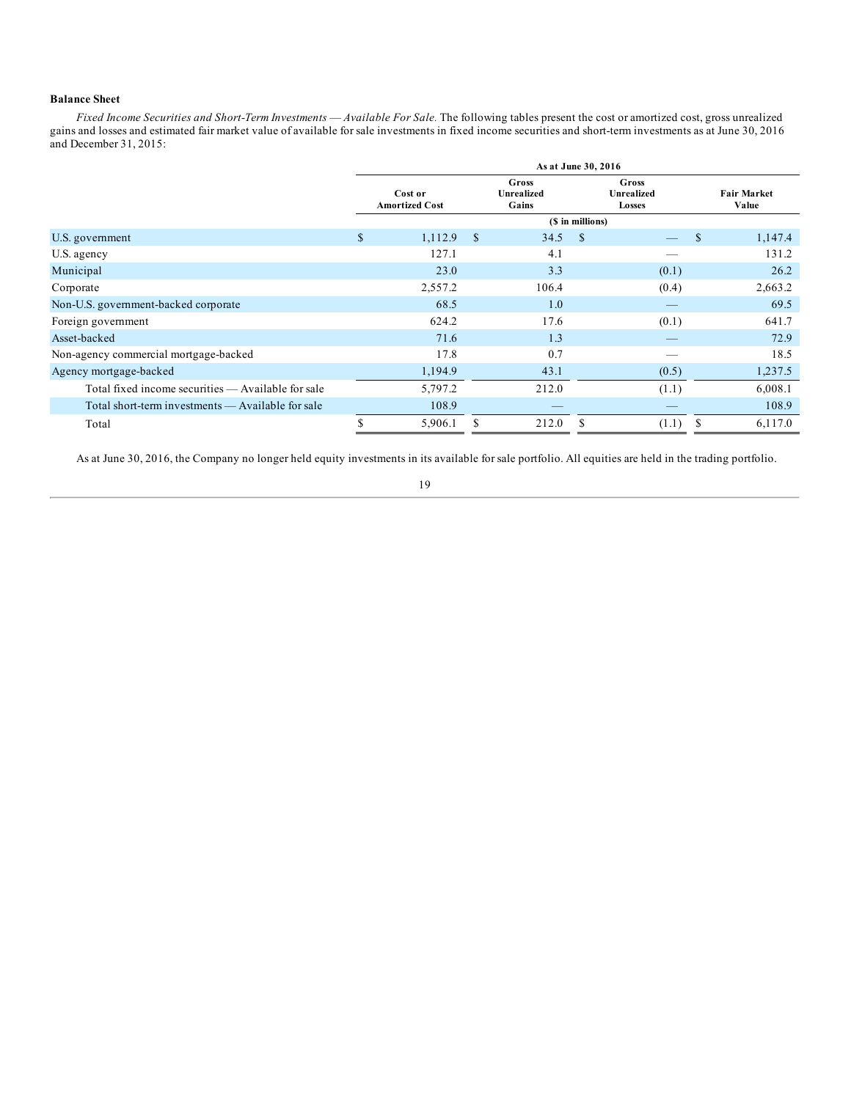# **Balance Sheet**

*Fixed Income Securities and Short-Term Investments* — *Available For Sale.* The following tables present the cost or amortized cost, gross unrealized gains and losses and estimated fair market value of available for sale investments in fixed income securities and short-term investments as at June 30, 2016 and December 31, 2015:

|                                                    | As at June 30, 2016 |                                  |               |                                     |               |                                      |    |                             |  |
|----------------------------------------------------|---------------------|----------------------------------|---------------|-------------------------------------|---------------|--------------------------------------|----|-----------------------------|--|
|                                                    |                     | Cost or<br><b>Amortized Cost</b> |               | Gross<br><b>Unrealized</b><br>Gains |               | Gross<br><b>Unrealized</b><br>Losses |    | <b>Fair Market</b><br>Value |  |
|                                                    |                     |                                  |               | (\$ in millions)                    |               |                                      |    |                             |  |
| U.S. government                                    | \$                  | 1,112.9                          | <sup>\$</sup> | 34.5                                | <sup>\$</sup> |                                      | \$ | 1,147.4                     |  |
| U.S. agency                                        |                     | 127.1                            |               | 4.1                                 |               |                                      |    | 131.2                       |  |
| Municipal                                          |                     | 23.0                             |               | 3.3                                 |               | (0.1)                                |    | 26.2                        |  |
| Corporate                                          |                     | 2,557.2                          |               | 106.4                               |               | (0.4)                                |    | 2,663.2                     |  |
| Non-U.S. government-backed corporate.              |                     | 68.5                             |               | 1.0                                 |               |                                      |    | 69.5                        |  |
| Foreign government                                 |                     | 624.2                            |               | 17.6                                |               | (0.1)                                |    | 641.7                       |  |
| Asset-backed                                       |                     | 71.6                             |               | 1.3                                 |               |                                      |    | 72.9                        |  |
| Non-agency commercial mortgage-backed              |                     | 17.8                             |               | 0.7                                 |               |                                      |    | 18.5                        |  |
| Agency mortgage-backed                             |                     | 1,194.9                          |               | 43.1                                |               | (0.5)                                |    | 1,237.5                     |  |
| Total fixed income securities — Available for sale |                     | 5,797.2                          |               | 212.0                               |               | (1.1)                                |    | 6,008.1                     |  |
| Total short-term investments — Available for sale  |                     | 108.9                            |               | $\overline{\phantom{a}}$            |               |                                      |    | 108.9                       |  |
| Total                                              |                     | 5,906.1                          |               | 212.0                               |               | (1.1)                                |    | 6,117.0                     |  |

As at June 30, 2016, the Company no longer held equity investments in its available for sale portfolio. All equities are held in the trading portfolio.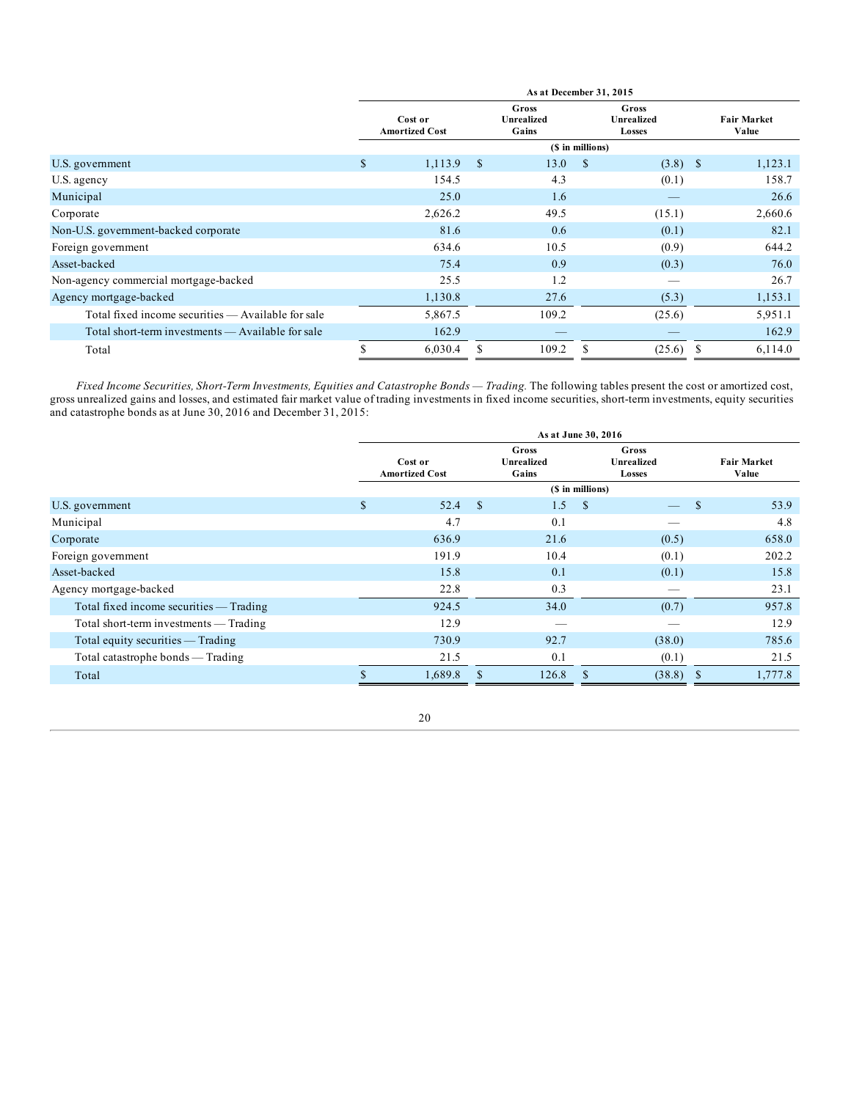|                                                    |              |                                  |               |                                     |                  | As at December 31, 2015              |  |                             |  |  |  |  |  |  |  |
|----------------------------------------------------|--------------|----------------------------------|---------------|-------------------------------------|------------------|--------------------------------------|--|-----------------------------|--|--|--|--|--|--|--|
|                                                    |              | Cost or<br><b>Amortized Cost</b> |               | Gross<br><b>Unrealized</b><br>Gains |                  | Gross<br><b>Unrealized</b><br>Losses |  | <b>Fair Market</b><br>Value |  |  |  |  |  |  |  |
|                                                    |              |                                  |               |                                     | (\$ in millions) |                                      |  |                             |  |  |  |  |  |  |  |
| U.S. government                                    | $\mathbb{S}$ | 1,113.9                          | <sup>\$</sup> | 13.0                                | <sup>\$</sup>    | $(3.8)$ \$                           |  | 1,123.1                     |  |  |  |  |  |  |  |
| U.S. agency                                        |              | 154.5                            |               | 4.3                                 |                  | (0.1)                                |  | 158.7                       |  |  |  |  |  |  |  |
| Municipal                                          |              | 25.0                             |               | 1.6                                 |                  |                                      |  | 26.6                        |  |  |  |  |  |  |  |
| Corporate                                          |              | 2,626.2                          |               | 49.5                                |                  | (15.1)                               |  | 2,660.6                     |  |  |  |  |  |  |  |
| Non-U.S. government-backed corporate               |              | 81.6                             |               | 0.6                                 |                  | (0.1)                                |  | 82.1                        |  |  |  |  |  |  |  |
| Foreign government                                 |              | 634.6                            |               | 10.5                                |                  | (0.9)                                |  | 644.2                       |  |  |  |  |  |  |  |
| Asset-backed                                       |              | 75.4                             |               | 0.9                                 |                  | (0.3)                                |  | 76.0                        |  |  |  |  |  |  |  |
| Non-agency commercial mortgage-backed              |              | 25.5                             |               | 1.2                                 |                  |                                      |  | 26.7                        |  |  |  |  |  |  |  |
| Agency mortgage-backed                             |              | 1,130.8                          |               | 27.6                                |                  | (5.3)                                |  | 1,153.1                     |  |  |  |  |  |  |  |
| Total fixed income securities — Available for sale |              | 5,867.5                          |               | 109.2                               |                  | (25.6)                               |  | 5,951.1                     |  |  |  |  |  |  |  |
| Total short-term investments — Available for sale  |              | 162.9                            |               |                                     |                  |                                      |  | 162.9                       |  |  |  |  |  |  |  |
| Total                                              | S            | 6,030.4                          |               | 109.2                               | \$.              | (25.6)                               |  | 6,114.0                     |  |  |  |  |  |  |  |

*Fixed Income Securities, Short-Term Investments, Equities and Catastrophe Bonds — Trading.* The following tables present the cost or amortized cost, gross unrealized gains and losses, and estimated fair market value of trading investments in fixed income securities, short-term investments, equity securities and catastrophe bonds as at June 30, 2016 and December 31, 2015:

|                                         | As at June 30, 2016              |         |                                     |                               |               |               |                             |         |  |
|-----------------------------------------|----------------------------------|---------|-------------------------------------|-------------------------------|---------------|---------------|-----------------------------|---------|--|
|                                         | Cost or<br><b>Amortized Cost</b> |         | Gross<br><b>Unrealized</b><br>Gains | Gross<br>Unrealized<br>Losses |               |               | <b>Fair Market</b><br>Value |         |  |
|                                         |                                  |         |                                     | (\$ in millions)              |               |               |                             |         |  |
| U.S. government                         | \$                               | 52.4    | $\mathbf{s}$                        | 1.5                           | <sup>\$</sup> | $\frac{1}{2}$ | -S                          | 53.9    |  |
| Municipal                               |                                  | 4.7     |                                     | 0.1                           |               |               |                             | 4.8     |  |
| Corporate                               |                                  | 636.9   |                                     | 21.6                          |               | (0.5)         |                             | 658.0   |  |
| Foreign government                      |                                  | 191.9   |                                     | 10.4                          |               | (0.1)         |                             | 202.2   |  |
| Asset-backed                            |                                  | 15.8    |                                     | 0.1                           |               | (0.1)         |                             | 15.8    |  |
| Agency mortgage-backed                  |                                  | 22.8    |                                     | 0.3                           |               |               |                             | 23.1    |  |
| Total fixed income securities — Trading |                                  | 924.5   |                                     | 34.0                          |               | (0.7)         |                             | 957.8   |  |
| Total short-term investments — Trading  |                                  | 12.9    |                                     |                               |               |               |                             | 12.9    |  |
| Total equity securities $-$ Trading     |                                  | 730.9   |                                     | 92.7                          |               | (38.0)        |                             | 785.6   |  |
| Total catastrophe bonds - Trading       |                                  | 21.5    |                                     | 0.1                           |               | (0.1)         |                             | 21.5    |  |
| Total                                   |                                  | 1,689.8 |                                     | 126.8                         |               | (38.8)        | <b>S</b>                    | 1,777.8 |  |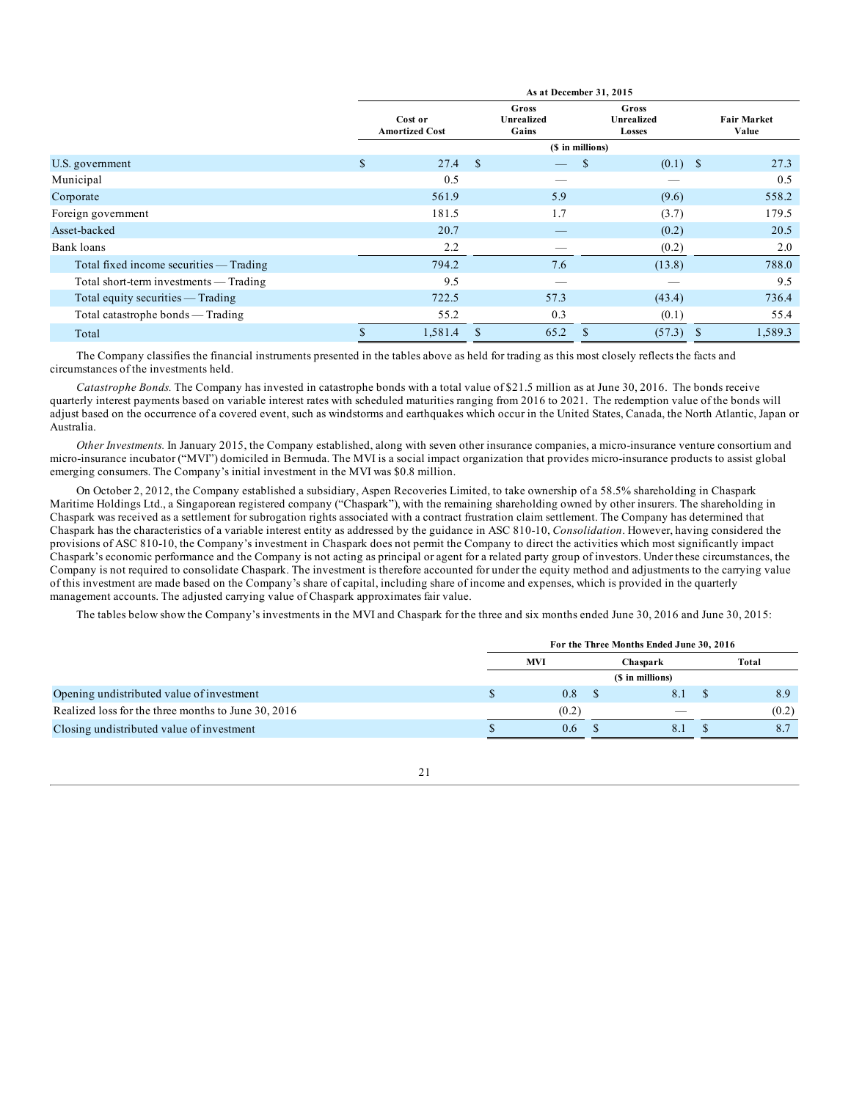|                                         | As at December 31, 2015          |               |                              |                               |             |  |                             |  |  |
|-----------------------------------------|----------------------------------|---------------|------------------------------|-------------------------------|-------------|--|-----------------------------|--|--|
|                                         | Cost or<br><b>Amortized Cost</b> |               | Gross<br>Unrealized<br>Gains | Gross<br>Unrealized<br>Losses |             |  | <b>Fair Market</b><br>Value |  |  |
|                                         |                                  |               |                              | (\$ in millions)              |             |  |                             |  |  |
| U.S. government                         | \$<br>27.4                       | <b>S</b>      |                              | \$                            | $(0.1)$ \$  |  | 27.3                        |  |  |
| Municipal                               | 0.5                              |               |                              |                               |             |  | 0.5                         |  |  |
| Corporate                               | 561.9                            |               | 5.9                          |                               | (9.6)       |  | 558.2                       |  |  |
| Foreign government                      | 181.5                            |               | 1.7                          |                               | (3.7)       |  | 179.5                       |  |  |
| Asset-backed                            | 20.7                             |               |                              |                               | (0.2)       |  | 20.5                        |  |  |
| Bank loans                              | 2.2                              |               |                              |                               | (0.2)       |  | 2.0                         |  |  |
| Total fixed income securities — Trading | 794.2                            |               | 7.6                          |                               | (13.8)      |  | 788.0                       |  |  |
| Total short-term investments — Trading  | 9.5                              |               |                              |                               |             |  | 9.5                         |  |  |
| Total equity securities $-$ Trading     | 722.5                            |               | 57.3                         |                               | (43.4)      |  | 736.4                       |  |  |
| Total catastrophe bonds - Trading       | 55.2                             |               | 0.3                          |                               | (0.1)       |  | 55.4                        |  |  |
| Total                                   | \$<br>1,581.4                    | <sup>\$</sup> | 65.2                         | \$                            | $(57.3)$ \$ |  | 1,589.3                     |  |  |

The Company classifies the financial instruments presented in the tables above as held for trading as this most closely reflects the facts and circumstances of the investments held.

*Catastrophe Bonds.* The Company has invested in catastrophe bonds with a total value of \$21.5 million as at June 30, 2016. The bonds receive quarterly interest payments based on variable interest rates with scheduled maturities ranging from 2016 to 2021. The redemption value of the bonds will adjust based on the occurrence of a covered event, such as windstorms and earthquakes which occur in the United States, Canada, the North Atlantic, Japan or Australia.

*Other Investments.* In January 2015, the Company established, along with seven other insurance companies, a micro-insurance venture consortium and micro-insurance incubator ("MVI") domiciled in Bermuda. The MVI is a social impact organization that provides micro-insurance products to assist global emerging consumers. The Company's initial investment in the MVI was \$0.8 million.

On October 2, 2012, the Company established a subsidiary, Aspen Recoveries Limited, to take ownership of a 58.5% shareholding in Chaspark Maritime Holdings Ltd., a Singaporean registered company ("Chaspark"), with the remaining shareholding owned by other insurers. The shareholding in Chaspark was received as a settlement for subrogation rights associated with a contract frustration claim settlement. The Company has determined that Chaspark has the characteristics of a variable interest entity as addressed by the guidance in ASC 810-10, *Consolidation*. However, having considered the provisions of ASC 810-10, the Company's investment in Chaspark does not permit the Company to direct the activities which most significantly impact Chaspark's economic performance and the Company is not acting as principal or agent for a related party group of investors. Under these circumstances, the Company is not required to consolidate Chaspark. The investment is therefore accounted for under the equity method and adjustments to the carrying value of this investment are made based on the Company's share of capital, including share of income and expenses, which is provided in the quarterly management accounts. The adjusted carrying value of Chaspark approximates fair value.

The tables below show the Company's investments in the MVI and Chaspark for the three and six months ended June 30, 2016 and June 30, 2015:

|                                                     | For the Three Months Ended June 30, 2016 |       |  |                  |  |       |  |  |  |  |
|-----------------------------------------------------|------------------------------------------|-------|--|------------------|--|-------|--|--|--|--|
|                                                     | <b>MVI</b>                               |       |  | Chaspark         |  | Total |  |  |  |  |
|                                                     |                                          |       |  | (\$ in millions) |  |       |  |  |  |  |
| Opening undistributed value of investment           |                                          | 0.8   |  | 8.1              |  | 8.9   |  |  |  |  |
| Realized loss for the three months to June 30, 2016 |                                          | (0.2) |  |                  |  | (0.2) |  |  |  |  |
| Closing undistributed value of investment           |                                          | 0.6   |  | 8.1              |  | 8.7   |  |  |  |  |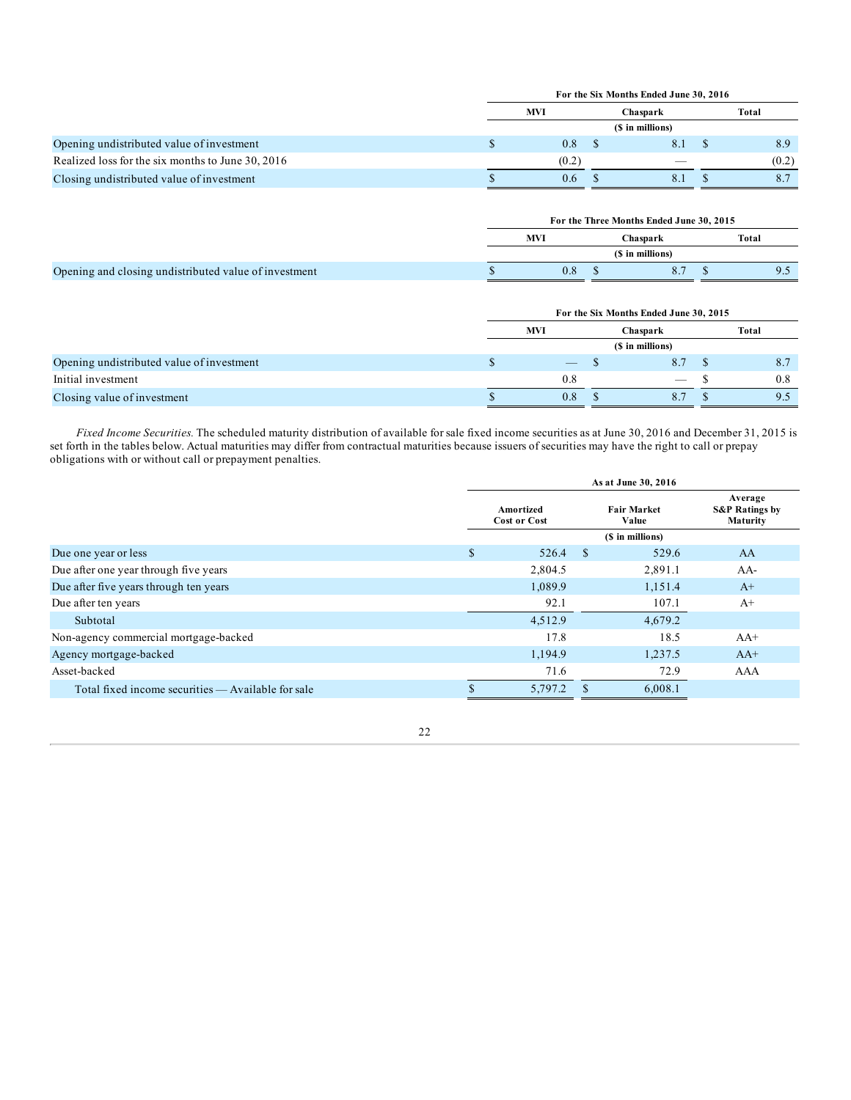|                                                   | For the Six Months Ended June 30, 2016 |  |                          |  |       |  |  |  |  |  |
|---------------------------------------------------|----------------------------------------|--|--------------------------|--|-------|--|--|--|--|--|
|                                                   | <b>MVI</b>                             |  | Chaspark                 |  | Total |  |  |  |  |  |
|                                                   |                                        |  | (\$ in millions)         |  |       |  |  |  |  |  |
| Opening undistributed value of investment         | 0.8                                    |  | 8.1                      |  | 8.9   |  |  |  |  |  |
| Realized loss for the six months to June 30, 2016 | (0.2)                                  |  | $\overline{\phantom{a}}$ |  | (0.2) |  |  |  |  |  |
| Closing undistributed value of investment         | 0.6                                    |  | 8.1                      |  |       |  |  |  |  |  |

|                                                       | For the Three Months Ended June 30, 2015 |                  |  |       |  |  |  |  |
|-------------------------------------------------------|------------------------------------------|------------------|--|-------|--|--|--|--|
|                                                       | <b>MVI</b>                               | Chaspark         |  | Total |  |  |  |  |
|                                                       |                                          | (\$ in millions) |  |       |  |  |  |  |
| Opening and closing undistributed value of investment | 0.8                                      | 8.               |  | ن. ا  |  |  |  |  |

|                                           | For the Six Months Ended June 30, 2015 |                   |  |                   |  |       |  |  |  |
|-------------------------------------------|----------------------------------------|-------------------|--|-------------------|--|-------|--|--|--|
|                                           |                                        | <b>MVI</b>        |  | Chaspark          |  | Total |  |  |  |
|                                           |                                        |                   |  | (\$ in millions)  |  |       |  |  |  |
| Opening undistributed value of investment |                                        | $\hspace{0.05cm}$ |  | 8.7               |  | 8.7   |  |  |  |
| Initial investment                        |                                        | 0.8               |  | $\qquad \qquad -$ |  | 0.8   |  |  |  |
| Closing value of investment               |                                        | 0.8               |  | 8.7               |  |       |  |  |  |

*Fixed Income Securities.* The scheduled maturity distribution of available for sale fixed income securities as at June 30, 2016 and December 31, 2015 is set forth in the tables below. Actual maturities may differ from contractual maturities because issuers of securities may have the right to call or prepay obligations with or without call or prepayment penalties.

|                                                    | As at June 30, 2016 |                                  |               |                             |                                                  |  |  |  |  |  |
|----------------------------------------------------|---------------------|----------------------------------|---------------|-----------------------------|--------------------------------------------------|--|--|--|--|--|
|                                                    |                     | Amortized<br><b>Cost or Cost</b> |               | <b>Fair Market</b><br>Value | Average<br><b>S&amp;P Ratings by</b><br>Maturity |  |  |  |  |  |
|                                                    |                     |                                  |               |                             |                                                  |  |  |  |  |  |
| Due one year or less                               | \$                  | 526.4                            | <sup>\$</sup> | 529.6                       | AA                                               |  |  |  |  |  |
| Due after one year through five years              |                     | 2,804.5                          |               | 2,891.1                     | $AA-$                                            |  |  |  |  |  |
| Due after five years through ten years             |                     | 1,089.9                          |               | 1,151.4                     | $A^+$                                            |  |  |  |  |  |
| Due after ten years                                |                     | 92.1                             |               | 107.1                       | $A+$                                             |  |  |  |  |  |
| Subtotal                                           |                     | 4,512.9                          |               | 4,679.2                     |                                                  |  |  |  |  |  |
| Non-agency commercial mortgage-backed              |                     | 17.8                             |               | 18.5                        | $AA+$                                            |  |  |  |  |  |
| Agency mortgage-backed                             |                     | 1,194.9                          |               | 1,237.5                     | $AA+$                                            |  |  |  |  |  |
| Asset-backed                                       |                     | 71.6                             |               | 72.9                        | AAA                                              |  |  |  |  |  |
| Total fixed income securities — Available for sale |                     | 5,797.2                          |               | 6,008.1                     |                                                  |  |  |  |  |  |
|                                                    |                     |                                  |               |                             |                                                  |  |  |  |  |  |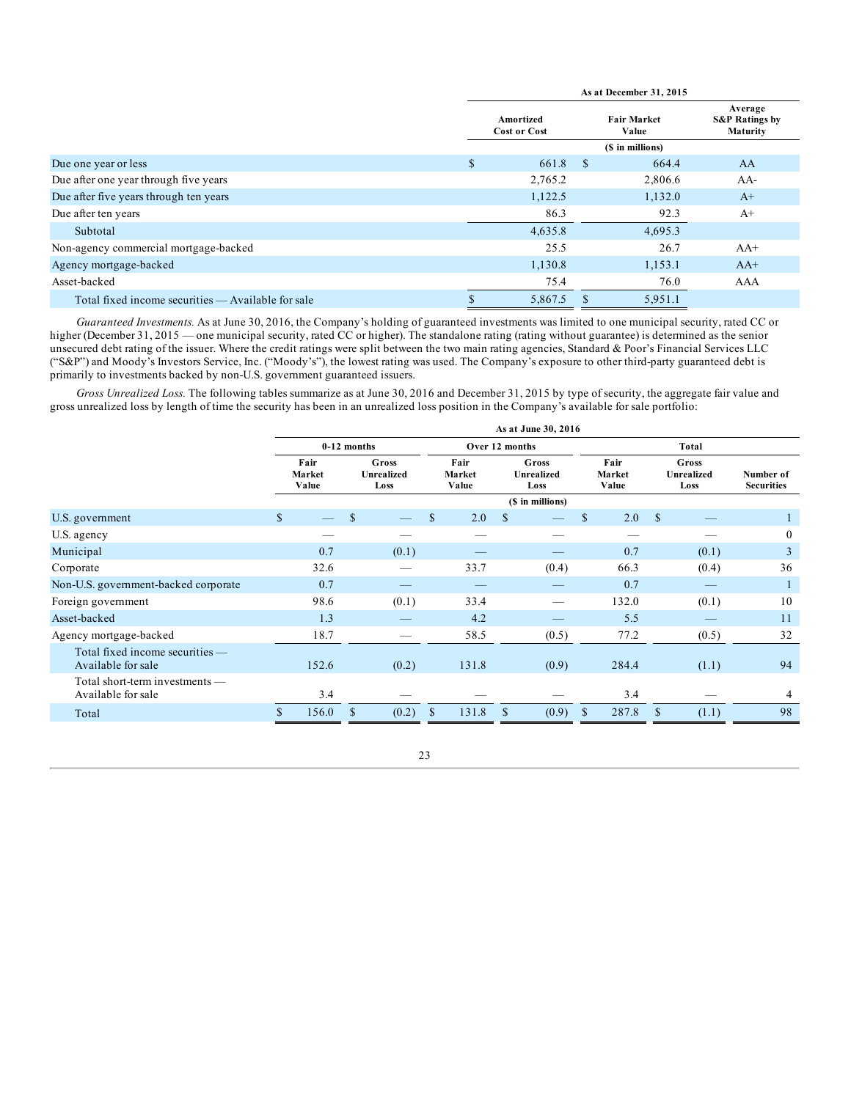|                                                    | As at December 31, 2015          |         |                  |                             |                                                  |  |  |  |  |  |
|----------------------------------------------------|----------------------------------|---------|------------------|-----------------------------|--------------------------------------------------|--|--|--|--|--|
|                                                    | Amortized<br><b>Cost or Cost</b> |         |                  | <b>Fair Market</b><br>Value | Average<br><b>S&amp;P Ratings by</b><br>Maturity |  |  |  |  |  |
|                                                    |                                  |         | (\$ in millions) |                             |                                                  |  |  |  |  |  |
| Due one year or less                               | \$                               | 661.8   | -\$              | 664.4                       | AA                                               |  |  |  |  |  |
| Due after one year through five years              |                                  | 2,765.2 |                  | 2,806.6                     | AA-                                              |  |  |  |  |  |
| Due after five years through ten years             |                                  | 1,122.5 |                  | 1,132.0                     | $A+$                                             |  |  |  |  |  |
| Due after ten years                                |                                  | 86.3    |                  | 92.3                        | $A+$                                             |  |  |  |  |  |
| Subtotal                                           |                                  | 4,635.8 |                  | 4,695.3                     |                                                  |  |  |  |  |  |
| Non-agency commercial mortgage-backed              |                                  | 25.5    |                  | 26.7                        | $AA+$                                            |  |  |  |  |  |
| Agency mortgage-backed                             |                                  | 1,130.8 |                  | 1,153.1                     | $AA+$                                            |  |  |  |  |  |
| Asset-backed                                       |                                  | 75.4    |                  | 76.0                        | AAA                                              |  |  |  |  |  |
| Total fixed income securities — Available for sale |                                  | 5,867.5 |                  | 5,951.1                     |                                                  |  |  |  |  |  |

*Guaranteed Investments.* As at June 30, 2016, the Company's holding of guaranteed investments was limited to one municipal security, rated CC or higher (December 31, 2015 — one municipal security, rated CC or higher). The standalone rating (rating without guarantee) is determined as the senior unsecured debt rating of the issuer. Where the credit ratings were split between the two main rating agencies, Standard & Poor's Financial Services LLC ("S&P") and Moody's Investors Service, Inc. ("Moody's"), the lowest rating was used. The Company's exposure to other third-party guaranteed debt is primarily to investments backed by non-U.S. government guaranteed issuers.

*Gross Unrealized Loss.* The following tables summarize as at June 30, 2016 and December 31, 2015 by type of security, the aggregate fair value and gross unrealized loss by length of time the security has been in an unrealized loss position in the Company's available for sale portfolio:

|                                                        | As at June 30, 2016 |                                                               |               |       |                         |                             |    |                  |                         |                             |               |                                |                |
|--------------------------------------------------------|---------------------|---------------------------------------------------------------|---------------|-------|-------------------------|-----------------------------|----|------------------|-------------------------|-----------------------------|---------------|--------------------------------|----------------|
|                                                        |                     |                                                               | $0-12$ months |       |                         | Over 12 months              |    |                  |                         | Total                       |               |                                |                |
|                                                        |                     | Fair<br>Gross<br><b>Unrealized</b><br>Market<br>Value<br>Loss |               |       | Fair<br>Market<br>Value | Gross<br>Unrealized<br>Loss |    |                  | Fair<br>Market<br>Value | Gross<br>Unrealized<br>Loss |               | Number of<br><b>Securities</b> |                |
|                                                        |                     |                                                               |               |       |                         |                             |    | (\$ in millions) |                         |                             |               |                                |                |
| U.S. government                                        | $\mathbb{S}$        |                                                               | $\mathbb{S}$  |       | $\mathbb{S}$            | 2.0                         | \$ |                  | $\mathbb{S}$            | 2.0                         | <sup>\$</sup> |                                |                |
| U.S. agency                                            |                     |                                                               |               |       |                         |                             |    |                  |                         |                             |               |                                | $\bf{0}$       |
| Municipal                                              |                     | 0.7                                                           |               | (0.1) |                         |                             |    |                  |                         | 0.7                         |               | (0.1)                          | $\overline{3}$ |
| Corporate                                              |                     | 32.6                                                          |               |       |                         | 33.7                        |    | (0.4)            |                         | 66.3                        |               | (0.4)                          | 36             |
| Non-U.S. government-backed corporate                   |                     | 0.7                                                           |               |       |                         |                             |    |                  |                         | 0.7                         |               |                                |                |
| Foreign government                                     |                     | 98.6                                                          |               | (0.1) |                         | 33.4                        |    |                  |                         | 132.0                       |               | (0.1)                          | 10             |
| Asset-backed                                           |                     | 1.3                                                           |               |       |                         | 4.2                         |    |                  |                         | 5.5                         |               |                                | 11             |
| Agency mortgage-backed                                 |                     | 18.7                                                          |               |       |                         | 58.5                        |    | (0.5)            |                         | 77.2                        |               | (0.5)                          | 32             |
| Total fixed income securities —<br>Available for sale  |                     | 152.6                                                         |               | (0.2) |                         | 131.8                       |    | (0.9)            |                         | 284.4                       |               | (1.1)                          | 94             |
| Total short-term investments $-$<br>Available for sale |                     | 3.4                                                           |               |       |                         |                             |    |                  |                         | 3.4                         |               |                                | 4              |
| Total                                                  |                     | 156.0                                                         | <sup>\$</sup> | (0.2) | $\mathcal{S}$           | 131.8                       | \$ | (0.9)            |                         | 287.8                       |               | (1.1)                          | 98             |
|                                                        |                     |                                                               |               |       |                         |                             |    |                  |                         |                             |               |                                |                |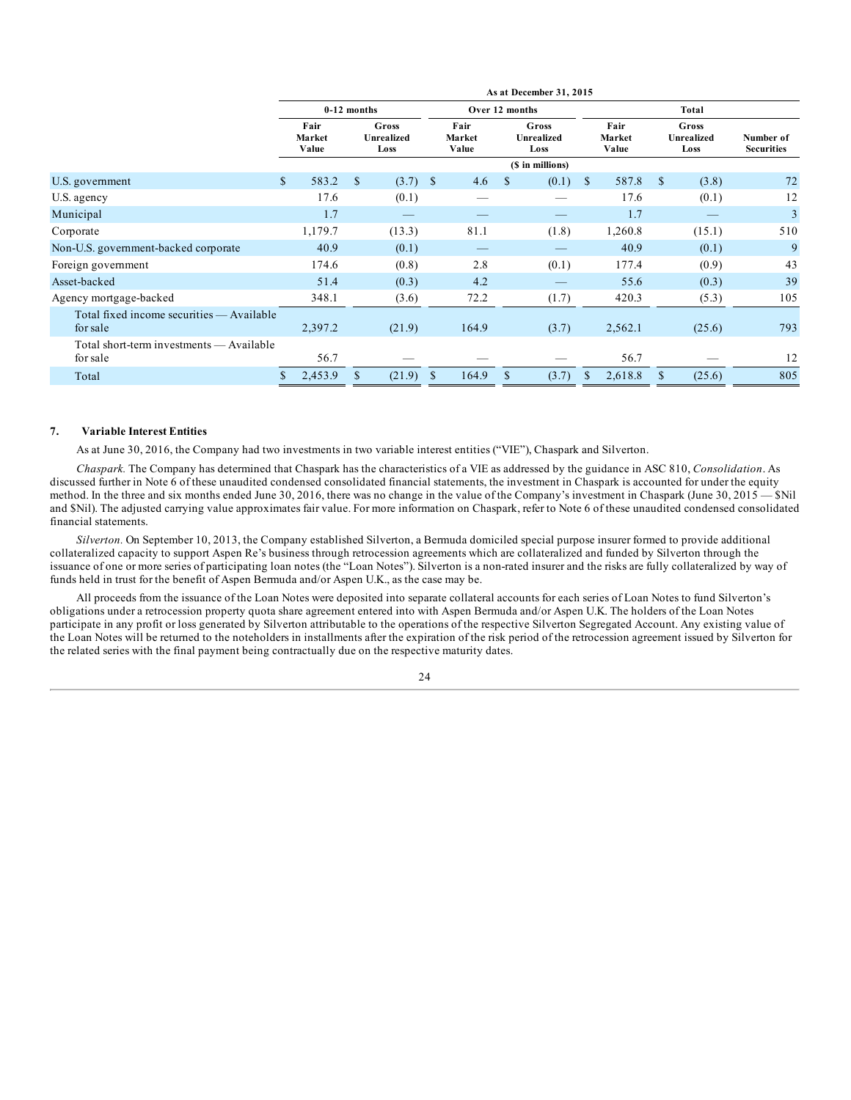| Number of<br><b>Securities</b>                                                   |
|----------------------------------------------------------------------------------|
|                                                                                  |
| 72                                                                               |
| 12                                                                               |
| 3                                                                                |
| 510                                                                              |
| 9                                                                                |
| 43                                                                               |
| 39                                                                               |
| 105                                                                              |
| 793                                                                              |
| 12                                                                               |
| 805                                                                              |
| (3.8)<br>(0.1)<br>(15.1)<br>(0.1)<br>(0.9)<br>(0.3)<br>(5.3)<br>(25.6)<br>(25.6) |

#### **7. Variable Interest Entities**

As at June 30, 2016, the Company had two investments in two variable interest entities ("VIE"), Chaspark and Silverton.

*Chaspark.* The Company has determined that Chaspark has the characteristics of a VIE as addressed by the guidance in ASC 810, *Consolidation*. As discussed further in Note 6 of these unaudited condensed consolidated financial statements, the investment in Chaspark is accounted for under the equity method. In the three and six months ended June 30, 2016, there was no change in the value of the Company's investment in Chaspark (June 30, 2015 — \$Nil and \$Nil). The adjusted carrying value approximates fair value. For more information on Chaspark, refer to Note 6 of these unaudited condensed consolidated financial statements.

*Silverton.* On September 10, 2013, the Company established Silverton, a Bermuda domiciled special purpose insurer formed to provide additional collateralized capacity to support Aspen Re's business through retrocession agreements which are collateralized and funded by Silverton through the issuance of one or more series of participating loan notes (the "Loan Notes"). Silverton is a non-rated insurer and the risks are fully collateralized by way of funds held in trust for the benefit of Aspen Bermuda and/or Aspen U.K., as the case may be.

All proceeds from the issuance of the Loan Notes were deposited into separate collateral accounts for each series of Loan Notes to fund Silverton's obligations under a retrocession property quota share agreement entered into with Aspen Bermuda and/or Aspen U.K. The holders of the Loan Notes participate in any profit or loss generated by Silverton attributable to the operations of the respective Silverton Segregated Account. Any existing value of the Loan Notes will be returned to the noteholders in installments after the expiration of the risk period of the retrocession agreement issued by Silverton for the related series with the final payment being contractually due on the respective maturity dates.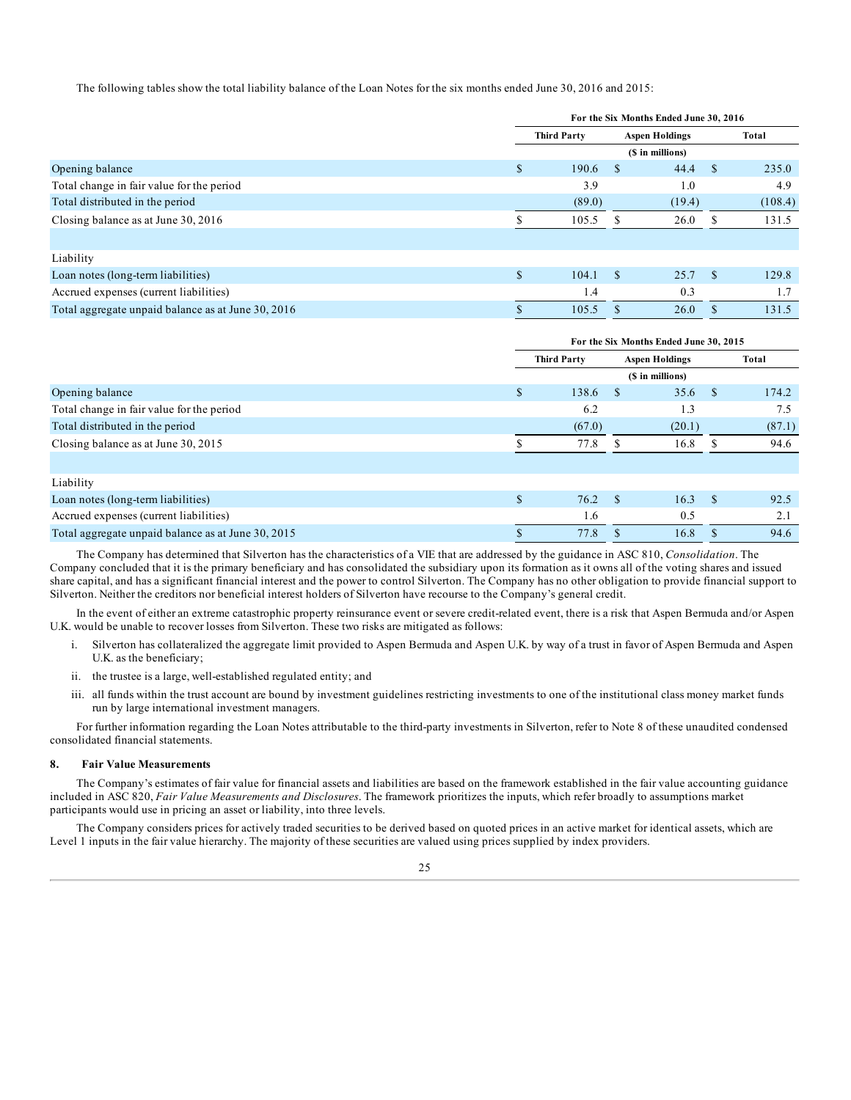The following tables show the total liability balance of the Loan Notes for the six months ended June 30, 2016 and 2015:

| For the Six Months Ended June 30, 2016 |        |                    |        |                                           |         |  |  |  |
|----------------------------------------|--------|--------------------|--------|-------------------------------------------|---------|--|--|--|
|                                        |        |                    |        |                                           | Total   |  |  |  |
|                                        |        |                    |        |                                           |         |  |  |  |
| \$                                     | 190.6  |                    | 44.4   | <sup>\$</sup>                             | 235.0   |  |  |  |
|                                        | 3.9    |                    | 1.0    |                                           | 4.9     |  |  |  |
|                                        | (89.0) |                    | (19.4) |                                           | (108.4) |  |  |  |
|                                        | 105.5  |                    | 26.0   |                                           | 131.5   |  |  |  |
|                                        |        |                    |        |                                           |         |  |  |  |
|                                        |        |                    |        |                                           |         |  |  |  |
| \$                                     | 104.1  | <sup>\$</sup>      | 25.7   | <sup>\$</sup>                             | 129.8   |  |  |  |
|                                        | 1.4    |                    | 0.3    |                                           | 1.7     |  |  |  |
|                                        | 105.5  |                    | 26.0   |                                           | 131.5   |  |  |  |
|                                        |        | <b>Third Party</b> |        | <b>Aspen Holdings</b><br>(\$ in millions) |         |  |  |  |

|                                                    | For the Six Months Ended June 30, 2015 |                    |     |                       |      |        |  |  |
|----------------------------------------------------|----------------------------------------|--------------------|-----|-----------------------|------|--------|--|--|
|                                                    |                                        | <b>Third Party</b> |     | <b>Aspen Holdings</b> |      | Total  |  |  |
|                                                    |                                        |                    |     | (\$ in millions)      |      |        |  |  |
| Opening balance                                    | \$.                                    | 138.6              |     | 35.6                  | - \$ | 174.2  |  |  |
| Total change in fair value for the period          |                                        | 6.2                |     | 1.3                   |      | 7.5    |  |  |
| Total distributed in the period                    |                                        | (67.0)             |     | (20.1)                |      | (87.1) |  |  |
| Closing balance as at June 30, 2015                |                                        | 77.8               |     | 16.8                  |      | 94.6   |  |  |
|                                                    |                                        |                    |     |                       |      |        |  |  |
| Liability                                          |                                        |                    |     |                       |      |        |  |  |
| Loan notes (long-term liabilities)                 | \$.                                    | 76.2               | -\$ | 16.3                  | -S   | 92.5   |  |  |
| Accrued expenses (current liabilities)             |                                        | 1.6                |     | 0.5                   |      | 2.1    |  |  |
| Total aggregate unpaid balance as at June 30, 2015 |                                        | 77.8               |     | 16.8                  |      | 94.6   |  |  |

The Company has determined that Silverton has the characteristics of a VIE that are addressed by the guidance in ASC 810, *Consolidation*. The Company concluded that it is the primary beneficiary and has consolidated the subsidiary upon its formation as it owns all of the voting shares and issued share capital, and has a significant financial interest and the power to control Silverton. The Company has no other obligation to provide financial support to Silverton. Neither the creditors nor beneficial interest holders of Silverton have recourse to the Company's general credit.

In the event of either an extreme catastrophic property reinsurance event or severe credit-related event, there is a risk that Aspen Bermuda and/or Aspen U.K. would be unable to recover losses from Silverton. These two risks are mitigated as follows:

- i. Silverton has collateralized the aggregate limit provided to Aspen Bermuda and Aspen U.K. by way of a trust in favor of Aspen Bermuda and Aspen U.K. as the beneficiary;
- ii. the trustee is a large, well-established regulated entity; and
- iii. all funds within the trust account are bound by investment guidelines restricting investments to one of the institutional class money market funds run by large international investment managers.

For further information regarding the Loan Notes attributable to the third-party investments in Silverton, refer to Note 8 of these unaudited condensed consolidated financial statements.

#### **8. Fair Value Measurements**

The Company's estimates of fair value for financial assets and liabilities are based on the framework established in the fair value accounting guidance included in ASC 820, *Fair Value Measurements and Disclosures*. The framework prioritizes the inputs, which refer broadly to assumptions market participants would use in pricing an asset or liability, into three levels.

The Company considers prices for actively traded securities to be derived based on quoted prices in an active market for identical assets, which are Level 1 inputs in the fair value hierarchy. The majority of these securities are valued using prices supplied by index providers.

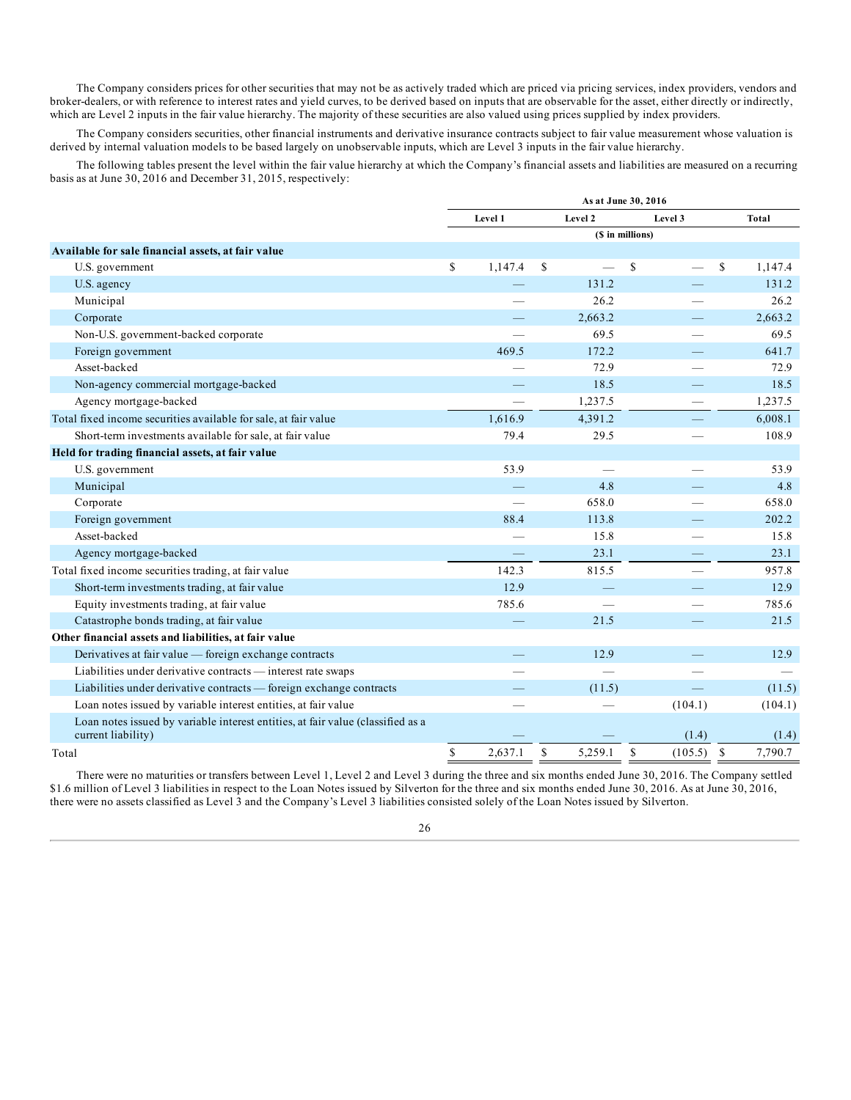The Company considers prices for other securities that may not be as actively traded which are priced via pricing services, index providers, vendors and broker-dealers, or with reference to interest rates and yield curves, to be derived based on inputs that are observable for the asset, either directly or indirectly, which are Level 2 inputs in the fair value hierarchy. The majority of these securities are also valued using prices supplied by index providers.

The Company considers securities, other financial instruments and derivative insurance contracts subject to fair value measurement whose valuation is derived by internal valuation models to be based largely on unobservable inputs, which are Level 3 inputs in the fair value hierarchy.

The following tables present the level within the fair value hierarchy at which the Company's financial assets and liabilities are measured on a recurring basis as at June 30, 2016 and December 31, 2015, respectively:

|                                                                                                       | As at June 30, 2016 |         |             |         |                  |                         |              |  |
|-------------------------------------------------------------------------------------------------------|---------------------|---------|-------------|---------|------------------|-------------------------|--------------|--|
|                                                                                                       |                     | Level 1 |             | Level 2 |                  | Level 3                 | <b>Total</b> |  |
|                                                                                                       |                     |         |             |         | (\$ in millions) |                         |              |  |
| Available for sale financial assets, at fair value                                                    |                     |         |             |         |                  |                         |              |  |
| U.S. government                                                                                       | \$                  | 1,147.4 | \$          |         | $\mathbf S$      | \$<br>$\qquad \qquad$   | 1,147.4      |  |
| U.S. agency                                                                                           |                     |         |             | 131.2   |                  |                         | 131.2        |  |
| Municipal                                                                                             |                     |         |             | 26.2    |                  |                         | 26.2         |  |
| Corporate                                                                                             |                     |         |             | 2,663.2 |                  |                         | 2,663.2      |  |
| Non-U.S. government-backed corporate                                                                  |                     |         |             | 69.5    |                  |                         | 69.5         |  |
| Foreign government                                                                                    |                     | 469.5   |             | 172.2   |                  |                         | 641.7        |  |
| Asset-backed                                                                                          |                     |         |             | 72.9    |                  |                         | 72.9         |  |
| Non-agency commercial mortgage-backed                                                                 |                     |         |             | 18.5    |                  |                         | 18.5         |  |
| Agency mortgage-backed                                                                                |                     |         |             | 1,237.5 |                  |                         | 1,237.5      |  |
| Total fixed income securities available for sale, at fair value                                       |                     | 1,616.9 |             | 4,391.2 |                  |                         | 6,008.1      |  |
| Short-term investments available for sale, at fair value                                              |                     | 79.4    |             | 29.5    |                  |                         | 108.9        |  |
| Held for trading financial assets, at fair value                                                      |                     |         |             |         |                  |                         |              |  |
| U.S. government                                                                                       |                     | 53.9    |             |         |                  |                         | 53.9         |  |
| Municipal                                                                                             |                     |         |             | 4.8     |                  |                         | 4.8          |  |
| Corporate                                                                                             |                     |         |             | 658.0   |                  |                         | 658.0        |  |
| Foreign government                                                                                    |                     | 88.4    |             | 113.8   |                  |                         | 202.2        |  |
| Asset-backed                                                                                          |                     |         |             | 15.8    |                  |                         | 15.8         |  |
| Agency mortgage-backed                                                                                |                     |         |             | 23.1    |                  |                         | 23.1         |  |
| Total fixed income securities trading, at fair value                                                  |                     | 142.3   |             | 815.5   |                  |                         | 957.8        |  |
| Short-term investments trading, at fair value                                                         |                     | 12.9    |             |         |                  |                         | 12.9         |  |
| Equity investments trading, at fair value                                                             |                     | 785.6   |             |         |                  |                         | 785.6        |  |
| Catastrophe bonds trading, at fair value                                                              |                     |         |             | 21.5    |                  |                         | 21.5         |  |
| Other financial assets and liabilities, at fair value                                                 |                     |         |             |         |                  |                         |              |  |
| Derivatives at fair value — foreign exchange contracts                                                |                     |         |             | 12.9    |                  |                         | 12.9         |  |
| Liabilities under derivative contracts - interest rate swaps                                          |                     |         |             |         |                  |                         |              |  |
| Liabilities under derivative contracts - foreign exchange contracts                                   |                     |         |             | (11.5)  |                  |                         | (11.5)       |  |
| Loan notes issued by variable interest entities, at fair value                                        |                     |         |             |         |                  | (104.1)                 | (104.1)      |  |
| Loan notes issued by variable interest entities, at fair value (classified as a<br>current liability) |                     |         |             |         |                  | (1.4)                   | (1.4)        |  |
| Total                                                                                                 | \$                  | 2,637.1 | $\mathbf S$ | 5,259.1 | <sup>\$</sup>    | $\mathbb{S}$<br>(105.5) | 7,790.7      |  |

There were no maturities or transfers between Level 1, Level 2 and Level 3 during the three and six months ended June 30, 2016. The Company settled \$1.6 million of Level 3 liabilities in respect to the Loan Notes issued by Silverton for the three and six months ended June 30, 2016. As at June 30, 2016, there were no assets classified as Level 3 and the Company's Level 3 liabilities consisted solely of the Loan Notes issued by Silverton.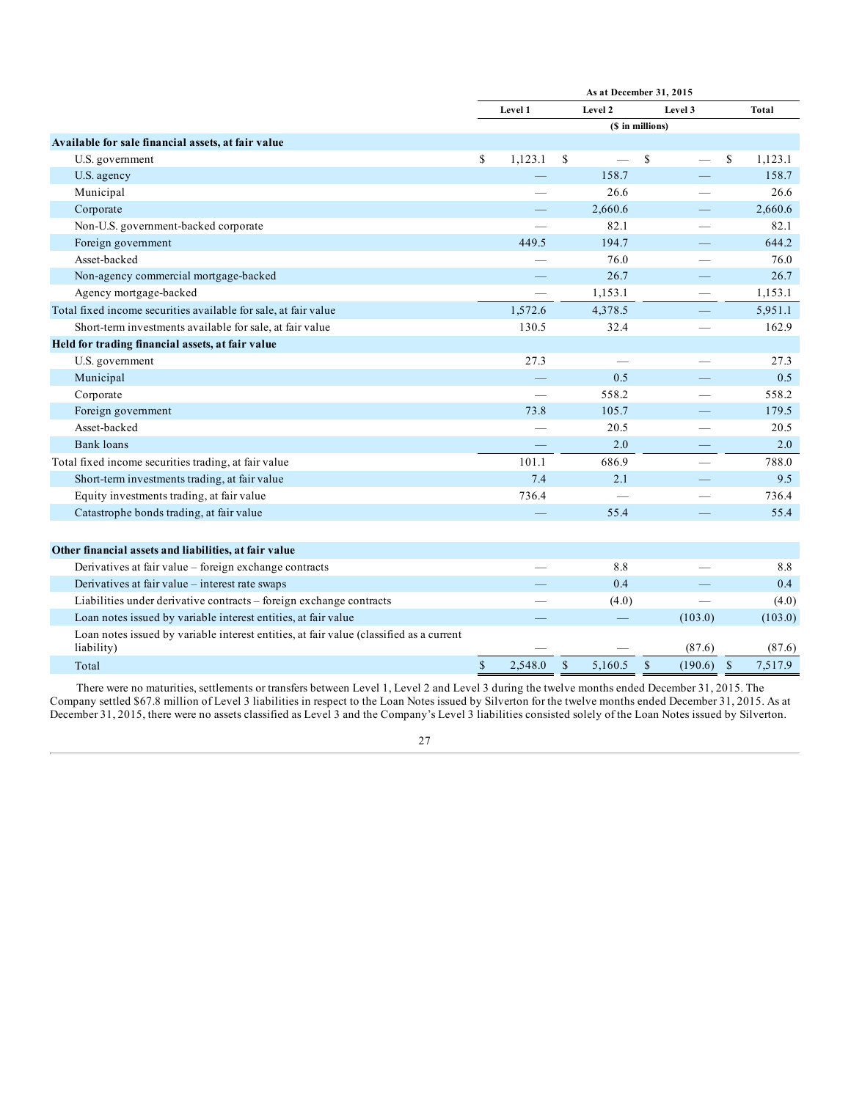|                                                                     |                  | As at December 31, 2015  |   |         |   |                          |    |         |
|---------------------------------------------------------------------|------------------|--------------------------|---|---------|---|--------------------------|----|---------|
|                                                                     |                  | Level 1                  |   | Level 2 |   | Level 3                  |    | Total   |
|                                                                     | (\$ in millions) |                          |   |         |   |                          |    |         |
| Available for sale financial assets, at fair value                  |                  |                          |   |         |   |                          |    |         |
| U.S. government                                                     | \$               | 1,123.1                  | S |         | S |                          | \$ | 1,123.1 |
| U.S. agency                                                         |                  |                          |   | 158.7   |   |                          |    | 158.7   |
| Municipal                                                           |                  |                          |   | 26.6    |   | $\sim$                   |    | 26.6    |
| Corporate                                                           |                  |                          |   | 2,660.6 |   |                          |    | 2,660.6 |
| Non-U.S. government-backed corporate                                |                  |                          |   | 82.1    |   |                          |    | 82.1    |
| Foreign government                                                  |                  | 449.5                    |   | 194.7   |   |                          |    | 644.2   |
| Asset-backed                                                        |                  |                          |   | 76.0    |   |                          |    | 76.0    |
| Non-agency commercial mortgage-backed                               |                  |                          |   | 26.7    |   |                          |    | 26.7    |
| Agency mortgage-backed                                              |                  | $\overline{\phantom{a}}$ |   | 1,153.1 |   | $\qquad \qquad$          |    | 1,153.1 |
| Total fixed income securities available for sale, at fair value     |                  | 1,572.6                  |   | 4,378.5 |   | $\overline{\phantom{0}}$ |    | 5,951.1 |
| Short-term investments available for sale, at fair value            |                  | 130.5                    |   | 32.4    |   |                          |    | 162.9   |
| Held for trading financial assets, at fair value                    |                  |                          |   |         |   |                          |    |         |
| U.S. government                                                     |                  | 27.3                     |   |         |   |                          |    | 27.3    |
| Municipal                                                           |                  |                          |   | 0.5     |   |                          |    | 0.5     |
| Corporate                                                           |                  |                          |   | 558.2   |   |                          |    | 558.2   |
| Foreign government                                                  |                  | 73.8                     |   | 105.7   |   |                          |    | 179.5   |
| Asset-backed                                                        |                  |                          |   | 20.5    |   |                          |    | 20.5    |
| <b>Bank loans</b>                                                   |                  |                          |   | 2.0     |   |                          |    | 2.0     |
| Total fixed income securities trading, at fair value                |                  | 101.1                    |   | 686.9   |   | $\overline{\phantom{0}}$ |    | 788.0   |
| Short-term investments trading, at fair value                       |                  | 7.4                      |   | 2.1     |   |                          |    | 9.5     |
| Equity investments trading, at fair value                           |                  | 736.4                    |   |         |   |                          |    | 736.4   |
| Catastrophe bonds trading, at fair value                            |                  |                          |   | 55.4    |   |                          |    | 55.4    |
|                                                                     |                  |                          |   |         |   |                          |    |         |
| Other financial assets and liabilities, at fair value               |                  |                          |   |         |   |                          |    |         |
| Derivatives at fair value - foreign exchange contracts              |                  |                          |   | 8.8     |   |                          |    | 8.8     |
| Derivatives at fair value - interest rate swaps                     |                  |                          |   | 0.4     |   |                          |    | 0.4     |
| Liabilities under derivative contracts – foreign exchange contracts |                  |                          |   | (4.0)   |   |                          |    | (4.0)   |
| Loan notes issued by variable interest entities, at fair value      |                  |                          |   |         |   | (103.0)                  |    | (103.0) |

Loan notes issued by variable interest entities, at fair value (classified as a current  $\frac{1}{1}$  ability)  $\frac{1}{10}$  (87.6) (87.6) (87.6) Total  $\text{5}$  2,548.0 \$ 5,160.5 \$ (190.6) \$ 7,517.9

There were no maturities, settlements or transfers between Level 1, Level 2 and Level 3 during the twelve months ended December 31, 2015. The Company settled \$67.8 million of Level 3 liabilities in respect to the Loan Notes issued by Silverton for the twelve months ended December 31, 2015. As at December 31, 2015, there were no assets classified as Level 3 and the Company's Level 3 liabilities consisted solely of the Loan Notes issued by Silverton.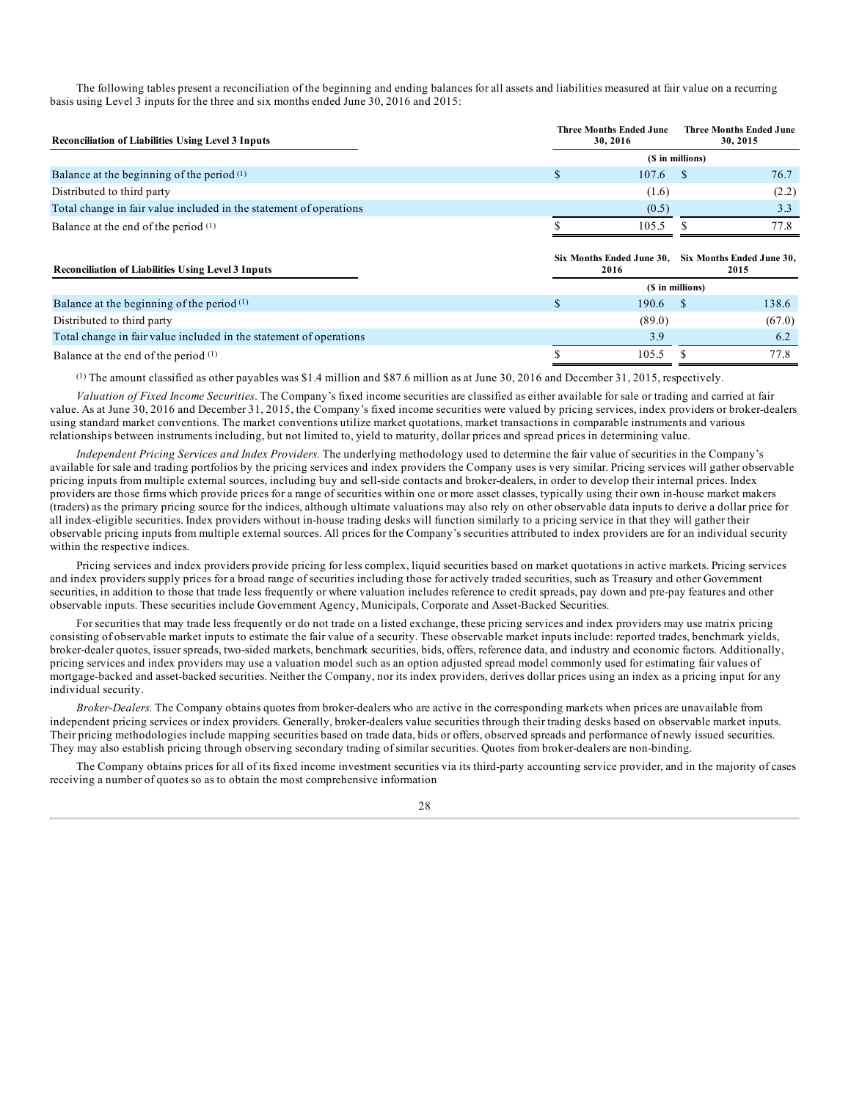The following tables present a reconciliation of the beginning and ending balances for all assets and liabilities measured at fair value on a recurring basis using Level 3 inputs for the three and six months ended June 30, 2016 and 2015:

| <b>Reconciliation of Liabilities Using Level 3 Inputs</b>          | <b>Three Months Ended June</b><br><b>Three Months Ended June</b><br>30, 2015<br>30, 2016 |                  |       |  |  |
|--------------------------------------------------------------------|------------------------------------------------------------------------------------------|------------------|-------|--|--|
|                                                                    |                                                                                          | (\$ in millions) |       |  |  |
| Balance at the beginning of the period $(1)$                       | 107.6                                                                                    | -S               | 76.7  |  |  |
| Distributed to third party                                         | (1.6)                                                                                    |                  | (2.2) |  |  |
| Total change in fair value included in the statement of operations | (0.5)                                                                                    |                  | 3.3   |  |  |
| Balance at the end of the period (1)                               | 105.5                                                                                    |                  | 77.8  |  |  |
| <b>Reconciliation of Liabilities Using Level 3 Inputs</b>          | Six Months Ended June 30, Six Months Ended June 30,<br>2016                              |                  | 2015  |  |  |
|                                                                    |                                                                                          | (\$ in millions) |       |  |  |
| Balance at the beginning of the period $(1)$                       | 190.6                                                                                    |                  | 138.6 |  |  |

Distributed to third party (67.0) (67.0) (67.0) Total change in fair value included in the statement of operations 3.9 6.2 Balance at the end of the period  $^{(1)}$  and the set of the period  $^{(1)}$  because the end of the period  $^{(1)}$  and the set of the period  $^{(1)}$  and the set of the period  $^{(1)}$  and the set of the period  $^{(1)}$  and the set

 $(1)$  The amount classified as other payables was \$1.4 million and \$87.6 million as at June 30, 2016 and December 31, 2015, respectively.

*Valuation of Fixed Income Securities*. The Company's fixed income securities are classified as either available for sale or trading and carried at fair value. As at June 30, 2016 and December 31, 2015, the Company's fixed income securities were valued by pricing services, index providers or broker-dealers using standard market conventions. The market conventions utilize market quotations, market transactions in comparable instruments and various relationships between instruments including, but not limited to, yield to maturity, dollar prices and spread prices in determining value.

*Independent Pricing Services and Index Providers.* The underlying methodology used to determine the fair value of securities in the Company's available for sale and trading portfolios by the pricing services and index providers the Company uses is very similar. Pricing services will gather observable pricing inputs from multiple external sources, including buy and sell-side contacts and broker-dealers, in order to develop their internal prices. Index providers are those firms which provide prices for a range of securities within one or more asset classes, typically using their own in-house market makers (traders) as the primary pricing source for the indices, although ultimate valuations may also rely on other observable data inputs to derive a dollar price for all index-eligible securities. Index providers without in-house trading desks will function similarly to a pricing service in that they will gather their observable pricing inputs from multiple external sources. All prices for the Company's securities attributed to index providers are for an individual security within the respective indices.

Pricing services and index providers provide pricing for less complex, liquid securities based on market quotations in active markets. Pricing services and index providers supply prices for a broad range of securities including those for actively traded securities, such as Treasury and other Government securities, in addition to those that trade less frequently or where valuation includes reference to credit spreads, pay down and pre-pay features and other observable inputs. These securities include Government Agency, Municipals, Corporate and Asset-Backed Securities.

For securities that may trade less frequently or do not trade on a listed exchange, these pricing services and index providers may use matrix pricing consisting of observable market inputs to estimate the fair value of a security. These observable market inputs include: reported trades, benchmark yields, broker-dealer quotes, issuer spreads, two-sided markets, benchmark securities, bids, offers, reference data, and industry and economic factors. Additionally, pricing services and index providers may use a valuation model such as an option adjusted spread model commonly used for estimating fair values of mortgage-backed and asset-backed securities. Neither the Company, nor its index providers, derives dollar prices using an index as a pricing input for any individual security.

*Broker-Dealers.* The Company obtains quotes from broker-dealers who are active in the corresponding markets when prices are unavailable from independent pricing services or index providers. Generally, broker-dealers value securities through their trading desks based on observable market inputs. Their pricing methodologies include mapping securities based on trade data, bids or offers, observed spreads and performance of newly issued securities. They may also establish pricing through observing secondary trading of similar securities. Quotes from broker-dealers are non-binding.

The Company obtains prices for all of its fixed income investment securities via its third-party accounting service provider, and in the majority of cases receiving a number of quotes so as to obtain the most comprehensive information

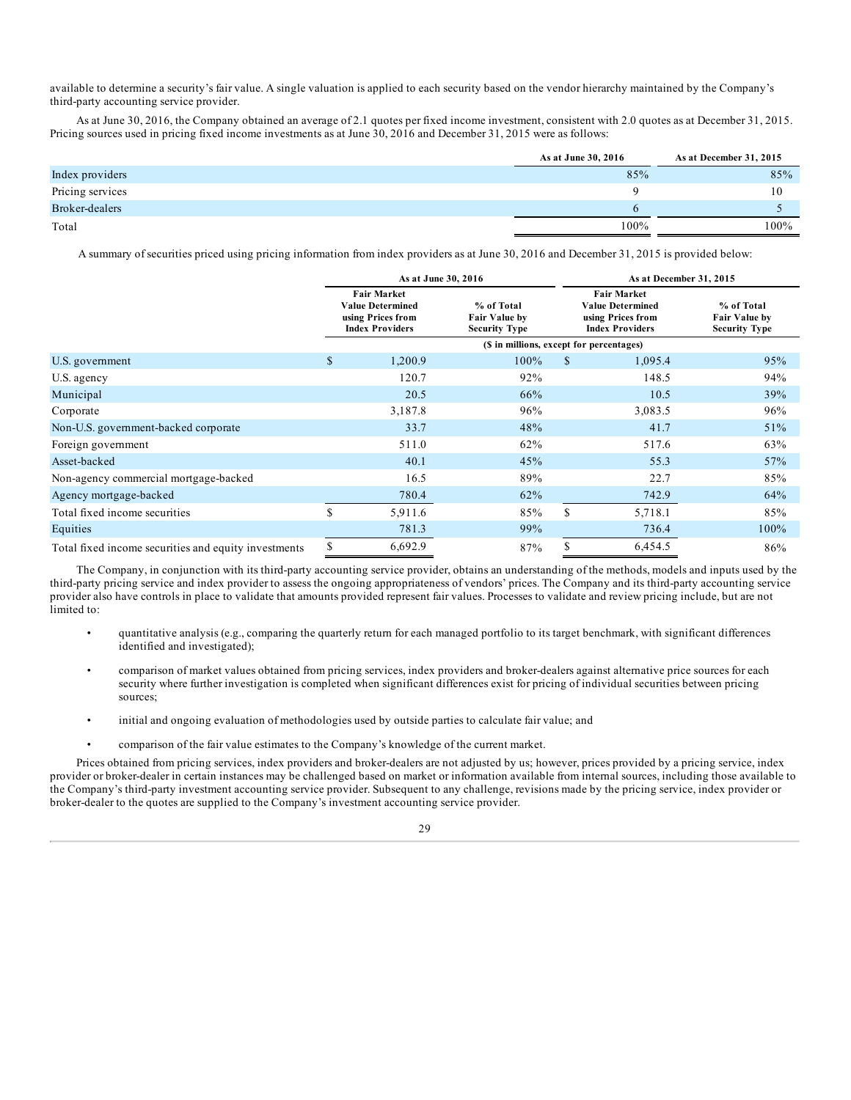available to determine a security's fair value. A single valuation is applied to each security based on the vendor hierarchy maintained by the Company's third-party accounting service provider.

As at June 30, 2016, the Company obtained an average of 2.1 quotes per fixed income investment, consistent with 2.0 quotes as at December 31, 2015. Pricing sources used in pricing fixed income investments as at June 30, 2016 and December 31, 2015 were as follows:

|                  | As at June 30, 2016 | As at December 31, 2015 |
|------------------|---------------------|-------------------------|
| Index providers  | 85%                 | 85%                     |
| Pricing services |                     | 10                      |
| Broker-dealers   |                     |                         |
| Total            | 100%                | 100%                    |

A summary of securities priced using pricing information from index providers as at June 30, 2016 and December 31, 2015 is provided below:

|                                                      |                                                                                                                                                            |         | As at June 30, 2016                                                                          |   | As at December 31, 2015 |                                                            |  |  |  |
|------------------------------------------------------|------------------------------------------------------------------------------------------------------------------------------------------------------------|---------|----------------------------------------------------------------------------------------------|---|-------------------------|------------------------------------------------------------|--|--|--|
|                                                      | <b>Fair Market</b><br>% of Total<br><b>Value Determined</b><br>using Prices from<br><b>Fair Value by</b><br><b>Index Providers</b><br><b>Security Type</b> |         | <b>Fair Market</b><br><b>Value Determined</b><br>using Prices from<br><b>Index Providers</b> |   |                         | % of Total<br><b>Fair Value by</b><br><b>Security Type</b> |  |  |  |
|                                                      |                                                                                                                                                            |         | (\$ in millions, except for percentages)                                                     |   |                         |                                                            |  |  |  |
| U.S. government                                      | \$                                                                                                                                                         | 1,200.9 | 100%                                                                                         | S | 1,095.4                 | 95%                                                        |  |  |  |
| U.S. agency                                          |                                                                                                                                                            | 120.7   | 92%                                                                                          |   | 148.5                   | 94%                                                        |  |  |  |
| Municipal                                            |                                                                                                                                                            | 20.5    | 66%                                                                                          |   | 10.5                    | 39%                                                        |  |  |  |
| Corporate                                            |                                                                                                                                                            | 3,187.8 | 96%                                                                                          |   | 3,083.5                 | 96%                                                        |  |  |  |
| Non-U.S. government-backed corporate                 |                                                                                                                                                            | 33.7    | 48%                                                                                          |   | 41.7                    | 51%                                                        |  |  |  |
| Foreign government                                   |                                                                                                                                                            | 511.0   | 62%                                                                                          |   | 517.6                   | 63%                                                        |  |  |  |
| Asset-backed                                         |                                                                                                                                                            | 40.1    | 45%                                                                                          |   | 55.3                    | 57%                                                        |  |  |  |
| Non-agency commercial mortgage-backed                |                                                                                                                                                            | 16.5    | 89%                                                                                          |   | 22.7                    | 85%                                                        |  |  |  |
| Agency mortgage-backed                               |                                                                                                                                                            | 780.4   | 62%                                                                                          |   | 742.9                   | 64%                                                        |  |  |  |
| Total fixed income securities                        | $\mathbb{S}$                                                                                                                                               | 5,911.6 | 85%                                                                                          | S | 5,718.1                 | 85%                                                        |  |  |  |
| Equities                                             |                                                                                                                                                            | 781.3   | 99%                                                                                          |   | 736.4                   | 100%                                                       |  |  |  |
| Total fixed income securities and equity investments | \$                                                                                                                                                         | 6,692.9 | 87%                                                                                          |   | 6,454.5                 | 86%                                                        |  |  |  |

The Company, in conjunction with its third-party accounting service provider, obtains an understanding of the methods, models and inputs used by the third-party pricing service and index provider to assess the ongoing appropriateness of vendors' prices. The Company and its third-party accounting service provider also have controls in place to validate that amounts provided represent fair values. Processes to validate and review pricing include, but are not limited to:

- quantitative analysis (e.g., comparing the quarterly return for each managed portfolio to its target benchmark, with significant differences identified and investigated);
- comparison of market values obtained from pricing services, index providers and broker-dealers against alternative price sources for each security where further investigation is completed when significant differences exist for pricing of individual securities between pricing sources;
- initial and ongoing evaluation of methodologies used by outside parties to calculate fair value; and
- comparison of the fair value estimates to the Company's knowledge of the current market.

Prices obtained from pricing services, index providers and broker-dealers are not adjusted by us; however, prices provided by a pricing service, index provider or broker-dealer in certain instances may be challenged based on market or information available from internal sources, including those available to the Company's third-party investment accounting service provider. Subsequent to any challenge, revisions made by the pricing service, index provider or broker-dealer to the quotes are supplied to the Company's investment accounting service provider.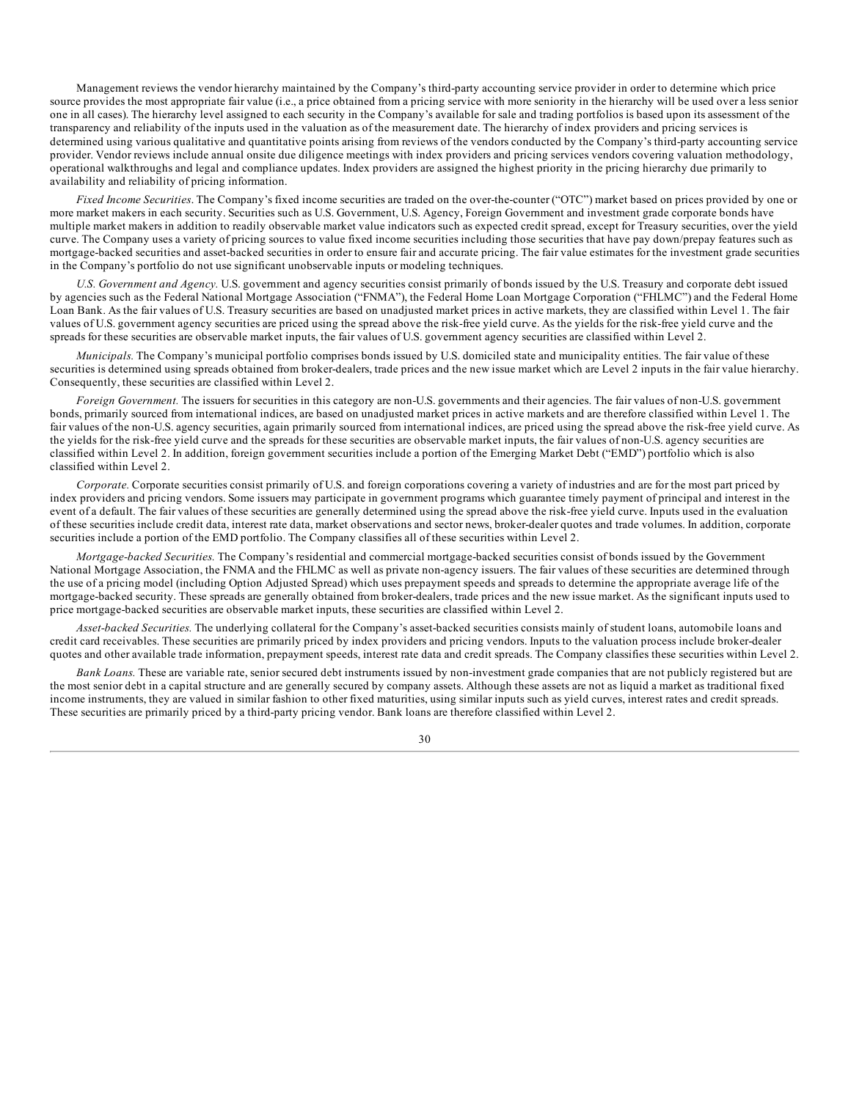Management reviews the vendor hierarchy maintained by the Company's third-party accounting service provider in order to determine which price source provides the most appropriate fair value (i.e., a price obtained from a pricing service with more seniority in the hierarchy will be used over a less senior one in all cases). The hierarchy level assigned to each security in the Company's available for sale and trading portfolios is based upon its assessment of the transparency and reliability of the inputs used in the valuation as of the measurement date. The hierarchy of index providers and pricing services is determined using various qualitative and quantitative points arising from reviews of the vendors conducted by the Company's third-party accounting service provider. Vendor reviews include annual onsite due diligence meetings with index providers and pricing services vendors covering valuation methodology, operational walkthroughs and legal and compliance updates. Index providers are assigned the highest priority in the pricing hierarchy due primarily to availability and reliability of pricing information.

*Fixed Income Securities*. The Company's fixed income securities are traded on the over-the-counter ("OTC") market based on prices provided by one or more market makers in each security. Securities such as U.S. Government, U.S. Agency, Foreign Government and investment grade corporate bonds have multiple market makers in addition to readily observable market value indicators such as expected credit spread, except for Treasury securities, over the yield curve. The Company uses a variety of pricing sources to value fixed income securities including those securities that have pay down/prepay features such as mortgage-backed securities and asset-backed securities in order to ensure fair and accurate pricing. The fair value estimates for the investment grade securities in the Company's portfolio do not use significant unobservable inputs or modeling techniques.

*U.S. Government and Agency.* U.S. government and agency securities consist primarily of bonds issued by the U.S. Treasury and corporate debt issued by agencies such as the Federal National Mortgage Association ("FNMA"), the Federal Home Loan Mortgage Corporation ("FHLMC") and the Federal Home Loan Bank. As the fair values of U.S. Treasury securities are based on unadjusted market prices in active markets, they are classified within Level 1. The fair values of U.S. government agency securities are priced using the spread above the risk-free yield curve. As the yields for the risk-free yield curve and the spreads for these securities are observable market inputs, the fair values of U.S. government agency securities are classified within Level 2.

*Municipals.* The Company's municipal portfolio comprises bonds issued by U.S. domiciled state and municipality entities. The fair value of these securities is determined using spreads obtained from broker-dealers, trade prices and the new issue market which are Level 2 inputs in the fair value hierarchy. Consequently, these securities are classified within Level 2.

*Foreign Government.* The issuers for securities in this category are non-U.S. governments and their agencies. The fair values of non-U.S. government bonds, primarily sourced from international indices, are based on unadjusted market prices in active markets and are therefore classified within Level 1. The fair values of the non-U.S. agency securities, again primarily sourced from international indices, are priced using the spread above the risk-free yield curve. As the yields for the risk-free yield curve and the spreads for these securities are observable market inputs, the fair values of non-U.S. agency securities are classified within Level 2. In addition, foreign government securities include a portion of the Emerging Market Debt ("EMD") portfolio which is also classified within Level 2.

*Corporate.* Corporate securities consist primarily of U.S. and foreign corporations covering a variety of industries and are for the most part priced by index providers and pricing vendors. Some issuers may participate in government programs which guarantee timely payment of principal and interest in the event of a default. The fair values of these securities are generally determined using the spread above the risk-free yield curve. Inputs used in the evaluation of these securities include credit data, interest rate data, market observations and sector news, broker-dealer quotes and trade volumes. In addition, corporate securities include a portion of the EMD portfolio. The Company classifies all of these securities within Level 2.

*Mortgage-backed Securities.* The Company's residential and commercial mortgage-backed securities consist of bonds issued by the Government National Mortgage Association, the FNMA and the FHLMC as well as private non-agency issuers. The fair values of these securities are determined through the use of a pricing model (including Option Adjusted Spread) which uses prepayment speeds and spreads to determine the appropriate average life of the mortgage-backed security. These spreads are generally obtained from broker-dealers, trade prices and the new issue market. As the significant inputs used to price mortgage-backed securities are observable market inputs, these securities are classified within Level 2.

*Asset-backed Securities.* The underlying collateral for the Company's asset-backed securities consists mainly of student loans, automobile loans and credit card receivables. These securities are primarily priced by index providers and pricing vendors. Inputs to the valuation process include broker-dealer quotes and other available trade information, prepayment speeds, interest rate data and credit spreads. The Company classifies these securities within Level 2.

*Bank Loans.* These are variable rate, senior secured debt instruments issued by non-investment grade companies that are not publicly registered but are the most senior debt in a capital structure and are generally secured by company assets. Although these assets are not as liquid a market as traditional fixed income instruments, they are valued in similar fashion to other fixed maturities, using similar inputs such as yield curves, interest rates and credit spreads. These securities are primarily priced by a third-party pricing vendor. Bank loans are therefore classified within Level 2.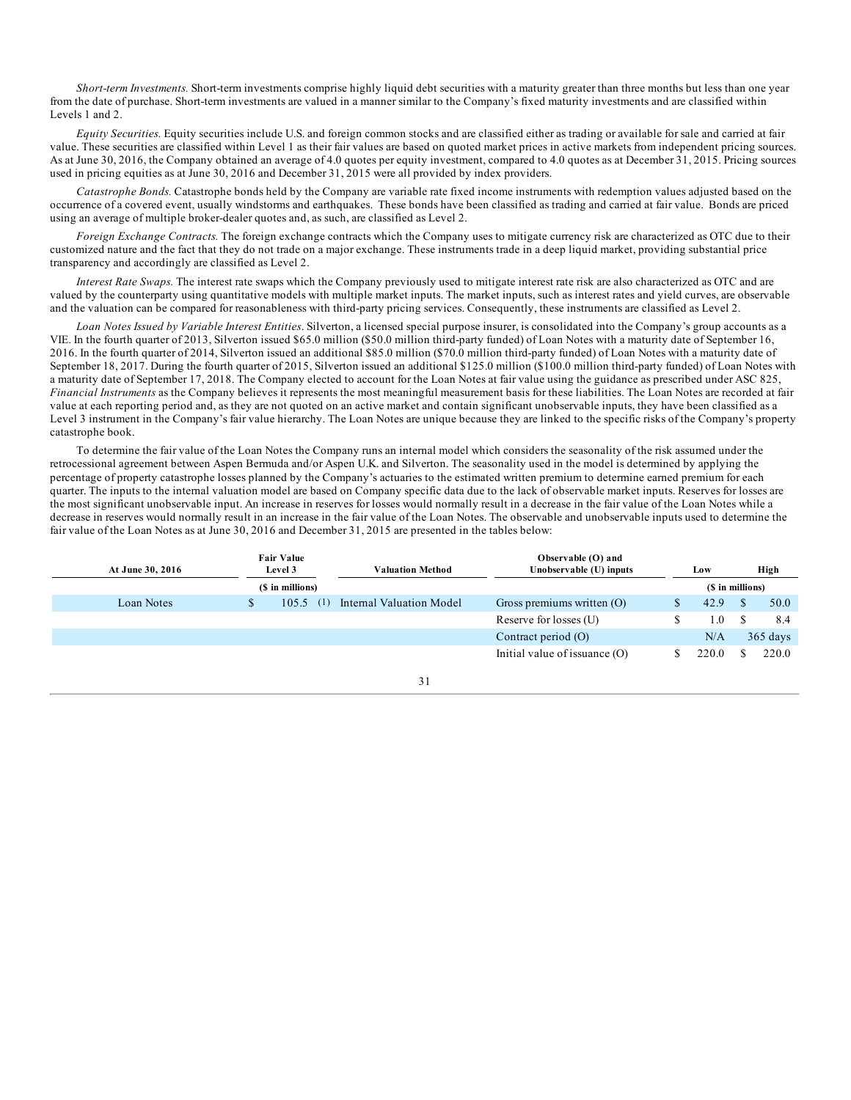*Short-term Investments.* Short-term investments comprise highly liquid debt securities with a maturity greater than three months but less than one year from the date of purchase. Short-term investments are valued in a manner similar to the Company's fixed maturity investments and are classified within Levels 1 and 2.

*Equity Securities.* Equity securities include U.S. and foreign common stocks and are classified either as trading or available for sale and carried at fair value. These securities are classified within Level 1 as their fair values are based on quoted market prices in active markets from independent pricing sources. As at June 30, 2016, the Company obtained an average of 4.0 quotes per equity investment, compared to 4.0 quotes as at December 31, 2015. Pricing sources used in pricing equities as at June 30, 2016 and December 31, 2015 were all provided by index providers.

*Catastrophe Bonds.* Catastrophe bonds held by the Company are variable rate fixed income instruments with redemption values adjusted based on the occurrence of a covered event, usually windstorms and earthquakes. These bonds have been classified as trading and carried at fair value. Bonds are priced using an average of multiple broker-dealer quotes and, as such, are classified as Level 2.

*Foreign Exchange Contracts.* The foreign exchange contracts which the Company uses to mitigate currency risk are characterized as OTC due to their customized nature and the fact that they do not trade on a major exchange. These instruments trade in a deep liquid market, providing substantial price transparency and accordingly are classified as Level 2.

*Interest Rate Swaps.* The interest rate swaps which the Company previously used to mitigate interest rate risk are also characterized as OTC and are valued by the counterparty using quantitative models with multiple market inputs. The market inputs, such as interest rates and yield curves, are observable and the valuation can be compared for reasonableness with third-party pricing services. Consequently, these instruments are classified as Level 2.

*Loan Notes Issued by Variable Interest Entities*. Silverton, a licensed special purpose insurer, is consolidated into the Company's group accounts as a VIE. In the fourth quarter of 2013, Silverton issued \$65.0 million (\$50.0 million third-party funded) of Loan Notes with a maturity date of September 16, 2016. In the fourth quarter of 2014, Silverton issued an additional \$85.0 million (\$70.0 million third-party funded) of Loan Notes with a maturity date of September 18, 2017. During the fourth quarter of 2015, Silverton issued an additional \$125.0 million (\$100.0 million third-party funded) of Loan Notes with a maturity date of September 17, 2018. The Company elected to account for the Loan Notes at fair value using the guidance as prescribed under ASC 825, *Financial Instruments* as the Company believes it represents the most meaningful measurement basis for these liabilities. The Loan Notes are recorded at fair value at each reporting period and, as they are not quoted on an active market and contain significant unobservable inputs, they have been classified as a Level 3 instrument in the Company's fair value hierarchy. The Loan Notes are unique because they are linked to the specific risks of the Company's property catastrophe book.

To determine the fair value of the Loan Notes the Company runs an internal model which considers the seasonality of the risk assumed under the retrocessional agreement between Aspen Bermuda and/or Aspen U.K. and Silverton. The seasonality used in the model is determined by applying the percentage of property catastrophe losses planned by the Company's actuaries to the estimated written premium to determine earned premium for each quarter. The inputs to the internal valuation model are based on Company specific data due to the lack of observable market inputs. Reserves for losses are the most significant unobservable input. An increase in reserves for losses would normally result in a decrease in the fair value of the Loan Notes while a decrease in reserves would normally result in an increase in the fair value of the Loan Notes. The observable and unobservable inputs used to determine the fair value of the Loan Notes as at June 30, 2016 and December 31, 2015 are presented in the tables below:

| <b>Fair Value</b><br>At June 30, 2016<br>Level 3 |  | Valuation Method | Observable (O) and<br>Unobservable (U) inputs | Low                             | High             |            |
|--------------------------------------------------|--|------------------|-----------------------------------------------|---------------------------------|------------------|------------|
|                                                  |  | (\$ in millions) |                                               |                                 | (\$ in millions) |            |
| Loan Notes                                       |  | (1)<br>105.5     | Internal Valuation Model                      | Gross premiums written $(O)$    | 42.9             | 50.0       |
|                                                  |  |                  |                                               | Reserve for losses (U)          | 1.0              | 8.4        |
|                                                  |  |                  |                                               | Contract period (O)             | N/A              | $365$ days |
|                                                  |  |                  |                                               | Initial value of issuance $(O)$ | 220.0            | 220.0      |

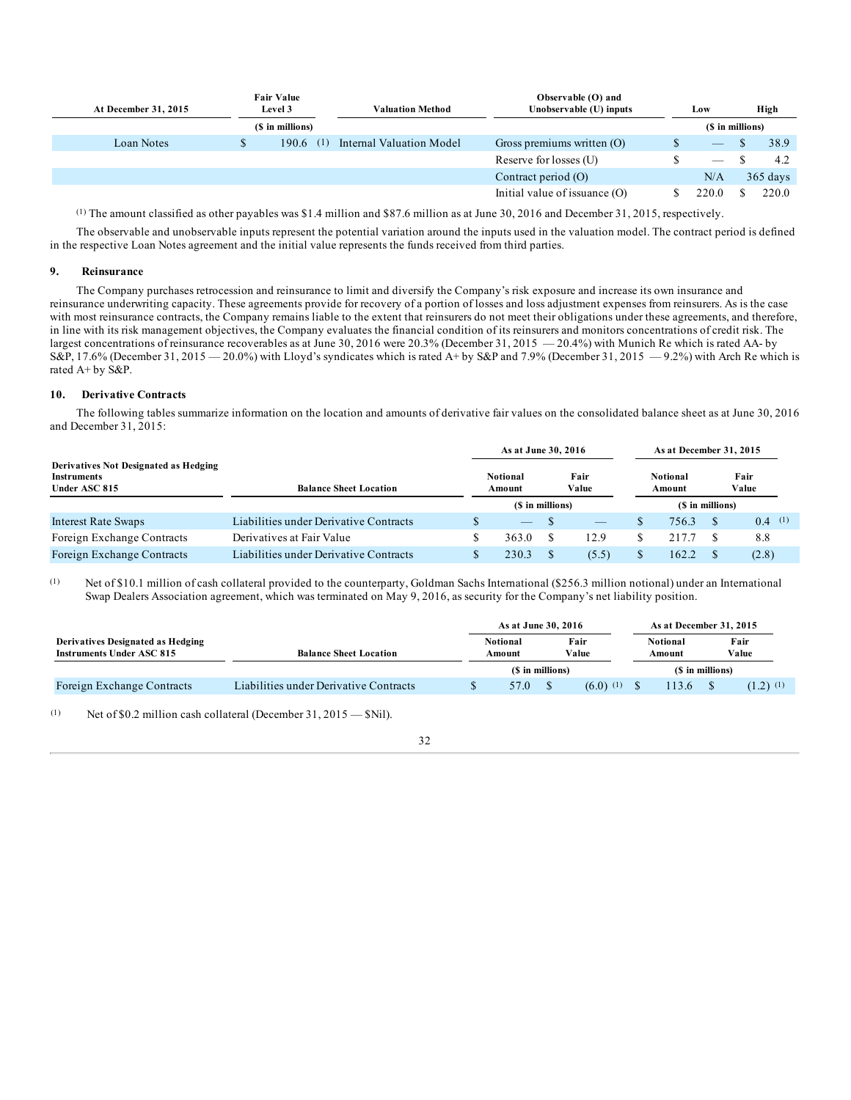| At December 31, 2015 | <b>Fair Value</b><br>Level 3 |                | Observable (O) and<br>Unobservable (U) inputs<br>Valuation Method |                                 | Low              | High       |
|----------------------|------------------------------|----------------|-------------------------------------------------------------------|---------------------------------|------------------|------------|
|                      | (\$ in millions)             |                |                                                                   |                                 | (\$ in millions) |            |
| Loan Notes           | 190.6                        | <sup>(1)</sup> | Internal Valuation Model                                          | Gross premiums written $(O)$    |                  | 38.9       |
|                      |                              |                |                                                                   | Reserve for losses (U)          |                  | 4.2        |
|                      |                              |                |                                                                   | Contract period (O)             | N/A              | $365$ days |
|                      |                              |                |                                                                   | Initial value of issuance $(O)$ | 220.0            | 220.0      |

(1) The amount classified as other payables was \$1.4 million and \$87.6 million as at June 30, 2016 and December 31, 2015, respectively.

The observable and unobservable inputs represent the potential variation around the inputs used in the valuation model. The contract period is defined in the respective Loan Notes agreement and the initial value represents the funds received from third parties.

#### **9. Reinsurance**

The Company purchases retrocession and reinsurance to limit and diversify the Company's risk exposure and increase its own insurance and reinsurance underwriting capacity. These agreements provide for recovery of a portion of losses and loss adjustment expenses from reinsurers. As is the case with most reinsurance contracts, the Company remains liable to the extent that reinsurers do not meet their obligations under these agreements, and therefore, in line with its risk management objectives, the Company evaluates the financial condition of its reinsurers and monitors concentrations of credit risk. The largest concentrations of reinsurance recoverables as at June 30, 2016 were 20.3% (December 31, 2015 — 20.4%) with Munich Re which is rated AA- by S&P, 17.6% (December 31, 2015 — 20.0%) with Lloyd's syndicates which is rated A+ by S&P and 7.9% (December 31, 2015 — 9.2%) with Arch Re which is rated A+ by S&P.

#### **10. Derivative Contracts**

The following tables summarize information on the location and amounts of derivative fair values on the consolidated balance sheet as at June 30, 2016 and December 31, 2015:

|                                                                              |                                        | As at June 30, 2016       |  |                          |                  | As at December 31, 2015 |  |               |
|------------------------------------------------------------------------------|----------------------------------------|---------------------------|--|--------------------------|------------------|-------------------------|--|---------------|
| Derivatives Not Designated as Hedging<br><b>Instruments</b><br>Under ASC 815 | <b>Balance Sheet Location</b>          | <b>Notional</b><br>Amount |  | Fair<br>Value            |                  | Notional<br>Amount      |  | Fair<br>Value |
|                                                                              |                                        | (\$ in millions)          |  |                          | (\$ in millions) |                         |  |               |
| <b>Interest Rate Swaps</b>                                                   | Liabilities under Derivative Contracts |                           |  | $\overline{\phantom{a}}$ |                  | 756.3                   |  | $0.4$ (1)     |
| Foreign Exchange Contracts                                                   | Derivatives at Fair Value              | 363.0                     |  | 12.9                     |                  | 217.7                   |  | 8.8           |
| Foreign Exchange Contracts                                                   | Liabilities under Derivative Contracts | 230.3                     |  | (5.5)                    |                  | 162.2                   |  | (2.8)         |

(1) Net of \$10.1 million of cash collateral provided to the counterparty, Goldman Sachs International (\$256.3 million notional) under an International Swap Dealers Association agreement, which was terminated on May 9, 2016, as security for the Company's net liability position.

|                                                                       |                                        | As at June 30, 2016       |  |               | As at December 31, 2015 |  |                        |
|-----------------------------------------------------------------------|----------------------------------------|---------------------------|--|---------------|-------------------------|--|------------------------|
| Derivatives Designated as Hedging<br><b>Instruments Under ASC 815</b> | <b>Balance Sheet Location</b>          | <b>Notional</b><br>Amount |  | Fair<br>Value | Notional<br>Amount      |  | Fair<br>Value          |
|                                                                       |                                        | (\$ in millions)          |  |               | (\$ in millions)        |  |                        |
| Foreign Exchange Contracts                                            | Liabilities under Derivative Contracts | 57.0                      |  | $(6.0)$ (1)   | 13.6                    |  | $(1.2)$ <sup>(1)</sup> |

#### (1) Net of \$0.2 million cash collateral (December 31, 2015 — \$Nil).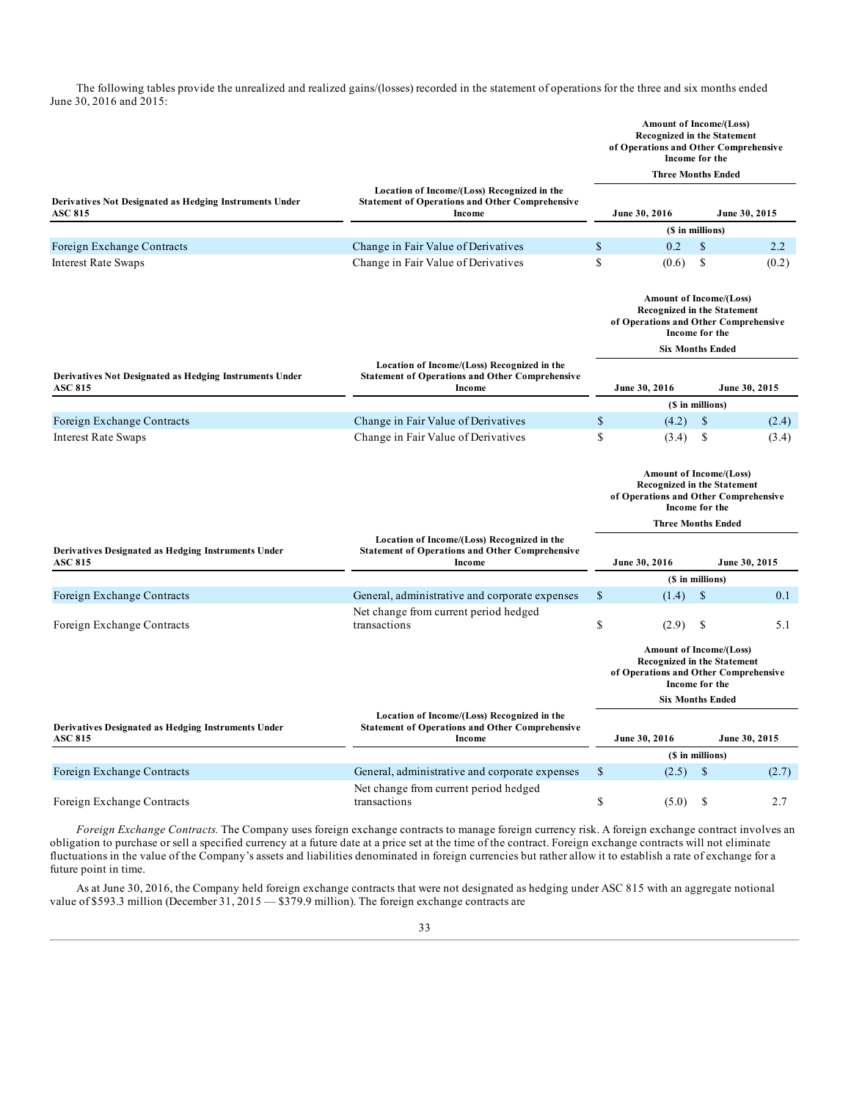The following tables provide the unrealized and realized gains/(losses) recorded in the statement of operations for the three and six months ended June 30, 2016 and 2015:

|                                                                           |                                                                                                                 |               | Amount of Income/(Loss)<br><b>Recognized in the Statement</b><br>of Operations and Other Comprehensive<br>Income for the        |               |               |
|---------------------------------------------------------------------------|-----------------------------------------------------------------------------------------------------------------|---------------|---------------------------------------------------------------------------------------------------------------------------------|---------------|---------------|
|                                                                           |                                                                                                                 |               | <b>Three Months Ended</b>                                                                                                       |               |               |
| Derivatives Not Designated as Hedging Instruments Under<br><b>ASC 815</b> | Location of Income/(Loss) Recognized in the<br><b>Statement of Operations and Other Comprehensive</b><br>Income |               | June 30, 2016                                                                                                                   |               | June 30, 2015 |
|                                                                           |                                                                                                                 |               | (\$ in millions)                                                                                                                |               |               |
| Foreign Exchange Contracts                                                | Change in Fair Value of Derivatives                                                                             | $\mathbb{S}$  | 0.2                                                                                                                             | $\mathcal{S}$ | 2.2           |
| <b>Interest Rate Swaps</b>                                                | Change in Fair Value of Derivatives                                                                             | $\mathbf S$   | (0.6)                                                                                                                           | \$            | (0.2)         |
|                                                                           |                                                                                                                 |               | Amount of Income/(Loss)<br>Recognized in the Statement<br>of Operations and Other Comprehensive<br>Income for the               |               |               |
|                                                                           |                                                                                                                 |               | <b>Six Months Ended</b>                                                                                                         |               |               |
| Derivatives Not Designated as Hedging Instruments Under<br><b>ASC 815</b> | Location of Income/(Loss) Recognized in the<br><b>Statement of Operations and Other Comprehensive</b><br>Income |               | June 30, 2016                                                                                                                   |               | June 30, 2015 |
|                                                                           |                                                                                                                 |               | (\$ in millions)                                                                                                                |               |               |
| Foreign Exchange Contracts                                                | Change in Fair Value of Derivatives                                                                             | \$            | (4.2)                                                                                                                           | <sup>\$</sup> | (2.4)         |
| <b>Interest Rate Swaps</b>                                                | Change in Fair Value of Derivatives                                                                             | \$            | (3.4)                                                                                                                           | \$            | (3.4)         |
|                                                                           |                                                                                                                 |               | <b>Amount of Income/(Loss)</b><br><b>Recognized in the Statement</b><br>of Operations and Other Comprehensive<br>Income for the |               |               |
|                                                                           |                                                                                                                 |               | <b>Three Months Ended</b>                                                                                                       |               |               |
| Derivatives Designated as Hedging Instruments Under<br><b>ASC 815</b>     | Location of Income/(Loss) Recognized in the<br><b>Statement of Operations and Other Comprehensive</b><br>Income |               | June 30, 2016                                                                                                                   |               | June 30, 2015 |
|                                                                           |                                                                                                                 |               | (\$ in millions)                                                                                                                |               |               |
| Foreign Exchange Contracts                                                | General, administrative and corporate expenses                                                                  | \$            | (1.4)                                                                                                                           | $\mathcal{S}$ | 0.1           |
| Foreign Exchange Contracts                                                | Net change from current period hedged<br>transactions                                                           | \$            | (2.9)                                                                                                                           | \$            | 5.1           |
|                                                                           |                                                                                                                 |               | Amount of Income/(Loss)<br><b>Recognized in the Statement</b><br>of Operations and Other Comprehensive<br>Income for the        |               |               |
|                                                                           |                                                                                                                 |               | <b>Six Months Ended</b>                                                                                                         |               |               |
| Derivatives Designated as Hedging Instruments Under<br><b>ASC 815</b>     | Location of Income/(Loss) Recognized in the<br><b>Statement of Operations and Other Comprehensive</b><br>Income |               | June 30, 2016                                                                                                                   |               | June 30, 2015 |
|                                                                           |                                                                                                                 |               | (\$ in millions)                                                                                                                |               |               |
| Foreign Exchange Contracts                                                | General, administrative and corporate expenses                                                                  | \$            | (2.5)                                                                                                                           | $\mathbb{S}$  | (2.7)         |
| Foreign Exchange Contracts                                                | Net change from current period hedged<br>transactions                                                           | <sup>\$</sup> | (5.0)                                                                                                                           | S             | 2.7           |

*Foreign Exchange Contracts.* The Company uses foreign exchange contracts to manage foreign currency risk. A foreign exchange contract involves an obligation to purchase or sell a specified currency at a future date at a price set at the time of the contract. Foreign exchange contracts will not eliminate fluctuations in the value of the Company's assets and liabilities denominated in foreign currencies but rather allow it to establish a rate of exchange for a future point in time.

As at June 30, 2016, the Company held foreign exchange contracts that were not designated as hedging under ASC 815 with an aggregate notional value of \$593.3 million (December 31, 2015 – \$379.9 million). The foreign exchange contracts are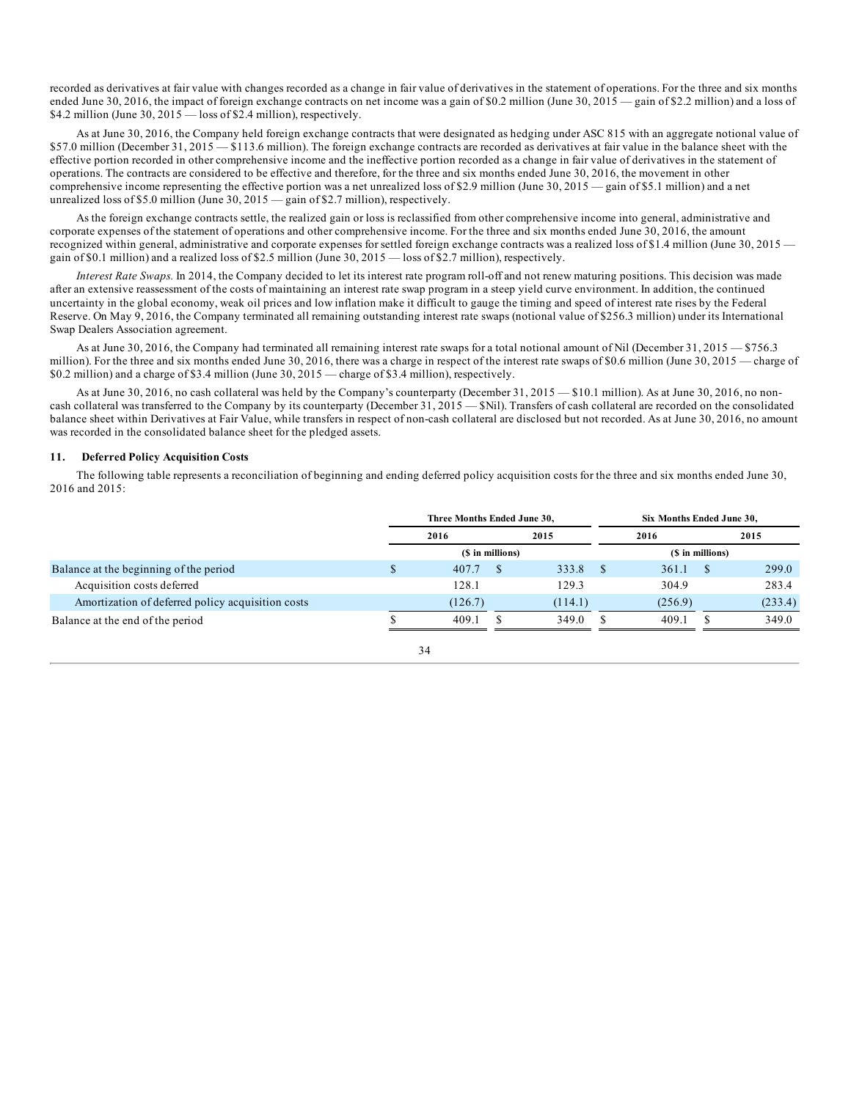recorded as derivatives at fair value with changes recorded as a change in fair value of derivatives in the statement of operations. For the three and six months ended June 30, 2016, the impact of foreign exchange contracts on net income was a gain of \$0.2 million (June 30, 2015 — gain of \$2.2 million) and a loss of \$4.2 million (June 30,  $2015 - \text{loss of } $2.4$  million), respectively.

As at June 30, 2016, the Company held foreign exchange contracts that were designated as hedging under ASC 815 with an aggregate notional value of \$57.0 million (December 31, 2015 — \$113.6 million). The foreign exchange contracts are recorded as derivatives at fair value in the balance sheet with the effective portion recorded in other comprehensive income and the ineffective portion recorded as a change in fair value of derivatives in the statement of operations. The contracts are considered to be effective and therefore, for the three and six months ended June 30, 2016, the movement in other comprehensive income representing the effective portion was a net unrealized loss of \$2.9 million (June 30, 2015 — gain of \$5.1 million) and a net unrealized loss of \$5.0 million (June 30,  $2015$  — gain of \$2.7 million), respectively.

As the foreign exchange contracts settle, the realized gain or loss is reclassified from other comprehensive income into general, administrative and corporate expenses of the statement of operations and other comprehensive income. For the three and six months ended June 30, 2016, the amount recognized within general, administrative and corporate expenses for settled foreign exchange contracts was a realized loss of \$1.4 million (June 30, 2015 gain of \$0.1 million) and a realized loss of \$2.5 million (June 30, 2015 — loss of \$2.7 million), respectively.

*Interest Rate Swaps.* In 2014, the Company decided to let its interest rate program roll-off and not renew maturing positions. This decision was made after an extensive reassessment of the costs of maintaining an interest rate swap program in a steep yield curve environment. In addition, the continued uncertainty in the global economy, weak oil prices and low inflation make it difficult to gauge the timing and speed of interest rate rises by the Federal Reserve. On May 9, 2016, the Company terminated all remaining outstanding interest rate swaps (notional value of \$256.3 million) under its International Swap Dealers Association agreement.

As at June 30, 2016, the Company had terminated all remaining interest rate swaps for a total notional amount of Nil (December 31, 2015 – \$756.3) million). For the three and six months ended June 30, 2016, there was a charge in respect of the interest rate swaps of \$0.6 million (June 30, 2015 — charge of \$0.2 million) and a charge of \$3.4 million (June 30, 2015 — charge of \$3.4 million), respectively.

As at June 30, 2016, no cash collateral was held by the Company's counterparty (December 31, 2015 — \$10.1 million). As at June 30, 2016, no noncash collateral was transferred to the Company by its counterparty (December 31, 2015 — \$Nil). Transfers of cash collateral are recorded on the consolidated balance sheet within Derivatives at Fair Value, while transfers in respect of non-cash collateral are disclosed but not recorded. As at June 30, 2016, no amount was recorded in the consolidated balance sheet for the pledged assets.

#### **11. Deferred Policy Acquisition Costs**

The following table represents a reconciliation of beginning and ending deferred policy acquisition costs for the three and six months ended June 30, 2016 and 2015:

|                                                   | Three Months Ended June 30. |                  |  | Six Months Ended June 30. |  |         |                  |         |
|---------------------------------------------------|-----------------------------|------------------|--|---------------------------|--|---------|------------------|---------|
|                                                   |                             | 2016             |  | 2015                      |  | 2016    |                  | 2015    |
|                                                   |                             | (\$ in millions) |  |                           |  |         | (\$ in millions) |         |
| Balance at the beginning of the period            | S                           | 407.7            |  | 333.8                     |  | 361.1   | <sup>S</sup>     | 299.0   |
| Acquisition costs deferred                        |                             | 128.1            |  | 129.3                     |  | 304.9   |                  | 283.4   |
| Amortization of deferred policy acquisition costs |                             | (126.7)          |  | (114.1)                   |  | (256.9) |                  | (233.4) |
| Balance at the end of the period                  |                             | 409.1            |  | 349.0                     |  | 409.1   |                  | 349.0   |

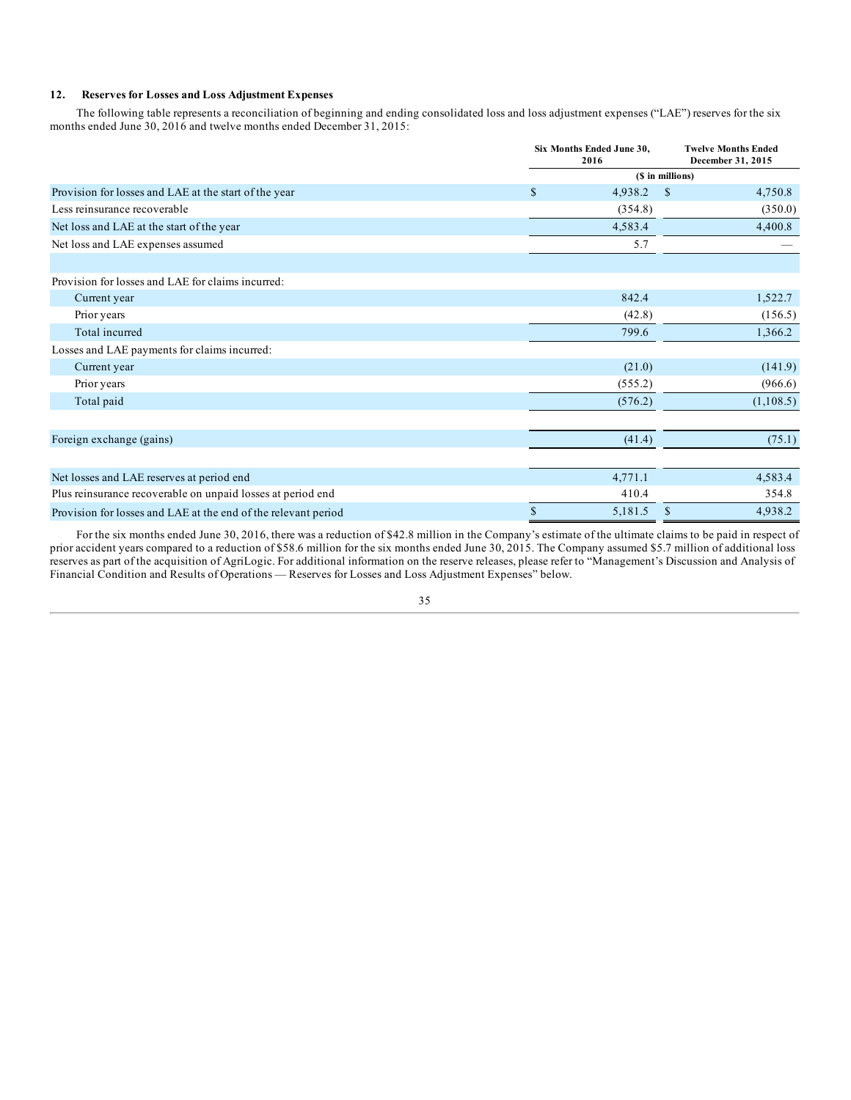#### **12. Reserves for Losses and Loss Adjustment Expenses**

The following table represents a reconciliation of beginning and ending consolidated loss and loss adjustment expenses ("LAE") reserves for the six months ended June 30, 2016 and twelve months ended December 31, 2015:

|                                                                | Six Months Ended June 30,<br>2016 |                  | <b>Twelve Months Ended</b><br>December 31, 2015 |
|----------------------------------------------------------------|-----------------------------------|------------------|-------------------------------------------------|
|                                                                |                                   | (\$ in millions) |                                                 |
| Provision for losses and LAE at the start of the year          | $\mathcal{S}$<br>4,938.2          | <sup>\$</sup>    | 4,750.8                                         |
| Less reinsurance recoverable                                   | (354.8)                           |                  | (350.0)                                         |
| Net loss and LAE at the start of the year                      | 4,583.4                           |                  | 4,400.8                                         |
| Net loss and LAE expenses assumed                              | 5.7                               |                  |                                                 |
| Provision for losses and LAE for claims incurred:              |                                   |                  |                                                 |
|                                                                | 842.4                             |                  |                                                 |
| Current year<br>Prior years                                    | (42.8)                            |                  | 1,522.7<br>(156.5)                              |
| Total incurred                                                 | 799.6                             |                  |                                                 |
| Losses and LAE payments for claims incurred:                   |                                   |                  | 1,366.2                                         |
| Current year                                                   | (21.0)                            |                  | (141.9)                                         |
| Prior years                                                    | (555.2)                           |                  | (966.6)                                         |
| Total paid                                                     | (576.2)                           |                  | (1,108.5)                                       |
|                                                                |                                   |                  |                                                 |
| Foreign exchange (gains)                                       | (41.4)                            |                  | (75.1)                                          |
| Net losses and LAE reserves at period end                      | 4,771.1                           |                  | 4,583.4                                         |
| Plus reinsurance recoverable on unpaid losses at period end    | 410.4                             |                  | 354.8                                           |
| Provision for losses and LAE at the end of the relevant period | $\$$<br>5,181.5                   | <sup>\$</sup>    | 4,938.2                                         |

For the six months ended June 30, 2016, there was a reduction of \$42.8 million in the Company's estimate of the ultimate claims to be paid in respect of prior accident years compared to a reduction of \$58.6 million for the six months ended June 30, 2015. The Company assumed \$5.7 million of additional loss reserves as part of the acquisition of AgriLogic. For additional information on the reserve releases, please refer to "Management's Discussion and Analysis of Financial Condition and Results of Operations — Reserves for Losses and Loss Adjustment Expenses" below.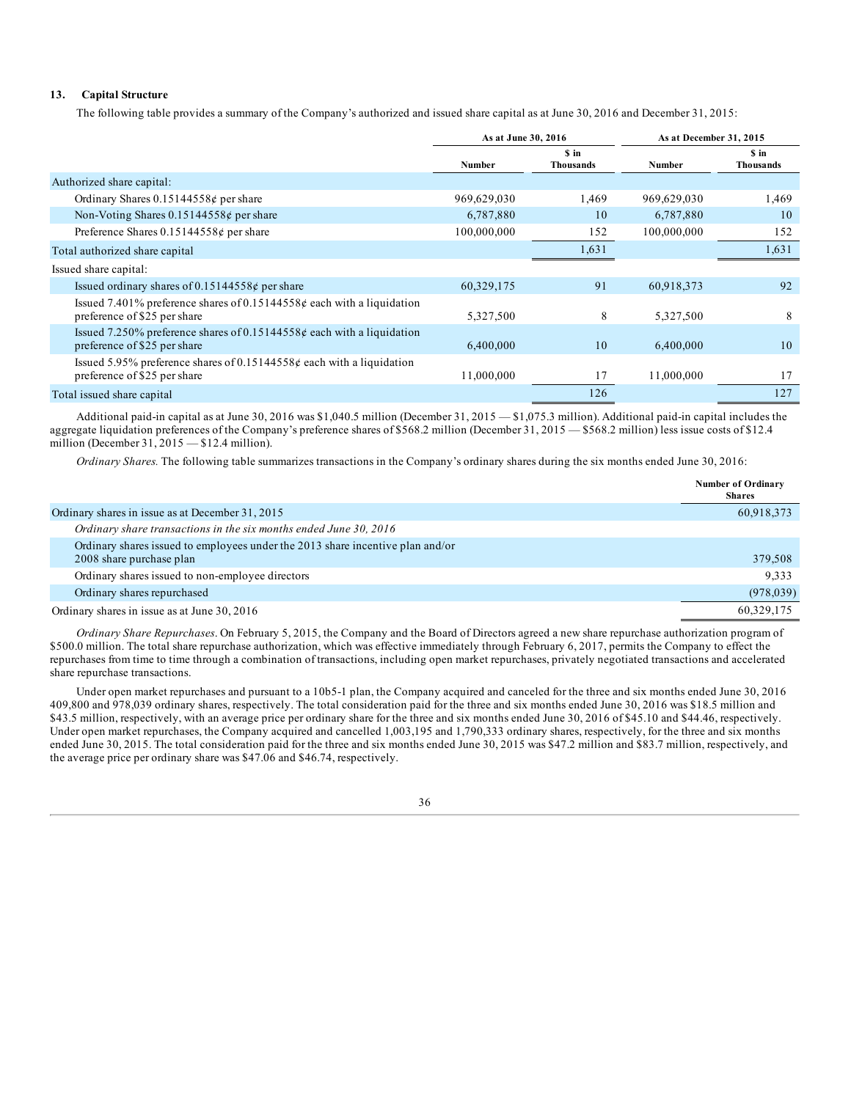### **13. Capital Structure**

The following table provides a summary of the Company's authorized and issued share capital as at June 30, 2016 and December 31, 2015:

|                                                                                                        | As at June 30, 2016 |                   | As at December 31, 2015 |                           |
|--------------------------------------------------------------------------------------------------------|---------------------|-------------------|-------------------------|---------------------------|
|                                                                                                        | Number              | S in<br>Thousands | Number                  | \$ in<br><b>Thousands</b> |
| Authorized share capital:                                                                              |                     |                   |                         |                           |
| Ordinary Shares $0.15144558¢$ per share                                                                | 969,629,030         | 1,469             | 969,629,030             | 1,469                     |
| Non-Voting Shares $0.15144558¢$ per share                                                              | 6,787,880           | 10                | 6,787,880               | 10                        |
| Preference Shares $0.15144558¢$ per share                                                              | 100,000,000         | 152               | 100,000,000             | 152                       |
| Total authorized share capital                                                                         |                     | 1,631             |                         | 1,631                     |
| Issued share capital:                                                                                  |                     |                   |                         |                           |
| Issued ordinary shares of 0.15144558 $\phi$ per share                                                  | 60,329,175          | 91                | 60,918,373              | 92                        |
| Issued 7.401% preference shares of 0.15144558¢ each with a liquidation<br>preference of \$25 per share | 5,327,500           | 8                 | 5,327,500               | 8                         |
| Issued 7.250% preference shares of 0.15144558¢ each with a liquidation<br>preference of \$25 per share | 6,400,000           | 10                | 6,400,000               | 10                        |
| Issued 5.95% preference shares of 0.15144558¢ each with a liquidation<br>preference of \$25 per share  | 11,000,000          | 17                | 11,000,000              | 17                        |
| Total issued share capital                                                                             |                     | 126               |                         | 127                       |

Additional paid-in capital as at June 30, 2016 was \$1,040.5 million (December 31, 2015 — \$1,075.3 million). Additional paid-in capital includes the aggregate liquidation preferences of the Company's preference shares of \$568.2 million (December 31, 2015 — \$568.2 million) less issue costs of \$12.4 million (December 31, 2015 — \$12.4 million).

*Ordinary Shares.* The following table summarizes transactions in the Company's ordinary shares during the six months ended June 30, 2016:

|                                                                                                            | <b>Number of Ordinary</b><br><b>Shares</b> |
|------------------------------------------------------------------------------------------------------------|--------------------------------------------|
| Ordinary shares in issue as at December 31, 2015                                                           | 60,918,373                                 |
| Ordinary share transactions in the six months ended June 30, 2016                                          |                                            |
| Ordinary shares issued to employees under the 2013 share incentive plan and/or<br>2008 share purchase plan | 379,508                                    |
| Ordinary shares issued to non-employee directors                                                           | 9.333                                      |
| Ordinary shares repurchased                                                                                | (978, 039)                                 |
| Ordinary shares in issue as at June 30, 2016                                                               | 60,329,175                                 |

*Ordinary Share Repurchases*. On February 5, 2015, the Company and the Board of Directors agreed a new share repurchase authorization program of \$500.0 million. The total share repurchase authorization, which was effective immediately through February 6, 2017, permits the Company to effect the repurchases from time to time through a combination of transactions, including open market repurchases, privately negotiated transactions and accelerated share repurchase transactions.

Under open market repurchases and pursuant to a 10b5-1 plan, the Company acquired and canceled for the three and six months ended June 30, 2016 409,800 and 978,039 ordinary shares, respectively. The total consideration paid for the three and six months ended June 30, 2016 was \$18.5 million and \$43.5 million, respectively, with an average price per ordinary share for the three and six months ended June 30, 2016 of \$45.10 and \$44.46, respectively. Under open market repurchases, the Company acquired and cancelled 1,003,195 and 1,790,333 ordinary shares, respectively, for the three and six months ended June 30, 2015. The total consideration paid for the three and six months ended June 30, 2015 was \$47.2 million and \$83.7 million, respectively, and the average price per ordinary share was \$47.06 and \$46.74, respectively.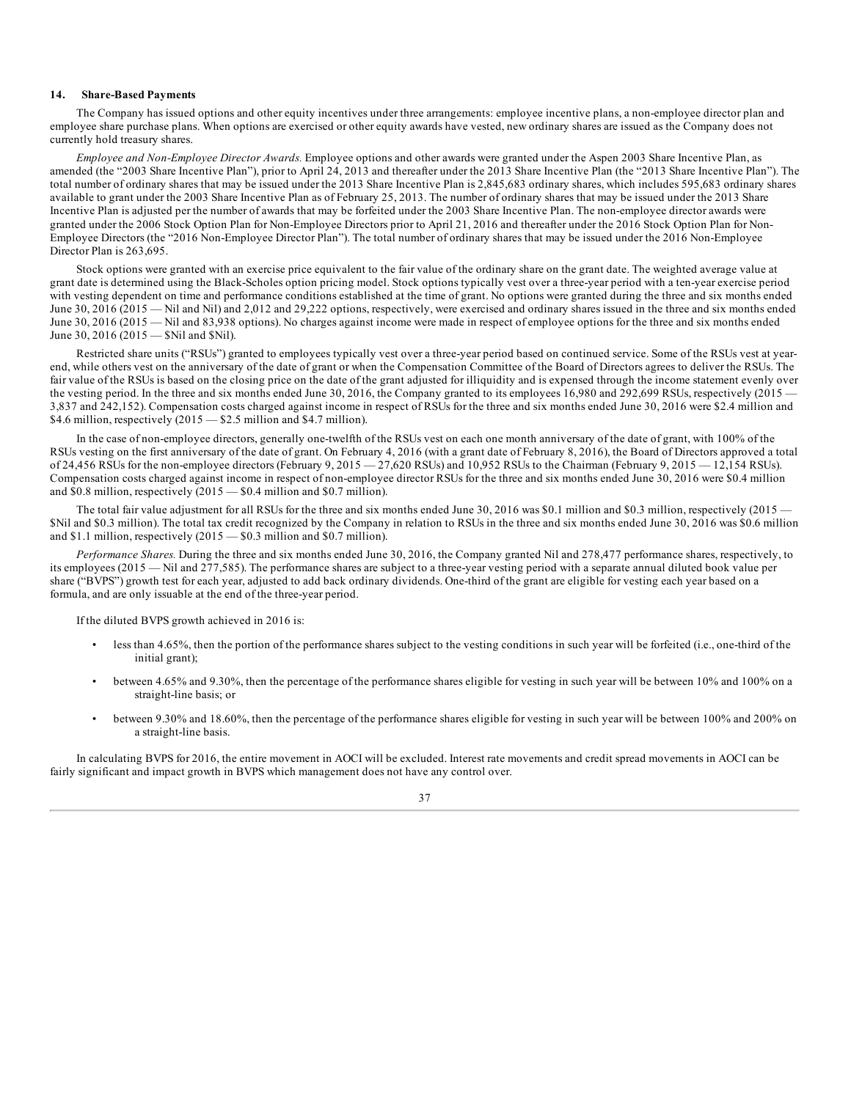#### **14. Share-Based Payments**

The Company has issued options and other equity incentives under three arrangements: employee incentive plans, a non-employee director plan and employee share purchase plans. When options are exercised or other equity awards have vested, new ordinary shares are issued as the Company does not currently hold treasury shares.

*Employee and Non-Employee Director Awards.* Employee options and other awards were granted under the Aspen 2003 Share Incentive Plan, as amended (the "2003 Share Incentive Plan"), prior to April 24, 2013 and thereafter under the 2013 Share Incentive Plan (the "2013 Share Incentive Plan"). The total number of ordinary shares that may be issued under the 2013 Share Incentive Plan is 2,845,683 ordinary shares, which includes 595,683 ordinary shares available to grant under the 2003 Share Incentive Plan as of February 25, 2013. The number of ordinary shares that may be issued under the 2013 Share Incentive Plan is adjusted per the number of awards that may be forfeited under the 2003 Share Incentive Plan. The non-employee director awards were granted under the 2006 Stock Option Plan for Non-Employee Directors prior to April 21, 2016 and thereafter under the 2016 Stock Option Plan for Non-Employee Directors (the "2016 Non-Employee Director Plan"). The total number of ordinary shares that may be issued under the 2016 Non-Employee Director Plan is 263,695.

Stock options were granted with an exercise price equivalent to the fair value of the ordinary share on the grant date. The weighted average value at grant date is determined using the Black-Scholes option pricing model. Stock options typically vest over a three-year period with a ten-year exercise period with vesting dependent on time and performance conditions established at the time of grant. No options were granted during the three and six months ended June 30, 2016 (2015 — Nil and Nil) and 2,012 and 29,222 options, respectively, were exercised and ordinary shares issued in the three and six months ended June 30, 2016 (2015 — Nil and 83,938 options). No charges against income were made in respect of employee options for the three and six months ended June 30, 2016 (2015 — \$Nil and \$Nil).

Restricted share units ("RSUs") granted to employees typically vest over a three-year period based on continued service. Some of the RSUs vest at yearend, while others vest on the anniversary of the date of grant or when the Compensation Committee of the Board of Directors agrees to deliver the RSUs. The fair value of the RSUs is based on the closing price on the date of the grant adjusted for illiquidity and is expensed through the income statement evenly over the vesting period. In the three and six months ended June 30, 2016, the Company granted to its employees 16,980 and 292,699 RSUs, respectively (2015 — 3,837 and 242,152). Compensation costs charged against income in respect of RSUs for the three and six months ended June 30, 2016 were \$2.4 million and \$4.6 million, respectively (2015 – \$2.5 million and \$4.7 million).

In the case of non-employee directors, generally one-twelfth of the RSUs vest on each one month anniversary of the date of grant, with 100% of the RSUs vesting on the first anniversary of the date of grant. On February 4, 2016 (with a grant date of February 8, 2016), the Board of Directors approved a total of 24,456 RSUs for the non-employee directors (February 9, 2015 — 27,620 RSUs) and 10,952 RSUs to the Chairman (February 9, 2015 — 12,154 RSUs). Compensation costs charged against income in respect of non-employee director RSUs for the three and six months ended June 30, 2016 were \$0.4 million and \$0.8 million, respectively  $(2015 - $0.4$  million and \$0.7 million).

The total fair value adjustment for all RSUs for the three and six months ended June 30, 2016 was \$0.1 million and \$0.3 million, respectively (2015 — \$Nil and \$0.3 million). The total tax credit recognized by the Company in relation to RSUs in the three and six months ended June 30, 2016 was \$0.6 million and \$1.1 million, respectively  $(2015 - $0.3$  million and \$0.7 million).

*Performance Shares.* During the three and six months ended June 30, 2016, the Company granted Nil and 278,477 performance shares, respectively, to its employees (2015 — Nil and 277,585). The performance shares are subject to a three-year vesting period with a separate annual diluted book value per share ("BVPS") growth test for each year, adjusted to add back ordinary dividends. One-third of the grant are eligible for vesting each year based on a formula, and are only issuable at the end of the three-year period.

If the diluted BVPS growth achieved in 2016 is:

- less than 4.65%, then the portion of the performance shares subject to the vesting conditions in such year will be forfeited (i.e., one-third of the initial grant);
- between 4.65% and 9.30%, then the percentage of the performance shares eligible for vesting in such year will be between 10% and 100% on a straight-line basis; or
- between 9.30% and 18.60%, then the percentage of the performance shares eligible for vesting in such year will be between 100% and 200% on a straight-line basis.

In calculating BVPS for 2016, the entire movement in AOCI will be excluded. Interest rate movements and credit spread movements in AOCI can be fairly significant and impact growth in BVPS which management does not have any control over.

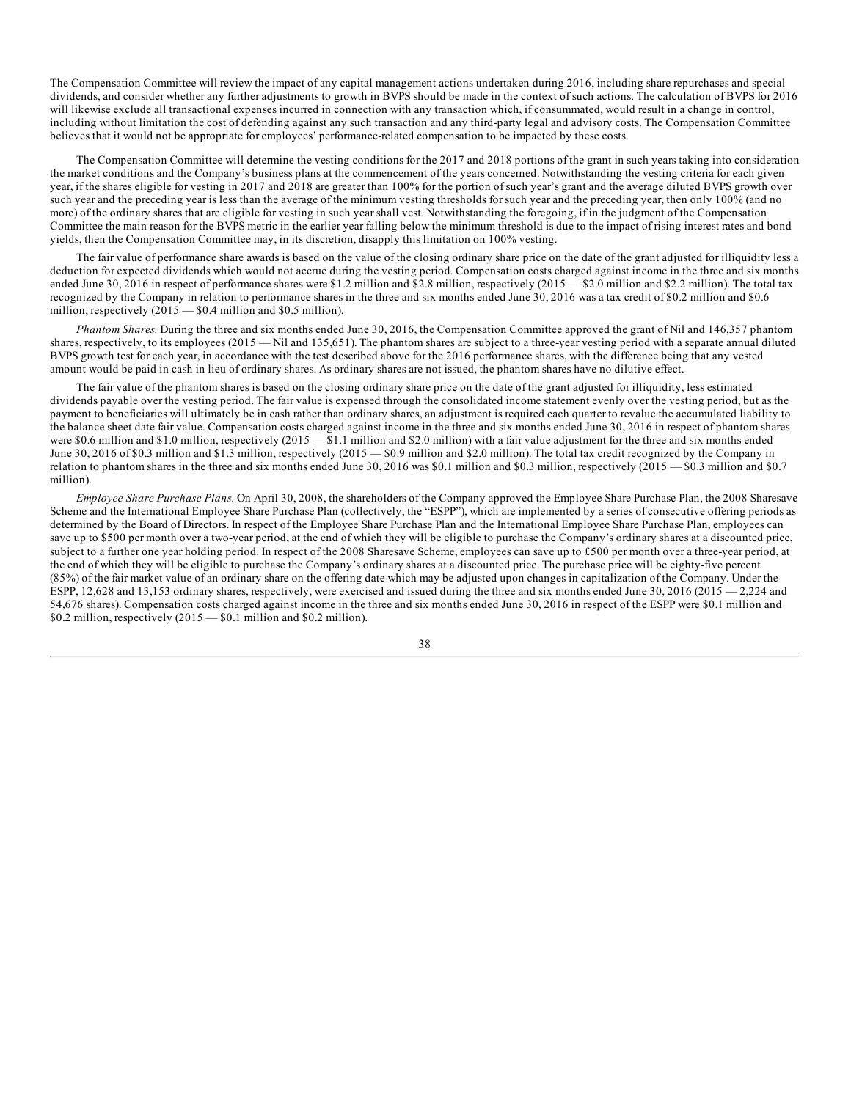The Compensation Committee will review the impact of any capital management actions undertaken during 2016, including share repurchases and special dividends, and consider whether any further adjustments to growth in BVPS should be made in the context of such actions. The calculation of BVPS for 2016 will likewise exclude all transactional expenses incurred in connection with any transaction which, if consummated, would result in a change in control, including without limitation the cost of defending against any such transaction and any third-party legal and advisory costs. The Compensation Committee believes that it would not be appropriate for employees' performance-related compensation to be impacted by these costs.

The Compensation Committee will determine the vesting conditions for the 2017 and 2018 portions of the grant in such years taking into consideration the market conditions and the Company's business plans at the commencement of the years concerned. Notwithstanding the vesting criteria for each given year, if the shares eligible for vesting in 2017 and 2018 are greater than 100% for the portion of such year's grant and the average diluted BVPS growth over such year and the preceding year is less than the average of the minimum vesting thresholds for such year and the preceding year, then only 100% (and no more) of the ordinary shares that are eligible for vesting in such year shall vest. Notwithstanding the foregoing, if in the judgment of the Compensation Committee the main reason for the BVPS metric in the earlier year falling below the minimum threshold is due to the impact of rising interest rates and bond yields, then the Compensation Committee may, in its discretion, disapply this limitation on 100% vesting.

The fair value of performance share awards is based on the value of the closing ordinary share price on the date of the grant adjusted for illiquidity less a deduction for expected dividends which would not accrue during the vesting period. Compensation costs charged against income in the three and six months ended June 30, 2016 in respect of performance shares were \$1.2 million and \$2.8 million, respectively (2015 — \$2.0 million and \$2.2 million). The total tax recognized by the Company in relation to performance shares in the three and six months ended June 30, 2016 was a tax credit of \$0.2 million and \$0.6 million, respectively  $(2015 - $0.4$  million and \$0.5 million).

*Phantom Shares.* During the three and six months ended June 30, 2016, the Compensation Committee approved the grant of Nil and 146,357 phantom shares, respectively, to its employees (2015 — Nil and 135,651). The phantom shares are subject to a three-year vesting period with a separate annual diluted BVPS growth test for each year, in accordance with the test described above for the 2016 performance shares, with the difference being that any vested amount would be paid in cash in lieu of ordinary shares. As ordinary shares are not issued, the phantom shares have no dilutive effect.

The fair value of the phantom shares is based on the closing ordinary share price on the date of the grant adjusted for illiquidity, less estimated dividends payable over the vesting period. The fair value is expensed through the consolidated income statement evenly over the vesting period, but as the payment to beneficiaries will ultimately be in cash rather than ordinary shares, an adjustment is required each quarter to revalue the accumulated liability to the balance sheet date fair value. Compensation costs charged against income in the three and six months ended June 30, 2016 in respect of phantom shares were \$0.6 million and \$1.0 million, respectively (2015 — \$1.1 million and \$2.0 million) with a fair value adjustment for the three and six months ended June 30, 2016 of \$0.3 million and \$1.3 million, respectively (2015 — \$0.9 million and \$2.0 million). The total tax credit recognized by the Company in relation to phantom shares in the three and six months ended June 30, 2016 was \$0.1 million and \$0.3 million, respectively (2015 — \$0.3 million and \$0.7 million).

*Employee Share Purchase Plans.* On April 30, 2008, the shareholders of the Company approved the Employee Share Purchase Plan, the 2008 Sharesave Scheme and the International Employee Share Purchase Plan (collectively, the "ESPP"), which are implemented by a series of consecutive offering periods as determined by the Board of Directors. In respect of the Employee Share Purchase Plan and the International Employee Share Purchase Plan, employees can save up to \$500 per month over a two-year period, at the end of which they will be eligible to purchase the Company's ordinary shares at a discounted price, subject to a further one year holding period. In respect of the 2008 Sharesave Scheme, employees can save up to £500 per month over a three-year period, at the end of which they will be eligible to purchase the Company's ordinary shares at a discounted price. The purchase price will be eighty-five percent (85%) of the fair market value of an ordinary share on the offering date which may be adjusted upon changes in capitalization of the Company. Under the ESPP, 12,628 and 13,153 ordinary shares, respectively, were exercised and issued during the three and six months ended June  $30,2016$  ( $2015 - 2,224$  and 54,676 shares). Compensation costs charged against income in the three and six months ended June 30, 2016 in respect of the ESPP were \$0.1 million and  $$0.2$  million, respectively  $(2015 - $0.1$  million and  $$0.2$  million).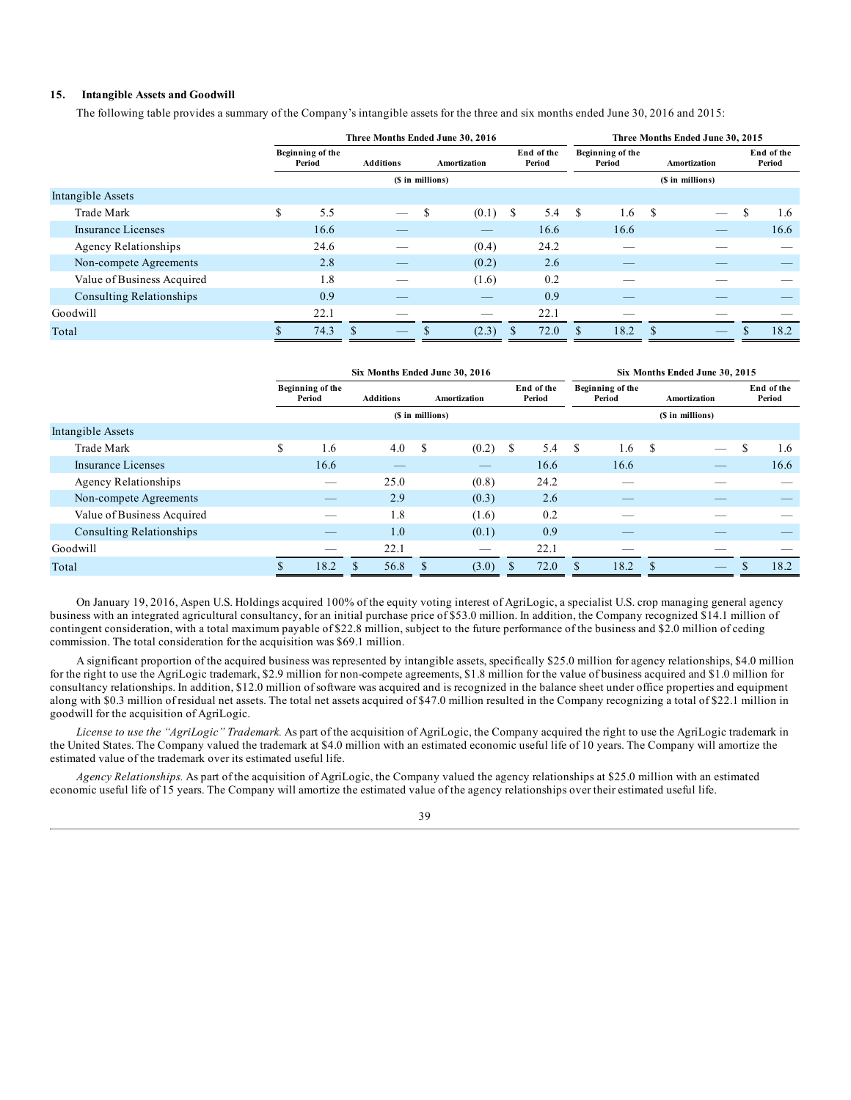## **15. Intangible Assets and Goodwill**

The following table provides a summary of the Company's intangible assets for the three and six months ended June 30, 2016 and 2015:

|       |                             |     | Three Months Ended June 30, 2016 |                  |   |              |                      |      |                  | Three Months Ended June 30, 2015 |               |              |   |                      |
|-------|-----------------------------|-----|----------------------------------|------------------|---|--------------|----------------------|------|------------------|----------------------------------|---------------|--------------|---|----------------------|
|       |                             |     | Beginning of the<br>Period       |                  |   | Amortization | End of the<br>Period |      |                  | Beginning of the<br>Period       |               | Amortization |   | End of the<br>Period |
|       |                             |     |                                  | (\$ in millions) |   |              |                      |      | (\$ in millions) |                                  |               |              |   |                      |
|       | Intangible Assets           |     |                                  |                  |   |              |                      |      |                  |                                  |               |              |   |                      |
|       | Trade Mark                  | \$. | 5.5                              |                  | S | (0.1)        | -S                   | 5.4  | -S               | 1.6                              | S             |              | S | 1.6                  |
|       | Insurance Licenses          |     | 16.6                             |                  |   |              |                      | 16.6 |                  | 16.6                             |               |              |   | 16.6                 |
|       | <b>Agency Relationships</b> |     | 24.6                             |                  |   | (0.4)        |                      | 24.2 |                  |                                  |               |              |   |                      |
|       | Non-compete Agreements      |     | 2.8                              |                  |   | (0.2)        |                      | 2.6  |                  |                                  |               |              |   |                      |
|       | Value of Business Acquired  |     | 1.8                              |                  |   | (1.6)        |                      | 0.2  |                  |                                  |               |              |   |                      |
|       | Consulting Relationships    |     | 0.9                              |                  |   |              |                      | 0.9  |                  |                                  |               |              |   |                      |
|       | Goodwill                    |     | 22.1                             |                  |   |              |                      | 22.1 |                  |                                  |               |              |   |                      |
| Total |                             |     | 74.3                             | <sup>\$</sup>    |   | (2.3)        |                      | 72.0 |                  | 18.2                             | <sup>\$</sup> |              |   | 18.2                 |

|                                 |   | Six Months Ended June 30, 2016 |                  |                  |              |                      |      |               | Six Months Ended June 30, 2015 |               |                                 |                      |      |
|---------------------------------|---|--------------------------------|------------------|------------------|--------------|----------------------|------|---------------|--------------------------------|---------------|---------------------------------|----------------------|------|
|                                 |   | Beginning of the<br>Period     | <b>Additions</b> |                  | Amortization | End of the<br>Period |      |               | Beginning of the<br>Period     | Amortization  |                                 | End of the<br>Period |      |
|                                 |   |                                |                  | (\$ in millions) |              |                      |      |               |                                |               | (\$ in millions)                |                      |      |
| Intangible Assets               |   |                                |                  |                  |              |                      |      |               |                                |               |                                 |                      |      |
| Trade Mark                      | S | 1.6                            | 4.0              | S                | (0.2)        | \$                   | 5.4  | <sup>\$</sup> | 1.6                            | <sup>\$</sup> | $\hspace{0.1mm}-\hspace{0.1mm}$ | S                    | 1.6  |
| Insurance Licenses              |   | 16.6                           |                  |                  |              |                      | 16.6 |               | 16.6                           |               |                                 |                      | 16.6 |
| <b>Agency Relationships</b>     |   | $-$                            | 25.0             |                  | (0.8)        |                      | 24.2 |               | __                             |               |                                 |                      |      |
| Non-compete Agreements          |   |                                | 2.9              |                  | (0.3)        |                      | 2.6  |               |                                |               |                                 |                      |      |
| Value of Business Acquired      |   |                                | 1.8              |                  | (1.6)        |                      | 0.2  |               |                                |               |                                 |                      |      |
| <b>Consulting Relationships</b> |   |                                | 1.0              |                  | (0.1)        |                      | 0.9  |               |                                |               |                                 |                      |      |
| Goodwill                        |   |                                | 22.1             |                  |              |                      | 22.1 |               |                                |               |                                 |                      |      |
| Total                           |   | 18.2                           | 56.8<br>\$.      |                  | (3.0)        |                      | 72.0 |               | 18.2                           | ፍ             |                                 |                      | 18.2 |

On January 19, 2016, Aspen U.S. Holdings acquired 100% of the equity voting interest of AgriLogic, a specialist U.S. crop managing general agency business with an integrated agricultural consultancy, for an initial purchase price of \$53.0 million. In addition, the Company recognized \$14.1 million of contingent consideration, with a total maximum payable of \$22.8 million, subject to the future performance of the business and \$2.0 million of ceding commission. The total consideration for the acquisition was \$69.1 million.

A significant proportion of the acquired business was represented by intangible assets, specifically \$25.0 million for agency relationships, \$4.0 million for the right to use the AgriLogic trademark, \$2.9 million for non-compete agreements, \$1.8 million for the value of business acquired and \$1.0 million for consultancy relationships. In addition, \$12.0 million of software was acquired and is recognized in the balance sheet under office properties and equipment along with \$0.3 million of residual net assets. The total net assets acquired of \$47.0 million resulted in the Company recognizing a total of \$22.1 million in goodwill for the acquisition of AgriLogic.

*License to use the "AgriLogic" Trademark.* As part of the acquisition of AgriLogic, the Company acquired the right to use the AgriLogic trademark in the United States. The Company valued the trademark at \$4.0 million with an estimated economic useful life of 10 years. The Company will amortize the estimated value of the trademark over its estimated useful life.

*Agency Relationships.* As part of the acquisition of AgriLogic, the Company valued the agency relationships at \$25.0 million with an estimated economic useful life of 15 years. The Company will amortize the estimated value of the agency relationships over their estimated useful life.

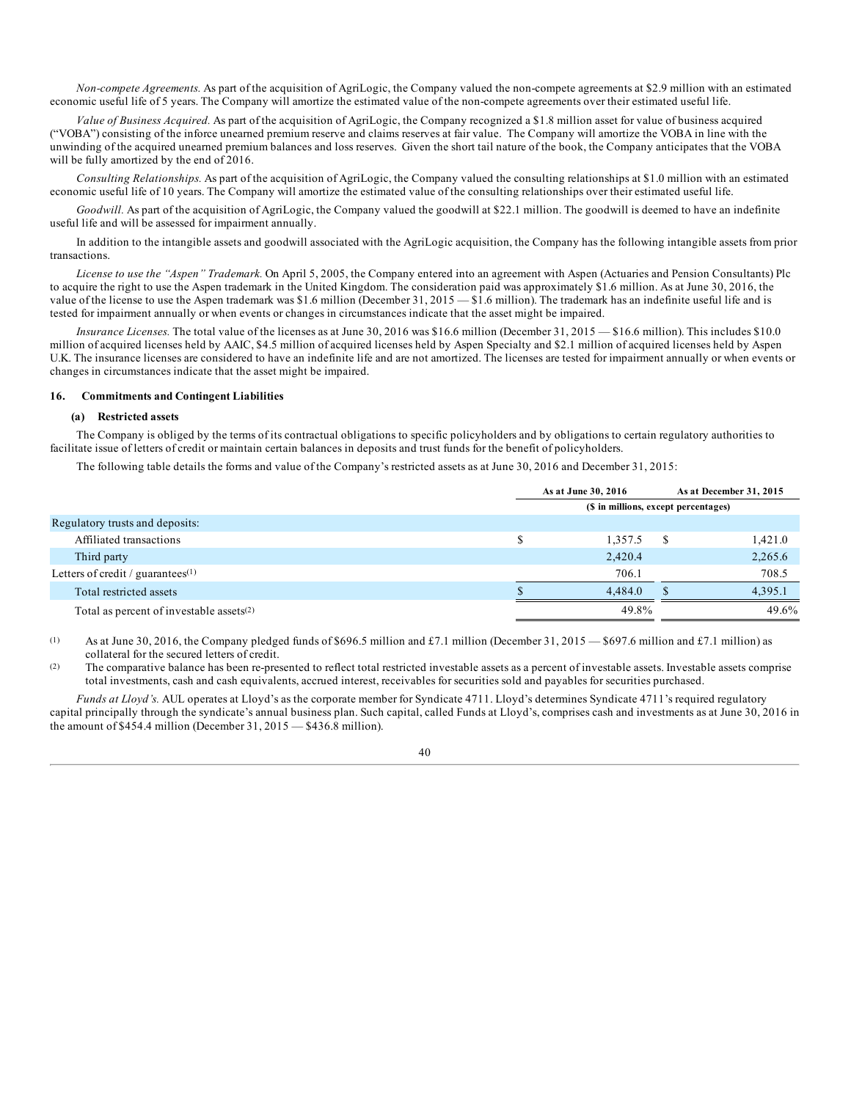*Non-compete Agreements.* As part of the acquisition of AgriLogic, the Company valued the non-compete agreements at \$2.9 million with an estimated economic useful life of 5 years. The Company will amortize the estimated value of the non-compete agreements over their estimated useful life.

*Value of Business Acquired.* As part of the acquisition of AgriLogic, the Company recognized a \$1.8 million asset for value of business acquired ("VOBA") consisting of the inforce unearned premium reserve and claims reserves at fair value. The Company will amortize the VOBA in line with the unwinding of the acquired unearned premium balances and loss reserves. Given the short tail nature of the book, the Company anticipates that the VOBA will be fully amortized by the end of 2016.

*Consulting Relationships.* As part of the acquisition of AgriLogic, the Company valued the consulting relationships at \$1.0 million with an estimated economic useful life of 10 years. The Company will amortize the estimated value of the consulting relationships over their estimated useful life.

Goodwill. As part of the acquisition of AgriLogic, the Company valued the goodwill at \$22.1 million. The goodwill is deemed to have an indefinite useful life and will be assessed for impairment annually.

In addition to the intangible assets and goodwill associated with the AgriLogic acquisition, the Company has the following intangible assets from prior transactions.

*License to use the "Aspen" Trademark.* On April 5, 2005, the Company entered into an agreement with Aspen (Actuaries and Pension Consultants) Plc to acquire the right to use the Aspen trademark in the United Kingdom. The consideration paid was approximately \$1.6 million. As at June 30, 2016, the value of the license to use the Aspen trademark was \$1.6 million (December 31, 2015 — \$1.6 million). The trademark has an indefinite useful life and is tested for impairment annually or when events or changes in circumstances indicate that the asset might be impaired.

*Insurance Licenses.* The total value of the licenses as at June 30, 2016 was \$16.6 million (December 31, 2015 — \$16.6 million). This includes \$10.0 million of acquired licenses held by AAIC, \$4.5 million of acquired licenses held by Aspen Specialty and \$2.1 million of acquired licenses held by Aspen U.K. The insurance licenses are considered to have an indefinite life and are not amortized. The licenses are tested for impairment annually or when events or changes in circumstances indicate that the asset might be impaired.

### **16. Commitments and Contingent Liabilities**

#### **(a) Restricted assets**

The Company is obliged by the terms of its contractual obligations to specific policyholders and by obligations to certain regulatory authorities to facilitate issue of letters of credit or maintain certain balances in deposits and trust funds for the benefit of policyholders.

The following table details the forms and value of the Company's restricted assets as at June 30, 2016 and December 31, 2015:

|                                             | As at June 30, 2016                  |     | As at December 31, 2015 |  |  |  |  |
|---------------------------------------------|--------------------------------------|-----|-------------------------|--|--|--|--|
|                                             | (\$ in millions, except percentages) |     |                         |  |  |  |  |
| Regulatory trusts and deposits:             |                                      |     |                         |  |  |  |  |
| Affiliated transactions                     | 1.357.5                              | S   | 1,421.0                 |  |  |  |  |
| Third party                                 | 2,420.4                              |     | 2,265.6                 |  |  |  |  |
| Letters of credit / guarantees $(1)$        | 706.1                                |     | 708.5                   |  |  |  |  |
| Total restricted assets                     | 4.484.0                              | \$. | 4,395.1                 |  |  |  |  |
| Total as percent of investable assets $(2)$ | 49.8%                                |     | 49.6%                   |  |  |  |  |

(1) As at June 30, 2016, the Company pledged funds of \$696.5 million and £7.1 million (December 31, 2015 – \$697.6 million and £7.1 million) as collateral for the secured letters of credit.

 $(2)$  The comparative balance has been re-presented to reflect total restricted investable assets as a percent of investable assets. Investable assets comprise total investments, cash and cash equivalents, accrued interest, receivables for securities sold and payables for securities purchased.

*Funds at Lloyd's.* AUL operates at Lloyd's as the corporate member for Syndicate 4711. Lloyd's determines Syndicate 4711's required regulatory capital principally through the syndicate's annual business plan. Such capital, called Funds at Lloyd's, comprises cash and investments as at June 30, 2016 in the amount of \$454.4 million (December 31, 2015 — \$436.8 million).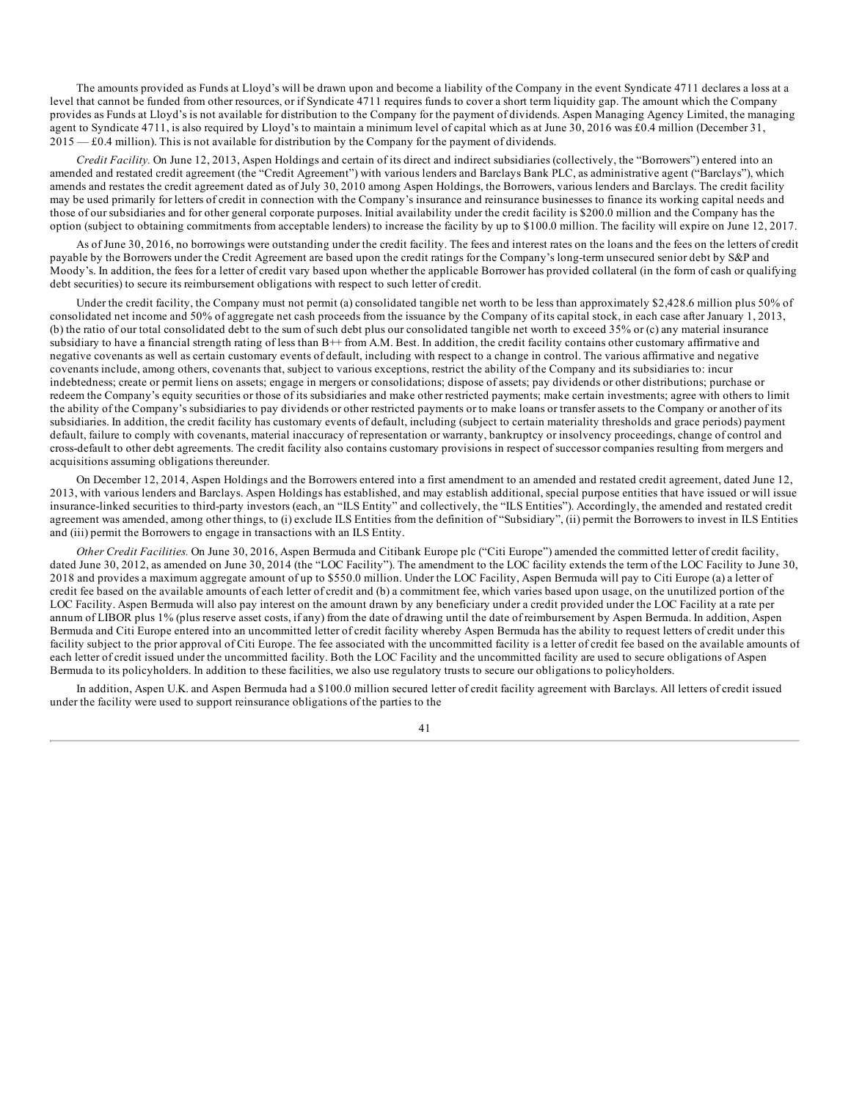The amounts provided as Funds at Lloyd's will be drawn upon and become a liability of the Company in the event Syndicate 4711 declares a loss at a level that cannot be funded from other resources, or if Syndicate 4711 requires funds to cover a short term liquidity gap. The amount which the Company provides as Funds at Lloyd's is not available for distribution to the Company for the payment of dividends. Aspen Managing Agency Limited, the managing agent to Syndicate 4711, is also required by Lloyd's to maintain a minimum level of capital which as at June 30, 2016 was £0.4 million (December 31, 2015 — £0.4 million). This is not available for distribution by the Company for the payment of dividends.

*Credit Facility.* On June 12, 2013, Aspen Holdings and certain of its direct and indirect subsidiaries (collectively, the "Borrowers") entered into an amended and restated credit agreement (the "Credit Agreement") with various lenders and Barclays Bank PLC, as administrative agent ("Barclays"), which amends and restates the credit agreement dated as of July 30, 2010 among Aspen Holdings, the Borrowers, various lenders and Barclays. The credit facility may be used primarily for letters of credit in connection with the Company's insurance and reinsurance businesses to finance its working capital needs and those of our subsidiaries and for other general corporate purposes. Initial availability under the credit facility is \$200.0 million and the Company has the option (subject to obtaining commitments from acceptable lenders) to increase the facility by up to \$100.0 million. The facility will expire on June 12, 2017.

As of June 30, 2016, no borrowings were outstanding under the credit facility. The fees and interest rates on the loans and the fees on the letters of credit payable by the Borrowers under the Credit Agreement are based upon the credit ratings for the Company's long-term unsecured senior debt by S&P and Moody's. In addition, the fees for a letter of credit vary based upon whether the applicable Borrower has provided collateral (in the form of cash or qualifying debt securities) to secure its reimbursement obligations with respect to such letter of credit.

Under the credit facility, the Company must not permit (a) consolidated tangible net worth to be less than approximately \$2,428.6 million plus 50% of consolidated net income and 50% of aggregate net cash proceeds from the issuance by the Company of its capital stock, in each case after January 1, 2013, (b) the ratio of our total consolidated debt to the sum of such debt plus our consolidated tangible net worth to exceed 35% or (c) any material insurance subsidiary to have a financial strength rating of less than  $B++$  from A.M. Best. In addition, the credit facility contains other customary affirmative and negative covenants as well as certain customary events of default, including with respect to a change in control. The various affirmative and negative covenants include, among others, covenants that, subject to various exceptions, restrict the ability of the Company and its subsidiaries to: incur indebtedness; create or permit liens on assets; engage in mergers or consolidations; dispose of assets; pay dividends or other distributions; purchase or redeem the Company's equity securities or those of its subsidiaries and make other restricted payments; make certain investments; agree with others to limit the ability of the Company's subsidiaries to pay dividends or other restricted payments or to make loans or transfer assets to the Company or another of its subsidiaries. In addition, the credit facility has customary events of default, including (subject to certain materiality thresholds and grace periods) payment default, failure to comply with covenants, material inaccuracy of representation or warranty, bankruptcy or insolvency proceedings, change of control and cross-default to other debt agreements. The credit facility also contains customary provisions in respect of successor companies resulting from mergers and acquisitions assuming obligations thereunder.

On December 12, 2014, Aspen Holdings and the Borrowers entered into a first amendment to an amended and restated credit agreement, dated June 12, 2013, with various lenders and Barclays. Aspen Holdings has established, and may establish additional, special purpose entities that have issued or will issue insurance-linked securities to third-party investors (each, an "ILS Entity" and collectively, the "ILS Entities"). Accordingly, the amended and restated credit agreement was amended, among other things, to (i) exclude ILS Entities from the definition of "Subsidiary", (ii) permit the Borrowers to invest in ILS Entities and (iii) permit the Borrowers to engage in transactions with an ILS Entity.

*Other Credit Facilities.* On June 30, 2016, Aspen Bermuda and Citibank Europe plc ("Citi Europe") amended the committed letter of credit facility, dated June 30, 2012, as amended on June 30, 2014 (the "LOC Facility"). The amendment to the LOC facility extends the term of the LOC Facility to June 30, 2018 and provides a maximum aggregate amount of up to \$550.0 million. Under the LOC Facility, Aspen Bermuda will pay to Citi Europe (a) a letter of credit fee based on the available amounts of each letter of credit and (b) a commitment fee, which varies based upon usage, on the unutilized portion of the LOC Facility. Aspen Bermuda will also pay interest on the amount drawn by any beneficiary under a credit provided under the LOC Facility at a rate per annum of LIBOR plus 1% (plus reserve asset costs, if any) from the date of drawing until the date of reimbursement by Aspen Bermuda. In addition, Aspen Bermuda and Citi Europe entered into an uncommitted letter of credit facility whereby Aspen Bermuda has the ability to request letters of credit under this facility subject to the prior approval of Citi Europe. The fee associated with the uncommitted facility is a letter of credit fee based on the available amounts of each letter of credit issued under the uncommitted facility. Both the LOC Facility and the uncommitted facility are used to secure obligations of Aspen Bermuda to its policyholders. In addition to these facilities, we also use regulatory trusts to secure our obligations to policyholders.

In addition, Aspen U.K. and Aspen Bermuda had a \$100.0 million secured letter of credit facility agreement with Barclays. All letters of credit issued under the facility were used to support reinsurance obligations of the parties to the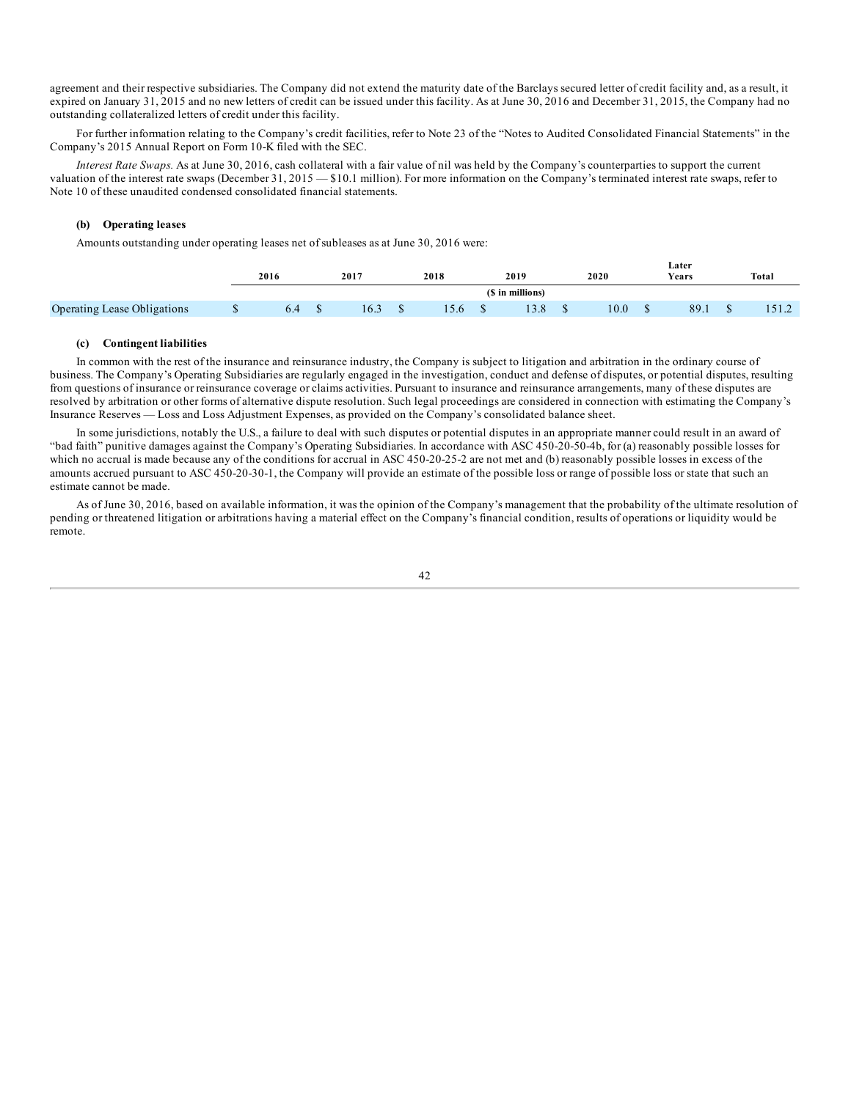agreement and their respective subsidiaries. The Company did not extend the maturity date of the Barclays secured letter of credit facility and, as a result, it expired on January 31, 2015 and no new letters of credit can be issued under this facility. As at June 30, 2016 and December 31, 2015, the Company had no outstanding collateralized letters of credit under this facility.

For further information relating to the Company's credit facilities, refer to Note 23 of the "Notes to Audited Consolidated Financial Statements" in the Company's 2015 Annual Report on Form 10-K filed with the SEC.

*Interest Rate Swaps.* As at June 30, 2016, cash collateral with a fair value of nil was held by the Company's counterparties to support the current valuation of the interest rate swaps (December 31, 2015 — \$10.1 million). For more information on the Company's terminated interest rate swaps, refer to Note 10 of these unaudited condensed consolidated financial statements.

### **(b) Operating leases**

Amounts outstanding under operating leases net of subleases as at June 30, 2016 were:

|                                    |   | 2016 | 2017 | 2018 | 2019            | 2020 | Later<br>Years | Total  |
|------------------------------------|---|------|------|------|-----------------|------|----------------|--------|
|                                    |   |      |      |      | 'S in millions) |      |                |        |
| <b>Operating Lease Obligations</b> | w | O.4  | 16.3 | .3.6 | 20<br>19.0      | 10.0 | 89.1           | 1.31.2 |

### **(c) Contingent liabilities**

In common with the rest of the insurance and reinsurance industry, the Company is subject to litigation and arbitration in the ordinary course of business. The Company's Operating Subsidiaries are regularly engaged in the investigation, conduct and defense of disputes, or potential disputes, resulting from questions of insurance or reinsurance coverage or claims activities. Pursuant to insurance and reinsurance arrangements, many of these disputes are resolved by arbitration or other forms of alternative dispute resolution. Such legal proceedings are considered in connection with estimating the Company's Insurance Reserves — Loss and Loss Adjustment Expenses, as provided on the Company's consolidated balance sheet.

In some jurisdictions, notably the U.S., a failure to deal with such disputes or potential disputes in an appropriate manner could result in an award of "bad faith" punitive damages against the Company's Operating Subsidiaries. In accordance with ASC 450-20-50-4b, for (a) reasonably possible losses for which no accrual is made because any of the conditions for accrual in ASC 450-20-25-2 are not met and (b) reasonably possible losses in excess of the amounts accrued pursuant to ASC 450-20-30-1, the Company will provide an estimate of the possible loss or range of possible loss or state that such an estimate cannot be made.

As of June 30, 2016, based on available information, it was the opinion of the Company's management that the probability of the ultimate resolution of pending or threatened litigation or arbitrations having a material effect on the Company's financial condition, results of operations or liquidity would be remote.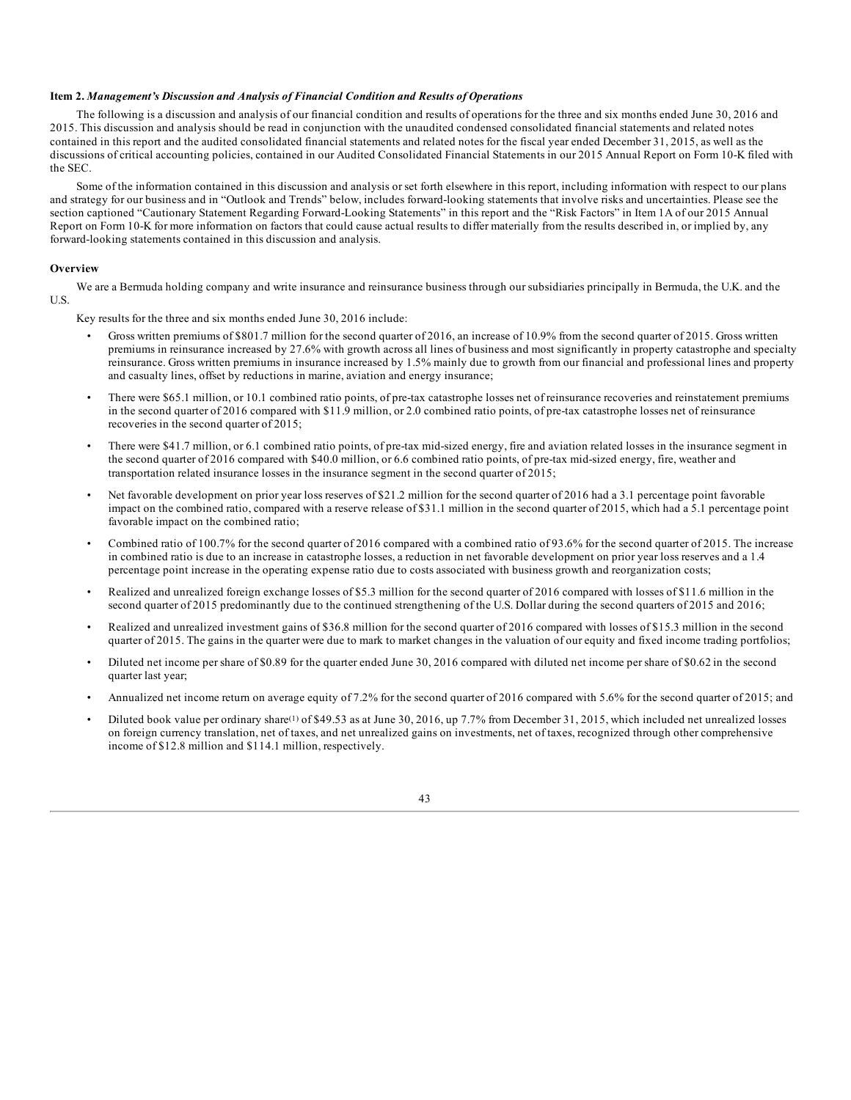### **Item 2.** *Management's Discussion and Analysis of Financial Condition and Results of Operations*

The following is a discussion and analysis of our financial condition and results of operations for the three and six months ended June 30, 2016 and 2015. This discussion and analysis should be read in conjunction with the unaudited condensed consolidated financial statements and related notes contained in this report and the audited consolidated financial statements and related notes for the fiscal year ended December 31, 2015, as well as the discussions of critical accounting policies, contained in our Audited Consolidated Financial Statements in our 2015 Annual Report on Form 10-K filed with the SEC.

Some of the information contained in this discussion and analysis or set forth elsewhere in this report, including information with respect to our plans and strategy for our business and in "Outlook and Trends" below, includes forward-looking statements that involve risks and uncertainties. Please see the section captioned "Cautionary Statement Regarding Forward-Looking Statements" in this report and the "Risk Factors" in Item 1A of our 2015 Annual Report on Form 10-K for more information on factors that could cause actual results to differ materially from the results described in, or implied by, any forward-looking statements contained in this discussion and analysis.

### **Overview**

We are a Bermuda holding company and write insurance and reinsurance business through our subsidiaries principally in Bermuda, the U.K. and the U.S.

Key results for the three and six months ended June 30, 2016 include:

- Gross written premiums of \$801.7 million for the second quarter of 2016, an increase of 10.9% from the second quarter of 2015. Gross written premiums in reinsurance increased by 27.6% with growth across all lines of business and most significantly in property catastrophe and specialty reinsurance. Gross written premiums in insurance increased by 1.5% mainly due to growth from our financial and professional lines and property and casualty lines, offset by reductions in marine, aviation and energy insurance;
- There were \$65.1 million, or 10.1 combined ratio points, of pre-tax catastrophe losses net of reinsurance recoveries and reinstatement premiums in the second quarter of 2016 compared with \$11.9 million, or 2.0 combined ratio points, of pre-tax catastrophe losses net of reinsurance recoveries in the second quarter of 2015;
- There were \$41.7 million, or 6.1 combined ratio points, of pre-tax mid-sized energy, fire and aviation related losses in the insurance segment in the second quarter of 2016 compared with \$40.0 million, or 6.6 combined ratio points, of pre-tax mid-sized energy, fire, weather and transportation related insurance losses in the insurance segment in the second quarter of 2015;
- Net favorable development on prior year loss reserves of \$21.2 million for the second quarter of 2016 had a 3.1 percentage point favorable impact on the combined ratio, compared with a reserve release of \$31.1 million in the second quarter of 2015, which had a 5.1 percentage point favorable impact on the combined ratio;
- Combined ratio of 100.7% for the second quarter of 2016 compared with a combined ratio of 93.6% for the second quarter of 2015. The increase in combined ratio is due to an increase in catastrophe losses, a reduction in net favorable development on prior year loss reserves and a 1.4 percentage point increase in the operating expense ratio due to costs associated with business growth and reorganization costs;
- Realized and unrealized foreign exchange losses of \$5.3 million for the second quarter of 2016 compared with losses of \$11.6 million in the second quarter of 2015 predominantly due to the continued strengthening of the U.S. Dollar during the second quarters of 2015 and 2016;
- Realized and unrealized investment gains of \$36.8 million for the second quarter of 2016 compared with losses of \$15.3 million in the second quarter of 2015. The gains in the quarter were due to mark to market changes in the valuation of our equity and fixed income trading portfolios;
- Diluted net income per share of \$0.89 for the quarter ended June 30, 2016 compared with diluted net income per share of \$0.62 in the second quarter last year;
- Annualized net income return on average equity of 7.2% for the second quarter of 2016 compared with 5.6% for the second quarter of 2015; and
- Diluted book value per ordinary share<sup>(1)</sup> of \$49.53 as at June 30, 2016, up 7.7% from December 31, 2015, which included net unrealized losses on foreign currency translation, net of taxes, and net unrealized gains on investments, net of taxes, recognized through other comprehensive income of \$12.8 million and \$114.1 million, respectively.

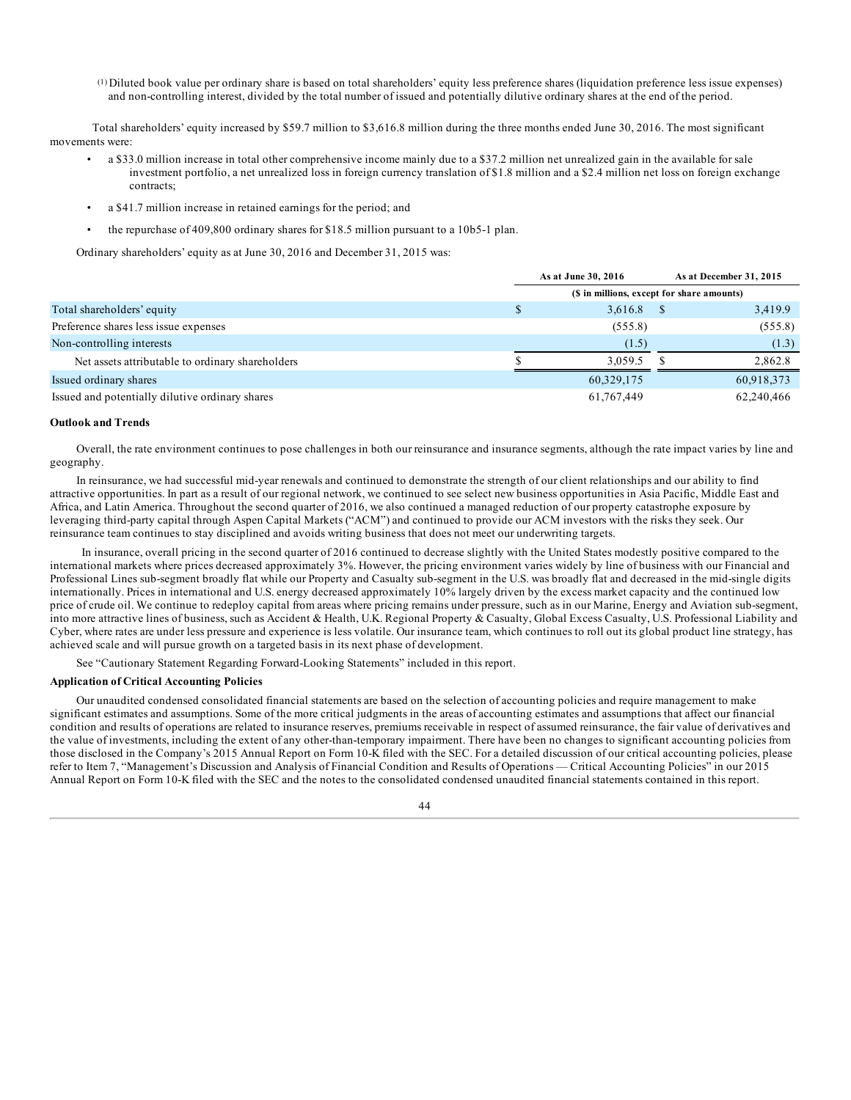(1) Diluted book value per ordinary share is based on total shareholders' equity less preference shares (liquidation preference less issue expenses) and non-controlling interest, divided by the total number of issued and potentially dilutive ordinary shares at the end of the period.

Total shareholders' equity increased by \$59.7 million to \$3,616.8 million during the three months ended June 30, 2016. The most significant movements were:

- a \$33.0 million increase in total other comprehensive income mainly due to a \$37.2 million net unrealized gain in the available for sale investment portfolio, a net unrealized loss in foreign currency translation of \$1.8 million and a \$2.4 million net loss on foreign exchange contracts;
- a \$41.7 million increase in retained earnings for the period; and
- the repurchase of 409,800 ordinary shares for \$18.5 million pursuant to a 10b5-1 plan.

Ordinary shareholders' equity as at June 30, 2016 and December 31, 2015 was:

|                                                  | As at June 30, 2016                        |            | As at December 31, 2015 |            |  |  |  |  |
|--------------------------------------------------|--------------------------------------------|------------|-------------------------|------------|--|--|--|--|
|                                                  | (\$ in millions, except for share amounts) |            |                         |            |  |  |  |  |
| Total shareholders' equity                       |                                            | 3,616.8    |                         | 3,419.9    |  |  |  |  |
| Preference shares less issue expenses            |                                            | (555.8)    |                         | (555.8)    |  |  |  |  |
| Non-controlling interests                        |                                            | (1.5)      |                         | (1.3)      |  |  |  |  |
| Net assets attributable to ordinary shareholders |                                            | 3.059.5    |                         | 2.862.8    |  |  |  |  |
| Issued ordinary shares                           |                                            | 60,329,175 |                         | 60,918,373 |  |  |  |  |
| Issued and potentially dilutive ordinary shares  |                                            | 61,767,449 |                         | 62,240,466 |  |  |  |  |

### **Outlook and Trends**

Overall, the rate environment continues to pose challenges in both our reinsurance and insurance segments, although the rate impact varies by line and geography.

In reinsurance, we had successful mid-year renewals and continued to demonstrate the strength of our client relationships and our ability to find attractive opportunities. In part as a result of our regional network, we continued to see select new business opportunities in Asia Pacific, Middle East and Africa, and Latin America. Throughout the second quarter of 2016, we also continued a managed reduction of our property catastrophe exposure by leveraging third-party capital through Aspen Capital Markets ("ACM") and continued to provide our ACM investors with the risks they seek. Our reinsurance team continues to stay disciplined and avoids writing business that does not meet our underwriting targets.

In insurance, overall pricing in the second quarter of 2016 continued to decrease slightly with the United States modestly positive compared to the international markets where prices decreased approximately 3%. However, the pricing environment varies widely by line of business with our Financial and Professional Lines sub-segment broadly flat while our Property and Casualty sub-segment in the U.S. was broadly flat and decreased in the mid-single digits internationally. Prices in international and U.S. energy decreased approximately 10% largely driven by the excess market capacity and the continued low price of crude oil. We continue to redeploy capital from areas where pricing remains under pressure, such as in our Marine, Energy and Aviation sub-segment, into more attractive lines of business, such as Accident & Health, U.K. Regional Property & Casualty, Global Excess Casualty, U.S. Professional Liability and Cyber, where rates are under less pressure and experience is less volatile. Our insurance team, which continues to roll out its global product line strategy, has achieved scale and will pursue growth on a targeted basis in its next phase of development.

See "Cautionary Statement Regarding Forward-Looking Statements" included in this report.

### **Application of Critical Accounting Policies**

Our unaudited condensed consolidated financial statements are based on the selection of accounting policies and require management to make significant estimates and assumptions. Some of the more critical judgments in the areas of accounting estimates and assumptions that affect our financial condition and results of operations are related to insurance reserves, premiums receivable in respect of assumed reinsurance, the fair value of derivatives and the value of investments, including the extent of any other-than-temporary impairment. There have been no changes to significant accounting policies from those disclosed in the Company's 2015 Annual Report on Form 10-K filed with the SEC. For a detailed discussion of our critical accounting policies, please refer to Item 7, "Management's Discussion and Analysis of Financial Condition and Results of Operations — Critical Accounting Policies" in our 2015 Annual Report on Form 10-K filed with the SEC and the notes to the consolidated condensed unaudited financial statements contained in this report.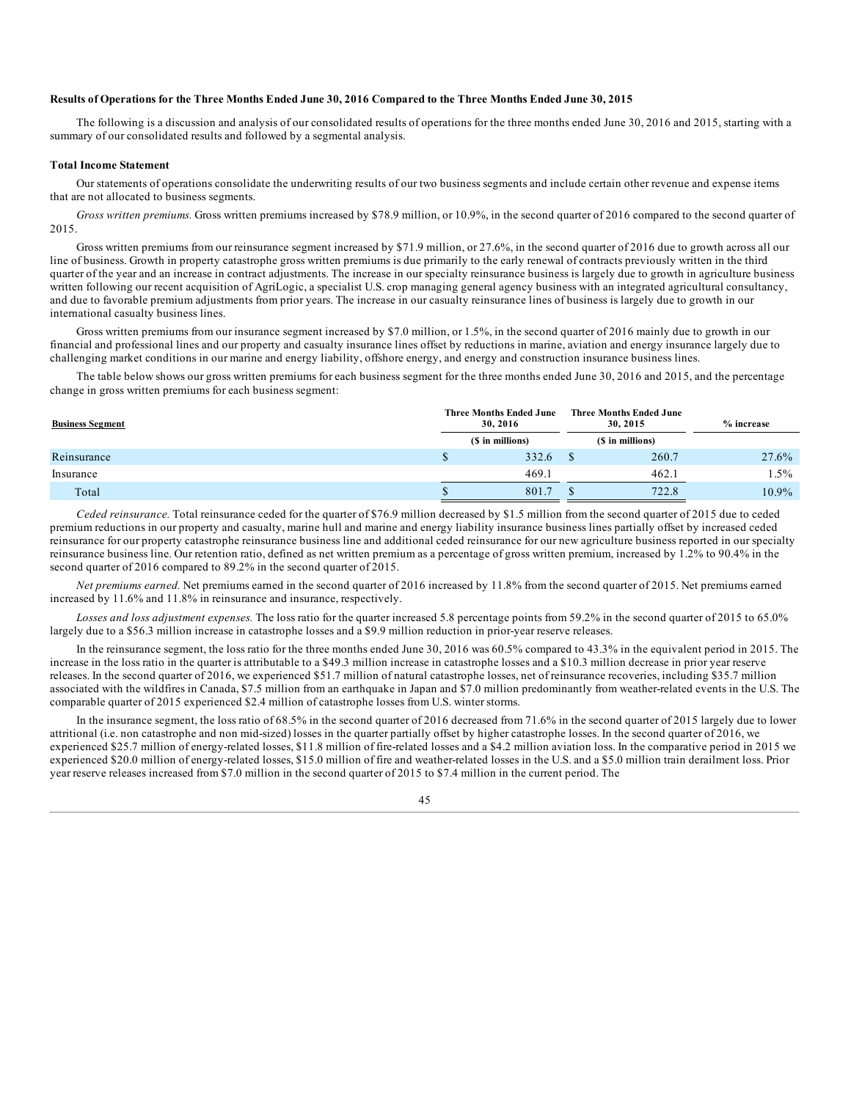## Results of Operations for the Three Months Ended June 30, 2016 Compared to the Three Months Ended June 30, 2015

The following is a discussion and analysis of our consolidated results of operations for the three months ended June 30, 2016 and 2015, starting with a summary of our consolidated results and followed by a segmental analysis.

#### **Total Income Statement**

Our statements of operations consolidate the underwriting results of our two business segments and include certain other revenue and expense items that are not allocated to business segments.

*Gross written premiums.* Gross written premiums increased by \$78.9 million, or 10.9%, in the second quarter of 2016 compared to the second quarter of 2015.

Gross written premiums from our reinsurance segment increased by \$71.9 million, or 27.6%, in the second quarter of 2016 due to growth across all our line of business. Growth in property catastrophe gross written premiums is due primarily to the early renewal of contracts previously written in the third quarter of the year and an increase in contract adjustments. The increase in our specialty reinsurance business is largely due to growth in agriculture business written following our recent acquisition of AgriLogic, a specialist U.S. crop managing general agency business with an integrated agricultural consultancy, and due to favorable premium adjustments from prior years. The increase in our casualty reinsurance lines of business is largely due to growth in our international casualty business lines.

Gross written premiums from our insurance segment increased by \$7.0 million, or 1.5%, in the second quarter of 2016 mainly due to growth in our financial and professional lines and our property and casualty insurance lines offset by reductions in marine, aviation and energy insurance largely due to challenging market conditions in our marine and energy liability, offshore energy, and energy and construction insurance business lines.

The table below shows our gross written premiums for each business segment for the three months ended June 30, 2016 and 2015, and the percentage change in gross written premiums for each business segment:

| <b>Business Segment</b> |  | <b>Three Months Ended June</b><br>30, 2016 | <b>Three Months Ended June</b><br>30, 2015 | $%$ increase |  |  |
|-------------------------|--|--------------------------------------------|--------------------------------------------|--------------|--|--|
|                         |  | (\$ in millions)                           | (\$ in millions)                           |              |  |  |
| Reinsurance             |  | 332.6                                      | 260.7                                      | 27.6%        |  |  |
| Insurance               |  | 469.1                                      | 462.1                                      | $1.5\%$      |  |  |
| Total                   |  | 801.7                                      | 722.8                                      | 10.9%        |  |  |

*Ceded reinsurance.* Total reinsurance ceded for the quarter of \$76.9 million decreased by \$1.5 million from the second quarter of 2015 due to ceded premium reductions in our property and casualty, marine hull and marine and energy liability insurance business lines partially offset by increased ceded reinsurance for our property catastrophe reinsurance business line and additional ceded reinsurance for our new agriculture business reported in our specialty reinsurance business line. Our retention ratio, defined as net written premium as a percentage of gross written premium, increased by 1.2% to 90.4% in the second quarter of 2016 compared to 89.2% in the second quarter of 2015.

*Net premiums earned.* Net premiums earned in the second quarter of 2016 increased by 11.8% from the second quarter of 2015. Net premiums earned increased by 11.6% and 11.8% in reinsurance and insurance, respectively.

*Losses and loss adjustment expenses.* The loss ratio for the quarter increased 5.8 percentage points from 59.2% in the second quarter of 2015 to 65.0% largely due to a \$56.3 million increase in catastrophe losses and a \$9.9 million reduction in prior-year reserve releases.

In the reinsurance segment, the loss ratio for the three months ended June 30, 2016 was 60.5% compared to 43.3% in the equivalent period in 2015. The increase in the loss ratio in the quarter is attributable to a \$49.3 million increase in catastrophe losses and a \$10.3 million decrease in prior year reserve releases. In the second quarter of 2016, we experienced \$51.7 million of natural catastrophe losses, net of reinsurance recoveries, including \$35.7 million associated with the wildfires in Canada, \$7.5 million from an earthquake in Japan and \$7.0 million predominantly from weather-related events in the U.S. The comparable quarter of 2015 experienced \$2.4 million of catastrophe losses from U.S. winter storms.

In the insurance segment, the loss ratio of 68.5% in the second quarter of 2016 decreased from 71.6% in the second quarter of 2015 largely due to lower attritional (i.e. non catastrophe and non mid-sized) losses in the quarter partially offset by higher catastrophe losses. In the second quarter of 2016, we experienced \$25.7 million of energy-related losses, \$11.8 million of fire-related losses and a \$4.2 million aviation loss. In the comparative period in 2015 we experienced \$20.0 million of energy-related losses, \$15.0 million of fire and weather-related losses in the U.S. and a \$5.0 million train derailment loss. Prior year reserve releases increased from \$7.0 million in the second quarter of 2015 to \$7.4 million in the current period. The

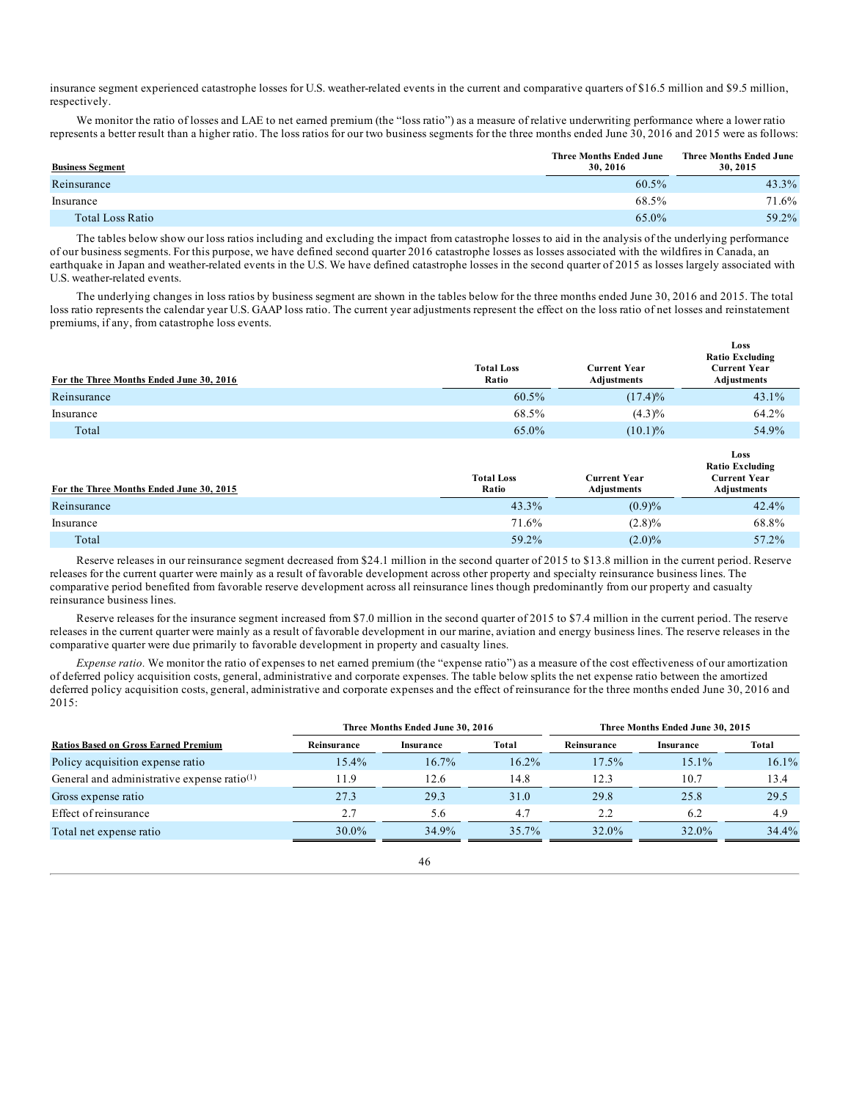insurance segment experienced catastrophe losses for U.S. weather-related events in the current and comparative quarters of \$16.5 million and \$9.5 million, respectively.

We monitor the ratio of losses and LAE to net earned premium (the "loss ratio") as a measure of relative underwriting performance where a lower ratio represents a better result than a higher ratio. The loss ratios for our two business segments for the three months ended June 30, 2016 and 2015 were as follows:

| <b>Business Segment</b> | <b>Three Months Ended June</b><br>30, 2016 | Three Months Ended June<br>30, 2015 |
|-------------------------|--------------------------------------------|-------------------------------------|
| Reinsurance             | 60.5%                                      | 43.3%                               |
| Insurance               | 68.5%                                      | 71.6%                               |
| Total Loss Ratio        | 65.0%                                      | 59.2%                               |

The tables below show our loss ratios including and excluding the impact from catastrophe losses to aid in the analysis of the underlying performance of our business segments. For this purpose, we have defined second quarter 2016 catastrophe losses as losses associated with the wildfires in Canada, an earthquake in Japan and weather-related events in the U.S. We have defined catastrophe losses in the second quarter of 2015 as losses largely associated with U.S. weather-related events.

The underlying changes in loss ratios by business segment are shown in the tables below for the three months ended June 30, 2016 and 2015. The total loss ratio represents the calendar year U.S. GAAP loss ratio. The current year adjustments represent the effect on the loss ratio of net losses and reinstatement premiums, if any, from catastrophe loss events.

| For the Three Months Ended June 30, 2016 | <b>Total Loss</b><br>Ratio | <b>Current Year</b><br>Adjustments | Loss<br><b>Ratio Excluding</b><br><b>Current Year</b><br>Adjustments |
|------------------------------------------|----------------------------|------------------------------------|----------------------------------------------------------------------|
| Reinsurance                              | 60.5%                      | $(17.4)\%$                         | 43.1%                                                                |
| Insurance                                | 68.5%                      | $(4.3)\%$                          | 64.2%                                                                |
| Total                                    | 65.0%                      | $(10.1)\%$                         | 54.9%                                                                |

| For the Three Months Ended June 30, 2015 | <b>Total Loss</b><br>Ratio | <b>Current Year</b><br><b>Adiustments</b> | Loss<br><b>Ratio Excluding</b><br><b>Current Year</b><br>Adjustments |
|------------------------------------------|----------------------------|-------------------------------------------|----------------------------------------------------------------------|
| Reinsurance                              | 43.3%                      | (0.9)%                                    | $42.4\%$                                                             |
| Insurance                                | 71.6%                      | $(2.8)\%$                                 | 68.8%                                                                |
| Total                                    | 59.2%                      | $(2.0)\%$                                 | 57.2%                                                                |

Reserve releases in our reinsurance segment decreased from \$24.1 million in the second quarter of 2015 to \$13.8 million in the current period. Reserve releases for the current quarter were mainly as a result of favorable development across other property and specialty reinsurance business lines. The comparative period benefited from favorable reserve development across all reinsurance lines though predominantly from our property and casualty reinsurance business lines.

Reserve releases for the insurance segment increased from \$7.0 million in the second quarter of 2015 to \$7.4 million in the current period. The reserve releases in the current quarter were mainly as a result of favorable development in our marine, aviation and energy business lines. The reserve releases in the comparative quarter were due primarily to favorable development in property and casualty lines.

*Expense ratio.* We monitor the ratio of expenses to net earned premium (the "expense ratio") as a measure of the cost effectiveness of our amortization of deferred policy acquisition costs, general, administrative and corporate expenses. The table below splits the net expense ratio between the amortized deferred policy acquisition costs, general, administrative and corporate expenses and the effect of reinsurance for the three months ended June 30, 2016 and 2015:

|                                                |             | Three Months Ended June 30, 2016 |          | Three Months Ended June 30, 2015 |           |          |  |  |  |
|------------------------------------------------|-------------|----------------------------------|----------|----------------------------------|-----------|----------|--|--|--|
| <b>Ratios Based on Gross Earned Premium</b>    | Reinsurance | Insurance                        | Total    | Reinsurance                      | Insurance | Total    |  |  |  |
| Policy acquisition expense ratio               | 15.4%       | $16.7\%$                         | $16.2\%$ | 17.5%                            | 15.1%     | $16.1\%$ |  |  |  |
| General and administrative expense ratio $(1)$ | 11.9        | 12.6                             | 14.8     | 12.3                             | 10.7      | 13.4     |  |  |  |
| Gross expense ratio                            | 27.3        | 29.3                             | 31.0     | 29.8                             | 25.8      | 29.5     |  |  |  |
| Effect of reinsurance                          | 2.7         | 5.6                              | 4.7      | 2.2                              | 6.2       | 4.9      |  |  |  |
| Total net expense ratio                        | $30.0\%$    | 34.9%                            | $35.7\%$ | 32.0%                            | 32.0%     | 34.4%    |  |  |  |

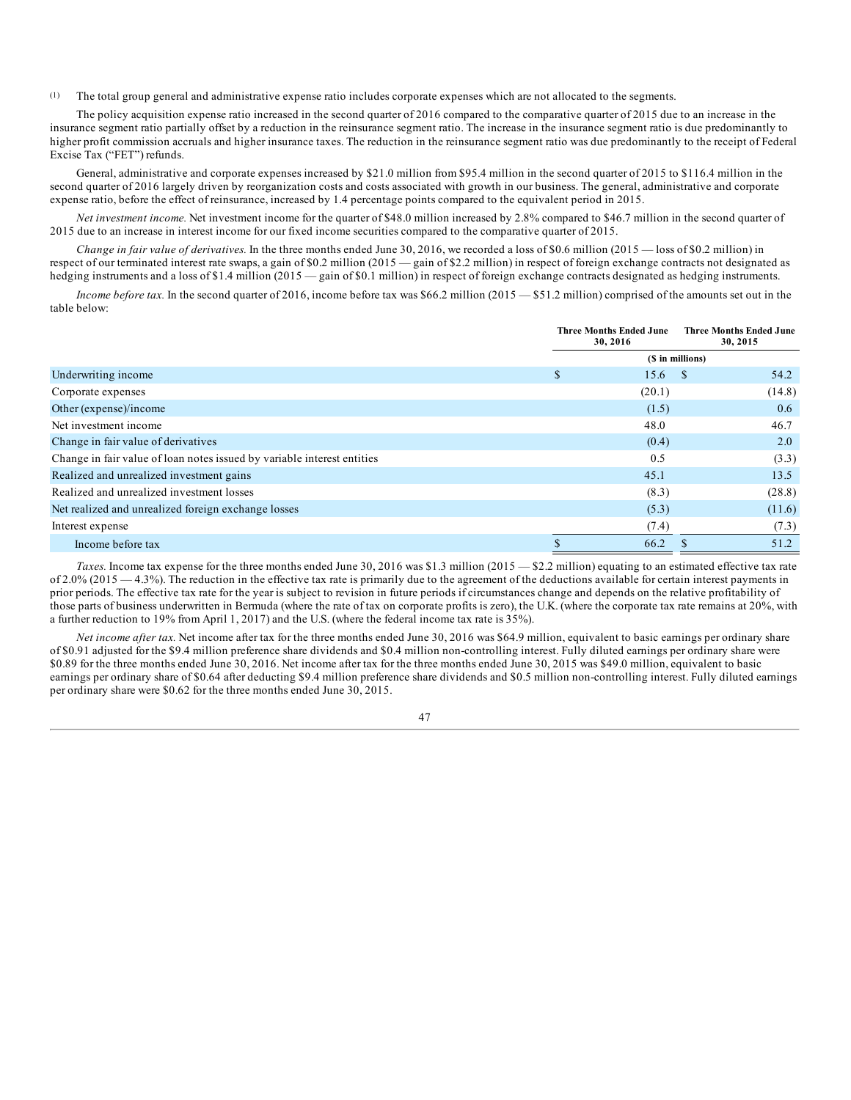(1) The total group general and administrative expense ratio includes corporate expenses which are not allocated to the segments.

The policy acquisition expense ratio increased in the second quarter of 2016 compared to the comparative quarter of 2015 due to an increase in the insurance segment ratio partially offset by a reduction in the reinsurance segment ratio. The increase in the insurance segment ratio is due predominantly to higher profit commission accruals and higher insurance taxes. The reduction in the reinsurance segment ratio was due predominantly to the receipt of Federal Excise Tax ("FET") refunds.

General, administrative and corporate expenses increased by \$21.0 million from \$95.4 million in the second quarter of 2015 to \$116.4 million in the second quarter of 2016 largely driven by reorganization costs and costs associated with growth in our business. The general, administrative and corporate expense ratio, before the effect of reinsurance, increased by 1.4 percentage points compared to the equivalent period in 2015.

*Net investment income.* Net investment income for the quarter of \$48.0 million increased by 2.8% compared to \$46.7 million in the second quarter of 2015 due to an increase in interest income for our fixed income securities compared to the comparative quarter of 2015.

*Change in fair value of derivatives.* In the three months ended June 30, 2016, we recorded a loss of \$0.6 million (2015 — loss of \$0.2 million) in respect of our terminated interest rate swaps, a gain of \$0.2 million (2015 — gain of \$2.2 million) in respect of foreign exchange contracts not designated as hedging instruments and a loss of \$1.4 million (2015 — gain of \$0.1 million) in respect of foreign exchange contracts designated as hedging instruments.

*Income before tax.* In the second quarter of 2016, income before tax was \$66.2 million (2015 — \$51.2 million) comprised of the amounts set out in the table below:

|                                                                         | <b>Three Months Ended June</b><br>30, 2016 |        | <b>Three Months Ended June</b><br>30, 2015 |        |
|-------------------------------------------------------------------------|--------------------------------------------|--------|--------------------------------------------|--------|
|                                                                         |                                            |        | (\$ in millions)                           |        |
| Underwriting income                                                     | \$                                         | 15.6   | - \$                                       | 54.2   |
| Corporate expenses                                                      |                                            | (20.1) |                                            | (14.8) |
| Other (expense)/income                                                  |                                            | (1.5)  |                                            | 0.6    |
| Net investment income                                                   |                                            | 48.0   |                                            | 46.7   |
| Change in fair value of derivatives                                     |                                            | (0.4)  |                                            | 2.0    |
| Change in fair value of loan notes issued by variable interest entities |                                            | 0.5    |                                            | (3.3)  |
| Realized and unrealized investment gains                                |                                            | 45.1   |                                            | 13.5   |
| Realized and unrealized investment losses                               |                                            | (8.3)  |                                            | (28.8) |
| Net realized and unrealized foreign exchange losses                     |                                            | (5.3)  |                                            | (11.6) |
| Interest expense                                                        |                                            | (7.4)  |                                            | (7.3)  |
| Income before tax                                                       |                                            | 66.2   |                                            | 51.2   |

*Taxes.* Income tax expense for the three months ended June 30, 2016 was \$1.3 million (2015 — \$2.2 million) equating to an estimated effective tax rate of  $2.0\%$  (2015  $-4.3\%$ ). The reduction in the effective tax rate is primarily due to the agreement of the deductions available for certain interest payments in prior periods. The effective tax rate for the year is subject to revision in future periods if circumstances change and depends on the relative profitability of those parts of business underwritten in Bermuda (where the rate of tax on corporate profits is zero), the U.K. (where the corporate tax rate remains at 20%, with a further reduction to 19% from April 1, 2017) and the U.S. (where the federal income tax rate is 35%).

*Net income after tax.* Net income after tax for the three months ended June 30, 2016 was \$64.9 million, equivalent to basic earnings per ordinary share of \$0.91 adjusted for the \$9.4 million preference share dividends and \$0.4 million non-controlling interest. Fully diluted earnings per ordinary share were \$0.89 for the three months ended June 30, 2016. Net income after tax for the three months ended June 30, 2015 was \$49.0 million, equivalent to basic earnings per ordinary share of \$0.64 after deducting \$9.4 million preference share dividends and \$0.5 million non-controlling interest. Fully diluted earnings per ordinary share were \$0.62 for the three months ended June 30, 2015.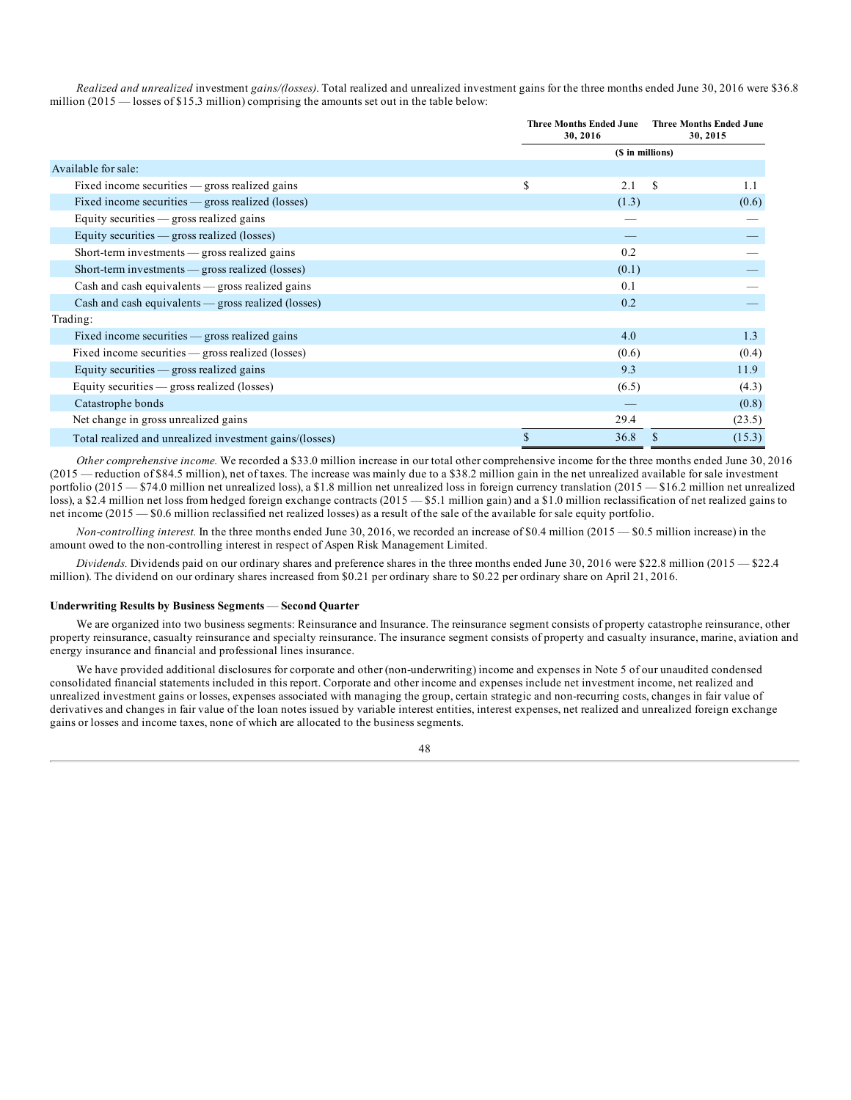*Realized and unrealized* investment *gains/(losses)*. Total realized and unrealized investment gains for the three months ended June 30, 2016 were \$36.8 million  $(2015 -$ losses of \$15.3 million) comprising the amounts set out in the table below:

|                                                         | <b>Three Months Ended June</b><br>30, 2016 |    | <b>Three Months Ended June</b><br>30, 2015 |  |  |  |  |
|---------------------------------------------------------|--------------------------------------------|----|--------------------------------------------|--|--|--|--|
|                                                         | (\$ in millions)                           |    |                                            |  |  |  |  |
| Available for sale:                                     |                                            |    |                                            |  |  |  |  |
| Fixed income securities $-$ gross realized gains        | \$<br>2.1                                  | \$ | 1.1                                        |  |  |  |  |
| Fixed income securities — gross realized (losses)       | (1.3)                                      |    | (0.6)                                      |  |  |  |  |
| Equity securities $-$ gross realized gains              |                                            |    |                                            |  |  |  |  |
| Equity securities $-$ gross realized (losses)           |                                            |    |                                            |  |  |  |  |
| Short-term investments - gross realized gains           | 0.2                                        |    |                                            |  |  |  |  |
| Short-term investments — gross realized (losses)        | (0.1)                                      |    |                                            |  |  |  |  |
| $Cash$ and cash equivalents $\_\$ gross realized gains  | 0.1                                        |    |                                            |  |  |  |  |
| $Cash and cash equivalents — gross realized (losses)$   | 0.2                                        |    |                                            |  |  |  |  |
| Trading:                                                |                                            |    |                                            |  |  |  |  |
| Fixed income securities $-$ gross realized gains        | 4.0                                        |    | 1.3                                        |  |  |  |  |
| Fixed income securities — gross realized (losses)       | (0.6)                                      |    | (0.4)                                      |  |  |  |  |
| Equity securities $-$ gross realized gains              | 9.3                                        |    | 11.9                                       |  |  |  |  |
| Equity securities $-$ gross realized (losses)           | (6.5)                                      |    | (4.3)                                      |  |  |  |  |
| Catastrophe bonds                                       |                                            |    | (0.8)                                      |  |  |  |  |
| Net change in gross unrealized gains                    | 29.4                                       |    | (23.5)                                     |  |  |  |  |
| Total realized and unrealized investment gains/(losses) | \$<br>36.8                                 |    | (15.3)                                     |  |  |  |  |

*Other comprehensive income.* We recorded a \$33.0 million increase in our total other comprehensive income for the three months ended June 30, 2016 (2015 — reduction of \$84.5 million), net of taxes. The increase was mainly due to a \$38.2 million gain in the net unrealized available for sale investment portfolio (2015 — \$74.0 million net unrealized loss), a \$1.8 million net unrealized loss in foreign currency translation (2015 — \$16.2 million net unrealized loss), a \$2.4 million net loss from hedged foreign exchange contracts (2015 — \$5.1 million gain) and a \$1.0 million reclassification of net realized gains to net income (2015 — \$0.6 million reclassified net realized losses) as a result of the sale of the available for sale equity portfolio.

*Non-controlling interest.* In the three months ended June 30, 2016, we recorded an increase of \$0.4 million (2015 — \$0.5 million increase) in the amount owed to the non-controlling interest in respect of Aspen Risk Management Limited.

*Dividends.* Dividends paid on our ordinary shares and preference shares in the three months ended June 30, 2016 were \$22.8 million (2015 — \$22.4 million). The dividend on our ordinary shares increased from \$0.21 per ordinary share to \$0.22 per ordinary share on April 21, 2016.

### **Underwriting Results by Business Segments** — **Second Quarter**

We are organized into two business segments: Reinsurance and Insurance. The reinsurance segment consists of property catastrophe reinsurance, other property reinsurance, casualty reinsurance and specialty reinsurance. The insurance segment consists of property and casualty insurance, marine, aviation and energy insurance and financial and professional lines insurance.

We have provided additional disclosures for corporate and other (non-underwriting) income and expenses in Note 5 of our unaudited condensed consolidated financial statements included in this report. Corporate and other income and expenses include net investment income, net realized and unrealized investment gains or losses, expenses associated with managing the group, certain strategic and non-recurring costs, changes in fair value of derivatives and changes in fair value of the loan notes issued by variable interest entities, interest expenses, net realized and unrealized foreign exchange gains or losses and income taxes, none of which are allocated to the business segments.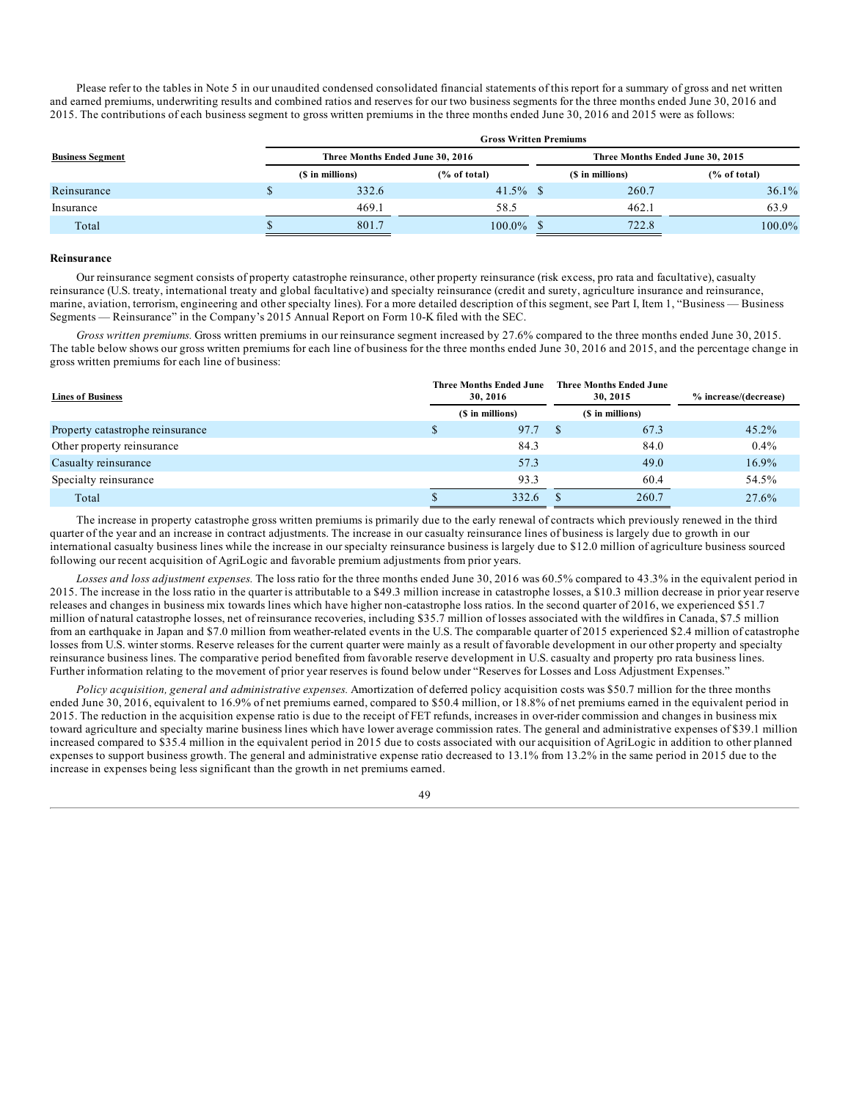Please refer to the tables in Note 5 in our unaudited condensed consolidated financial statements of this report for a summary of gross and net written and earned premiums, underwriting results and combined ratios and reserves for our two business segments for the three months ended June 30, 2016 and 2015. The contributions of each business segment to gross written premiums in the three months ended June 30, 2016 and 2015 were as follows:

|                         | <b>Gross Written Premiums</b> |                  |                                  |                                  |                  |              |  |  |
|-------------------------|-------------------------------|------------------|----------------------------------|----------------------------------|------------------|--------------|--|--|
| <b>Business Segment</b> |                               |                  | Three Months Ended June 30, 2016 | Three Months Ended June 30, 2015 |                  |              |  |  |
|                         |                               | (\$ in millions) | $\frac{6}{6}$ of total)          |                                  | (\$ in millions) | (% of total) |  |  |
| Reinsurance             |                               | 332.6            | $41.5\%$ \$                      |                                  | 260.7            | $36.1\%$     |  |  |
| Insurance               |                               | 469.1            | 58.5                             |                                  | 462.1            | 63.9         |  |  |
| Total                   |                               | 801.7            | $100.0\%$                        |                                  | 722.8            | $100.0\%$    |  |  |

#### **Reinsurance**

Our reinsurance segment consists of property catastrophe reinsurance, other property reinsurance (risk excess, pro rata and facultative), casualty reinsurance (U.S. treaty, international treaty and global facultative) and specialty reinsurance (credit and surety, agriculture insurance and reinsurance, marine, aviation, terrorism, engineering and other specialty lines). For a more detailed description of this segment, see Part I, Item 1, "Business — Business Segments — Reinsurance" in the Company's 2015 Annual Report on Form 10-K filed with the SEC.

*Gross written premiums.* Gross written premiums in our reinsurance segment increased by 27.6% compared to the three months ended June 30, 2015. The table below shows our gross written premiums for each line of business for the three months ended June 30, 2016 and 2015, and the percentage change in gross written premiums for each line of business:

| <b>Lines of Business</b>         | <b>Three Months Ended June</b><br>30, 2016 |                  |  | <b>Three Months Ended June</b><br>30.2015 | % increase/(decrease) |
|----------------------------------|--------------------------------------------|------------------|--|-------------------------------------------|-----------------------|
|                                  |                                            | (\$ in millions) |  | (\$ in millions)                          |                       |
| Property catastrophe reinsurance |                                            | 97.7             |  | 67.3                                      | $45.2\%$              |
| Other property reinsurance       |                                            | 84.3             |  | 84.0                                      | $0.4\%$               |
| Casualty reinsurance             |                                            | 57.3             |  | 49.0                                      | $16.9\%$              |
| Specialty reinsurance            |                                            | 93.3             |  | 60.4                                      | 54.5%                 |
| Total                            |                                            | 332.6            |  | 260.7                                     | 27.6%                 |

The increase in property catastrophe gross written premiums is primarily due to the early renewal of contracts which previously renewed in the third quarter of the year and an increase in contract adjustments. The increase in our casualty reinsurance lines of business is largely due to growth in our international casualty business lines while the increase in our specialty reinsurance business is largely due to \$12.0 million of agriculture business sourced following our recent acquisition of AgriLogic and favorable premium adjustments from prior years.

*Losses and loss adjustment expenses.* The loss ratio for the three months ended June 30, 2016 was 60.5% compared to 43.3% in the equivalent period in 2015. The increase in the loss ratio in the quarter is attributable to a \$49.3 million increase in catastrophe losses, a \$10.3 million decrease in prior year reserve releases and changes in business mix towards lines which have higher non-catastrophe loss ratios. In the second quarter of 2016, we experienced \$51.7 million of natural catastrophe losses, net of reinsurance recoveries, including \$35.7 million of losses associated with the wildfires in Canada, \$7.5 million from an earthquake in Japan and \$7.0 million from weather-related events in the U.S. The comparable quarter of 2015 experienced \$2.4 million of catastrophe losses from U.S. winter storms. Reserve releases for the current quarter were mainly as a result of favorable development in our other property and specialty reinsurance business lines. The comparative period benefited from favorable reserve development in U.S. casualty and property pro rata business lines. Further information relating to the movement of prior year reserves is found below under "Reserves for Losses and Loss Adjustment Expenses."

*Policy acquisition, general and administrative expenses.* Amortization of deferred policy acquisition costs was \$50.7 million for the three months ended June 30, 2016, equivalent to 16.9% of net premiums earned, compared to \$50.4 million, or 18.8% of net premiums earned in the equivalent period in 2015. The reduction in the acquisition expense ratio is due to the receipt of FET refunds, increases in over-rider commission and changes in business mix toward agriculture and specialty marine business lines which have lower average commission rates. The general and administrative expenses of \$39.1 million increased compared to \$35.4 million in the equivalent period in 2015 due to costs associated with our acquisition of AgriLogic in addition to other planned expenses to support business growth. The general and administrative expense ratio decreased to 13.1% from 13.2% in the same period in 2015 due to the increase in expenses being less significant than the growth in net premiums earned.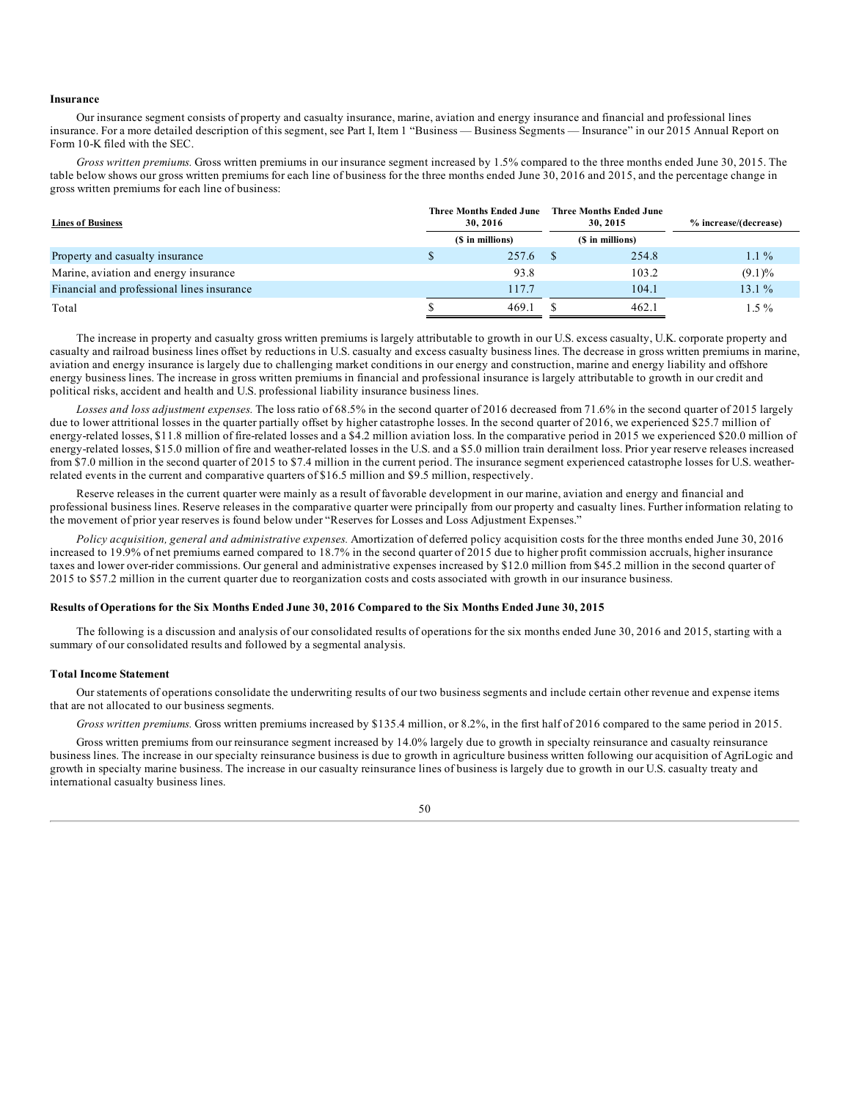#### **Insurance**

Our insurance segment consists of property and casualty insurance, marine, aviation and energy insurance and financial and professional lines insurance. For a more detailed description of this segment, see Part I, Item 1 "Business — Business Segments — Insurance" in our 2015 Annual Report on Form 10-K filed with the SEC.

*Gross written premiums.* Gross written premiums in our insurance segment increased by 1.5% compared to the three months ended June 30, 2015. The table below shows our gross written premiums for each line of business for the three months ended June 30, 2016 and 2015, and the percentage change in gross written premiums for each line of business:

| <b>Lines of Business</b>                   | <b>Three Months Ended June</b><br>30, 2016 |       |  | <b>Three Months Ended June</b><br>30, 2015 | % increase/(decrease) |
|--------------------------------------------|--------------------------------------------|-------|--|--------------------------------------------|-----------------------|
|                                            | (\$ in millions)                           |       |  | (\$ in millions)                           |                       |
| Property and casualty insurance            |                                            | 257.6 |  | 254.8                                      | $1.1\%$               |
| Marine, aviation and energy insurance      |                                            | 93.8  |  | 103.2                                      | $(9.1)\%$             |
| Financial and professional lines insurance |                                            | 117.7 |  | 104.1                                      | $13.1\%$              |
| Total                                      |                                            | 469.1 |  | 462.1                                      | $1.5\%$               |

The increase in property and casualty gross written premiums is largely attributable to growth in our U.S. excess casualty, U.K. corporate property and casualty and railroad business lines offset by reductions in U.S. casualty and excess casualty business lines. The decrease in gross written premiums in marine, aviation and energy insurance is largely due to challenging market conditions in our energy and construction, marine and energy liability and offshore energy business lines. The increase in gross written premiums in financial and professional insurance is largely attributable to growth in our credit and political risks, accident and health and U.S. professional liability insurance business lines.

*Losses and loss adjustment expenses.* The loss ratio of 68.5% in the second quarter of 2016 decreased from 71.6% in the second quarter of 2015 largely due to lower attritional losses in the quarter partially offset by higher catastrophe losses. In the second quarter of 2016, we experienced \$25.7 million of energy-related losses, \$11.8 million of fire-related losses and a \$4.2 million aviation loss. In the comparative period in 2015 we experienced \$20.0 million of energy-related losses, \$15.0 million of fire and weather-related losses in the U.S. and a \$5.0 million train derailment loss. Prior year reserve releases increased from \$7.0 million in the second quarter of 2015 to \$7.4 million in the current period. The insurance segment experienced catastrophe losses for U.S. weatherrelated events in the current and comparative quarters of \$16.5 million and \$9.5 million, respectively.

Reserve releases in the current quarter were mainly as a result of favorable development in our marine, aviation and energy and financial and professional business lines. Reserve releases in the comparative quarter were principally from our property and casualty lines. Further information relating to the movement of prior year reserves is found below under "Reserves for Losses and Loss Adjustment Expenses."

*Policy acquisition, general and administrative expenses.* Amortization of deferred policy acquisition costs for the three months ended June 30, 2016 increased to 19.9% of net premiums earned compared to 18.7% in the second quarter of 2015 due to higher profit commission accruals, higher insurance taxes and lower over-rider commissions. Our general and administrative expenses increased by \$12.0 million from \$45.2 million in the second quarter of 2015 to \$57.2 million in the current quarter due to reorganization costs and costs associated with growth in our insurance business.

#### Results of Operations for the Six Months Ended June 30, 2016 Compared to the Six Months Ended June 30, 2015

The following is a discussion and analysis of our consolidated results of operations for the six months ended June 30, 2016 and 2015, starting with a summary of our consolidated results and followed by a segmental analysis.

#### **Total Income Statement**

Our statements of operations consolidate the underwriting results of our two business segments and include certain other revenue and expense items that are not allocated to our business segments.

*Gross written premiums.* Gross written premiums increased by \$135.4 million, or 8.2%, in the first half of 2016 compared to the same period in 2015.

Gross written premiums from our reinsurance segment increased by 14.0% largely due to growth in specialty reinsurance and casualty reinsurance business lines. The increase in our specialty reinsurance business is due to growth in agriculture business written following our acquisition of AgriLogic and growth in specialty marine business. The increase in our casualty reinsurance lines of business is largely due to growth in our U.S. casualty treaty and international casualty business lines.

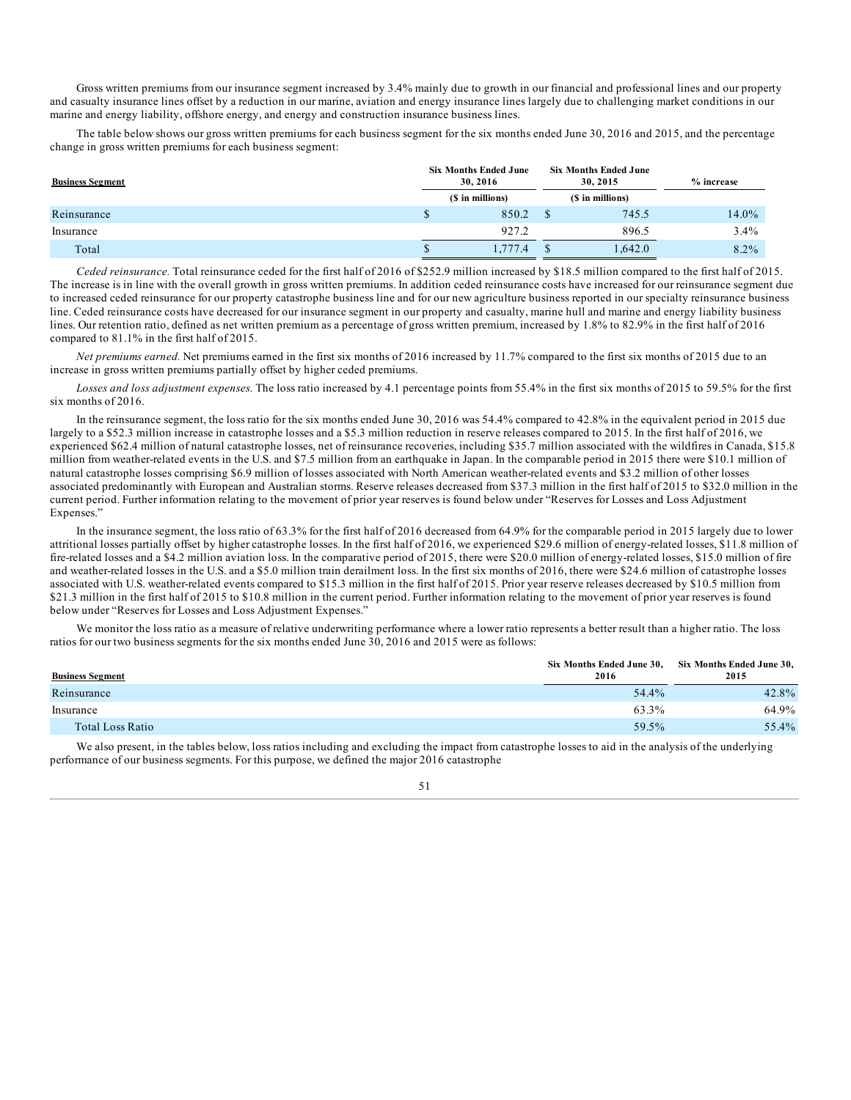Gross written premiums from our insurance segment increased by 3.4% mainly due to growth in our financial and professional lines and our property and casualty insurance lines offset by a reduction in our marine, aviation and energy insurance lines largely due to challenging market conditions in our marine and energy liability, offshore energy, and energy and construction insurance business lines.

The table below shows our gross written premiums for each business segment for the six months ended June 30, 2016 and 2015, and the percentage change in gross written premiums for each business segment:

| <b>Business Segment</b> | <b>Six Months Ended June</b><br>30, 2016<br>(\$ in millions) |         |               | <b>Six Months Ended June</b><br>30.2015 | $%$ increase |  |
|-------------------------|--------------------------------------------------------------|---------|---------------|-----------------------------------------|--------------|--|
|                         |                                                              |         |               | (\$ in millions)                        |              |  |
| Reinsurance             |                                                              | 850.2   |               | 745.5                                   | 14.0%        |  |
| Insurance               |                                                              | 927.2   |               | 896.5                                   | 3.4%         |  |
| Total                   |                                                              | 1,777.4 | <sup>\$</sup> | 1,642.0                                 | 8.2%         |  |

*Ceded reinsurance.* Total reinsurance ceded for the first half of 2016 of \$252.9 million increased by \$18.5 million compared to the first half of 2015. The increase is in line with the overall growth in gross written premiums. In addition ceded reinsurance costs have increased for our reinsurance segment due to increased ceded reinsurance for our property catastrophe business line and for our new agriculture business reported in our specialty reinsurance business line. Ceded reinsurance costs have decreased for our insurance segment in our property and casualty, marine hull and marine and energy liability business lines. Our retention ratio, defined as net written premium as a percentage of gross written premium, increased by 1.8% to 82.9% in the first half of 2016 compared to 81.1% in the first half of 2015.

*Net premiums earned.* Net premiums earned in the first six months of 2016 increased by 11.7% compared to the first six months of 2015 due to an increase in gross written premiums partially offset by higher ceded premiums.

*Losses and loss adjustment expenses.* The loss ratio increased by 4.1 percentage points from 55.4% in the first six months of 2015 to 59.5% for the first six months of 2016.

In the reinsurance segment, the loss ratio for the six months ended June 30, 2016 was 54.4% compared to 42.8% in the equivalent period in 2015 due largely to a \$52.3 million increase in catastrophe losses and a \$5.3 million reduction in reserve releases compared to 2015. In the first half of 2016, we experienced \$62.4 million of natural catastrophe losses, net of reinsurance recoveries, including \$35.7 million associated with the wildfires in Canada, \$15.8 million from weather-related events in the U.S. and \$7.5 million from an earthquake in Japan. In the comparable period in 2015 there were \$10.1 million of natural catastrophe losses comprising \$6.9 million of losses associated with North American weather-related events and \$3.2 million of other losses associated predominantly with European and Australian storms. Reserve releases decreased from \$37.3 million in the first half of 2015 to \$32.0 million in the current period. Further information relating to the movement of prior year reserves is found below under "Reserves for Losses and Loss Adjustment Expenses."

In the insurance segment, the loss ratio of 63.3% for the first half of 2016 decreased from 64.9% for the comparable period in 2015 largely due to lower attritional losses partially offset by higher catastrophe losses. In the first half of 2016, we experienced \$29.6 million of energy-related losses, \$11.8 million of fire-related losses and a \$4.2 million aviation loss. In the comparative period of 2015, there were \$20.0 million of energy-related losses, \$15.0 million of fire and weather-related losses in the U.S. and a \$5.0 million train derailment loss. In the first six months of 2016, there were \$24.6 million of catastrophe losses associated with U.S. weather-related events compared to \$15.3 million in the first half of 2015. Prior year reserve releases decreased by \$10.5 million from \$21.3 million in the first half of 2015 to \$10.8 million in the current period. Further information relating to the movement of prior year reserves is found below under "Reserves for Losses and Loss Adjustment Expenses."

We monitor the loss ratio as a measure of relative underwriting performance where a lower ratio represents a better result than a higher ratio. The loss ratios for our two business segments for the six months ended June 30, 2016 and 2015 were as follows:

| <b>Business Segment</b> | Six Months Ended June 30,<br>2016 | Six Months Ended June 30,<br>2015 |
|-------------------------|-----------------------------------|-----------------------------------|
| Reinsurance             | 54.4%                             | 42.8%                             |
| Insurance               | 63.3%                             | 64.9%                             |
| Total Loss Ratio        | 59.5%                             | 55.4%                             |

We also present, in the tables below, loss ratios including and excluding the impact from catastrophe losses to aid in the analysis of the underlying performance of our business segments. For this purpose, we defined the major 2016 catastrophe

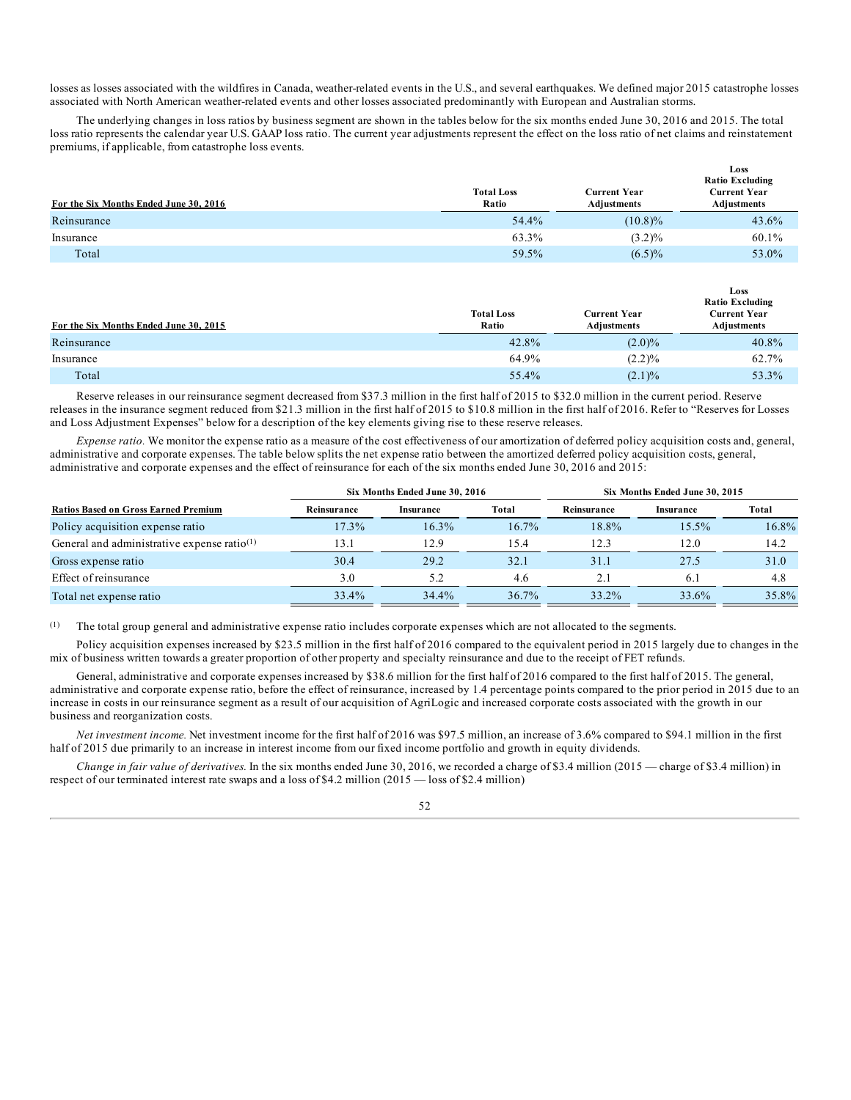losses as losses associated with the wildfires in Canada, weather-related events in the U.S., and several earthquakes. We defined major 2015 catastrophe losses associated with North American weather-related events and other losses associated predominantly with European and Australian storms.

The underlying changes in loss ratios by business segment are shown in the tables below for the six months ended June 30, 2016 and 2015. The total loss ratio represents the calendar year U.S. GAAP loss ratio. The current year adjustments represent the effect on the loss ratio of net claims and reinstatement premiums, if applicable, from catastrophe loss events.

| For the Six Months Ended June 30, 2016 | <b>Total Loss</b><br>Ratio | <b>Current Year</b><br>Adjustments | Loss<br><b>Ratio Excluding</b><br><b>Current Year</b><br>Adjustments |
|----------------------------------------|----------------------------|------------------------------------|----------------------------------------------------------------------|
| Reinsurance                            | 54.4%                      | $(10.8)\%$                         | 43.6%                                                                |
| Insurance                              | 63.3%                      | $(3.2)\%$                          | 60.1%                                                                |
| Total                                  | 59.5%                      | $(6.5)\%$                          | 53.0%                                                                |

| For the Six Months Ended June 30, 2015 | <b>Total Loss</b><br>Ratio | Current Year<br>Adjustments | Loss<br><b>Ratio Excluding</b><br><b>Current Year</b><br>Adjustments |
|----------------------------------------|----------------------------|-----------------------------|----------------------------------------------------------------------|
| Reinsurance                            | 42.8%                      | $(2.0)\%$                   | 40.8%                                                                |
| Insurance                              | 64.9%                      | (2.2)%                      | 62.7%                                                                |
| Total                                  | 55.4%                      | $(2.1)\%$                   | 53.3%                                                                |

Reserve releases in our reinsurance segment decreased from \$37.3 million in the first half of 2015 to \$32.0 million in the current period. Reserve releases in the insurance segment reduced from \$21.3 million in the first half of 2015 to \$10.8 million in the first half of 2016. Refer to "Reserves for Losses and Loss Adjustment Expenses" below for a description of the key elements giving rise to these reserve releases.

*Expense ratio.* We monitor the expense ratio as a measure of the cost effectiveness of our amortization of deferred policy acquisition costs and, general, administrative and corporate expenses. The table below splits the net expense ratio between the amortized deferred policy acquisition costs, general, administrative and corporate expenses and the effect of reinsurance for each of the six months ended June 30, 2016 and 2015:

|                                                |             | Six Months Ended June 30, 2016 | Six Months Ended June 30, 2015 |             |           |          |  |
|------------------------------------------------|-------------|--------------------------------|--------------------------------|-------------|-----------|----------|--|
| <b>Ratios Based on Gross Earned Premium</b>    | Reinsurance | Insurance                      | Total                          | Reinsurance | Insurance | Total    |  |
| Policy acquisition expense ratio               | 17.3%       | $16.3\%$                       | $16.7\%$                       | 18.8%       | 15.5%     | $16.8\%$ |  |
| General and administrative expense ratio $(1)$ | 13.1        | 12.9                           | 15.4                           | 12.3        | 12.0      | 14.2     |  |
| Gross expense ratio                            | 30.4        | 29.2                           | 32.1                           | 31.1        | 27.5      | 31.0     |  |
| Effect of reinsurance                          | 3.0         | 5.2                            | 4.6                            | 2.1         | 6.1       | 4.8      |  |
| Total net expense ratio                        | 33.4%       | 34.4%                          | $36.7\%$                       | 33.2%       | 33.6%     | 35.8%    |  |

(1) The total group general and administrative expense ratio includes corporate expenses which are not allocated to the segments.

Policy acquisition expenses increased by \$23.5 million in the first half of 2016 compared to the equivalent period in 2015 largely due to changes in the mix of business written towards a greater proportion of other property and specialty reinsurance and due to the receipt of FET refunds.

General, administrative and corporate expenses increased by \$38.6 million for the first half of 2016 compared to the first half of 2015. The general, administrative and corporate expense ratio, before the effect of reinsurance, increased by 1.4 percentage points compared to the prior period in 2015 due to an increase in costs in our reinsurance segment as a result of our acquisition of AgriLogic and increased corporate costs associated with the growth in our business and reorganization costs.

*Net investment income.* Net investment income for the first half of 2016 was \$97.5 million, an increase of 3.6% compared to \$94.1 million in the first half of 2015 due primarily to an increase in interest income from our fixed income portfolio and growth in equity dividends.

*Change in fair value of derivatives.* In the six months ended June 30, 2016, we recorded a charge of \$3.4 million (2015 — charge of \$3.4 million) in respect of our terminated interest rate swaps and a loss of \$4.2 million (2015 — loss of \$2.4 million)

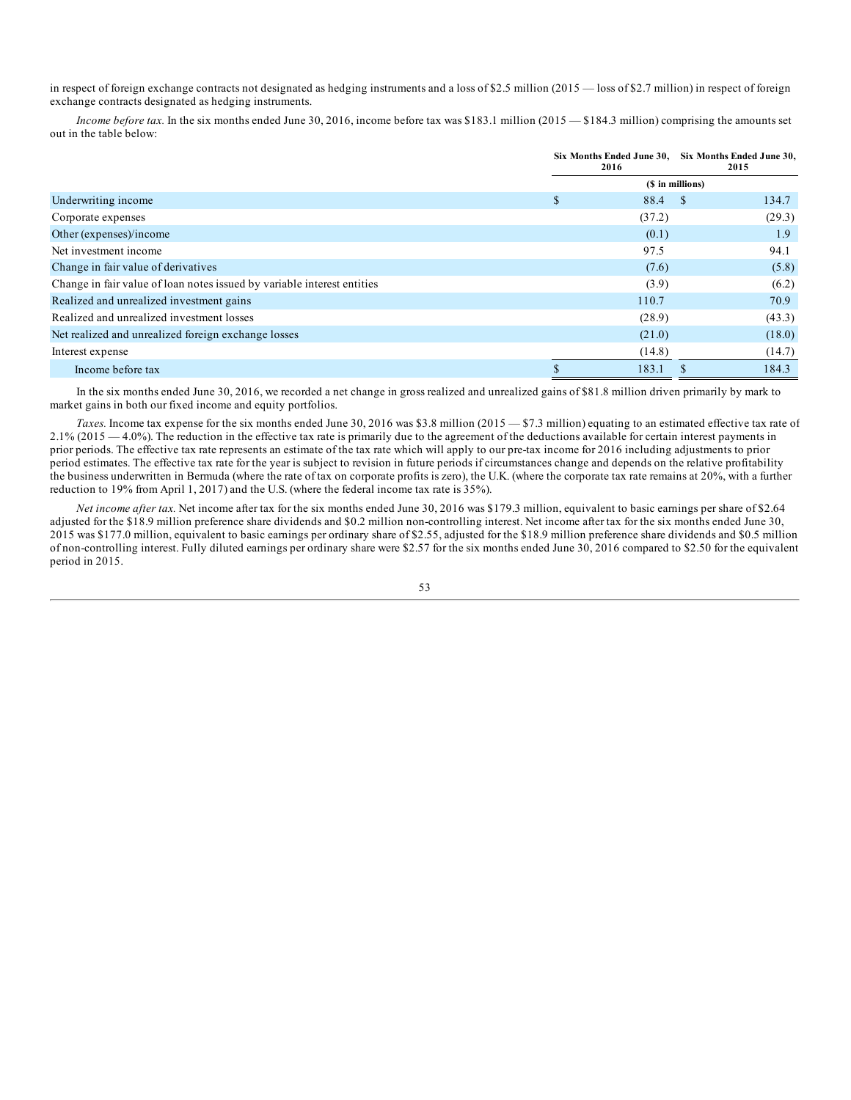in respect of foreign exchange contracts not designated as hedging instruments and a loss of \$2.5 million (2015 — loss of \$2.7 million) in respect of foreign exchange contracts designated as hedging instruments.

*Income before tax.* In the six months ended June 30, 2016, income before tax was \$183.1 million (2015 — \$184.3 million) comprising the amounts set out in the table below:

|                                                                         | Six Months Ended June 30, Six Months Ended June 30,<br>2016 |                  | 2015   |  |
|-------------------------------------------------------------------------|-------------------------------------------------------------|------------------|--------|--|
|                                                                         |                                                             | (\$ in millions) |        |  |
| Underwriting income                                                     | \$<br>88.4                                                  | <sup>\$</sup>    | 134.7  |  |
| Corporate expenses                                                      | (37.2)                                                      |                  | (29.3) |  |
| Other (expenses)/income                                                 | (0.1)                                                       |                  | 1.9    |  |
| Net investment income                                                   | 97.5                                                        |                  | 94.1   |  |
| Change in fair value of derivatives                                     | (7.6)                                                       |                  | (5.8)  |  |
| Change in fair value of loan notes issued by variable interest entities | (3.9)                                                       |                  | (6.2)  |  |
| Realized and unrealized investment gains                                | 110.7                                                       |                  | 70.9   |  |
| Realized and unrealized investment losses                               | (28.9)                                                      |                  | (43.3) |  |
| Net realized and unrealized foreign exchange losses                     | (21.0)                                                      |                  | (18.0) |  |
| Interest expense                                                        | (14.8)                                                      |                  | (14.7) |  |
| Income before tax                                                       | 183.1                                                       |                  | 184.3  |  |

In the six months ended June 30, 2016, we recorded a net change in gross realized and unrealized gains of \$81.8 million driven primarily by mark to market gains in both our fixed income and equity portfolios.

*Taxes.* Income tax expense for the six months ended June 30, 2016 was \$3.8 million (2015 — \$7.3 million) equating to an estimated effective tax rate of  $2.1\%$  (2015  $-4.0\%$ ). The reduction in the effective tax rate is primarily due to the agreement of the deductions available for certain interest payments in prior periods. The effective tax rate represents an estimate of the tax rate which will apply to our pre-tax income for 2016 including adjustments to prior period estimates. The effective tax rate for the year is subject to revision in future periods if circumstances change and depends on the relative profitability the business underwritten in Bermuda (where the rate of tax on corporate profits is zero), the U.K. (where the corporate tax rate remains at 20%, with a further reduction to 19% from April 1, 2017) and the U.S. (where the federal income tax rate is 35%).

*Net income after tax.* Net income after tax for the six months ended June 30, 2016 was \$179.3 million, equivalent to basic earnings per share of \$2.64 adjusted for the \$18.9 million preference share dividends and \$0.2 million non-controlling interest. Net income after tax for the six months ended June 30, 2015 was \$177.0 million, equivalent to basic earnings per ordinary share of \$2.55, adjusted for the \$18.9 million preference share dividends and \$0.5 million of non-controlling interest. Fully diluted earnings per ordinary share were \$2.57 for the six months ended June 30, 2016 compared to \$2.50 for the equivalent period in 2015.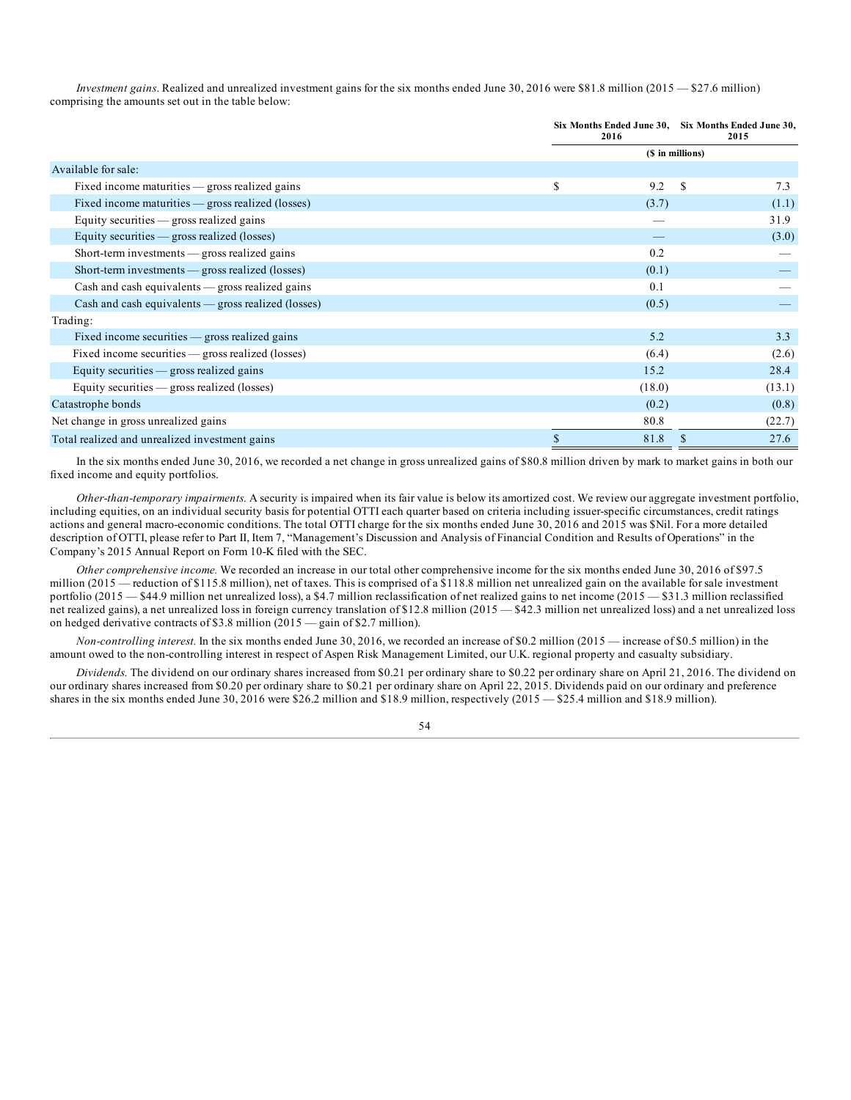*Investment gains*. Realized and unrealized investment gains for the six months ended June 30, 2016 were \$81.8 million (2015 — \$27.6 million) comprising the amounts set out in the table below:

|                                                           | Six Months Ended June 30, Six Months Ended June 30,<br>2016 |                  | 2015 |        |
|-----------------------------------------------------------|-------------------------------------------------------------|------------------|------|--------|
|                                                           |                                                             | (\$ in millions) |      |        |
| Available for sale:                                       |                                                             |                  |      |        |
| Fixed income maturities $-$ gross realized gains          | S                                                           | 9.2              | \$   | 7.3    |
| Fixed income maturities $-$ gross realized (losses)       |                                                             | (3.7)            |      | (1.1)  |
| Equity securities $-$ gross realized gains                |                                                             |                  |      | 31.9   |
| Equity securities $-$ gross realized (losses)             |                                                             |                  |      | (3.0)  |
| Short-term investments — gross realized gains             |                                                             | 0.2              |      |        |
| Short-term investments — gross realized (losses)          |                                                             | (0.1)            |      |        |
| $Cash$ and cash equivalents $\_\$ gross realized gains    |                                                             | 0.1              |      |        |
| $Cash$ and cash equivalents $\_\$ gross realized (losses) |                                                             | (0.5)            |      |        |
| Trading:                                                  |                                                             |                  |      |        |
| Fixed income securities $-$ gross realized gains          |                                                             | 5.2              |      | 3.3    |
| Fixed income securities — gross realized (losses)         |                                                             | (6.4)            |      | (2.6)  |
| Equity securities - gross realized gains                  |                                                             | 15.2             |      | 28.4   |
| Equity securities $-$ gross realized (losses)             |                                                             | (18.0)           |      | (13.1) |
| Catastrophe bonds                                         |                                                             | (0.2)            |      | (0.8)  |
| Net change in gross unrealized gains                      |                                                             | 80.8             |      | (22.7) |
| Total realized and unrealized investment gains            |                                                             | 81.8             | \$.  | 27.6   |

In the six months ended June 30, 2016, we recorded a net change in gross unrealized gains of \$80.8 million driven by mark to market gains in both our fixed income and equity portfolios.

*Other-than-temporary impairments.* A security is impaired when its fair value is below its amortized cost. We review our aggregate investment portfolio, including equities, on an individual security basis for potential OTTI each quarter based on criteria including issuer-specific circumstances, credit ratings actions and general macro-economic conditions. The total OTTI charge for the six months ended June 30, 2016 and 2015 was \$Nil. For a more detailed description of OTTI, please refer to Part II, Item 7, "Management's Discussion and Analysis of Financial Condition and Results of Operations" in the Company's 2015 Annual Report on Form 10-K filed with the SEC.

*Other comprehensive income.* We recorded an increase in our total other comprehensive income for the six months ended June 30, 2016 of \$97.5 million (2015 — reduction of \$115.8 million), net of taxes. This is comprised of a \$118.8 million net unrealized gain on the available for sale investment portfolio (2015 — \$44.9 million net unrealized loss), a \$4.7 million reclassification of net realized gains to net income (2015 — \$31.3 million reclassified net realized gains), a net unrealized loss in foreign currency translation of \$12.8 million (2015 — \$42.3 million net unrealized loss) and a net unrealized loss on hedged derivative contracts of \$3.8 million (2015 — gain of \$2.7 million).

*Non-controlling interest.* In the six months ended June 30, 2016, we recorded an increase of \$0.2 million (2015 — increase of \$0.5 million) in the amount owed to the non-controlling interest in respect of Aspen Risk Management Limited, our U.K. regional property and casualty subsidiary.

*Dividends.* The dividend on our ordinary shares increased from \$0.21 per ordinary share to \$0.22 per ordinary share on April 21, 2016. The dividend on our ordinary shares increased from \$0.20 per ordinary share to \$0.21 per ordinary share on April 22, 2015. Dividends paid on our ordinary and preference shares in the six months ended June 30, 2016 were \$26.2 million and \$18.9 million, respectively (2015 — \$25.4 million and \$18.9 million).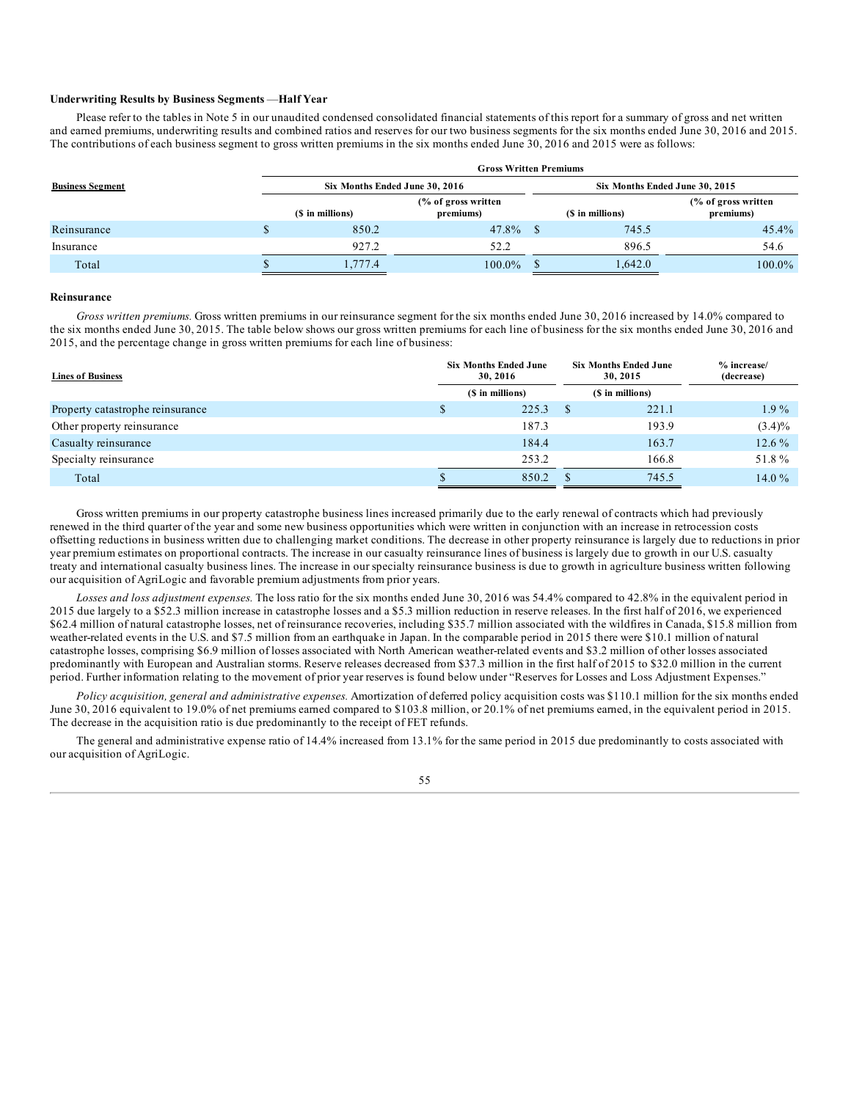### **Underwriting Results by Business Segments** —**Half Year**

Please refer to the tables in Note 5 in our unaudited condensed consolidated financial statements of this report for a summary of gross and net written and earned premiums, underwriting results and combined ratios and reserves for our two business segments for the six months ended June 30, 2016 and 2015. The contributions of each business segment to gross written premiums in the six months ended June 30, 2016 and 2015 were as follows:

|                                        | <b>Gross Written Premiums</b> |                                  |  |                                |                                             |  |  |  |  |
|----------------------------------------|-------------------------------|----------------------------------|--|--------------------------------|---------------------------------------------|--|--|--|--|
| <b>Business Segment</b><br>Reinsurance |                               | Six Months Ended June 30, 2016   |  | Six Months Ended June 30, 2015 |                                             |  |  |  |  |
|                                        | (\$ in millions)              | (% of gross written<br>premiums) |  | (\$ in millions)               | $\frac{6}{6}$ of gross written<br>premiums) |  |  |  |  |
|                                        | 850.2                         | $47.8\%$ \$                      |  | 745.5                          | $45.4\%$                                    |  |  |  |  |
| Insurance                              | 927.2                         | 52.2                             |  | 896.5                          | 54.6                                        |  |  |  |  |
| Total                                  | 1,777.4                       | $100.0\%$                        |  | 1,642.0                        | $100.0\%$                                   |  |  |  |  |

#### **Reinsurance**

*Gross written premiums.* Gross written premiums in our reinsurance segment for the six months ended June 30, 2016 increased by 14.0% compared to the six months ended June 30, 2015. The table below shows our gross written premiums for each line of business for the six months ended June 30, 2016 and 2015, and the percentage change in gross written premiums for each line of business:

| <b>Lines of Business</b>         | <b>Six Months Ended June</b><br>30, 2016 |                  |  | <b>Six Months Ended June</b><br>30, 2015 | $%$ increase/<br>(decrease) |
|----------------------------------|------------------------------------------|------------------|--|------------------------------------------|-----------------------------|
|                                  |                                          | (\$ in millions) |  | (\$ in millions)                         |                             |
| Property catastrophe reinsurance |                                          | 225.3            |  | 221.1                                    | $1.9\%$                     |
| Other property reinsurance       |                                          | 187.3            |  | 193.9                                    | $(3.4)\%$                   |
| Casualty reinsurance             |                                          | 184.4            |  | 163.7                                    | $12.6\%$                    |
| Specialty reinsurance            |                                          | 253.2            |  | 166.8                                    | 51.8%                       |
| Total                            |                                          | 850.2            |  | 745.5                                    | 14.0 $%$                    |

Gross written premiums in our property catastrophe business lines increased primarily due to the early renewal of contracts which had previously renewed in the third quarter of the year and some new business opportunities which were written in conjunction with an increase in retrocession costs offsetting reductions in business written due to challenging market conditions. The decrease in other property reinsurance is largely due to reductions in prior year premium estimates on proportional contracts. The increase in our casualty reinsurance lines of business is largely due to growth in our U.S. casualty treaty and international casualty business lines. The increase in our specialty reinsurance business is due to growth in agriculture business written following our acquisition of AgriLogic and favorable premium adjustments from prior years.

*Losses and loss adjustment expenses.* The loss ratio for the six months ended June 30, 2016 was 54.4% compared to 42.8% in the equivalent period in 2015 due largely to a \$52.3 million increase in catastrophe losses and a \$5.3 million reduction in reserve releases. In the first half of 2016, we experienced \$62.4 million of natural catastrophe losses, net of reinsurance recoveries, including \$35.7 million associated with the wildfires in Canada, \$15.8 million from weather-related events in the U.S. and \$7.5 million from an earthquake in Japan. In the comparable period in 2015 there were \$10.1 million of natural catastrophe losses, comprising \$6.9 million of losses associated with North American weather-related events and \$3.2 million of other losses associated predominantly with European and Australian storms. Reserve releases decreased from \$37.3 million in the first half of 2015 to \$32.0 million in the current period. Further information relating to the movement of prior year reserves is found below under "Reserves for Losses and Loss Adjustment Expenses."

*Policy acquisition, general and administrative expenses.* Amortization of deferred policy acquisition costs was \$110.1 million for the six months ended June 30, 2016 equivalent to 19.0% of net premiums earned compared to \$103.8 million, or 20.1% of net premiums earned, in the equivalent period in 2015. The decrease in the acquisition ratio is due predominantly to the receipt of FET refunds.

The general and administrative expense ratio of 14.4% increased from 13.1% for the same period in 2015 due predominantly to costs associated with our acquisition of AgriLogic.

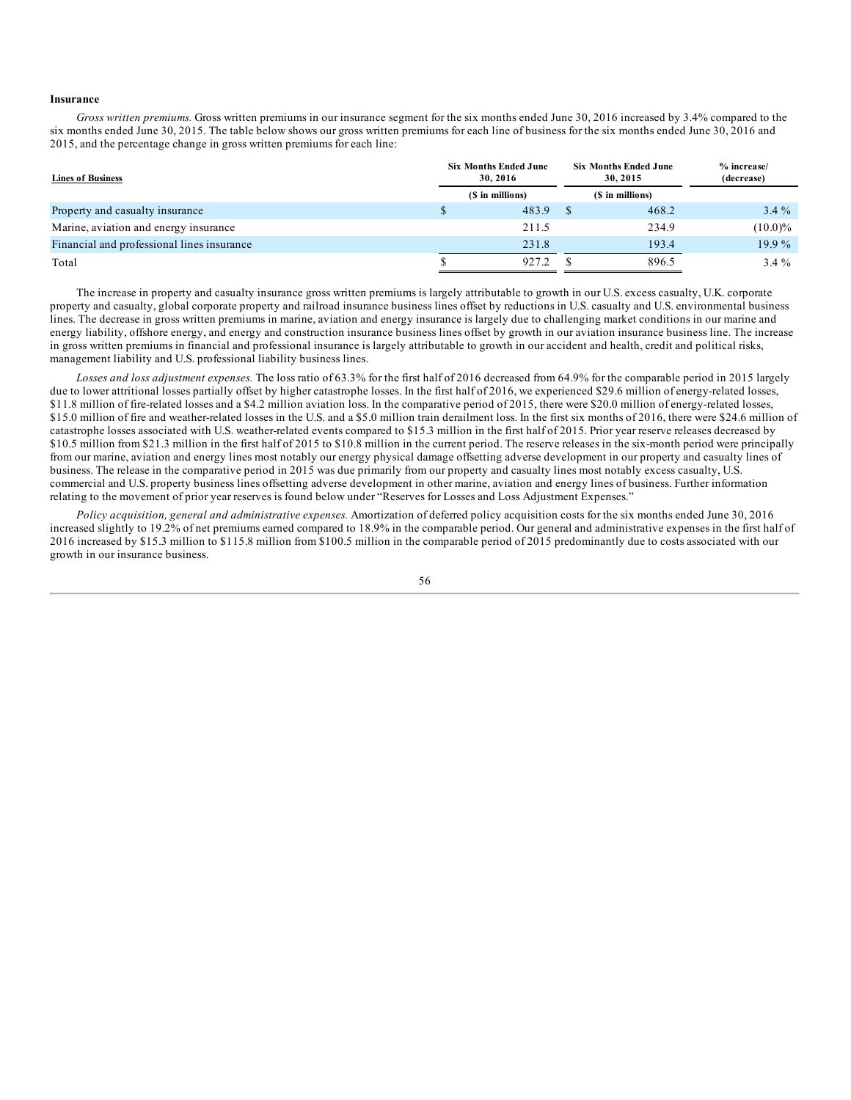### **Insurance**

*Gross written premiums.* Gross written premiums in our insurance segment for the six months ended June 30, 2016 increased by 3.4% compared to the six months ended June 30, 2015. The table below shows our gross written premiums for each line of business for the six months ended June 30, 2016 and 2015, and the percentage change in gross written premiums for each line:

| <b>Lines of Business</b>                   | <b>Six Months Ended June</b><br>30, 2016 | <b>Six Months Ended June</b><br>30, 2015 | $%$ increase/<br>(decrease) |
|--------------------------------------------|------------------------------------------|------------------------------------------|-----------------------------|
|                                            | (\$ in millions)                         | (\$ in millions)                         |                             |
| Property and casualty insurance            | 483.9                                    | 468.2                                    | $3.4\%$                     |
| Marine, aviation and energy insurance      | 211.5                                    | 234.9                                    | $(10.0)\%$                  |
| Financial and professional lines insurance | 231.8                                    | 193.4                                    | $19.9\%$                    |
| Total                                      | 927.2                                    | 896.5                                    | $3.4\%$                     |

The increase in property and casualty insurance gross written premiums is largely attributable to growth in our U.S. excess casualty, U.K. corporate property and casualty, global corporate property and railroad insurance business lines offset by reductions in U.S. casualty and U.S. environmental business lines. The decrease in gross written premiums in marine, aviation and energy insurance is largely due to challenging market conditions in our marine and energy liability, offshore energy, and energy and construction insurance business lines offset by growth in our aviation insurance business line. The increase in gross written premiums in financial and professional insurance is largely attributable to growth in our accident and health, credit and political risks, management liability and U.S. professional liability business lines.

*Losses and loss adjustment expenses.* The loss ratio of 63.3% for the first half of 2016 decreased from 64.9% for the comparable period in 2015 largely due to lower attritional losses partially offset by higher catastrophe losses. In the first half of 2016, we experienced \$29.6 million of energy-related losses, \$11.8 million of fire-related losses and a \$4.2 million aviation loss. In the comparative period of 2015, there were \$20.0 million of energy-related losses, \$15.0 million of fire and weather-related losses in the U.S. and a \$5.0 million train derailment loss. In the first six months of 2016, there were \$24.6 million of catastrophe losses associated with U.S. weather-related events compared to \$15.3 million in the first half of 2015. Prior year reserve releases decreased by \$10.5 million from \$21.3 million in the first half of 2015 to \$10.8 million in the current period. The reserve releases in the six-month period were principally from our marine, aviation and energy lines most notably our energy physical damage offsetting adverse development in our property and casualty lines of business. The release in the comparative period in 2015 was due primarily from our property and casualty lines most notably excess casualty, U.S. commercial and U.S. property business lines offsetting adverse development in other marine, aviation and energy lines of business. Further information relating to the movement of prior year reserves is found below under "Reserves for Losses and Loss Adjustment Expenses."

*Policy acquisition, general and administrative expenses.* Amortization of deferred policy acquisition costs for the six months ended June 30, 2016 increased slightly to 19.2% of net premiums earned compared to 18.9% in the comparable period. Our general and administrative expenses in the first half of 2016 increased by \$15.3 million to \$115.8 million from \$100.5 million in the comparable period of 2015 predominantly due to costs associated with our growth in our insurance business.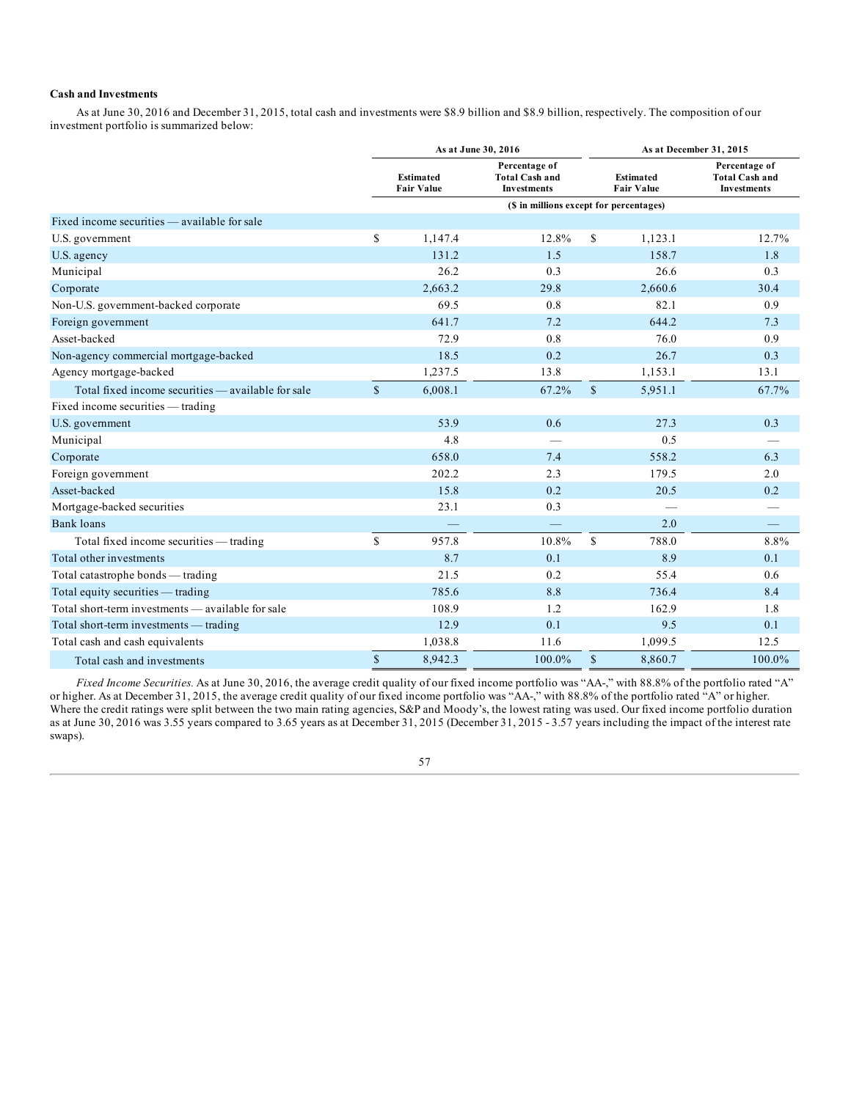## **Cash and Investments**

As at June 30, 2016 and December 31, 2015, total cash and investments were \$8.9 billion and \$8.9 billion, respectively. The composition of our investment portfolio is summarized below:

|                                                    |              |                                       | As at June 30, 2016                                          |              | As at December 31, 2015               |                                                              |  |  |  |  |
|----------------------------------------------------|--------------|---------------------------------------|--------------------------------------------------------------|--------------|---------------------------------------|--------------------------------------------------------------|--|--|--|--|
|                                                    |              | <b>Estimated</b><br><b>Fair Value</b> | Percentage of<br><b>Total Cash and</b><br><b>Investments</b> |              | <b>Estimated</b><br><b>Fair Value</b> | Percentage of<br><b>Total Cash and</b><br><b>Investments</b> |  |  |  |  |
|                                                    |              |                                       | (\$ in millions except for percentages)                      |              |                                       |                                                              |  |  |  |  |
| Fixed income securities — available for sale       |              |                                       |                                                              |              |                                       |                                                              |  |  |  |  |
| U.S. government                                    | \$           | 1,147.4                               | 12.8%                                                        | \$           | 1,123.1                               | 12.7%                                                        |  |  |  |  |
| U.S. agency                                        |              | 131.2                                 | 1.5                                                          |              | 158.7                                 | 1.8                                                          |  |  |  |  |
| Municipal                                          |              | 26.2                                  | 0.3                                                          |              | 26.6                                  | 0.3                                                          |  |  |  |  |
| Corporate                                          |              | 2,663.2                               | 29.8                                                         |              | 2,660.6                               | 30.4                                                         |  |  |  |  |
| Non-U.S. government-backed corporate               |              | 69.5                                  | 0.8                                                          |              | 82.1                                  | 0.9                                                          |  |  |  |  |
| Foreign government                                 |              | 641.7                                 | 7.2                                                          |              | 644.2                                 | 7.3                                                          |  |  |  |  |
| Asset-backed                                       |              | 72.9                                  | 0.8                                                          |              | 76.0                                  | 0.9                                                          |  |  |  |  |
| Non-agency commercial mortgage-backed              |              | 18.5                                  | 0.2                                                          |              | 26.7                                  | 0.3                                                          |  |  |  |  |
| Agency mortgage-backed                             |              | 1,237.5                               | 13.8                                                         |              | 1,153.1                               | 13.1                                                         |  |  |  |  |
| Total fixed income securities - available for sale | $\mathbf{s}$ | 6,008.1                               | 67.2%                                                        | $\mathbb{S}$ | 5,951.1                               | 67.7%                                                        |  |  |  |  |
| Fixed income securities - trading                  |              |                                       |                                                              |              |                                       |                                                              |  |  |  |  |
| U.S. government                                    |              | 53.9                                  | 0.6                                                          |              | 27.3                                  | 0.3                                                          |  |  |  |  |
| Municipal                                          |              | 4.8                                   | $\hspace{0.05cm}$                                            |              | 0.5                                   |                                                              |  |  |  |  |
| Corporate                                          |              | 658.0                                 | 7.4                                                          |              | 558.2                                 | 6.3                                                          |  |  |  |  |
| Foreign government                                 |              | 202.2                                 | 2.3                                                          |              | 179.5                                 | 2.0                                                          |  |  |  |  |
| Asset-backed                                       |              | 15.8                                  | 0.2                                                          |              | 20.5                                  | 0.2                                                          |  |  |  |  |
| Mortgage-backed securities                         |              | 23.1                                  | 0.3                                                          |              |                                       |                                                              |  |  |  |  |
| <b>Bank loans</b>                                  |              |                                       |                                                              |              | 2.0                                   |                                                              |  |  |  |  |
| Total fixed income securities — trading            | $\mathbb{S}$ | 957.8                                 | 10.8%                                                        | $\mathbf S$  | 788.0                                 | 8.8%                                                         |  |  |  |  |
| Total other investments                            |              | 8.7                                   | 0.1                                                          |              | 8.9                                   | 0.1                                                          |  |  |  |  |
| Total catastrophe bonds — trading                  |              | 21.5                                  | 0.2                                                          |              | 55.4                                  | 0.6                                                          |  |  |  |  |
| Total equity securities — trading                  |              | 785.6                                 | 8.8                                                          |              | 736.4                                 | 8.4                                                          |  |  |  |  |
| Total short-term investments — available for sale  |              | 108.9                                 | 1.2                                                          |              | 162.9                                 | 1.8                                                          |  |  |  |  |
| Total short-term investments - trading             |              | 12.9                                  | 0.1                                                          |              | 9.5                                   | 0.1                                                          |  |  |  |  |
| Total cash and cash equivalents                    |              | 1,038.8                               | 11.6                                                         |              | 1,099.5                               | 12.5                                                         |  |  |  |  |
| Total cash and investments                         | $\mathbb{S}$ | 8,942.3                               | 100.0%                                                       | $\mathbb{S}$ | 8,860.7                               | 100.0%                                                       |  |  |  |  |

*Fixed Income Securities.* As at June 30, 2016, the average credit quality of our fixed income portfolio was "AA-," with 88.8% of the portfolio rated "A" or higher. As at December 31, 2015, the average credit quality of our fixed income portfolio was "AA-," with 88.8% of the portfolio rated "A" or higher. Where the credit ratings were split between the two main rating agencies, S&P and Moody's, the lowest rating was used. Our fixed income portfolio duration as at June 30, 2016 was 3.55 years compared to 3.65 years as at December 31, 2015 (December 31, 2015 - 3.57 years including the impact of the interest rate swaps).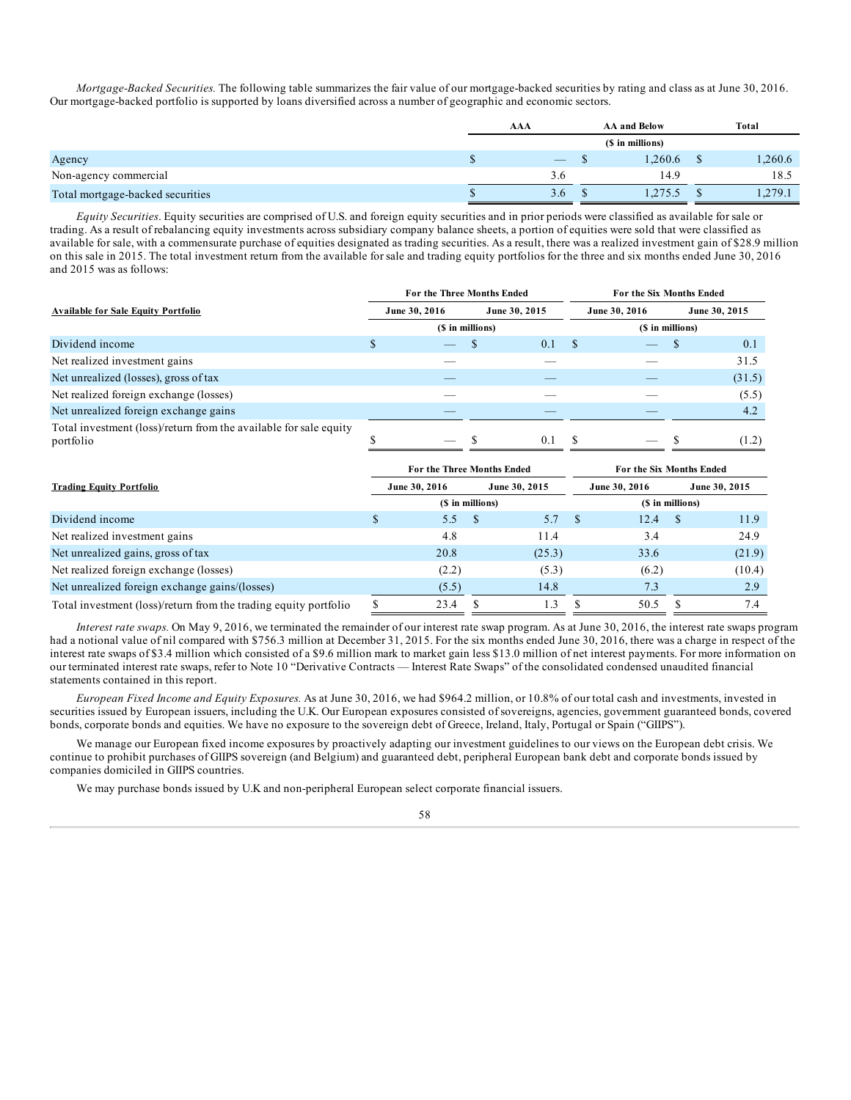*Mortgage-Backed Securities.* The following table summarizes the fair value of our mortgage-backed securities by rating and class as at June 30, 2016. Our mortgage-backed portfolio is supported by loans diversified across a number of geographic and economic sectors.

|                                  | AAA | <b>AA and Below</b> | <b>Total</b> |
|----------------------------------|-----|---------------------|--------------|
|                                  |     | (\$ in millions)    |              |
| Agency                           |     | .260.6              | 1,260.6      |
| Non-agency commercial            | 3.0 | 14.9                | 18.5         |
| Total mortgage-backed securities | 3.6 | 0.275.5             | 1,279.1      |

*Equity Securities*. Equity securities are comprised of U.S. and foreign equity securities and in prior periods were classified as available for sale or trading. As a result of rebalancing equity investments across subsidiary company balance sheets, a portion of equities were sold that were classified as available for sale, with a commensurate purchase of equities designated as trading securities. As a result, there was a realized investment gain of \$28.9 million on this sale in 2015. The total investment return from the available for sale and trading equity portfolios for the three and six months ended June 30, 2016 and 2015 was as follows:

|                                                                                |                  | For the Three Months Ended |  |               | For the Six Months Ended |                  |  |               |  |  |  |
|--------------------------------------------------------------------------------|------------------|----------------------------|--|---------------|--------------------------|------------------|--|---------------|--|--|--|
| <b>Available for Sale Equity Portfolio</b>                                     |                  | June 30, 2016              |  | June 30, 2015 |                          | June 30, 2016    |  | June 30, 2015 |  |  |  |
|                                                                                | (\$ in millions) |                            |  |               |                          | (\$ in millions) |  |               |  |  |  |
| Dividend income                                                                |                  |                            |  | 0.1           |                          |                  |  | 0.1           |  |  |  |
| Net realized investment gains                                                  |                  |                            |  |               |                          |                  |  | 31.5          |  |  |  |
| Net unrealized (losses), gross of tax                                          |                  |                            |  |               |                          |                  |  | (31.5)        |  |  |  |
| Net realized foreign exchange (losses)                                         |                  |                            |  |               |                          |                  |  | (5.5)         |  |  |  |
| Net unrealized foreign exchange gains                                          |                  |                            |  |               |                          |                  |  | 4.2           |  |  |  |
| Total investment (loss)/return from the available for sale equity<br>portfolio |                  | $\overline{\phantom{a}}$   |  | 0.1           |                          | $-$              |  | (1.2)         |  |  |  |

|                                                                  |   | For the Three Months Ended |      |               | For the Six Months Ended |                  |    |               |  |  |
|------------------------------------------------------------------|---|----------------------------|------|---------------|--------------------------|------------------|----|---------------|--|--|
| <b>Trading Equity Portfolio</b>                                  |   | June 30, 2016              |      | June 30, 2015 |                          | June 30, 2016    |    | June 30, 2015 |  |  |
|                                                                  |   | (\$ in millions)           |      |               |                          | (\$ in millions) |    |               |  |  |
| Dividend income                                                  |   | 5.5                        | - \$ | 5.7           |                          | 12.4             | -S | 11.9          |  |  |
| Net realized investment gains                                    |   | 4.8                        |      | 11.4          |                          | 3.4              |    | 24.9          |  |  |
| Net unrealized gains, gross of tax                               |   | 20.8                       |      | (25.3)        |                          | 33.6             |    | (21.9)        |  |  |
| Net realized foreign exchange (losses)                           |   | (2.2)                      |      | (5.3)         |                          | (6.2)            |    | (10.4)        |  |  |
| Net unrealized foreign exchange gains/(losses)                   |   | (5.5)                      |      | 14.8          |                          | 7.3              |    | 2.9           |  |  |
| Total investment (loss)/return from the trading equity portfolio | S | 23.4                       | \$.  | $\cdot$ .3    |                          | 50.5             |    | 7.4           |  |  |

*Interest rate swaps.* On May 9, 2016, we terminated the remainder of our interest rate swap program. As at June 30, 2016, the interest rate swaps program had a notional value of nil compared with \$756.3 million at December 31, 2015. For the six months ended June 30, 2016, there was a charge in respect of the interest rate swaps of \$3.4 million which consisted of a \$9.6 million mark to market gain less \$13.0 million of net interest payments. For more information on our terminated interest rate swaps, refer to Note 10 "Derivative Contracts — Interest Rate Swaps" of the consolidated condensed unaudited financial statements contained in this report.

*European Fixed Income and Equity Exposures.* As at June 30, 2016, we had \$964.2 million, or 10.8% of our total cash and investments, invested in securities issued by European issuers, including the U.K. Our European exposures consisted of sovereigns, agencies, government guaranteed bonds, covered bonds, corporate bonds and equities. We have no exposure to the sovereign debt of Greece, Ireland, Italy, Portugal or Spain ("GIIPS").

We manage our European fixed income exposures by proactively adapting our investment guidelines to our views on the European debt crisis. We continue to prohibit purchases of GIIPS sovereign (and Belgium) and guaranteed debt, peripheral European bank debt and corporate bonds issued by companies domiciled in GIIPS countries.

We may purchase bonds issued by U.K and non-peripheral European select corporate financial issuers.

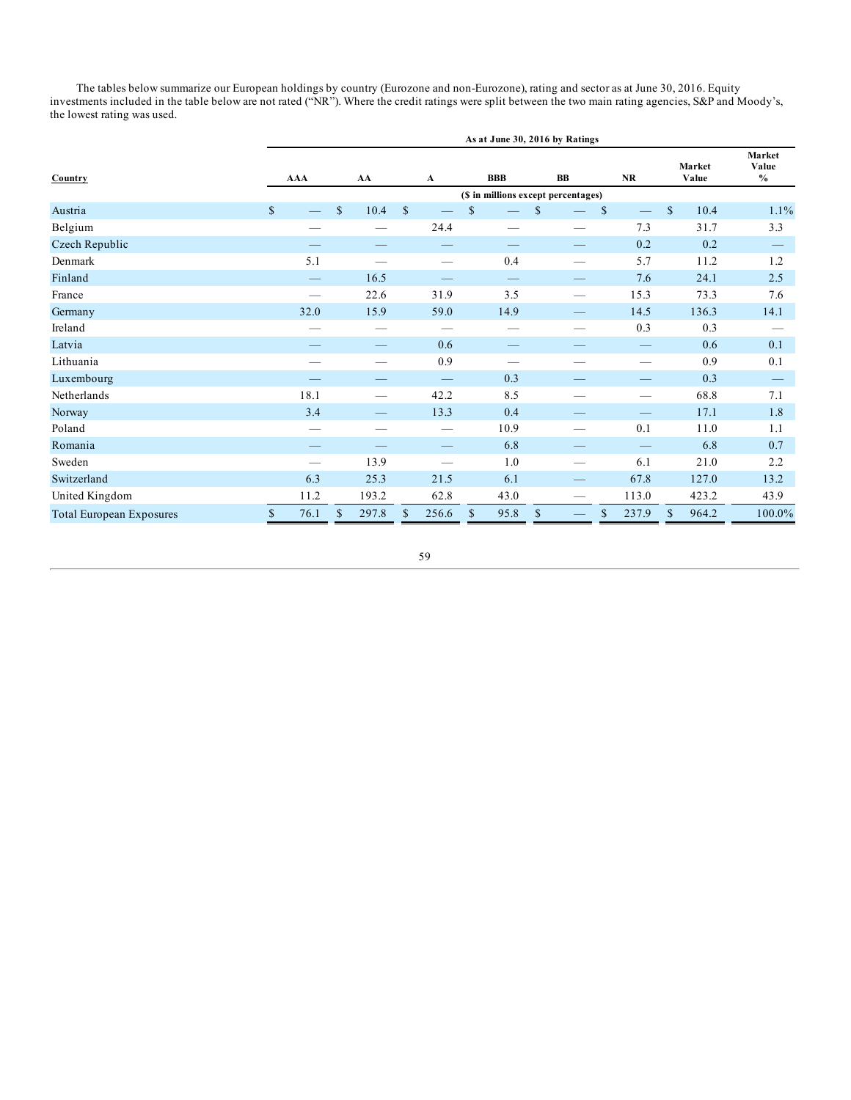The tables below summarize our European holdings by country (Eurozone and non-Eurozone), rating and sector as at June 30, 2016. Equity investments included in the table below are not rated ("NR"). Where the credit ratings were split between the two main rating agencies, S&P and Moody's, the lowest rating was used.

|                                 | As at June 30, 2016 by Ratings      |    |                       |              |                                 |              |                                 |               |   |              |                               |              |                 |                                  |
|---------------------------------|-------------------------------------|----|-----------------------|--------------|---------------------------------|--------------|---------------------------------|---------------|---|--------------|-------------------------------|--------------|-----------------|----------------------------------|
| Country                         | <b>AAA</b>                          |    | AA                    |              | A                               |              | <b>BBB</b>                      |               | B |              | NR                            |              | Market<br>Value | Market<br>Value<br>$\frac{0}{0}$ |
|                                 | (\$ in millions except percentages) |    |                       |              |                                 |              |                                 |               |   |              |                               |              |                 |                                  |
| Austria                         | $\mathbb{S}$                        | \$ | 10.4                  | $\mathbb{S}$ |                                 | $\mathbb{S}$ |                                 | $\mathcal{S}$ |   | $\mathbb{S}$ |                               | $\mathbb{S}$ | 10.4            | 1.1%                             |
| Belgium                         |                                     |    |                       |              | 24.4                            |              | $\overline{\phantom{0}}$        |               |   |              | 7.3                           |              | 31.7            | 3.3                              |
| Czech Republic                  |                                     |    |                       |              |                                 |              |                                 |               |   |              | 0.2                           |              | 0.2             |                                  |
| Denmark                         | 5.1                                 |    |                       |              |                                 |              | 0.4                             |               |   |              | 5.7                           |              | 11.2            | 1.2                              |
| Finland                         |                                     |    | 16.5                  |              |                                 |              |                                 |               |   |              | 7.6                           |              | 24.1            | 2.5                              |
| France                          | $\overline{\phantom{m}}$            |    | 22.6                  |              | 31.9                            |              | 3.5                             |               |   |              | 15.3                          |              | 73.3            | 7.6                              |
| Germany                         | 32.0                                |    | 15.9                  |              | 59.0                            |              | 14.9                            |               |   |              | 14.5                          |              | 136.3           | 14.1                             |
| Ireland                         |                                     |    |                       |              | $\hspace{0.05cm}$               |              |                                 |               |   |              | 0.3                           |              | 0.3             |                                  |
| Latvia                          |                                     |    |                       |              | 0.6                             |              | $\hspace{0.1mm}-\hspace{0.1mm}$ |               |   |              | $\overbrace{\phantom{13333}}$ |              | 0.6             | 0.1                              |
| Lithuania                       |                                     |    |                       |              | 0.9                             |              |                                 |               |   |              |                               |              | 0.9             | 0.1                              |
| Luxembourg                      |                                     |    |                       |              |                                 |              | 0.3                             |               |   |              | —                             |              | 0.3             |                                  |
| Netherlands                     | 18.1                                |    |                       |              | 42.2                            |              | 8.5                             |               |   |              |                               |              | 68.8            | 7.1                              |
| Norway                          | 3.4                                 |    |                       |              | 13.3                            |              | 0.4                             |               |   |              |                               |              | 17.1            | 1.8                              |
| Poland                          |                                     |    | __                    |              | $\hspace{0.1mm}-\hspace{0.1mm}$ |              | 10.9                            |               |   |              | 0.1                           |              | 11.0            | 1.1                              |
| Romania                         |                                     |    |                       |              |                                 |              | 6.8                             |               |   |              | $\qquad \qquad$               |              | 6.8             | 0.7                              |
| Sweden                          |                                     |    | 13.9                  |              |                                 |              | 1.0                             |               |   |              | 6.1                           |              | 21.0            | 2.2                              |
| Switzerland                     | 6.3                                 |    | 25.3                  |              | 21.5                            |              | 6.1                             |               |   |              | 67.8                          |              | 127.0           | 13.2                             |
| United Kingdom                  | 11.2                                |    | 193.2                 |              | 62.8                            |              | 43.0                            |               |   |              | 113.0                         |              | 423.2           | 43.9                             |
| <b>Total European Exposures</b> | \$<br>76.1                          |    | $\mathbb{S}$<br>297.8 | \$           | 256.6                           | $\mathbb{S}$ | 95.8                            | $\mathbb{S}$  |   | \$           | 237.9                         | $\mathbb{S}$ | 964.2           | 100.0%                           |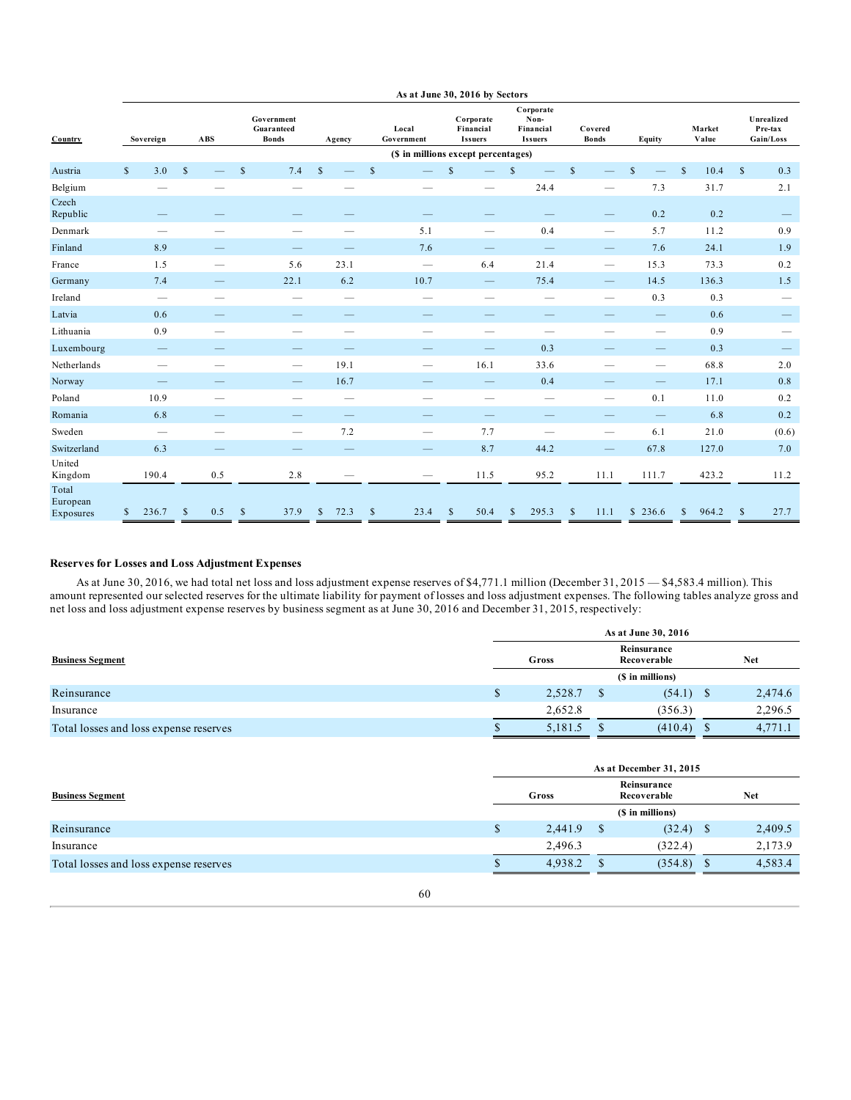|                                | As at June 30, 2016 by Sectors |                                |              |                                  |              |                                          |              |               |                                     |              |                                          |              |                                                  |              |                                 |                                |              |                 |              |                                    |
|--------------------------------|--------------------------------|--------------------------------|--------------|----------------------------------|--------------|------------------------------------------|--------------|---------------|-------------------------------------|--------------|------------------------------------------|--------------|--------------------------------------------------|--------------|---------------------------------|--------------------------------|--------------|-----------------|--------------|------------------------------------|
| Country                        |                                | Sovereign                      |              | $\mathbf{A}\mathbf{B}\mathbf{S}$ |              | Government<br>Guaranteed<br><b>Bonds</b> | Agency       |               | Local<br>Government                 |              | Corporate<br>Financial<br><b>Issuers</b> |              | Corporate<br>Non-<br>Financial<br><b>Issuers</b> |              | Covered<br><b>Bonds</b>         | Equity                         |              | Market<br>Value |              | Unrealized<br>Pre-tax<br>Gain/Loss |
|                                |                                |                                |              |                                  |              |                                          |              |               | (\$ in millions except percentages) |              |                                          |              |                                                  |              |                                 |                                |              |                 |              |                                    |
| Austria                        | $\mathbb{S}$                   | 3.0                            | $\mathbb{S}$ |                                  | $\mathbb{S}$ | 7.4                                      | $\mathbb{S}$ | $\mathsf{\$}$ |                                     | $\mathbb{S}$ |                                          | $\mathbb{S}$ |                                                  | $\mathsf{s}$ |                                 | $\mathbb{S}$                   | $\mathbb{S}$ | 10.4            | $\mathbb{S}$ | 0.3                                |
| Belgium                        |                                |                                |              |                                  |              |                                          |              |               |                                     |              |                                          |              | 24.4                                             |              |                                 | 7.3                            |              | 31.7            |              | 2.1                                |
| Czech<br>Republic              |                                |                                |              |                                  |              |                                          |              |               |                                     |              |                                          |              |                                                  |              | $\hspace{0.1mm}-\hspace{0.1mm}$ | 0.2                            |              | 0.2             |              | $\hspace{0.1mm}-\hspace{0.1mm}$    |
| Denmark                        |                                |                                |              |                                  |              |                                          |              |               | 5.1                                 |              | $\overline{\phantom{m}}$                 |              | 0.4                                              |              | $\overline{\phantom{m}}$        | 5.7                            |              | 11.2            |              | 0.9                                |
| Finland                        |                                | 8.9                            |              | $\qquad \qquad$                  |              | $\qquad \qquad -$                        |              |               | 7.6                                 |              | $\hspace{0.1mm}-\hspace{0.1mm}$          |              | $\hspace{0.1mm}-\hspace{0.1mm}$                  |              | $\overline{\phantom{m}}$        | 7.6                            |              | 24.1            |              | 1.9                                |
| France                         |                                | 1.5                            |              | $\overline{\phantom{a}}$         |              | 5.6                                      | 23.1         |               | $\overline{\phantom{m}}$            |              | 6.4                                      |              | 21.4                                             |              | $\hspace{0.1mm}-\hspace{0.1mm}$ | 15.3                           |              | 73.3            |              | 0.2                                |
| Germany                        |                                | 7.4                            |              |                                  |              | 22.1                                     | 6.2          |               | 10.7                                |              |                                          |              | 75.4                                             |              |                                 | 14.5                           |              | 136.3           |              | 1.5                                |
| Ireland                        |                                | $\overline{\phantom{m}}$       |              | $\overline{\phantom{0}}$         |              | $\overline{\phantom{0}}$                 |              |               | $\overline{\phantom{0}}$            |              | $\overline{\phantom{0}}$                 |              | $\overline{\phantom{m}}$                         |              | $\qquad \qquad -$               | 0.3                            |              | 0.3             |              | $\qquad \qquad -$                  |
| Latvia                         |                                | 0.6                            |              |                                  |              |                                          |              |               |                                     |              |                                          |              |                                                  |              |                                 |                                |              | 0.6             |              | $\hspace{0.1mm}-\hspace{0.1mm}$    |
| Lithuania                      |                                | 0.9                            |              | $\overline{\phantom{a}}$         |              | $\overline{\phantom{a}}$                 |              |               | $\overline{\phantom{a}}$            |              | $\overline{\phantom{0}}$                 |              | $\overline{\phantom{m}}$                         |              | $\overline{\phantom{0}}$        | $\overline{\phantom{m}}$       |              | 0.9             |              | $\hspace{0.05cm}$                  |
| Luxembourg                     |                                | $\qquad \qquad \longleftarrow$ |              |                                  |              | $\overline{\phantom{0}}$                 |              |               |                                     |              | $\hspace{0.1mm}-\hspace{0.1mm}$          |              | 0.3                                              |              |                                 |                                |              | 0.3             |              |                                    |
| Netherlands                    |                                | $\hspace{0.05cm}$              |              | $\overline{\phantom{a}}$         |              | $\hspace{0.05cm}$                        | 19.1         |               | $\hspace{0.05cm}$                   |              | 16.1                                     |              | 33.6                                             |              | $\qquad \qquad$                 | $\hspace{0.05cm}$              |              | 68.8            |              | 2.0                                |
| Norway                         |                                | $\qquad \qquad \longleftarrow$ |              |                                  |              | $\qquad \qquad -$                        | 16.7         |               | $\qquad \qquad -$                   |              | $\hspace{0.1mm}-\hspace{0.1mm}$          |              | 0.4                                              |              | -                               | $\qquad \qquad \longleftarrow$ |              | 17.1            |              | 0.8                                |
| Poland                         |                                | 10.9                           |              |                                  |              |                                          |              |               |                                     |              | $\qquad \qquad$                          |              |                                                  |              |                                 | 0.1                            |              | 11.0            |              | 0.2                                |
| Romania                        |                                | 6.8                            |              |                                  |              |                                          |              |               |                                     |              |                                          |              |                                                  |              |                                 |                                |              | 6.8             |              | 0.2                                |
| Sweden                         |                                | $\hspace{0.05cm}$              |              |                                  |              | $\overline{\phantom{0}}$                 | 7.2          |               | $\hspace{0.05cm}$                   |              | 7.7                                      |              | $\overline{\phantom{0}}$                         |              | $\overline{\phantom{m}}$        | 6.1                            |              | 21.0            |              | (0.6)                              |
| Switzerland                    |                                | 6.3                            |              |                                  |              | $\overline{\phantom{0}}$                 |              |               |                                     |              | 8.7                                      |              | 44.2                                             |              | $\qquad \qquad -$               | 67.8                           |              | 127.0           |              | 7.0                                |
| United<br>Kingdom              |                                | 190.4                          |              | 0.5                              |              | 2.8                                      |              |               | $\hspace{0.1mm}-\hspace{0.1mm}$     |              | 11.5                                     |              | 95.2                                             |              | 11.1                            | 111.7                          |              | 423.2           |              | 11.2                               |
| Total<br>European<br>Exposures | S                              | 236.7                          | \$           | 0.5                              | \$           | 37.9                                     | 72.3<br>\$   | \$            | 23.4                                | \$           | 50.4                                     | S            | 295.3                                            | S            | 11.1                            | \$236.6                        | $\mathbb{S}$ | 964.2           | $\mathbb{S}$ | 27.7                               |

## **Reserves for Losses and Loss Adjustment Expenses**

As at June 30, 2016, we had total net loss and loss adjustment expense reserves of \$4,771.1 million (December 31, 2015 — \$4,583.4 million). This amount represented our selected reserves for the ultimate liability for payment of losses and loss adjustment expenses. The following tables analyze gross and net loss and loss adjustment expense reserves by business segment as at June 30, 2016 and December 31, 2015, respectively:

|                                        |    |         | As at June 30, 2016        |   |         |
|----------------------------------------|----|---------|----------------------------|---|---------|
| <b>Business Segment</b>                |    | Gross   | Reinsurance<br>Recoverable |   | Net     |
|                                        |    |         | (\$ in millions)           |   |         |
| Reinsurance                            | ۰D | 2,528.7 | $(54.1)$ \$                |   | 2,474.6 |
| Insurance                              |    | 2,652.8 | (356.3)                    |   | 2,296.5 |
| Total losses and loss expense reserves |    | 5,181.5 | (410.4)                    | S | 4,771.1 |

|                                        | As at December 31, 2015 |                            |            |                  |      |         |  |  |  |  |  |  |
|----------------------------------------|-------------------------|----------------------------|------------|------------------|------|---------|--|--|--|--|--|--|
| <b>Business Segment</b>                | Gross                   | Reinsurance<br>Recoverable | <b>Net</b> |                  |      |         |  |  |  |  |  |  |
|                                        |                         |                            |            | (\$ in millions) |      |         |  |  |  |  |  |  |
| Reinsurance                            | \$                      | 2,441.9                    |            | (32.4)           | - \$ | 2,409.5 |  |  |  |  |  |  |
| Insurance                              |                         | 2,496.3                    |            | (322.4)          |      | 2,173.9 |  |  |  |  |  |  |
| Total losses and loss expense reserves |                         | 4.938.2                    |            | (354.8)          | - S  | 4,583.4 |  |  |  |  |  |  |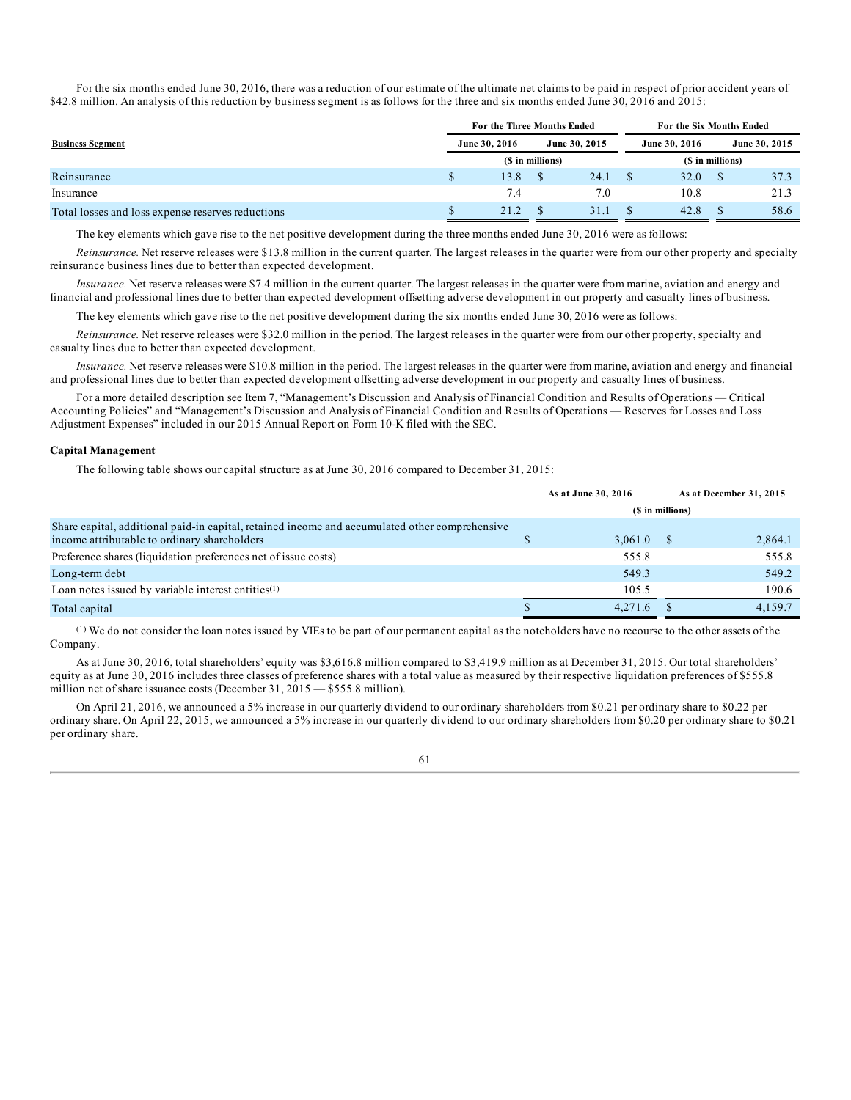For the six months ended June 30, 2016, there was a reduction of our estimate of the ultimate net claims to be paid in respect of prior accident years of \$42.8 million. An analysis of this reduction by business segment is as follows for the three and six months ended June 30, 2016 and 2015:

|                                                   | For the Three Months Ended |                  | For the Six Months Ended |  |               |                  |               |  |
|---------------------------------------------------|----------------------------|------------------|--------------------------|--|---------------|------------------|---------------|--|
| <b>Business Segment</b>                           | June 30, 2016              |                  | June 30, 2015            |  | June 30, 2016 |                  | June 30, 2015 |  |
|                                                   |                            | (\$ in millions) |                          |  |               | (\$ in millions) |               |  |
| Reinsurance                                       | 13.8                       |                  | 24.1                     |  | 32.0          |                  | 37.3          |  |
| Insurance                                         | 7.4                        |                  | 7.0                      |  | 10.8          |                  | 21.3          |  |
| Total losses and loss expense reserves reductions | $21.2^{\circ}$             |                  | 31.                      |  | 42.8          |                  | 58.6          |  |

The key elements which gave rise to the net positive development during the three months ended June 30, 2016 were as follows:

*Reinsurance.* Net reserve releases were \$13.8 million in the current quarter. The largest releases in the quarter were from our other property and specialty reinsurance business lines due to better than expected development.

*Insurance.* Net reserve releases were \$7.4 million in the current quarter. The largest releases in the quarter were from marine, aviation and energy and financial and professional lines due to better than expected development offsetting adverse development in our property and casualty lines of business.

The key elements which gave rise to the net positive development during the six months ended June 30, 2016 were as follows:

*Reinsurance.* Net reserve releases were \$32.0 million in the period. The largest releases in the quarter were from our other property, specialty and casualty lines due to better than expected development.

*Insurance.* Net reserve releases were \$10.8 million in the period. The largest releases in the quarter were from marine, aviation and energy and financial and professional lines due to better than expected development offsetting adverse development in our property and casualty lines of business.

For a more detailed description see Item 7, "Management's Discussion and Analysis of Financial Condition and Results of Operations — Critical Accounting Policies" and "Management's Discussion and Analysis of Financial Condition and Results of Operations — Reserves for Losses and Loss Adjustment Expenses" included in our 2015 Annual Report on Form 10-K filed with the SEC.

### **Capital Management**

The following table shows our capital structure as at June 30, 2016 compared to December 31, 2015:

|                                                                                                                                                |                  | As at June 30, 2016 |  | As at December 31, 2015 |  |  |  |  |  |
|------------------------------------------------------------------------------------------------------------------------------------------------|------------------|---------------------|--|-------------------------|--|--|--|--|--|
|                                                                                                                                                | (\$ in millions) |                     |  |                         |  |  |  |  |  |
| Share capital, additional paid-in capital, retained income and accumulated other comprehensive<br>income attributable to ordinary shareholders |                  | 3,061.0             |  | 2,864.1                 |  |  |  |  |  |
| Preference shares (liquidation preferences net of issue costs)                                                                                 |                  | 555.8               |  | 555.8                   |  |  |  |  |  |
| Long-term debt                                                                                                                                 |                  | 549.3               |  | 549.2                   |  |  |  |  |  |
| Loan notes issued by variable interest entities <sup>(1)</sup>                                                                                 |                  | 105.5               |  | 190.6                   |  |  |  |  |  |
| Total capital                                                                                                                                  |                  | 4.271.6             |  | 4,159.7                 |  |  |  |  |  |

(1) We do not consider the loan notes issued by VIEs to be part of our permanent capital as the noteholders have no recourse to the other assets of the Company.

As at June 30, 2016, total shareholders' equity was \$3,616.8 million compared to \$3,419.9 million as at December 31, 2015. Our total shareholders' equity as at June 30, 2016 includes three classes of preference shares with a total value as measured by their respective liquidation preferences of \$555.8 million net of share issuance costs (December 31, 2015 — \$555.8 million).

On April 21, 2016, we announced a 5% increase in our quarterly dividend to our ordinary shareholders from \$0.21 per ordinary share to \$0.22 per ordinary share. On April 22, 2015, we announced a 5% increase in our quarterly dividend to our ordinary shareholders from \$0.20 per ordinary share to \$0.21 per ordinary share.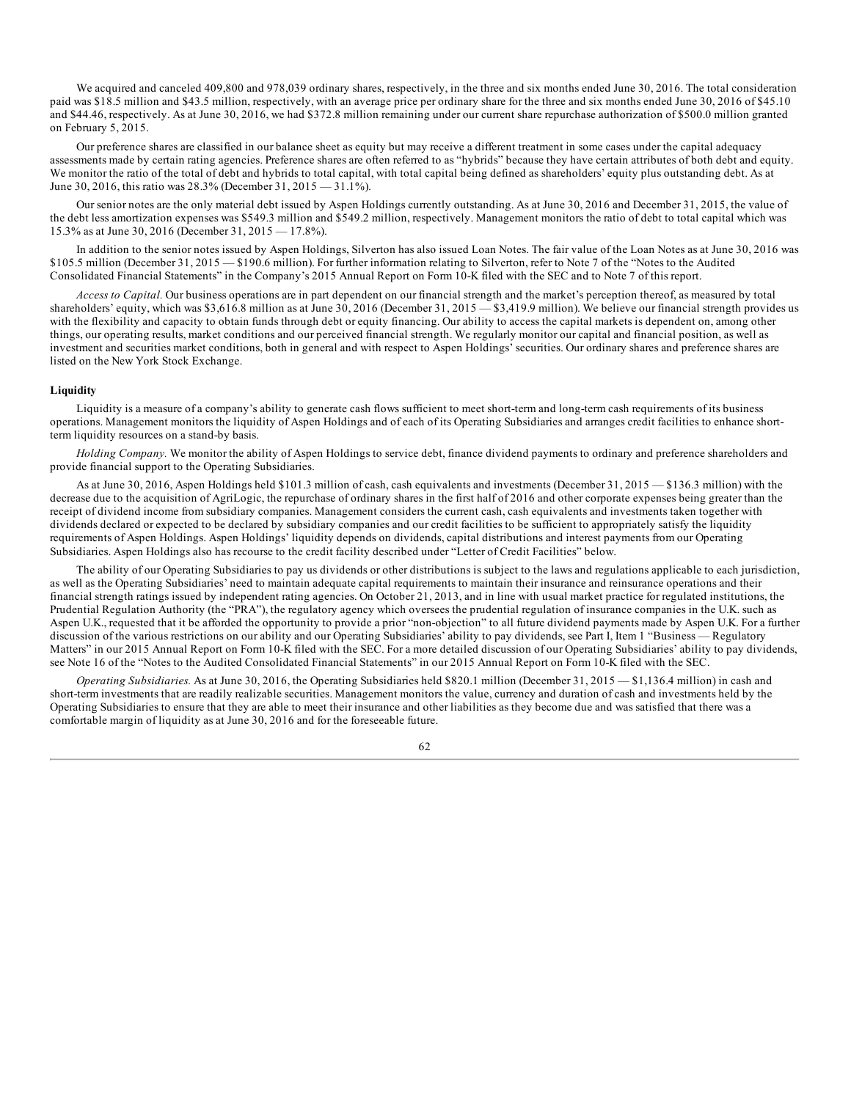We acquired and canceled 409,800 and 978,039 ordinary shares, respectively, in the three and six months ended June 30, 2016. The total consideration paid was \$18.5 million and \$43.5 million, respectively, with an average price per ordinary share for the three and six months ended June 30, 2016 of \$45.10 and \$44.46, respectively. As at June 30, 2016, we had \$372.8 million remaining under our current share repurchase authorization of \$500.0 million granted on February 5, 2015.

Our preference shares are classified in our balance sheet as equity but may receive a different treatment in some cases under the capital adequacy assessments made by certain rating agencies. Preference shares are often referred to as "hybrids" because they have certain attributes of both debt and equity. We monitor the ratio of the total of debt and hybrids to total capital, with total capital being defined as shareholders' equity plus outstanding debt. As at June 30, 2016, this ratio was 28.3% (December 31, 2015 — 31.1%).

Our senior notes are the only material debt issued by Aspen Holdings currently outstanding. As at June 30, 2016 and December 31, 2015, the value of the debt less amortization expenses was \$549.3 million and \$549.2 million, respectively. Management monitors the ratio of debt to total capital which was 15.3% as at June 30, 2016 (December 31, 2015 — 17.8%).

In addition to the senior notes issued by Aspen Holdings, Silverton has also issued Loan Notes. The fair value of the Loan Notes as at June 30, 2016 was \$105.5 million (December 31, 2015 — \$190.6 million). For further information relating to Silverton, refer to Note 7 of the "Notes to the Audited Consolidated Financial Statements" in the Company's 2015 Annual Report on Form 10-K filed with the SEC and to Note 7 of this report.

*Access to Capital.* Our business operations are in part dependent on our financial strength and the market's perception thereof, as measured by total shareholders' equity, which was \$3,616.8 million as at June 30, 2016 (December 31, 2015 — \$3,419.9 million). We believe our financial strength provides us with the flexibility and capacity to obtain funds through debt or equity financing. Our ability to access the capital markets is dependent on, among other things, our operating results, market conditions and our perceived financial strength. We regularly monitor our capital and financial position, as well as investment and securities market conditions, both in general and with respect to Aspen Holdings' securities. Our ordinary shares and preference shares are listed on the New York Stock Exchange.

## **Liquidity**

Liquidity is a measure of a company's ability to generate cash flows sufficient to meet short-term and long-term cash requirements of its business operations. Management monitors the liquidity of Aspen Holdings and of each of its Operating Subsidiaries and arranges credit facilities to enhance shortterm liquidity resources on a stand-by basis.

*Holding Company.* We monitor the ability of Aspen Holdings to service debt, finance dividend payments to ordinary and preference shareholders and provide financial support to the Operating Subsidiaries.

As at June 30, 2016, Aspen Holdings held \$101.3 million of cash, cash equivalents and investments (December 31, 2015 — \$136.3 million) with the decrease due to the acquisition of AgriLogic, the repurchase of ordinary shares in the first half of 2016 and other corporate expenses being greater than the receipt of dividend income from subsidiary companies. Management considers the current cash, cash equivalents and investments taken together with dividends declared or expected to be declared by subsidiary companies and our credit facilities to be sufficient to appropriately satisfy the liquidity requirements of Aspen Holdings. Aspen Holdings' liquidity depends on dividends, capital distributions and interest payments from our Operating Subsidiaries. Aspen Holdings also has recourse to the credit facility described under "Letter of Credit Facilities" below.

The ability of our Operating Subsidiaries to pay us dividends or other distributions is subject to the laws and regulations applicable to each jurisdiction, as well as the Operating Subsidiaries' need to maintain adequate capital requirements to maintain their insurance and reinsurance operations and their financial strength ratings issued by independent rating agencies. On October 21, 2013, and in line with usual market practice for regulated institutions, the Prudential Regulation Authority (the "PRA"), the regulatory agency which oversees the prudential regulation of insurance companies in the U.K. such as Aspen U.K., requested that it be afforded the opportunity to provide a prior "non-objection" to all future dividend payments made by Aspen U.K. For a further discussion of the various restrictions on our ability and our Operating Subsidiaries' ability to pay dividends, see Part I, Item 1 "Business — Regulatory Matters" in our 2015 Annual Report on Form 10-K filed with the SEC. For a more detailed discussion of our Operating Subsidiaries' ability to pay dividends, see Note 16 of the "Notes to the Audited Consolidated Financial Statements" in our 2015 Annual Report on Form 10-K filed with the SEC.

*Operating Subsidiaries.* As at June 30, 2016, the Operating Subsidiaries held \$820.1 million (December 31, 2015 — \$1,136.4 million) in cash and short-term investments that are readily realizable securities. Management monitors the value, currency and duration of cash and investments held by the Operating Subsidiaries to ensure that they are able to meet their insurance and other liabilities as they become due and was satisfied that there was a comfortable margin of liquidity as at June 30, 2016 and for the foreseeable future.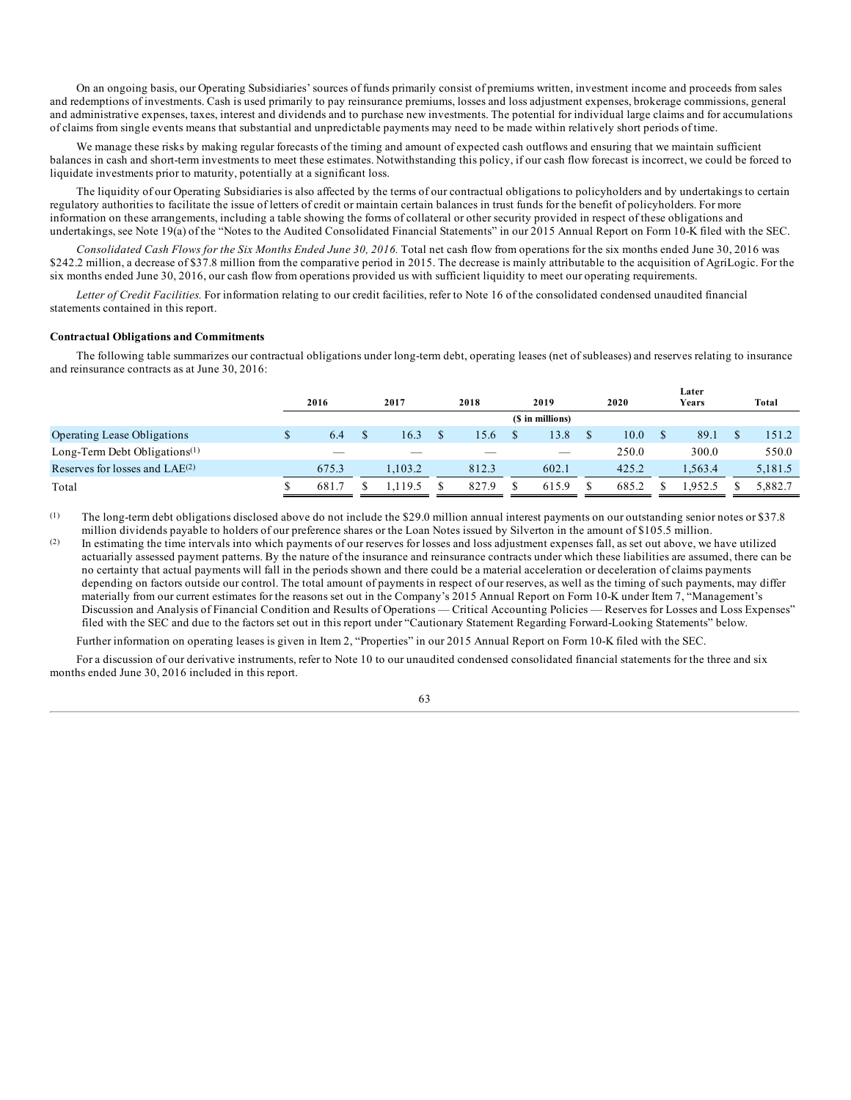On an ongoing basis, our Operating Subsidiaries' sources of funds primarily consist of premiums written, investment income and proceeds from sales and redemptions of investments. Cash is used primarily to pay reinsurance premiums, losses and loss adjustment expenses, brokerage commissions, general and administrative expenses, taxes, interest and dividends and to purchase new investments. The potential for individual large claims and for accumulations of claims from single events means that substantial and unpredictable payments may need to be made within relatively short periods of time.

We manage these risks by making regular forecasts of the timing and amount of expected cash outflows and ensuring that we maintain sufficient balances in cash and short-term investments to meet these estimates. Notwithstanding this policy, if our cash flow forecast is incorrect, we could be forced to liquidate investments prior to maturity, potentially at a significant loss.

The liquidity of our Operating Subsidiaries is also affected by the terms of our contractual obligations to policyholders and by undertakings to certain regulatory authorities to facilitate the issue of letters of credit or maintain certain balances in trust funds for the benefit of policyholders. For more information on these arrangements, including a table showing the forms of collateral or other security provided in respect of these obligations and undertakings, see Note 19(a) of the "Notes to the Audited Consolidated Financial Statements" in our 2015 Annual Report on Form 10-K filed with the SEC.

*Consolidated Cash Flows for the Six Months Ended June 30, 2016.* Total net cash flow from operations for the six months ended June 30, 2016 was \$242.2 million, a decrease of \$37.8 million from the comparative period in 2015. The decrease is mainly attributable to the acquisition of AgriLogic. For the six months ended June 30, 2016, our cash flow from operations provided us with sufficient liquidity to meet our operating requirements.

*Letter of Credit Facilities.* For information relating to our credit facilities, refer to Note 16 of the consolidated condensed unaudited financial statements contained in this report.

### **Contractual Obligations and Commitments**

The following table summarizes our contractual obligations under long-term debt, operating leases (net of subleases) and reserves relating to insurance and reinsurance contracts as at June 30, 2016:

|                                     |  |                          |  |        |  |                          |  |                  |       |       | Later  |         |
|-------------------------------------|--|--------------------------|--|--------|--|--------------------------|--|------------------|-------|-------|--------|---------|
|                                     |  | 2016                     |  | 2017   |  | 2018                     |  | 2019             | 2020  | Years |        | Total   |
|                                     |  |                          |  |        |  |                          |  | (\$ in millions) |       |       |        |         |
| <b>Operating Lease Obligations</b>  |  | 6.4                      |  | 16.3   |  | 15.6                     |  | 13.8             | 10.0  |       | 89.1   | 151.2   |
| Long-Term Debt Obligations $(1)$    |  | $\overline{\phantom{a}}$ |  |        |  | $\overline{\phantom{a}}$ |  | $\qquad \qquad$  | 250.0 |       | 300.0  | 550.0   |
| Reserves for losses and $LAE^{(2)}$ |  | 675.3                    |  | 1.03.2 |  | 812.3                    |  | 602.1            | 425.2 |       | .563.4 | 5,181.5 |
| Total                               |  | 681.7                    |  | 19.5   |  | 827.9                    |  | 615.9            | 685.2 |       | .952.5 | 5.882.7 |

(1) The long-term debt obligations disclosed above do not include the \$29.0 million annual interest payments on our outstanding senior notes or \$37.8 million dividends payable to holders of our preference shares or the Loan Notes issued by Silverton in the amount of \$105.5 million.

(2) In estimating the time intervals into which payments of our reserves for losses and loss adjustment expenses fall, as set out above, we have utilized actuarially assessed payment patterns. By the nature of the insurance and reinsurance contracts under which these liabilities are assumed, there can be no certainty that actual payments will fall in the periods shown and there could be a material acceleration or deceleration of claims payments depending on factors outside our control. The total amount of payments in respect of our reserves, as well as the timing of such payments, may differ materially from our current estimates for the reasons set out in the Company's 2015 Annual Report on Form 10-K under Item 7, "Management's Discussion and Analysis of Financial Condition and Results of Operations — Critical Accounting Policies — Reserves for Losses and Loss Expenses" filed with the SEC and due to the factors set out in this report under "Cautionary Statement Regarding Forward-Looking Statements" below.

Further information on operating leases is given in Item 2, "Properties" in our 2015 Annual Report on Form 10-K filed with the SEC.

For a discussion of our derivative instruments, refer to Note 10 to our unaudited condensed consolidated financial statements for the three and six months ended June 30, 2016 included in this report.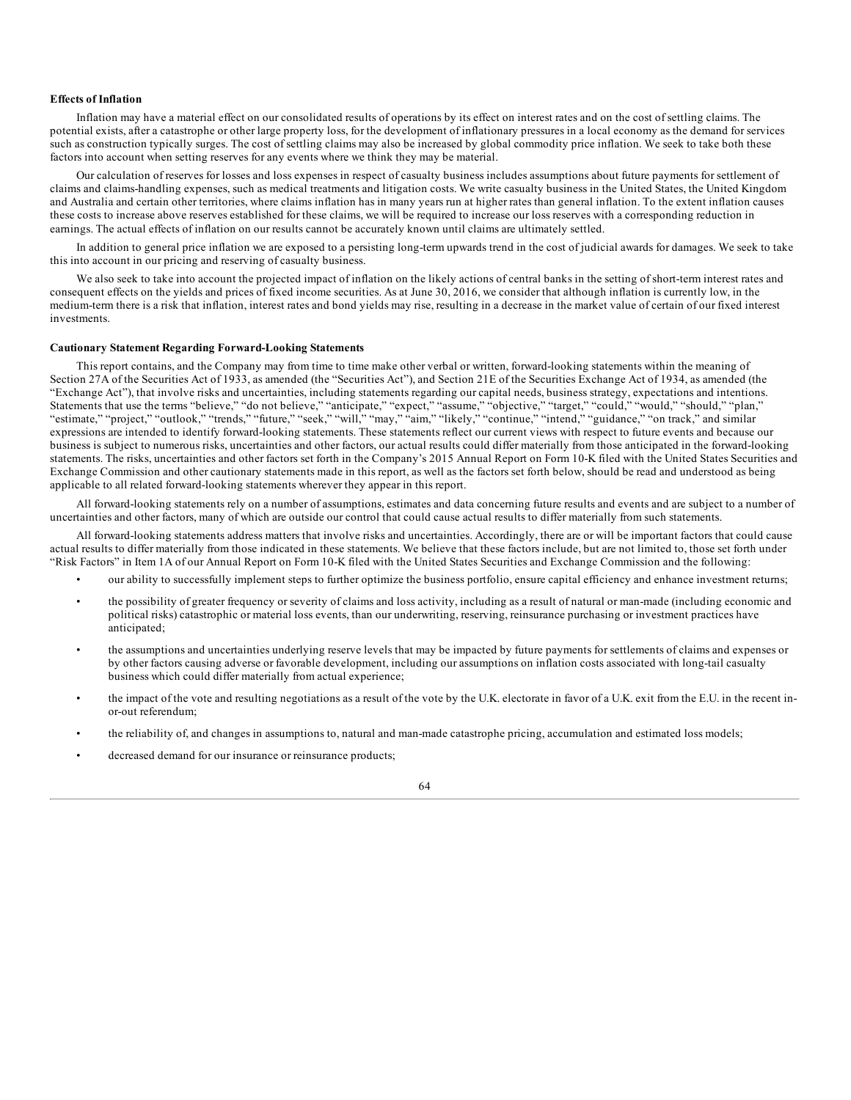## **Effects of Inflation**

Inflation may have a material effect on our consolidated results of operations by its effect on interest rates and on the cost of settling claims. The potential exists, after a catastrophe or other large property loss, for the development of inflationary pressures in a local economy as the demand for services such as construction typically surges. The cost of settling claims may also be increased by global commodity price inflation. We seek to take both these factors into account when setting reserves for any events where we think they may be material.

Our calculation of reserves for losses and loss expenses in respect of casualty business includes assumptions about future payments for settlement of claims and claims-handling expenses, such as medical treatments and litigation costs. We write casualty business in the United States, the United Kingdom and Australia and certain other territories, where claims inflation has in many years run at higher rates than general inflation. To the extent inflation causes these costs to increase above reserves established for these claims, we will be required to increase our loss reserves with a corresponding reduction in earnings. The actual effects of inflation on our results cannot be accurately known until claims are ultimately settled.

In addition to general price inflation we are exposed to a persisting long-term upwards trend in the cost of judicial awards for damages. We seek to take this into account in our pricing and reserving of casualty business.

We also seek to take into account the projected impact of inflation on the likely actions of central banks in the setting of short-term interest rates and consequent effects on the yields and prices of fixed income securities. As at June 30, 2016, we consider that although inflation is currently low, in the medium-term there is a risk that inflation, interest rates and bond yields may rise, resulting in a decrease in the market value of certain of our fixed interest investments.

#### **Cautionary Statement Regarding Forward-Looking Statements**

This report contains, and the Company may from time to time make other verbal or written, forward-looking statements within the meaning of Section 27A of the Securities Act of 1933, as amended (the "Securities Act"), and Section 21E of the Securities Exchange Act of 1934, as amended (the "Exchange Act"), that involve risks and uncertainties, including statements regarding our capital needs, business strategy, expectations and intentions. Statements that use the terms "believe," "do not believe," "anticipate," "expect," "assume," "objective," "target," "could," "would," "should," "plan," "estimate," "project," "outlook," "trends," "future," "seek," "will," "may," "aim," "likely," "continue," "intend," "guidance," "on track," and similar expressions are intended to identify forward-looking statements. These statements reflect our current views with respect to future events and because our business is subject to numerous risks, uncertainties and other factors, our actual results could differ materially from those anticipated in the forward-looking statements. The risks, uncertainties and other factors set forth in the Company's 2015 Annual Report on Form 10-K filed with the United States Securities and Exchange Commission and other cautionary statements made in this report, as well as the factors set forth below, should be read and understood as being applicable to all related forward-looking statements wherever they appear in this report.

All forward-looking statements rely on a number of assumptions, estimates and data concerning future results and events and are subject to a number of uncertainties and other factors, many of which are outside our control that could cause actual results to differ materially from such statements.

All forward-looking statements address matters that involve risks and uncertainties. Accordingly, there are or will be important factors that could cause actual results to differ materially from those indicated in these statements. We believe that these factors include, but are not limited to, those set forth under "Risk Factors" in Item 1A of our Annual Report on Form 10-K filed with the United States Securities and Exchange Commission and the following:

- our ability to successfully implement steps to further optimize the business portfolio, ensure capital efficiency and enhance investment returns;
- the possibility of greater frequency or severity of claims and loss activity, including as a result of natural or man-made (including economic and political risks) catastrophic or material loss events, than our underwriting, reserving, reinsurance purchasing or investment practices have anticipated;
- the assumptions and uncertainties underlying reserve levels that may be impacted by future payments for settlements of claims and expenses or by other factors causing adverse or favorable development, including our assumptions on inflation costs associated with long-tail casualty business which could differ materially from actual experience;
- the impact of the vote and resulting negotiations as a result of the vote by the U.K. electorate in favor of a U.K. exit from the E.U. in the recent inor-out referendum;
- the reliability of, and changes in assumptions to, natural and man-made catastrophe pricing, accumulation and estimated loss models;
- decreased demand for our insurance or reinsurance products;

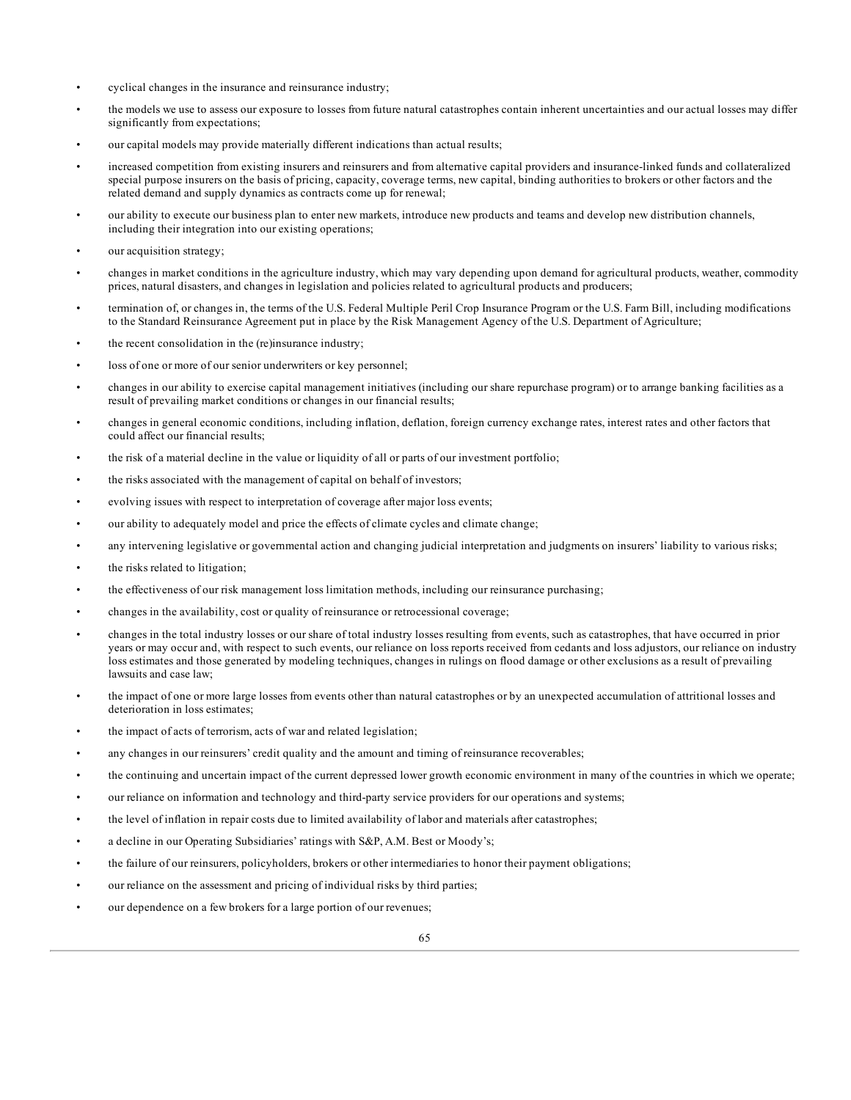- cyclical changes in the insurance and reinsurance industry;
- the models we use to assess our exposure to losses from future natural catastrophes contain inherent uncertainties and our actual losses may differ significantly from expectations;
- our capital models may provide materially different indications than actual results;
- increased competition from existing insurers and reinsurers and from alternative capital providers and insurance-linked funds and collateralized special purpose insurers on the basis of pricing, capacity, coverage terms, new capital, binding authorities to brokers or other factors and the related demand and supply dynamics as contracts come up for renewal;
- our ability to execute our business plan to enter new markets, introduce new products and teams and develop new distribution channels, including their integration into our existing operations;
- our acquisition strategy;
- changes in market conditions in the agriculture industry, which may vary depending upon demand for agricultural products, weather, commodity prices, natural disasters, and changes in legislation and policies related to agricultural products and producers;
- termination of, or changes in, the terms of the U.S. Federal Multiple Peril Crop Insurance Program or the U.S. Farm Bill, including modifications to the Standard Reinsurance Agreement put in place by the Risk Management Agency of the U.S. Department of Agriculture;
- the recent consolidation in the (re)insurance industry;
- loss of one or more of our senior underwriters or key personnel;
- changes in our ability to exercise capital management initiatives (including our share repurchase program) or to arrange banking facilities as a result of prevailing market conditions or changes in our financial results;
- changes in general economic conditions, including inflation, deflation, foreign currency exchange rates, interest rates and other factors that could affect our financial results;
- the risk of a material decline in the value or liquidity of all or parts of our investment portfolio;
- the risks associated with the management of capital on behalf of investors;
- evolving issues with respect to interpretation of coverage after major loss events;
- our ability to adequately model and price the effects of climate cycles and climate change;
- any intervening legislative or governmental action and changing judicial interpretation and judgments on insurers' liability to various risks;
- the risks related to litigation;
- the effectiveness of our risk management loss limitation methods, including our reinsurance purchasing;
- changes in the availability, cost or quality of reinsurance or retrocessional coverage;
- changes in the total industry losses or our share of total industry losses resulting from events, such as catastrophes, that have occurred in prior years or may occur and, with respect to such events, our reliance on loss reports received from cedants and loss adjustors, our reliance on industry loss estimates and those generated by modeling techniques, changes in rulings on flood damage or other exclusions as a result of prevailing lawsuits and case law;
- the impact of one or more large losses from events other than natural catastrophes or by an unexpected accumulation of attritional losses and deterioration in loss estimates;
- the impact of acts of terrorism, acts of war and related legislation;
- any changes in our reinsurers' credit quality and the amount and timing of reinsurance recoverables;
- the continuing and uncertain impact of the current depressed lower growth economic environment in many of the countries in which we operate;
- our reliance on information and technology and third-party service providers for our operations and systems;
- the level of inflation in repair costs due to limited availability of labor and materials after catastrophes;
- a decline in our Operating Subsidiaries' ratings with S&P, A.M. Best or Moody's;
- the failure of our reinsurers, policyholders, brokers or other intermediaries to honor their payment obligations;
- our reliance on the assessment and pricing of individual risks by third parties;
- our dependence on a few brokers for a large portion of our revenues;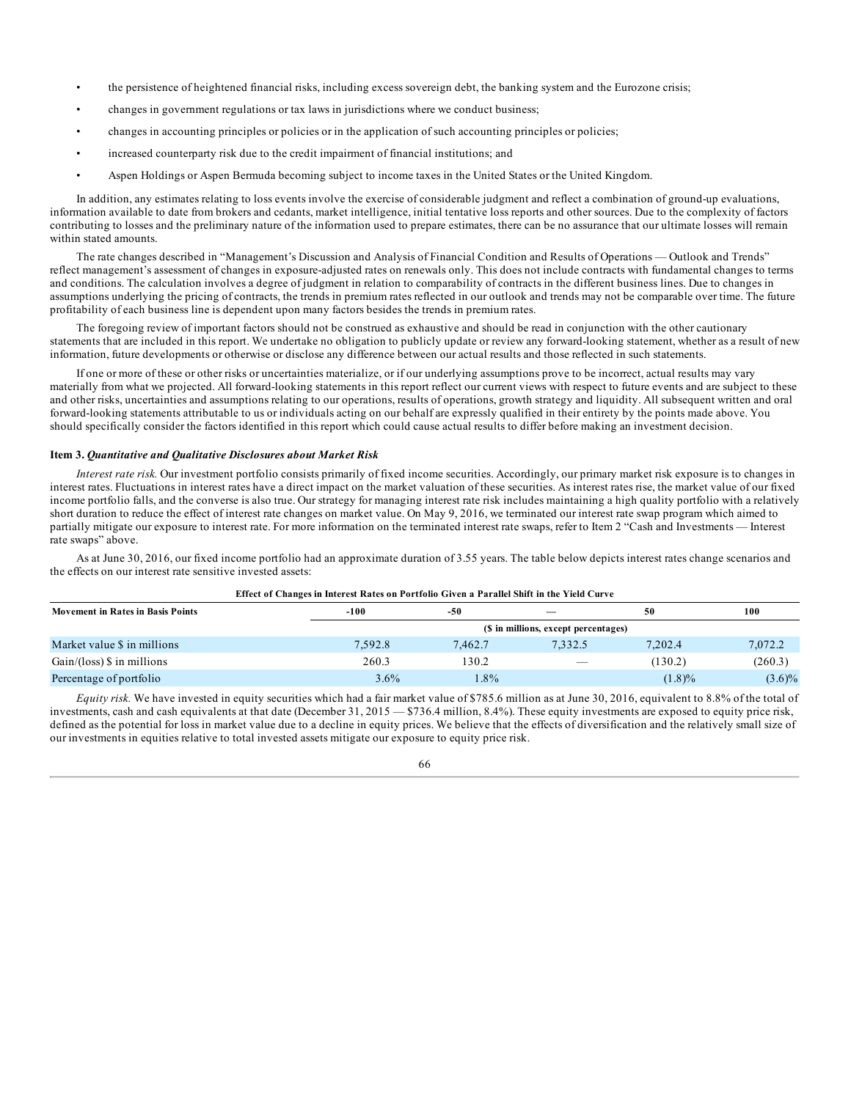- the persistence of heightened financial risks, including excess sovereign debt, the banking system and the Eurozone crisis;
- changes in government regulations or tax laws in jurisdictions where we conduct business;
- changes in accounting principles or policies or in the application of such accounting principles or policies;
- increased counterparty risk due to the credit impairment of financial institutions; and
- Aspen Holdings or Aspen Bermuda becoming subject to income taxes in the United States or the United Kingdom.

In addition, any estimates relating to loss events involve the exercise of considerable judgment and reflect a combination of ground-up evaluations, information available to date from brokers and cedants, market intelligence, initial tentative loss reports and other sources. Due to the complexity of factors contributing to losses and the preliminary nature of the information used to prepare estimates, there can be no assurance that our ultimate losses will remain within stated amounts.

The rate changes described in "Management's Discussion and Analysis of Financial Condition and Results of Operations — Outlook and Trends" reflect management's assessment of changes in exposure-adjusted rates on renewals only. This does not include contracts with fundamental changes to terms and conditions. The calculation involves a degree of judgment in relation to comparability of contracts in the different business lines. Due to changes in assumptions underlying the pricing of contracts, the trends in premium rates reflected in our outlook and trends may not be comparable over time. The future profitability of each business line is dependent upon many factors besides the trends in premium rates.

The foregoing review of important factors should not be construed as exhaustive and should be read in conjunction with the other cautionary statements that are included in this report. We undertake no obligation to publicly update or review any forward-looking statement, whether as a result of new information, future developments or otherwise or disclose any difference between our actual results and those reflected in such statements.

If one or more of these or other risks or uncertainties materialize, or if our underlying assumptions prove to be incorrect, actual results may vary materially from what we projected. All forward-looking statements in this report reflect our current views with respect to future events and are subject to these and other risks, uncertainties and assumptions relating to our operations, results of operations, growth strategy and liquidity. All subsequent written and oral forward-looking statements attributable to us or individuals acting on our behalf are expressly qualified in their entirety by the points made above. You should specifically consider the factors identified in this report which could cause actual results to differ before making an investment decision.

### **Item 3.** *Quantitative and Qualitative Disclosures about Market Risk*

*Interest rate risk.* Our investment portfolio consists primarily of fixed income securities. Accordingly, our primary market risk exposure is to changes in interest rates. Fluctuations in interest rates have a direct impact on the market valuation of these securities. As interest rates rise, the market value of our fixed income portfolio falls, and the converse is also true. Our strategy for managing interest rate risk includes maintaining a high quality portfolio with a relatively short duration to reduce the effect of interest rate changes on market value. On May 9, 2016, we terminated our interest rate swap program which aimed to partially mitigate our exposure to interest rate. For more information on the terminated interest rate swaps, refer to Item 2 "Cash and Investments — Interest rate swaps" above.

As at June 30, 2016, our fixed income portfolio had an approximate duration of 3.55 years. The table below depicts interest rates change scenarios and the effects on our interest rate sensitive invested assets: **Effect of Changes in Interest Rates on Portfolio Given a Parallel Shift in the Yield Curve**

| ETIQUE DI CHANGUS IN INICION INAUS DII I DI CIDIO CHYCH A I ATANCI SHIIU IN CHU TICHI VU I |         |                                      |                          |           |           |  |  |  |  |
|--------------------------------------------------------------------------------------------|---------|--------------------------------------|--------------------------|-----------|-----------|--|--|--|--|
| <b>Movement in Rates in Basis Points</b>                                                   | -100    | 50<br>-50                            |                          |           | 100       |  |  |  |  |
|                                                                                            |         | (\$ in millions, except percentages) |                          |           |           |  |  |  |  |
| Market value \$ in millions                                                                | 7,592.8 | 7.462.7                              | 7,332.5                  | 7,202.4   | 7,072.2   |  |  |  |  |
| $Gain/(loss)$ \$ in millions                                                               | 260.3   | 130.2                                | $\overline{\phantom{a}}$ | (130.2)   | (260.3)   |  |  |  |  |
| Percentage of portfolio                                                                    | 3.6%    | $.8\%$                               |                          | $(1.8)\%$ | $(3.6)\%$ |  |  |  |  |

*Equity risk.* We have invested in equity securities which had a fair market value of \$785.6 million as at June 30, 2016, equivalent to 8.8% of the total of investments, cash and cash equivalents at that date (December 31, 2015 — \$736.4 million, 8.4%). These equity investments are exposed to equity price risk, defined as the potential for loss in market value due to a decline in equity prices. We believe that the effects of diversification and the relatively small size of our investments in equities relative to total invested assets mitigate our exposure to equity price risk.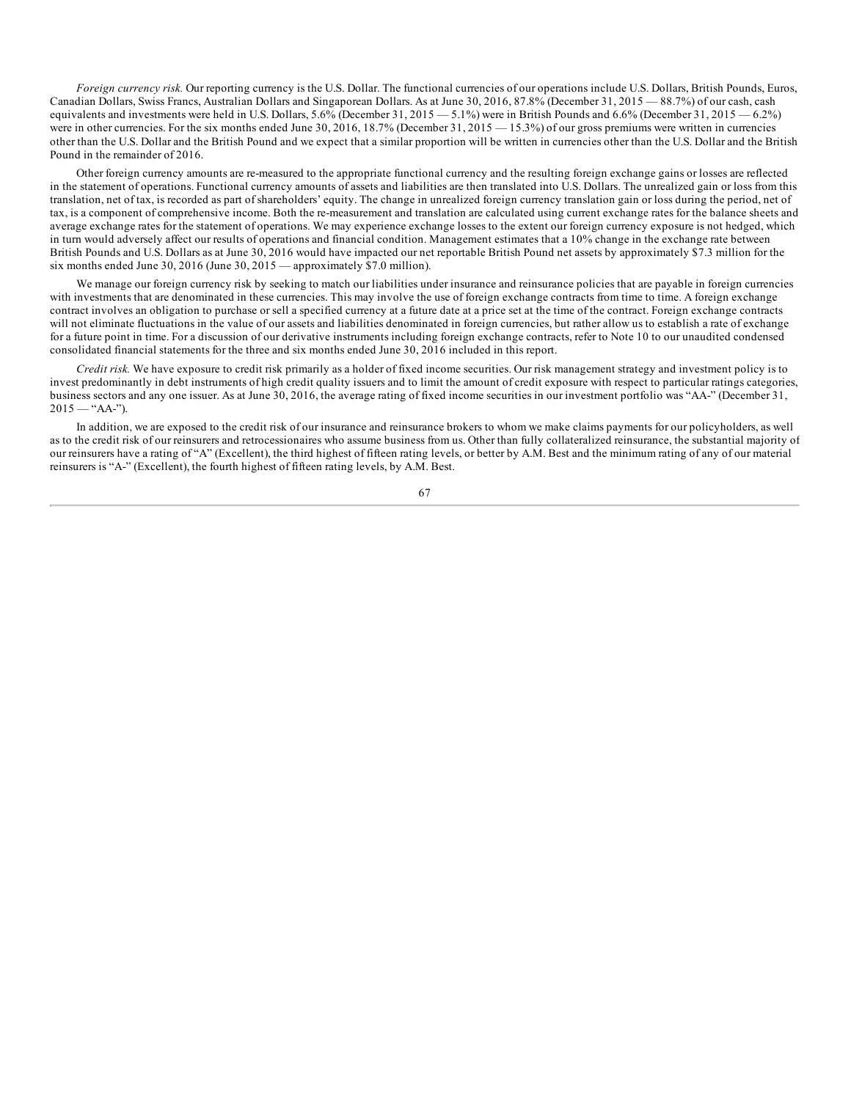*Foreign currency risk.* Our reporting currency is the U.S. Dollar. The functional currencies of our operations include U.S. Dollars, British Pounds, Euros, Canadian Dollars, Swiss Francs, Australian Dollars and Singaporean Dollars. As at June 30, 2016, 87.8% (December 31, 2015 — 88.7%) of our cash, cash equivalents and investments were held in U.S. Dollars, 5.6% (December 31, 2015 - 5.1%) were in British Pounds and 6.6% (December 31, 2015 - 6.2%) were in other currencies. For the six months ended June 30, 2016, 18.7% (December 31, 2015 — 15.3%) of our gross premiums were written in currencies other than the U.S. Dollar and the British Pound and we expect that a similar proportion will be written in currencies other than the U.S. Dollar and the British Pound in the remainder of 2016.

Other foreign currency amounts are re-measured to the appropriate functional currency and the resulting foreign exchange gains or losses are reflected in the statement of operations. Functional currency amounts of assets and liabilities are then translated into U.S. Dollars. The unrealized gain or loss from this translation, net of tax, is recorded as part of shareholders' equity. The change in unrealized foreign currency translation gain or loss during the period, net of tax, is a component of comprehensive income. Both the re-measurement and translation are calculated using current exchange rates for the balance sheets and average exchange rates for the statement of operations. We may experience exchange losses to the extent our foreign currency exposure is not hedged, which in turn would adversely affect our results of operations and financial condition. Management estimates that a 10% change in the exchange rate between British Pounds and U.S. Dollars as at June 30, 2016 would have impacted our net reportable British Pound net assets by approximately \$7.3 million for the six months ended June 30, 2016 (June 30, 2015 — approximately \$7.0 million).

We manage our foreign currency risk by seeking to match our liabilities under insurance and reinsurance policies that are payable in foreign currencies with investments that are denominated in these currencies. This may involve the use of foreign exchange contracts from time to time. A foreign exchange contract involves an obligation to purchase or sell a specified currency at a future date at a price set at the time of the contract. Foreign exchange contracts will not eliminate fluctuations in the value of our assets and liabilities denominated in foreign currencies, but rather allow us to establish a rate of exchange for a future point in time. For a discussion of our derivative instruments including foreign exchange contracts, refer to Note 10 to our unaudited condensed consolidated financial statements for the three and six months ended June 30, 2016 included in this report.

*Credit risk.* We have exposure to credit risk primarily as a holder of fixed income securities. Our risk management strategy and investment policy is to invest predominantly in debt instruments of high credit quality issuers and to limit the amount of credit exposure with respect to particular ratings categories, business sectors and any one issuer. As at June 30, 2016, the average rating of fixed income securities in our investment portfolio was "AA-" (December 31,  $2015 -$  "AA-").

In addition, we are exposed to the credit risk of our insurance and reinsurance brokers to whom we make claims payments for our policyholders, as well as to the credit risk of our reinsurers and retrocessionaires who assume business from us. Other than fully collateralized reinsurance, the substantial majority of our reinsurers have a rating of "A" (Excellent), the third highest of fifteen rating levels, or better by A.M. Best and the minimum rating of any of our material reinsurers is "A-" (Excellent), the fourth highest of fifteen rating levels, by A.M. Best.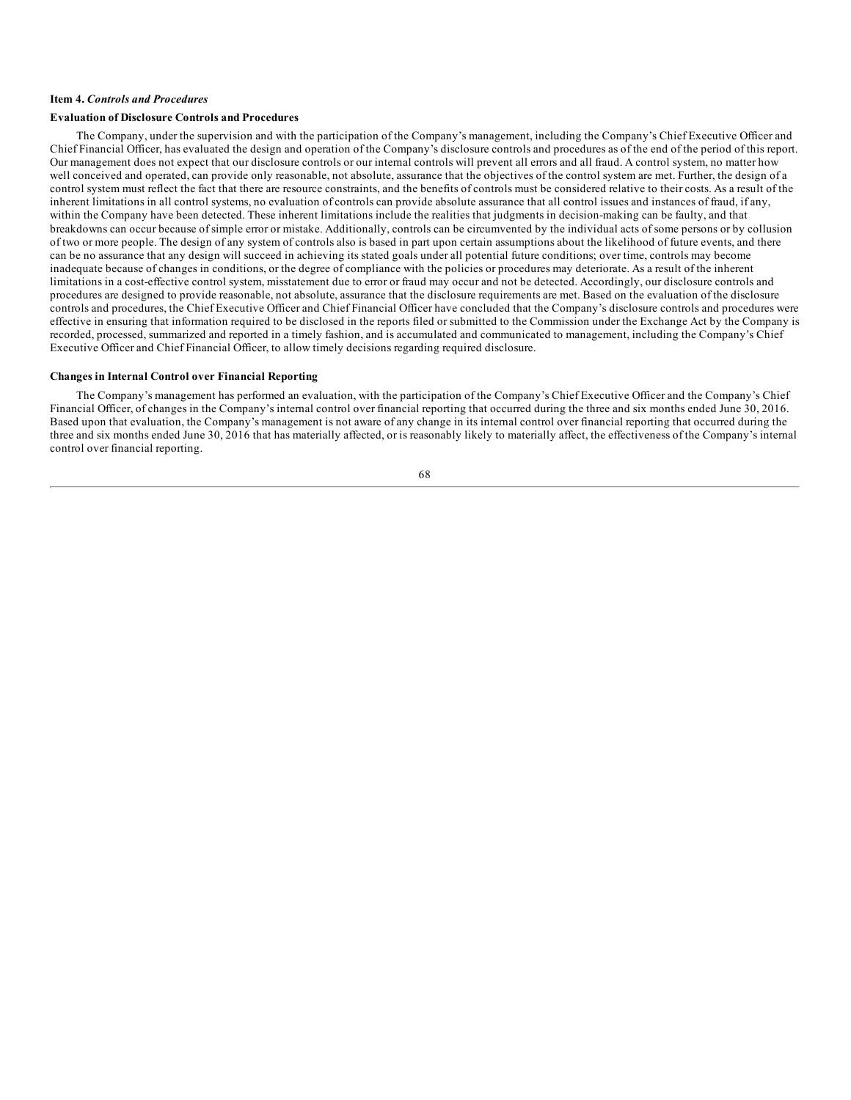## **Item 4.** *Controls and Procedures*

### **Evaluation of Disclosure Controls and Procedures**

The Company, under the supervision and with the participation of the Company's management, including the Company's Chief Executive Officer and Chief Financial Officer, has evaluated the design and operation of the Company's disclosure controls and procedures as of the end of the period of this report. Our management does not expect that our disclosure controls or our internal controls will prevent all errors and all fraud. A control system, no matter how well conceived and operated, can provide only reasonable, not absolute, assurance that the objectives of the control system are met. Further, the design of a control system must reflect the fact that there are resource constraints, and the benefits of controls must be considered relative to their costs. As a result of the inherent limitations in all control systems, no evaluation of controls can provide absolute assurance that all control issues and instances of fraud, if any, within the Company have been detected. These inherent limitations include the realities that judgments in decision-making can be faulty, and that breakdowns can occur because of simple error or mistake. Additionally, controls can be circumvented by the individual acts of some persons or by collusion of two or more people. The design of any system of controls also is based in part upon certain assumptions about the likelihood of future events, and there can be no assurance that any design will succeed in achieving its stated goals under all potential future conditions; over time, controls may become inadequate because of changes in conditions, or the degree of compliance with the policies or procedures may deteriorate. As a result of the inherent limitations in a cost-effective control system, misstatement due to error or fraud may occur and not be detected. Accordingly, our disclosure controls and procedures are designed to provide reasonable, not absolute, assurance that the disclosure requirements are met. Based on the evaluation of the disclosure controls and procedures, the Chief Executive Officer and Chief Financial Officer have concluded that the Company's disclosure controls and procedures were effective in ensuring that information required to be disclosed in the reports filed or submitted to the Commission under the Exchange Act by the Company is recorded, processed, summarized and reported in a timely fashion, and is accumulated and communicated to management, including the Company's Chief Executive Officer and Chief Financial Officer, to allow timely decisions regarding required disclosure.

#### **Changes in Internal Control over Financial Reporting**

The Company's management has performed an evaluation, with the participation of the Company's Chief Executive Officer and the Company's Chief Financial Officer, of changes in the Company's internal control over financial reporting that occurred during the three and six months ended June 30, 2016. Based upon that evaluation, the Company's management is not aware of any change in its internal control over financial reporting that occurred during the three and six months ended June 30, 2016 that has materially affected, or is reasonably likely to materially affect, the effectiveness of the Company's internal control over financial reporting.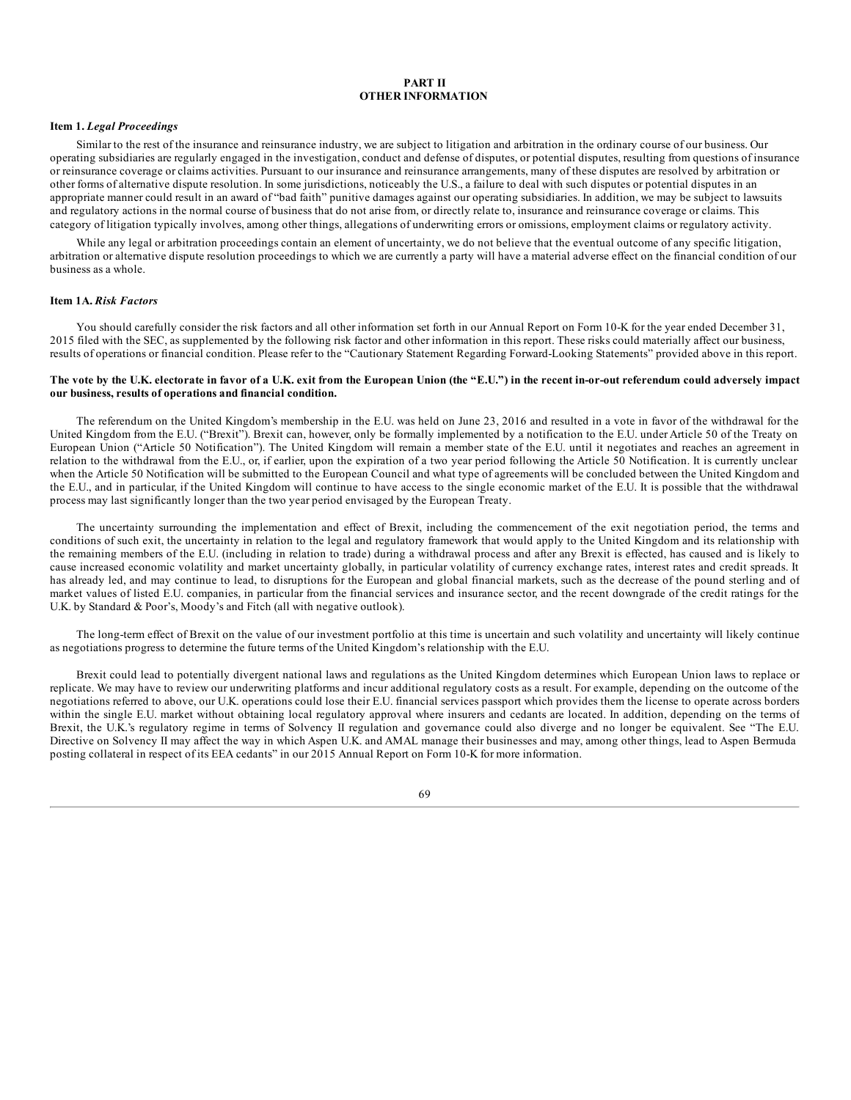## **PART II OTHER INFORMATION**

#### **Item 1.** *Legal Proceedings*

Similar to the rest of the insurance and reinsurance industry, we are subject to litigation and arbitration in the ordinary course of our business. Our operating subsidiaries are regularly engaged in the investigation, conduct and defense of disputes, or potential disputes, resulting from questions of insurance or reinsurance coverage or claims activities. Pursuant to our insurance and reinsurance arrangements, many of these disputes are resolved by arbitration or other forms of alternative dispute resolution. In some jurisdictions, noticeably the U.S., a failure to deal with such disputes or potential disputes in an appropriate manner could result in an award of "bad faith" punitive damages against our operating subsidiaries. In addition, we may be subject to lawsuits and regulatory actions in the normal course of business that do not arise from, or directly relate to, insurance and reinsurance coverage or claims. This category of litigation typically involves, among other things, allegations of underwriting errors or omissions, employment claims or regulatory activity.

While any legal or arbitration proceedings contain an element of uncertainty, we do not believe that the eventual outcome of any specific litigation, arbitration or alternative dispute resolution proceedings to which we are currently a party will have a material adverse effect on the financial condition of our business as a whole.

### **Item 1A.** *Risk Factors*

You should carefully consider the risk factors and all other information set forth in our Annual Report on Form 10-K for the year ended December 31, 2015 filed with the SEC, as supplemented by the following risk factor and other information in this report. These risks could materially affect our business, results of operations or financial condition. Please refer to the "Cautionary Statement Regarding Forward-Looking Statements" provided above in this report.

### The vote by the U.K. electorate in favor of a U.K. exit from the European Union (the "E.U.") in the recent in-or-out referendum could adversely impact **our business, results of operations and financial condition.**

The referendum on the United Kingdom's membership in the E.U. was held on June 23, 2016 and resulted in a vote in favor of the withdrawal for the United Kingdom from the E.U. ("Brexit"). Brexit can, however, only be formally implemented by a notification to the E.U. under Article 50 of the Treaty on European Union ("Article 50 Notification"). The United Kingdom will remain a member state of the E.U. until it negotiates and reaches an agreement in relation to the withdrawal from the E.U., or, if earlier, upon the expiration of a two year period following the Article 50 Notification. It is currently unclear when the Article 50 Notification will be submitted to the European Council and what type of agreements will be concluded between the United Kingdom and the E.U., and in particular, if the United Kingdom will continue to have access to the single economic market of the E.U. It is possible that the withdrawal process may last significantly longer than the two year period envisaged by the European Treaty.

The uncertainty surrounding the implementation and effect of Brexit, including the commencement of the exit negotiation period, the terms and conditions of such exit, the uncertainty in relation to the legal and regulatory framework that would apply to the United Kingdom and its relationship with the remaining members of the E.U. (including in relation to trade) during a withdrawal process and after any Brexit is effected, has caused and is likely to cause increased economic volatility and market uncertainty globally, in particular volatility of currency exchange rates, interest rates and credit spreads. It has already led, and may continue to lead, to disruptions for the European and global financial markets, such as the decrease of the pound sterling and of market values of listed E.U. companies, in particular from the financial services and insurance sector, and the recent downgrade of the credit ratings for the U.K. by Standard & Poor's, Moody's and Fitch (all with negative outlook).

The long-term effect of Brexit on the value of our investment portfolio at this time is uncertain and such volatility and uncertainty will likely continue as negotiations progress to determine the future terms of the United Kingdom's relationship with the E.U.

Brexit could lead to potentially divergent national laws and regulations as the United Kingdom determines which European Union laws to replace or replicate. We may have to review our underwriting platforms and incur additional regulatory costs as a result. For example, depending on the outcome of the negotiations referred to above, our U.K. operations could lose their E.U. financial services passport which provides them the license to operate across borders within the single E.U. market without obtaining local regulatory approval where insurers and cedants are located. In addition, depending on the terms of Brexit, the U.K.'s regulatory regime in terms of Solvency II regulation and governance could also diverge and no longer be equivalent. See "The E.U. Directive on Solvency II may affect the way in which Aspen U.K. and AMAL manage their businesses and may, among other things, lead to Aspen Bermuda posting collateral in respect of its EEA cedants" in our 2015 Annual Report on Form 10-K for more information.

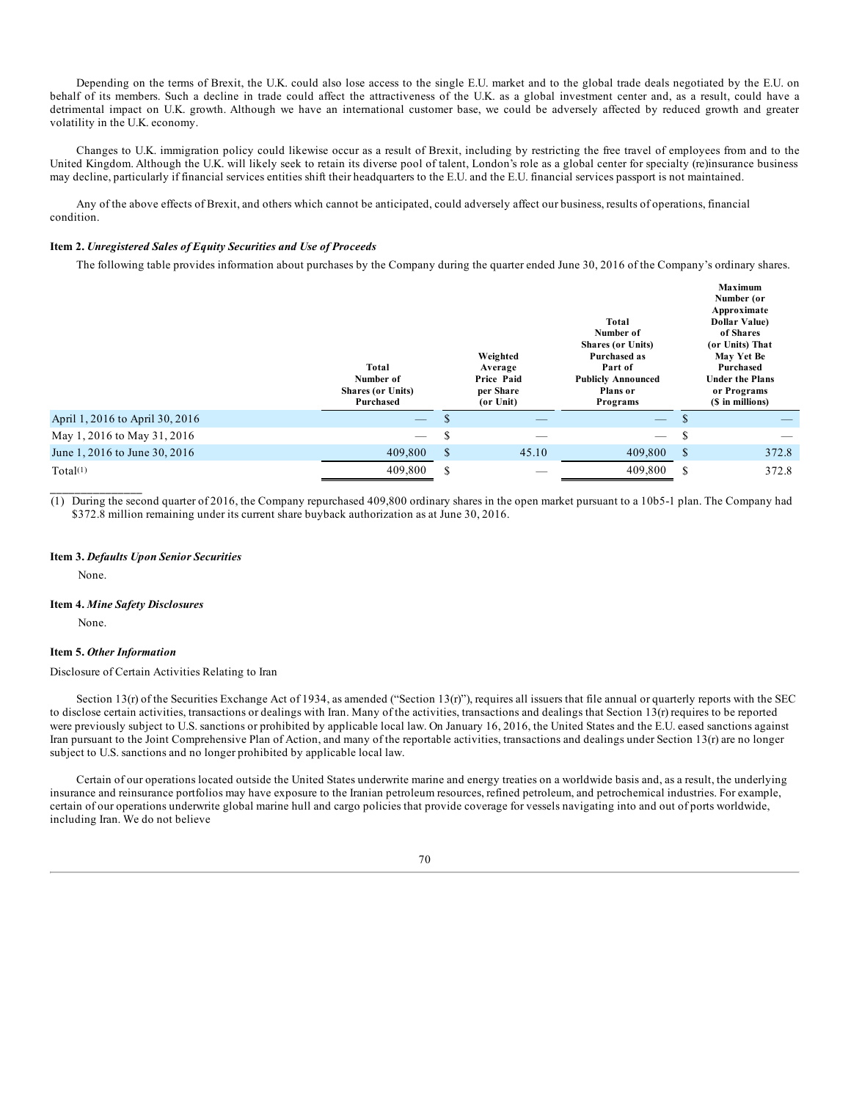Depending on the terms of Brexit, the U.K. could also lose access to the single E.U. market and to the global trade deals negotiated by the E.U. on behalf of its members. Such a decline in trade could affect the attractiveness of the U.K. as a global investment center and, as a result, could have a detrimental impact on U.K. growth. Although we have an international customer base, we could be adversely affected by reduced growth and greater volatility in the U.K. economy.

Changes to U.K. immigration policy could likewise occur as a result of Brexit, including by restricting the free travel of employees from and to the United Kingdom. Although the U.K. will likely seek to retain its diverse pool of talent, London's role as a global center for specialty (re)insurance business may decline, particularly if financial services entities shift their headquarters to the E.U. and the E.U. financial services passport is not maintained.

Any of the above effects of Brexit, and others which cannot be anticipated, could adversely affect our business, results of operations, financial condition.

### **Item 2.** *Unregistered Sales of Equity Securities and Use of Proceeds*

The following table provides information about purchases by the Company during the quarter ended June 30, 2016 of the Company's ordinary shares.

|                                 | Total<br>Number of<br><b>Shares (or Units)</b><br>Purchased | Weighted<br>Average<br>Price Paid<br>per Share<br>(or Unit) |       | Total<br>Number of<br><b>Shares (or Units)</b><br>Purchased as<br>Part of<br><b>Publicly Announced</b><br>Plans or<br><b>Programs</b> |              | <b>Maximum</b><br>Number (or<br>Approximate<br><b>Dollar Value</b> )<br>of Shares<br>(or Units) That<br>May Yet Be<br>Purchased<br><b>Under the Plans</b><br>or Programs<br>(\$ in millions) |  |
|---------------------------------|-------------------------------------------------------------|-------------------------------------------------------------|-------|---------------------------------------------------------------------------------------------------------------------------------------|--------------|----------------------------------------------------------------------------------------------------------------------------------------------------------------------------------------------|--|
| April 1, 2016 to April 30, 2016 | $\overline{\phantom{m}}$                                    |                                                             | --    | $\overline{\phantom{m}}$                                                                                                              |              |                                                                                                                                                                                              |  |
| May 1, 2016 to May 31, 2016     | $\qquad \qquad$                                             | S                                                           |       | $\qquad \qquad$                                                                                                                       | S            |                                                                                                                                                                                              |  |
| June 1, 2016 to June 30, 2016   | 409,800                                                     | $\mathcal{S}$                                               | 45.10 | 409,800                                                                                                                               | $\mathbb{S}$ | 372.8                                                                                                                                                                                        |  |
| Total <sup>(1)</sup>            | 409,800                                                     | S                                                           |       | 409,800                                                                                                                               | \$.          | 372.8                                                                                                                                                                                        |  |

(1) During the second quarter of 2016, the Company repurchased 409,800 ordinary shares in the open market pursuant to a 10b5-1 plan. The Company had \$372.8 million remaining under its current share buyback authorization as at June 30, 2016.

#### **Item 3.** *Defaults Upon Senior Securities*

None.

**\_\_\_\_\_\_\_\_\_\_\_\_\_\_\_**

### **Item 4.** *Mine Safety Disclosures*

None.

#### **Item 5.** *Other Information*

Disclosure of Certain Activities Relating to Iran

Section 13(r) of the Securities Exchange Act of 1934, as amended ("Section 13(r)"), requires all issuers that file annual or quarterly reports with the SEC to disclose certain activities, transactions or dealings with Iran. Many of the activities, transactions and dealings that Section  $13(r)$  requires to be reported were previously subject to U.S. sanctions or prohibited by applicable local law. On January 16, 2016, the United States and the E.U. eased sanctions against Iran pursuant to the Joint Comprehensive Plan of Action, and many of the reportable activities, transactions and dealings under Section 13(r) are no longer subject to U.S. sanctions and no longer prohibited by applicable local law.

Certain of our operations located outside the United States underwrite marine and energy treaties on a worldwide basis and, as a result, the underlying insurance and reinsurance portfolios may have exposure to the Iranian petroleum resources, refined petroleum, and petrochemical industries. For example, certain of our operations underwrite global marine hull and cargo policies that provide coverage for vessels navigating into and out of ports worldwide, including Iran. We do not believe

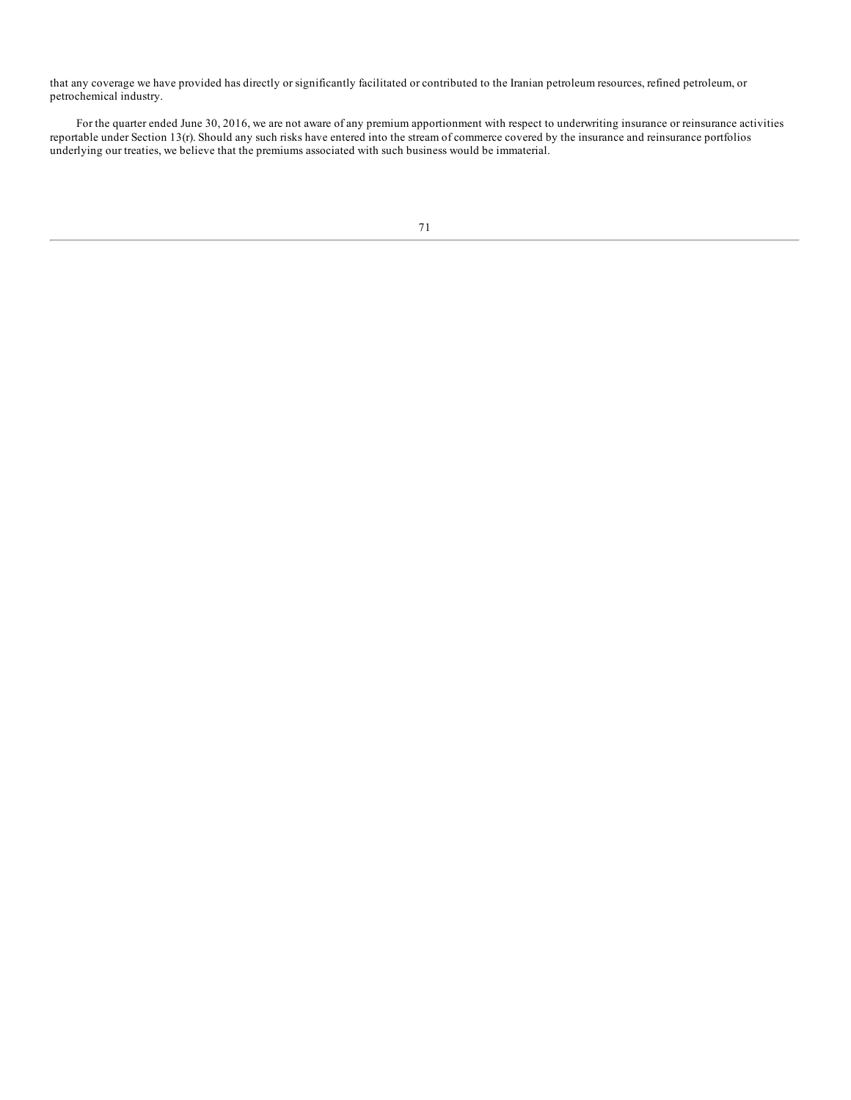that any coverage we have provided has directly or significantly facilitated or contributed to the Iranian petroleum resources, refined petroleum, or petrochemical industry.

For the quarter ended June 30, 2016, we are not aware of any premium apportionment with respect to underwriting insurance or reinsurance activities reportable under Section 13(r). Should any such risks have entered into the stream of commerce covered by the insurance and reinsurance portfolios underlying our treaties, we believe that the premiums associated with such business would be immaterial.

<sup>71</sup>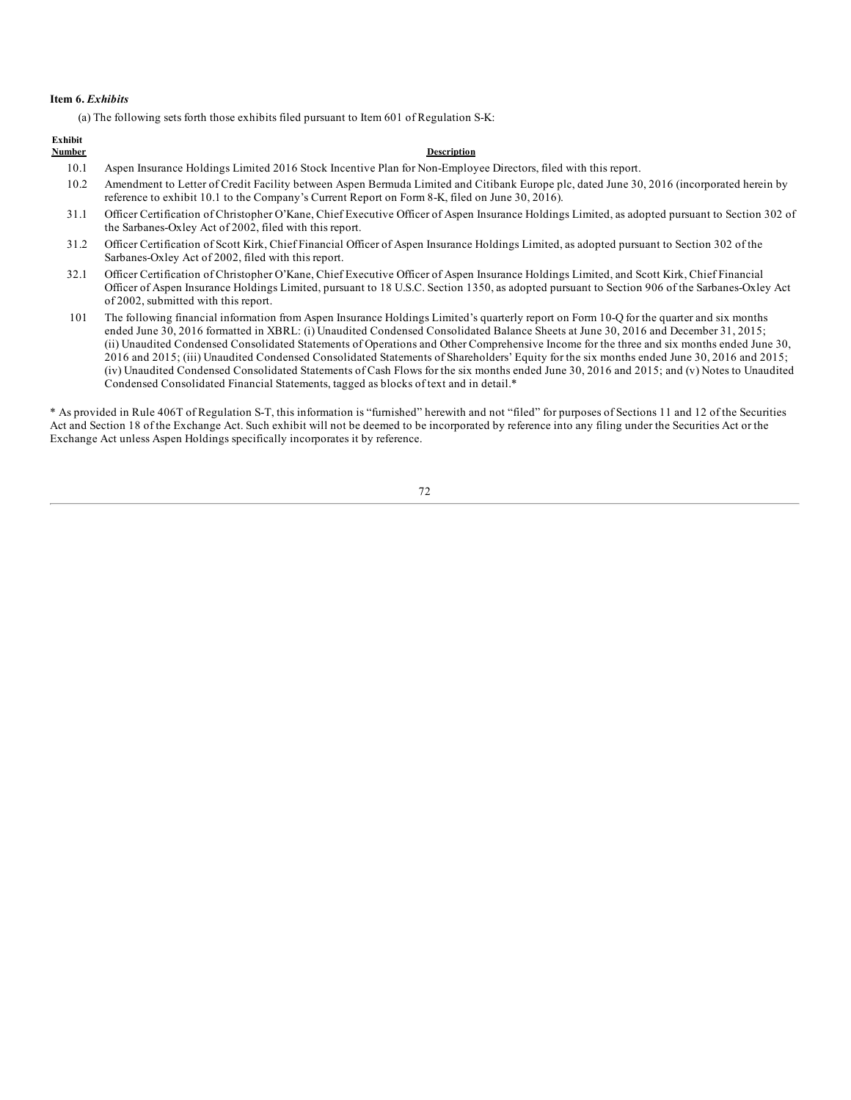## **Item 6.** *Exhibits*

(a) The following sets forth those exhibits filed pursuant to Item 601 of Regulation S-K:

# **Exhibit**

## **Number Description**

- 10.1 Aspen Insurance Holdings Limited 2016 Stock Incentive Plan for Non-Employee Directors, filed with this report.
- 10.2 Amendment to Letter of Credit Facility between Aspen Bermuda Limited and Citibank Europe plc, dated June 30, 2016 (incorporated herein by reference to exhibit 10.1 to the Company's Current Report on Form 8-K, filed on June 30, 2016).
- 31.1 Officer Certification of Christopher O'Kane, Chief Executive Officer of Aspen Insurance Holdings Limited, as adopted pursuant to Section 302 of the Sarbanes-Oxley Act of 2002, filed with this report.
- 31.2 Officer Certification of Scott Kirk, Chief Financial Officer of Aspen Insurance Holdings Limited, as adopted pursuant to Section 302 of the Sarbanes-Oxley Act of 2002, filed with this report.
- 32.1 Officer Certification of Christopher O'Kane, Chief Executive Officer of Aspen Insurance Holdings Limited, and Scott Kirk, Chief Financial Officer of Aspen Insurance Holdings Limited, pursuant to 18 U.S.C. Section 1350, as adopted pursuant to Section 906 of the Sarbanes-Oxley Act of 2002, submitted with this report.
- 101 The following financial information from Aspen Insurance Holdings Limited's quarterly report on Form 10-Q for the quarter and six months ended June 30, 2016 formatted in XBRL: (i) Unaudited Condensed Consolidated Balance Sheets at June 30, 2016 and December 31, 2015; (ii) Unaudited Condensed Consolidated Statements of Operations and Other Comprehensive Income for the three and six months ended June 30, 2016 and 2015; (iii) Unaudited Condensed Consolidated Statements of Shareholders' Equity for the six months ended June 30, 2016 and 2015; (iv) Unaudited Condensed Consolidated Statements of Cash Flows for the six months ended June 30, 2016 and 2015; and (v) Notes to Unaudited Condensed Consolidated Financial Statements, tagged as blocks of text and in detail.\*

\* As provided in Rule 406T of Regulation S-T, this information is "furnished" herewith and not "filed" for purposes of Sections 11 and 12 of the Securities Act and Section 18 of the Exchange Act. Such exhibit will not be deemed to be incorporated by reference into any filing under the Securities Act or the Exchange Act unless Aspen Holdings specifically incorporates it by reference.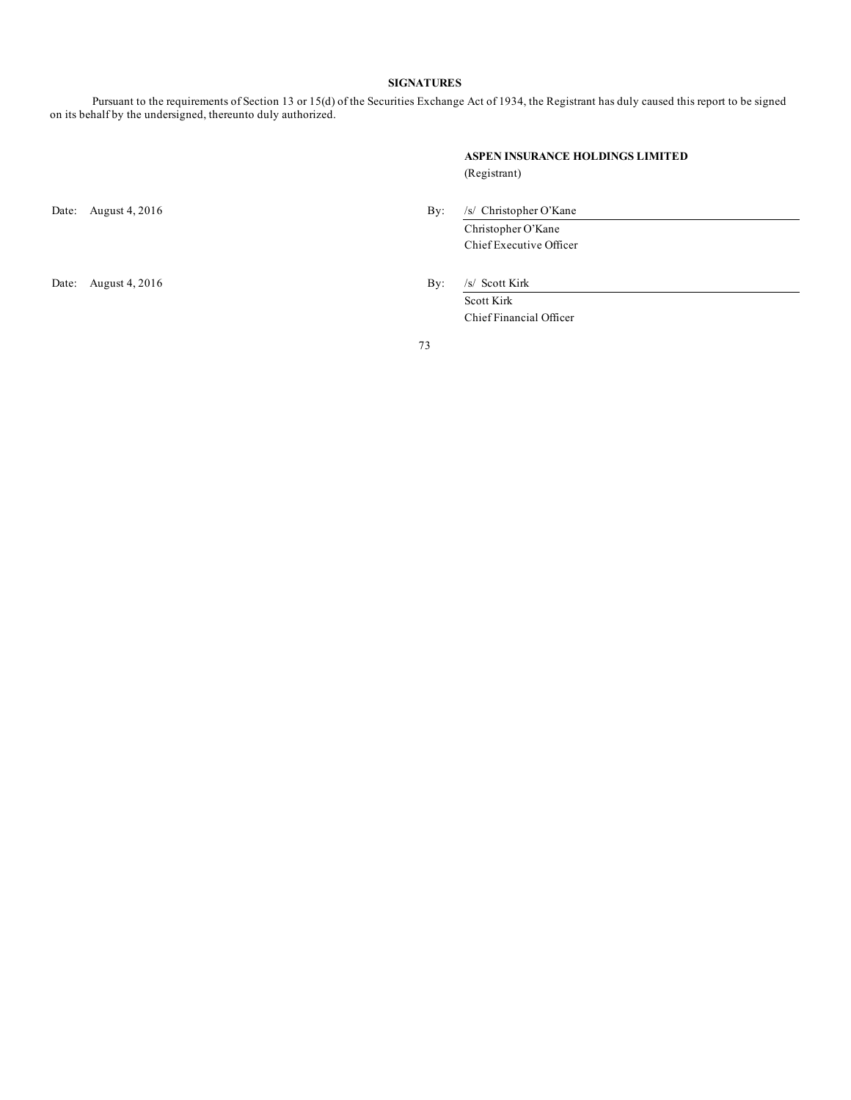### **SIGNATURES**

Pursuant to the requirements of Section 13 or 15(d) of the Securities Exchange Act of 1934, the Registrant has duly caused this report to be signed on its behalf by the undersigned, thereunto duly authorized.

| ASPEN INSURANCE HOLDINGS LIMITED |  |
|----------------------------------|--|
| (Registrant)                     |  |

Date: August 4, 2016 By: /s/ Scott Kirk

Date: August 4, 2016 By: /s/ Christopher O'Kane Christopher O'Kane

Chief Executive Officer

Scott Kirk Chief Financial Officer

73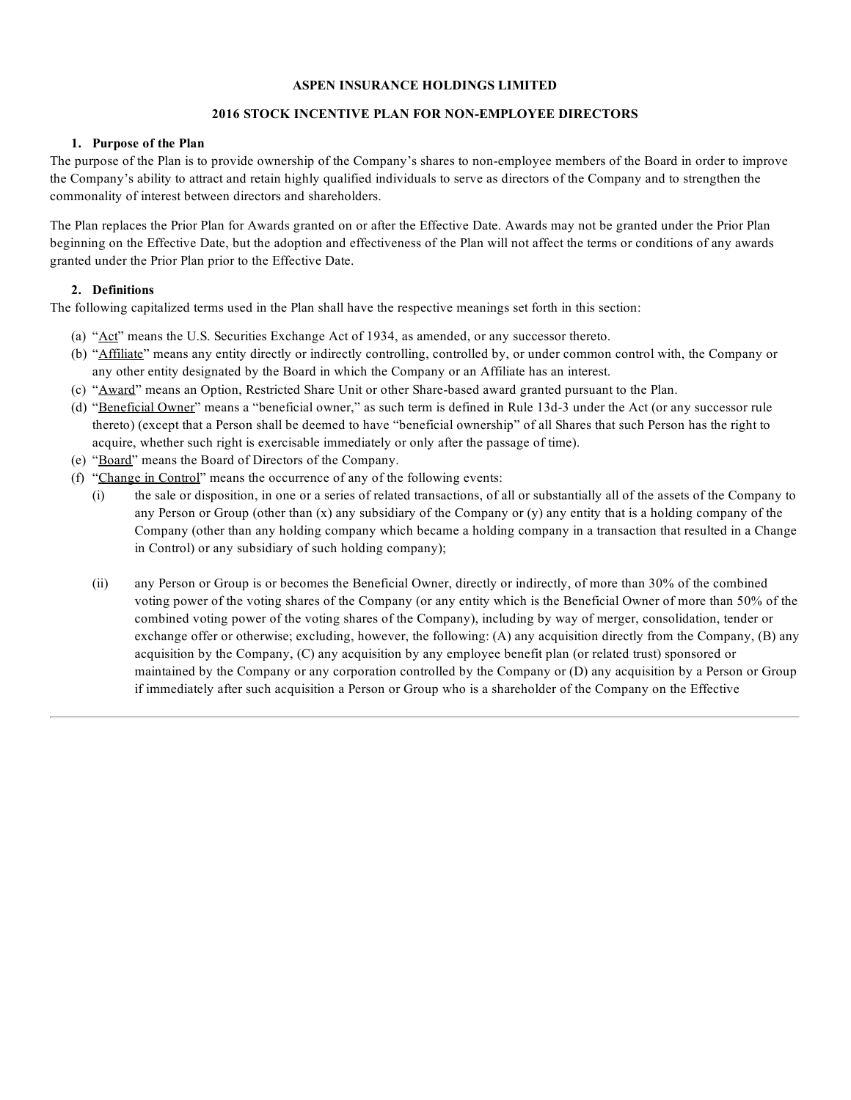# **ASPEN INSURANCE HOLDINGS LIMITED**

# **2016 STOCK INCENTIVE PLAN FOR NON-EMPLOYEE DIRECTORS**

### **1. Purpose of the Plan**

The purpose of the Plan is to provide ownership of the Company's shares to non-employee members of the Board in order to improve the Company's ability to attract and retain highly qualified individuals to serve as directors of the Company and to strengthen the commonality of interest between directors and shareholders.

The Plan replaces the Prior Plan for Awards granted on or after the Effective Date. Awards may not be granted under the Prior Plan beginning on the Effective Date, but the adoption and effectiveness of the Plan will not affect the terms or conditions of any awards granted under the Prior Plan prior to the Effective Date.

# **2. Definitions**

The following capitalized terms used in the Plan shall have the respective meanings set forth in this section:

- (a) "Act" means the U.S. Securities Exchange Act of 1934, as amended, or any successor thereto.
- (b) "Affiliate" means any entity directly or indirectly controlling, controlled by, or under common control with, the Company or any other entity designated by the Board in which the Company or an Affiliate has an interest.
- (c) "Award" means an Option, Restricted Share Unit or other Share-based award granted pursuant to the Plan.
- (d) "Beneficial Owner" means a "beneficial owner," as such term is defined in Rule 13d-3 under the Act (or any successor rule thereto) (except that a Person shall be deemed to have "beneficial ownership" of all Shares that such Person has the right to acquire, whether such right is exercisable immediately or only after the passage of time).
- (e) "Board" means the Board of Directors of the Company.
- (f) "Change in Control" means the occurrence of any of the following events:
	- (i) the sale or disposition, in one or a series of related transactions, of all or substantially all of the assets of the Company to any Person or Group (other than  $(x)$  any subsidiary of the Company or  $(y)$  any entity that is a holding company of the Company (other than any holding company which became a holding company in a transaction that resulted in a Change in Control) or any subsidiary of such holding company);
	- (ii) any Person or Group is or becomes the Beneficial Owner, directly or indirectly, of more than 30% of the combined voting power of the voting shares of the Company (or any entity which is the Beneficial Owner of more than 50% of the combined voting power of the voting shares of the Company), including by way of merger, consolidation, tender or exchange offer or otherwise; excluding, however, the following: (A) any acquisition directly from the Company, (B) any acquisition by the Company, (C) any acquisition by any employee benefit plan (or related trust) sponsored or maintained by the Company or any corporation controlled by the Company or (D) any acquisition by a Person or Group if immediately after such acquisition a Person or Group who is a shareholder of the Company on the Effective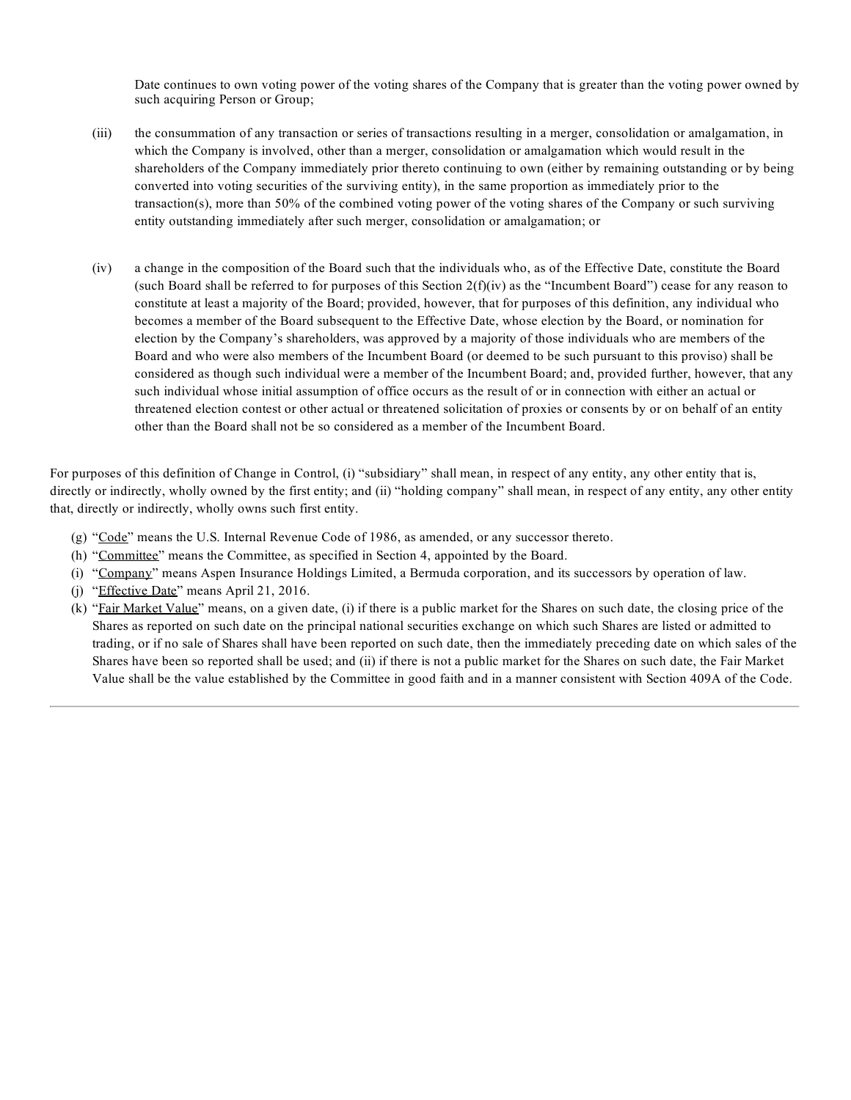Date continues to own voting power of the voting shares of the Company that is greater than the voting power owned by such acquiring Person or Group;

- (iii) the [consummation](#page-2-0) of any transaction or series of transactions resulting in a merger, consolidation or amalgamation, in which the Company is involved, other than a merger, consolidation or amalgamation which would result in the shareholders of the Company immediately prior thereto continuing to own (either by remaining outstanding or by being converted into voting securities of the surviving entity), in the same proportion as immediately prior to the transaction(s), more than 50% of the combined voting power of the voting shares of the Company or such surviving entity outstanding immediately after such merger, consolidation or amalgamation; or
- (iv) a change in the composition of the Board such that the individuals who, as of the Effective Date, constitute the Board (such Board shall be referred to for [purposes](#page-65-0) [o](#page-65-0)f this Section  $2(f)(iv)$  as the "Incumbent Board") cease for any reason to [constitute](#page-66-0) at least a majority of the Board; provided, however, that for purposes of this definition, any individual who [becomes](#page-67-0) a member of the Board subsequent to the Effective Date, whose election by the Board, or nomination for [election](#page-68-0) by the Company's shareholders, was approved by a majority of those individuals who are members of the Board and who were also [members](#page-69-0) of the Incumbent Board (or deemed to be such pursuant to this proviso) shall be [considered](#page-69-0) as though such individual were a member of the Incumbent Board; and, provided further, however, that a[ny](#page-69-0) such [individual](#page-69-0) whose initial assumption of office occurs as the result of or in connection with either an actual or [threatened](#page-69-0) election contest or other actual or threatened solicitation of proxies or consents by or on behalf of an entity [oth](#page-71-0)er than the Board shall not be so considered as a member of the Incumbent Board.

For purposes of this definition of Change in Control, (i) "subsidiary" shall mean, in respect of any entity, any other entity that is, directly or indirectly, wholly owned by the first entity; and (ii) "holding company" shall mean, in respect of any entity, any other entity that, directly or indirectly, wholly owns such first entity.

- (g) "Code" means the U.S. Internal Revenue Code of 1986, as amended, or any successor thereto.
- (h) "Committee" means the Committee, as specified in Section 4, appointed by the Board.
- (i) "Company" means Aspen Insurance Holdings Limited, a Bermuda corporation, and its successors by operation of law.
- (j) "Effective Date" means April 21, 2016.
- (k) "Fair Market Value" means, on a given date, (i) if there is a public market for the Shares on such date, the closing price of the Shares as reported on such date on the principal national securities exchange on which such Shares are listed or admitted to trading, or if no sale of Shares shall have been reported on such date, then the immediately preceding date on which sales of the Shares have been so reported shall be used; and (ii) if there is not a public market for the Shares on such date, the Fair Market Value shall be the value established by the Committee in good faith and in a manner consistent with Section 409A of the Code.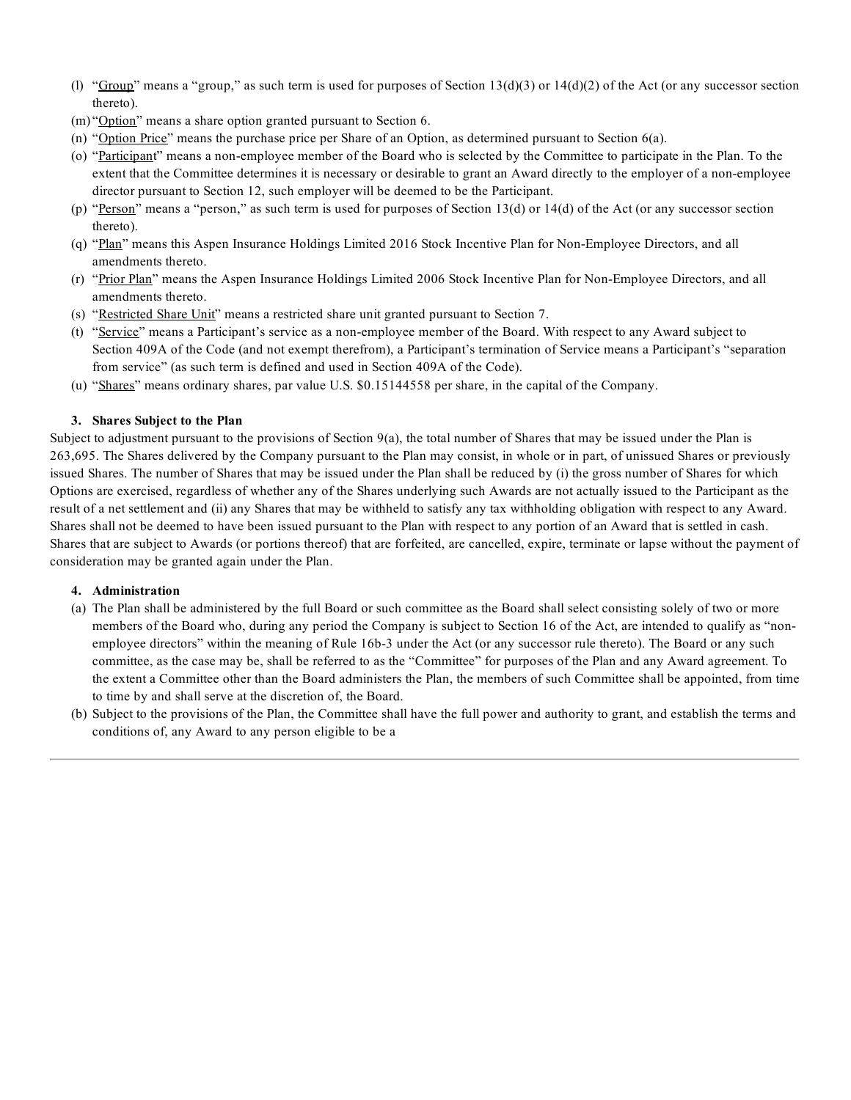- (l) "Group" means a "group," as such term is used for purposes of Section  $13(d)(3)$  or  $14(d)(2)$  of the Act (or any successor section thereto).
- (m) "Option" means a share option granted pursuant to Section 6.
- (n) "Option Price" means the purchase price per Share of an Option, as determined pursuant to Section 6(a).
- (o) "Participant" means a non-employee member of the Board who is selected by the Committee to participate in the Plan. To the extent that the Committee determines it is necessary or desirable to grant an Award directly to the employer of a non-employee director pursuant to Section 12, such employer will be deemed to be the Participant.
- (p) "Person" means a "person," as such term is used for purposes of Section 13(d) or 14(d) of the Act (or any successor section thereto).
- (q) "Plan" means this Aspen Insurance Holdings Limited 2016 Stock Incentive Plan for Non-Employee Directors, and all amendments thereto.
- (r) "Prior Plan" means the Aspen Insurance Holdings Limited 2006 Stock Incentive Plan for Non-Employee Directors, and all amendments thereto.
- (s) "Restricted Share Unit" means a restricted share unit granted pursuant to Section 7.
- (t) "Service" means a Participant's service as a non-employee member of the Board. With respect to any Award subject to Section 409A of the Code (and not exempt therefrom), a Participant's termination of Service means a Participant's "separation from service" (as such term is defined and used in Section 409A of the Code).
- (u) "Shares" means ordinary shares, par value U.S. \$0.15144558 per share, in the capital of the Company.

### **3. Shares Subject to the Plan**

Subject to adjustment pursuant to the provisions of Section 9(a), the total number of Shares that may be issued under the Plan is 263,695. The Shares delivered by the Company pursuant to the Plan may consist, in whole or in part, of unissued Shares or previously issued Shares. The number of Shares that may be issued under the Plan shall be reduced by (i) the gross number of Shares for which Options are exercised, regardless of whether any of the Shares underlying such Awards are not actually issued to the Participant as the result of a net settlement and (ii) any Shares that may be withheld to satisfy any tax withholding obligation with respect to any Award. Shares shall not be deemed to have been issued pursuant to the Plan with respect to any portion of an Award that is settled in cash. Shares that are subject to Awards (or portions thereof) that are forfeited, are cancelled, expire, terminate or lapse without the payment of consideration may be granted again under the Plan.

### **4. Administration**

- (a) The Plan shall be administered by the full Board or such committee as the Board shall select consisting solely of two or more members of the Board who, during any period the Company is subject to Section 16 of the Act, are intended to qualify as "nonemployee directors" within the meaning of Rule 16b-3 under the Act (or any successor rule thereto). The Board or any such committee, as the case may be, shall be referred to as the "Committee" for purposes of the Plan and any Award agreement. To the extent a Committee other than the Board administers the Plan, the members of such Committee shall be appointed, from time to time by and shall serve at the discretion of, the Board.
- (b) Subject to the provisions of the Plan, the Committee shall have the full power and authority to grant, and establish the terms and conditions of, any Award to any person eligible to be a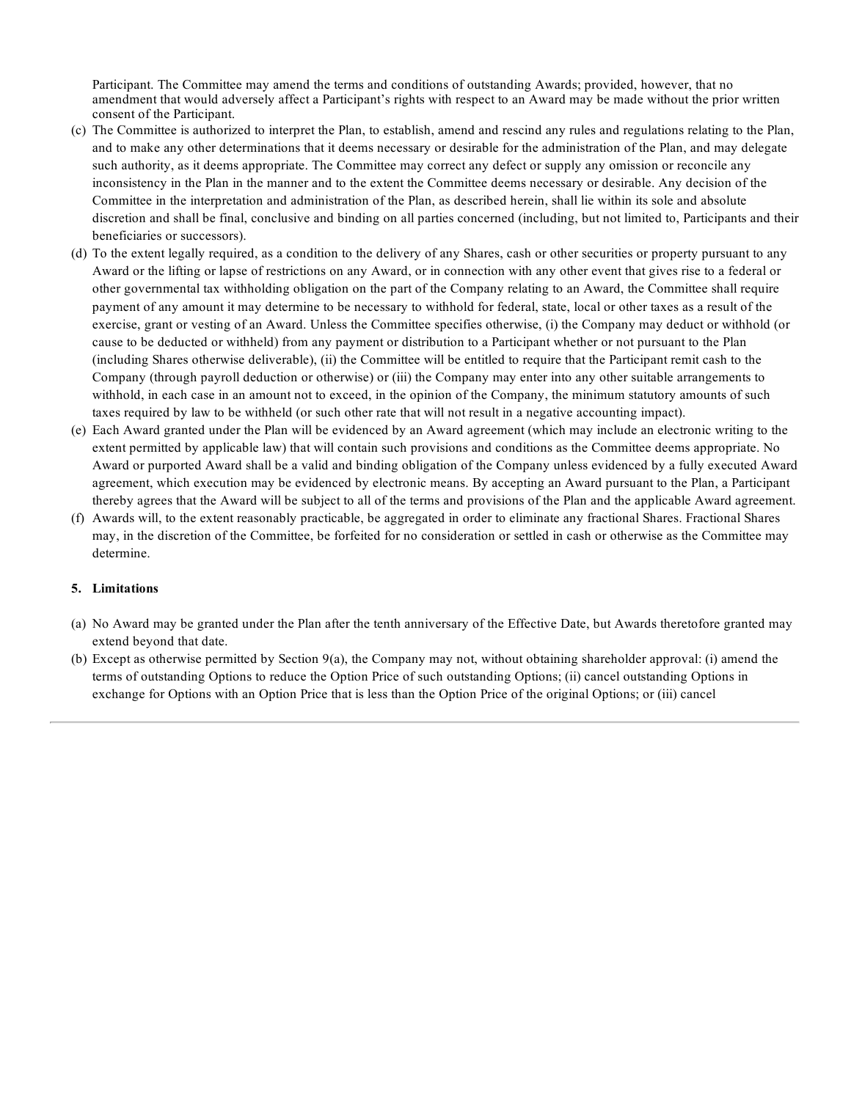Participant. The Committee may amend the terms and conditions of outstanding Awards; provided, however, that no amendment that would adversely affect a Participant's rights with respect to an Award may be made without the prior written consent of the Participant.

- (c) The Committee is authorized to interpret the Plan, to establish, amend and rescind any rules and regulations relating to the Plan, and to make any other determinations that it deems necessary or desirable for the administration of the Plan, and may delegate such authority, as it deems appropriate. The Committee may correct any defect or supply any omission or reconcile any inconsistency in the Plan in the manner and to the extent the Committee deems necessary or desirable. Any decision of the Committee in the interpretation and administration of the Plan, as described herein, shall lie within its sole and absolute discretion and shall be final, conclusive and binding on all parties concerned (including, but not limited to, Participants and their beneficiaries or successors).
- (d) To the extent legally required, as a condition to the delivery of any Shares, cash or other securities or property pursuant to any Award or the lifting or lapse of restrictions on any Award, or in connection with any other event that gives rise to a federal or other governmental tax withholding obligation on the part of the Company relating to an Award, the Committee shall require payment of any amount it may determine to be necessary to withhold for federal, state, local or other taxes as a result of the exercise, grant or vesting of an Award. Unless the Committee specifies otherwise, (i) the Company may deduct or withhold (or cause to be deducted or withheld) from any payment or distribution to a Participant whether or not pursuant to the Plan (including Shares otherwise deliverable), (ii) the Committee will be entitled to require that the Participant remit cash to the Company (through payroll deduction or otherwise) or (iii) the Company may enter into any other suitable arrangements to withhold, in each case in an amount not to exceed, in the opinion of the Company, the minimum statutory amounts of such taxes required by law to be withheld (or such other rate that will not result in a negative accounting impact).
- (e) Each Award granted under the Plan will be evidenced by an Award agreement (which may include an electronic writing to the extent permitted by applicable law) that will contain such provisions and conditions as the Committee deems appropriate. No Award or purported Award shall be a valid and binding obligation of the Company unless evidenced by a fully executed Award agreement, which execution may be evidenced by electronic means. By accepting an Award pursuant to the Plan, a Participant thereby agrees that the Award will be subject to all of the terms and provisions of the Plan and the applicable Award agreement.
- (f) Awards will, to the extent reasonably practicable, be aggregated in order to eliminate any fractional Shares. Fractional Shares may, in the discretion of the Committee, be forfeited for no consideration or settled in cash or otherwise as the Committee may determine.

# **5. Limitations**

- (a) No Award may be granted under the Plan after the tenth anniversary of the Effective Date, but Awards theretofore granted may extend beyond that date.
- (b) Except as otherwise permitted by Section 9(a), the Company may not, without obtaining shareholder approval: (i) amend the terms of outstanding Options to reduce the Option Price of such outstanding Options; (ii) cancel outstanding Options in exchange for Options with an Option Price that is less than the Option Price of the original Options; or (iii) cancel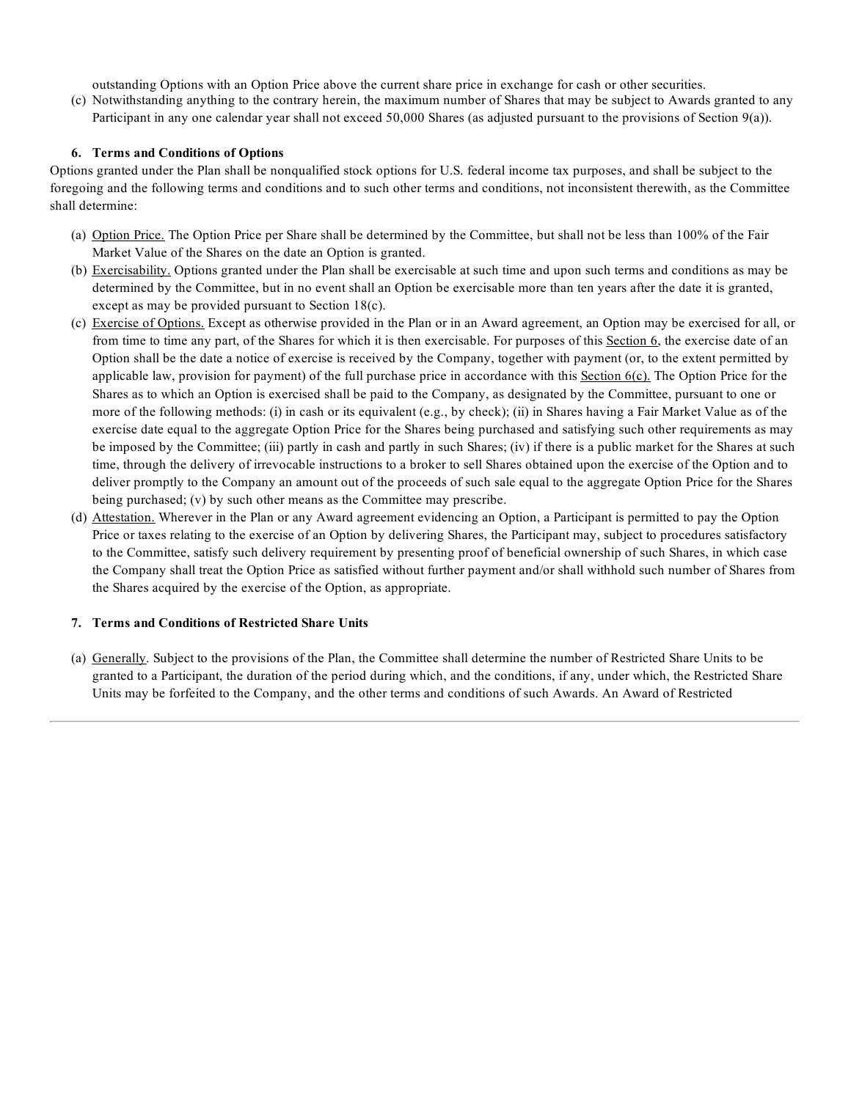outstanding Options with an Option Price above the current share price in exchange for cash or other securities.

(c) Notwithstanding anything to the contrary herein, the maximum number of Shares that may be subject to Awards granted to any Participant in any one calendar year shall not exceed 50,000 Shares (as adjusted pursuant to the provisions of Section 9(a)).

# **6. Terms and Conditions of Options**

Options granted under the Plan shall be nonqualified stock options for U.S. federal income tax purposes, and shall be subject to the foregoing and the following terms and conditions and to such other terms and conditions, not inconsistent therewith, as the Committee shall determine:

- (a) Option Price. The Option Price per Share shall be determined by the Committee, but shall not be less than 100% of the Fair Market Value of the Shares on the date an Option is granted.
- (b) Exercisability. Options granted under the Plan shall be exercisable at such time and upon such terms and conditions as may be determined by the Committee, but in no event shall an Option be exercisable more than ten years after the date it is granted, except as may be provided pursuant to Section 18(c).
- (c) Exercise of Options. Except as otherwise provided in the Plan or in an Award agreement, an Option may be exercised for all, or from time to time any part, of the Shares for which it is then exercisable. For purposes of this Section 6, the exercise date of an Option shall be the date a notice of exercise is received by the Company, together with payment (or, to the extent permitted by applicable law, provision for payment) of the full purchase price in accordance with this Section  $6(c)$ . The Option Price for the Shares as to which an Option is exercised shall be paid to the Company, as designated by the Committee, pursuant to one or more of the following methods: (i) in cash or its equivalent (e.g., by check); (ii) in Shares having a Fair Market Value as of the exercise date equal to the aggregate Option Price for the Shares being purchased and satisfying such other requirements as may be imposed by the Committee; (iii) partly in cash and partly in such Shares; (iv) if there is a public market for the Shares at such time, through the delivery of irrevocable instructions to a broker to sell Shares obtained upon the exercise of the Option and to deliver promptly to the Company an amount out of the proceeds of such sale equal to the aggregate Option Price for the Shares being purchased; (v) by such other means as the Committee may prescribe.
- (d) Attestation. Wherever in the Plan or any Award agreement evidencing an Option, a Participant is permitted to pay the Option Price or taxes relating to the exercise of an Option by delivering Shares, the Participant may, subject to procedures satisfactory to the Committee, satisfy such delivery requirement by presenting proof of beneficial ownership of such Shares, in which case the Company shall treat the Option Price as satisfied without further payment and/or shall withhold such number of Shares from the Shares acquired by the exercise of the Option, as appropriate.

### **7. Terms and Conditions of Restricted Share Units**

(a) Generally. Subject to the provisions of the Plan, the Committee shall determine the number of Restricted Share Units to be granted to a Participant, the duration of the period during which, and the conditions, if any, under which, the Restricted Share Units may be forfeited to the Company, and the other terms and conditions of such Awards. An Award of Restricted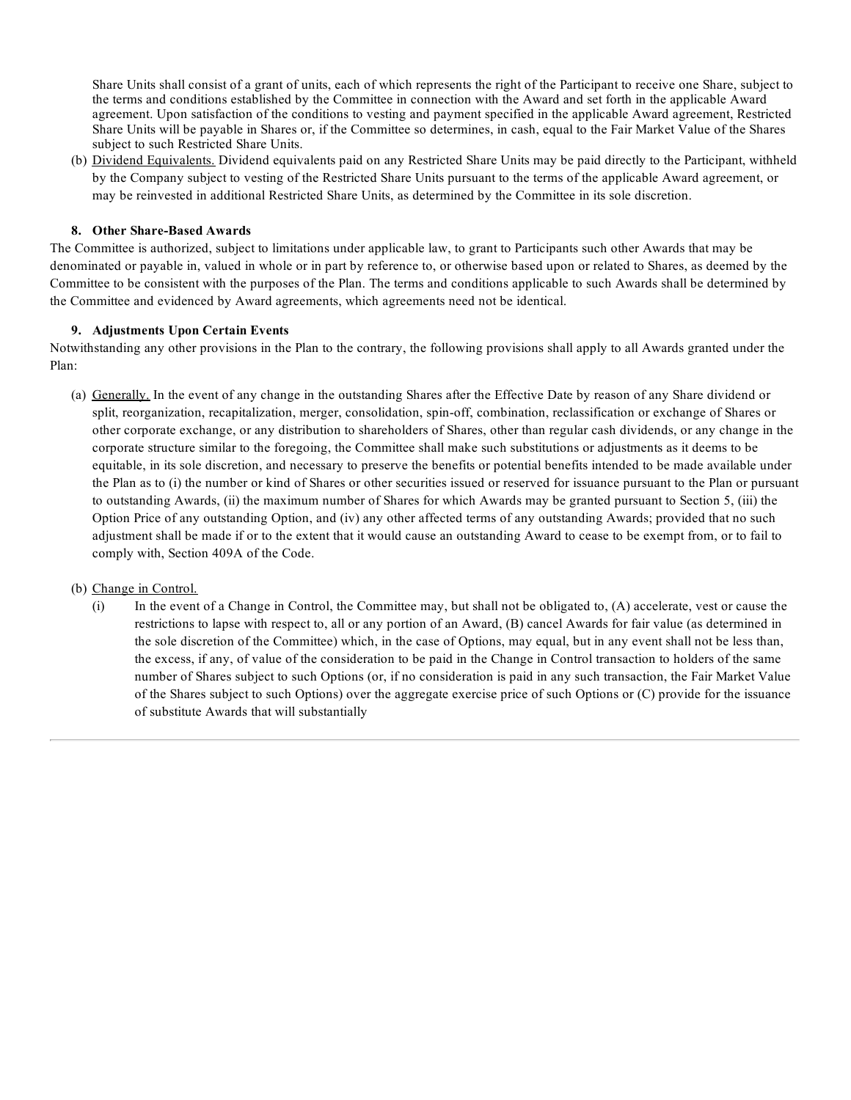Share Units shall consist of a grant of units, each of which represents the right of the Participant to receive one Share, subject to the terms and conditions established by the Committee in connection with the Award and set forth in the applicable Award agreement. Upon satisfaction of the conditions to vesting and payment specified in the applicable Award agreement, Restricted Share Units will be payable in Shares or, if the Committee so determines, in cash, equal to the Fair Market Value of the Shares subject to such Restricted Share Units.

(b) Dividend Equivalents. Dividend equivalents paid on any Restricted Share Units may be paid directly to the Participant, withheld by the Company subject to vesting of the Restricted Share Units pursuant to the terms of the applicable Award agreement, or may be reinvested in additional Restricted Share Units, as determined by the Committee in its sole discretion.

# **8. Other Share-Based Awards**

The Committee is authorized, subject to limitations under applicable law, to grant to Participants such other Awards that may be denominated or payable in, valued in whole or in part by reference to, or otherwise based upon or related to Shares, as deemed by the Committee to be consistent with the purposes of the Plan. The terms and conditions applicable to such Awards shall be determined by the Committee and evidenced by Award agreements, which agreements need not be identical.

# **9. Adjustments Upon Certain Events**

Notwithstanding any other provisions in the Plan to the contrary, the following provisions shall apply to all Awards granted under the Plan:

- (a) Generally. In the event of any change in the outstanding Shares after the Effective Date by reason of any Share dividend or split, reorganization, recapitalization, merger, consolidation, spin-off, combination, reclassification or exchange of Shares or other corporate exchange, or any distribution to shareholders of Shares, other than regular cash dividends, or any change in the corporate structure similar to the foregoing, the Committee shall make such substitutions or adjustments as it deems to be equitable, in its sole discretion, and necessary to preserve the benefits or potential benefits intended to be made available under the Plan as to (i) the number or kind of Shares or other securities issued or reserved for issuance pursuant to the Plan or pursuant to outstanding Awards, (ii) the maximum number of Shares for which Awards may be granted pursuant to Section 5, (iii) the Option Price of any outstanding Option, and (iv) any other affected terms of any outstanding Awards; provided that no such adjustment shall be made if or to the extent that it would cause an outstanding Award to cease to be exempt from, or to fail to comply with, Section 409A of the Code.
- (b) Change in Control.
	- (i) In the event of a Change in Control, the Committee may, but shall not be obligated to, (A) accelerate, vest or cause the restrictions to lapse with respect to, all or any portion of an Award, (B) cancel Awards for fair value (as determined in the sole discretion of the Committee) which, in the case of Options, may equal, but in any event shall not be less than, the excess, if any, of value of the consideration to be paid in the Change in Control transaction to holders of the same number of Shares subject to such Options (or, if no consideration is paid in any such transaction, the Fair Market Value of the Shares subject to such Options) over the aggregate exercise price of such Options or (C) provide for the issuance of substitute Awards that will substantially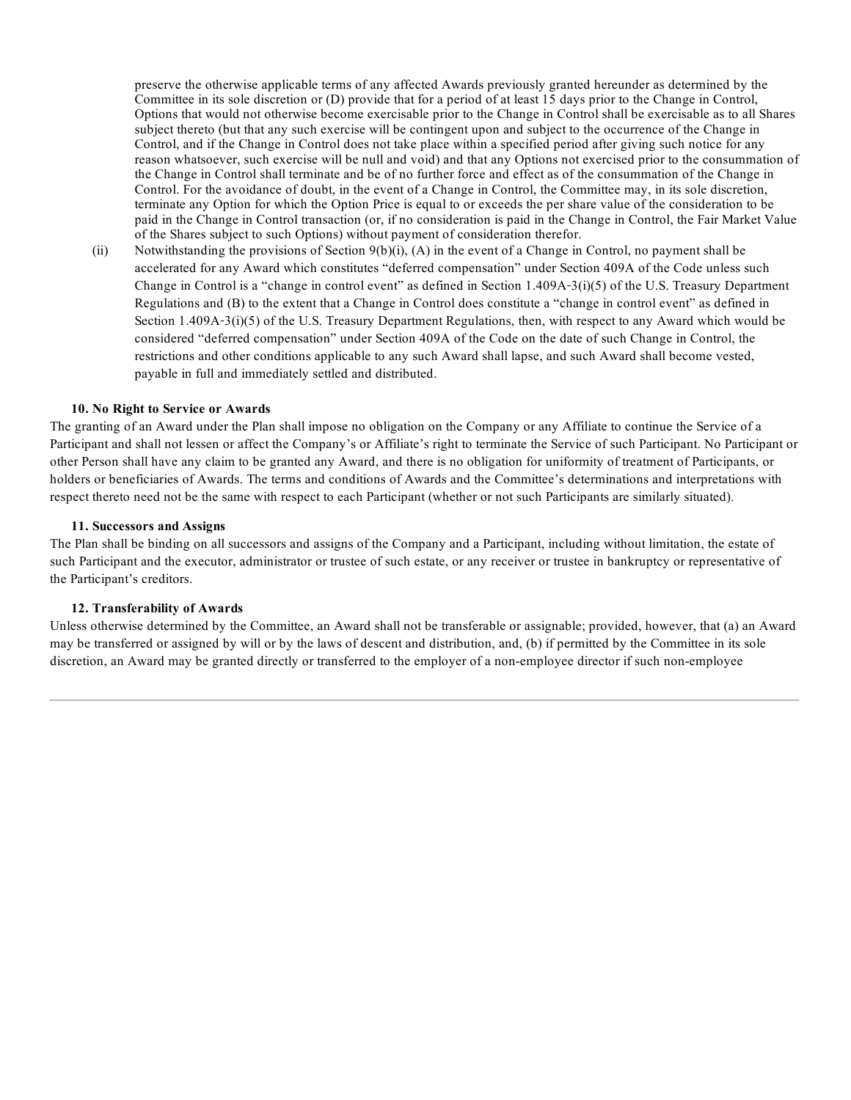preserve the otherwise applicable terms of any affected Awards previously granted hereunder as determined by the Committee in its sole discretion or (D) provide that for a period of at least 15 days prior to the Change in Control, Options that would not otherwise become exercisable prior to the Change in Control shall be exercisable as to all Shares subject thereto (but that any such exercise will be contingent upon and subject to the occurrence of the Change in Control, and if the Change in Control does not take place within a specified period after giving such notice for any reason whatsoever, such exercise will be null and void) and that any Options not exercised prior to the consummation of the Change in Control shall terminate and be of no further force and effect as of the consummation of the Change in Control. For the avoidance of doubt, in the event of a Change in Control, the Committee may, in its sole discretion, terminate any Option for which the Option Price is equal to or exceeds the per share value of the consideration to be paid in the Change in Control transaction (or, if no consideration is paid in the Change in Control, the Fair Market Value of the Shares subject to such Options) without payment of consideration therefor.

(ii) Notwithstanding the provisions of Section  $9(b)(i)$ , (A) in the event of a Change in Control, no payment shall be accelerated for any Award which constitutes "deferred compensation" under Section 409A of the Code unless such Change in Control is a "change in control event" as defined in Section  $1.409A-3(i)(5)$  of the U.S. Treasury Department Regulations and (B) to the extent that a Change in Control does constitute a "change in control event" as defined in Section 1.409A-3(i)(5) of the U.S. Treasury Department Regulations, then, with respect to any Award which would be considered "deferred compensation" under Section 409A of the Code on the date of such Change in Control, the restrictions and other conditions applicable to any such Award shall lapse, and such Award shall become vested, payable in full and immediately settled and distributed.

### **10. No Right to Service or Awards**

The granting of an Award under the Plan shall impose no obligation on the Company or any Affiliate to continue the Service of a Participant and shall not lessen or affect the Company's or Affiliate's right to terminate the Service of such Participant. No Participant or other Person shall have any claim to be granted any Award, and there is no obligation for uniformity of treatment of Participants, or holders or beneficiaries of Awards. The terms and conditions of Awards and the Committee's determinations and interpretations with respect thereto need not be the same with respect to each Participant (whether or not such Participants are similarly situated).

### **11. Successors and Assigns**

The Plan shall be binding on all successors and assigns of the Company and a Participant, including without limitation, the estate of such Participant and the executor, administrator or trustee of such estate, or any receiver or trustee in bankruptcy or representative of the Participant's creditors.

### **12. Transferability of Awards**

Unless otherwise determined by the Committee, an Award shall not be transferable or assignable; provided, however, that (a) an Award may be transferred or assigned by will or by the laws of descent and distribution, and, (b) if permitted by the Committee in its sole discretion, an Award may be granted directly or transferred to the employer of a non-employee director if such non-employee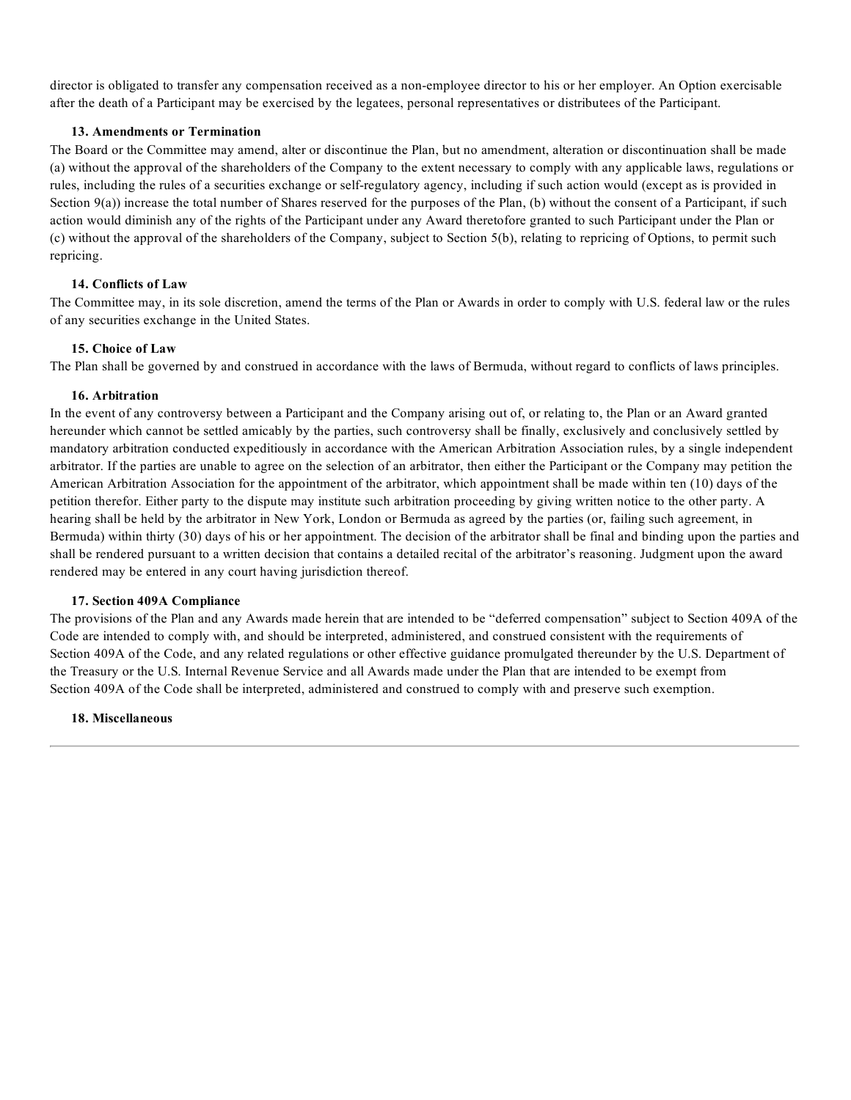director is obligated to transfer any compensation received as a non-employee director to his or her employer. An Option exercisable after the death of a Participant may be exercised by the legatees, personal representatives or distributees of the Participant.

### **13. Amendments or Termination**

The Board or the Committee may amend, alter or discontinue the Plan, but no amendment, alteration or discontinuation shall be made (a) without the approval of the shareholders of the Company to the extent necessary to comply with any applicable laws, regulations or rules, including the rules of a securities exchange or self-regulatory agency, including if such action would (except as is provided in Section 9(a)) increase the total number of Shares reserved for the purposes of the Plan, (b) without the consent of a Participant, if such action would diminish any of the rights of the Participant under any Award theretofore granted to such Participant under the Plan or (c) without the approval of the shareholders of the Company, subject to Section 5(b), relating to repricing of Options, to permit such repricing.

# **14. Conflicts of Law**

The Committee may, in its sole discretion, amend the terms of the Plan or Awards in order to comply with U.S. federal law or the rules of any securities exchange in the United States.

# **15. Choice of Law**

The Plan shall be governed by and construed in accordance with the laws of Bermuda, without regard to conflicts of laws principles.

# **16. Arbitration**

In the event of any controversy between a Participant and the Company arising out of, or relating to, the Plan or an Award granted hereunder which cannot be settled amicably by the parties, such controversy shall be finally, exclusively and conclusively settled by mandatory arbitration conducted expeditiously in accordance with the American Arbitration Association rules, by a single independent arbitrator. If the parties are unable to agree on the selection of an arbitrator, then either the Participant or the Company may petition the American Arbitration Association for the appointment of the arbitrator, which appointment shall be made within ten (10) days of the petition therefor. Either party to the dispute may institute such arbitration proceeding by giving written notice to the other party. A hearing shall be held by the arbitrator in New York, London or Bermuda as agreed by the parties (or, failing such agreement, in Bermuda) within thirty (30) days of his or her appointment. The decision of the arbitrator shall be final and binding upon the parties and shall be rendered pursuant to a written decision that contains a detailed recital of the arbitrator's reasoning. Judgment upon the award rendered may be entered in any court having jurisdiction thereof.

### **17. Section 409A Compliance**

The provisions of the Plan and any Awards made herein that are intended to be "deferred compensation" subject to Section 409A of the Code are intended to comply with, and should be interpreted, administered, and construed consistent with the requirements of Section 409A of the Code, and any related regulations or other effective guidance promulgated thereunder by the U.S. Department of the Treasury or the U.S. Internal Revenue Service and all Awards made under the Plan that are intended to be exempt from Section 409A of the Code shall be interpreted, administered and construed to comply with and preserve such exemption.

### **18. Miscellaneous**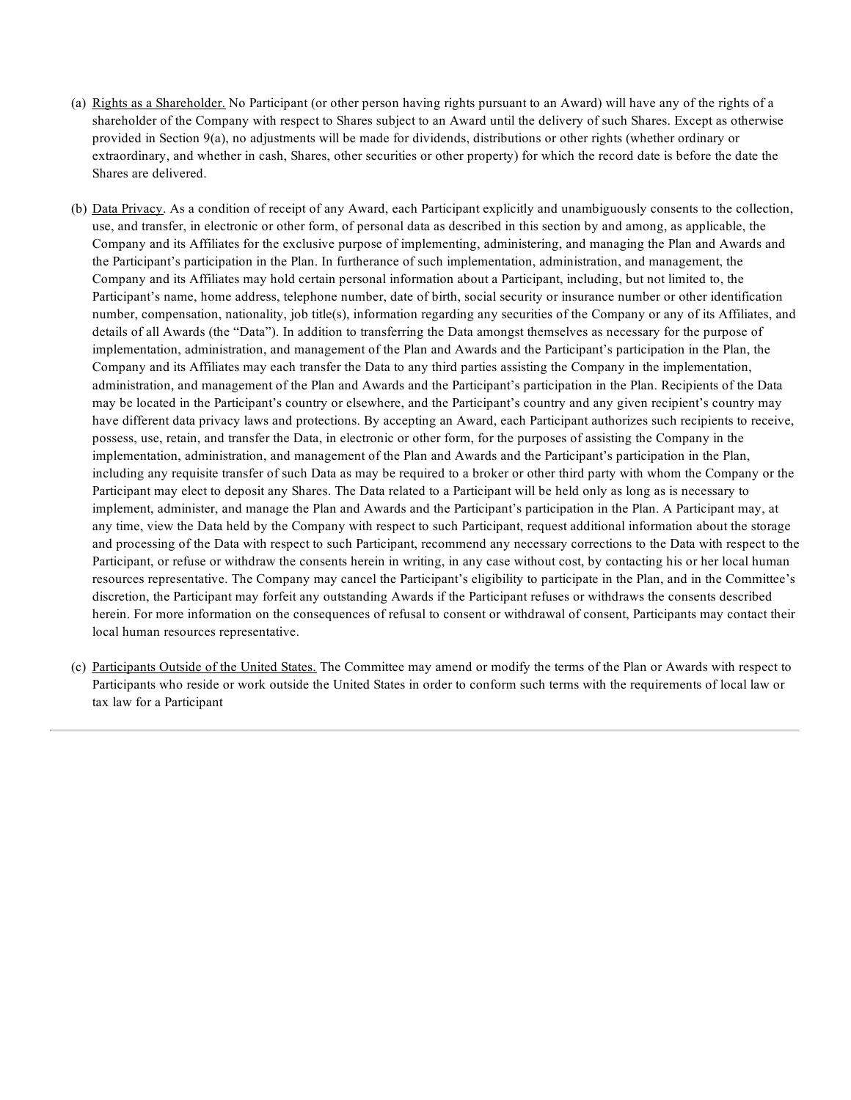- (a) Rights as a Shareholder. No Participant (or other person having rights pursuant to an Award) will have any of the rights of a shareholder of the Company with respect to Shares subject to an Award until the delivery of such Shares. Except as otherwise provided in Section 9(a), no adjustments will be made for dividends, distributions or other rights (whether ordinary or extraordinary, and whether in cash, Shares, other securities or other property) for which the record date is before the date the Shares are delivered.
- (b) Data Privacy. As a condition of receipt of any Award, each Participant explicitly and unambiguously consents to the collection, use, and transfer, in electronic or other form, of personal data as described in this section by and among, as applicable, the Company and its Affiliates for the exclusive purpose of implementing, administering, and managing the Plan and Awards and the Participant's participation in the Plan. In furtherance of such implementation, administration, and management, the Company and its Affiliates may hold certain personal information about a Participant, including, but not limited to, the Participant's name, home address, telephone number, date of birth, social security or insurance number or other identification number, compensation, nationality, job title(s), information regarding any securities of the Company or any of its Affiliates, and details of all Awards (the "Data"). In addition to transferring the Data amongst themselves as necessary for the purpose of implementation, administration, and management of the Plan and Awards and the Participant's participation in the Plan, the Company and its Affiliates may each transfer the Data to any third parties assisting the Company in the implementation, administration, and management of the Plan and Awards and the Participant's participation in the Plan. Recipients of the Data may be located in the Participant's country or elsewhere, and the Participant's country and any given recipient's country may have different data privacy laws and protections. By accepting an Award, each Participant authorizes such recipients to receive, possess, use, retain, and transfer the Data, in electronic or other form, for the purposes of assisting the Company in the implementation, administration, and management of the Plan and Awards and the Participant's participation in the Plan, including any requisite transfer of such Data as may be required to a broker or other third party with whom the Company or the Participant may elect to deposit any Shares. The Data related to a Participant will be held only as long as is necessary to implement, administer, and manage the Plan and Awards and the Participant's participation in the Plan. A Participant may, at any time, view the Data held by the Company with respect to such Participant, request additional information about the storage and processing of the Data with respect to such Participant, recommend any necessary corrections to the Data with respect to the Participant, or refuse or withdraw the consents herein in writing, in any case without cost, by contacting his or her local human resources representative. The Company may cancel the Participant's eligibility to participate in the Plan, and in the Committee's discretion, the Participant may forfeit any outstanding Awards if the Participant refuses or withdraws the consents described herein. For more information on the consequences of refusal to consent or withdrawal of consent, Participants may contact their local human resources representative.
- (c) Participants Outside of the United States. The Committee may amend or modify the terms of the Plan or Awards with respect to Participants who reside or work outside the United States in order to conform such terms with the requirements of local law or tax law for a Participant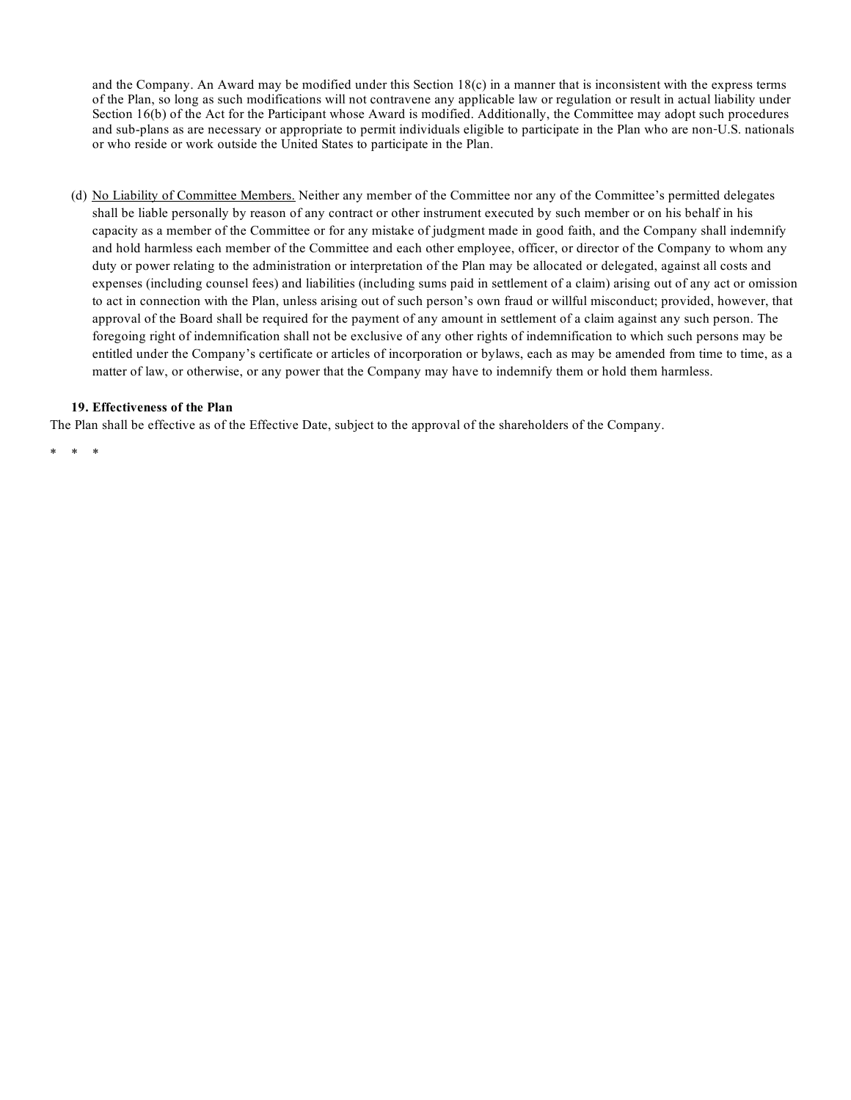and the Company. An Award may be modified under this Section  $18(c)$  in a manner that is inconsistent with the express terms of the Plan, so long as such modifications will not contravene any applicable law or regulation or result in actual liability under Section 16(b) of the Act for the Participant whose Award is modified. Additionally, the Committee may adopt such procedures and sub-plans as are necessary or appropriate to permit individuals eligible to participate in the Plan who are non-U.S. nationals or who reside or work outside the United States to participate in the Plan.

(d) No Liability of Committee Members. Neither any member of the Committee nor any of the Committee's permitted delegates shall be liable personally by reason of any contract or other instrument executed by such member or on his behalf in his capacity as a member of the Committee or for any mistake of judgment made in good faith, and the Company shall indemnify and hold harmless each member of the Committee and each other employee, officer, or director of the Company to whom any duty or power relating to the administration or interpretation of the Plan may be allocated or delegated, against all costs and expenses (including counsel fees) and liabilities (including sums paid in settlement of a claim) arising out of any act or omission to act in connection with the Plan, unless arising out of such person's own fraud or willful misconduct; provided, however, that approval of the Board shall be required for the payment of any amount in settlement of a claim against any such person. The foregoing right of indemnification shall not be exclusive of any other rights of indemnification to which such persons may be entitled under the Company's certificate or articles of incorporation or bylaws, each as may be amended from time to time, as a matter of law, or otherwise, or any power that the Company may have to indemnify them or hold them harmless.

# **19. Effectiveness of the Plan**

The Plan shall be effective as of the Effective Date, subject to the approval of the shareholders of the Company.

\* \* \*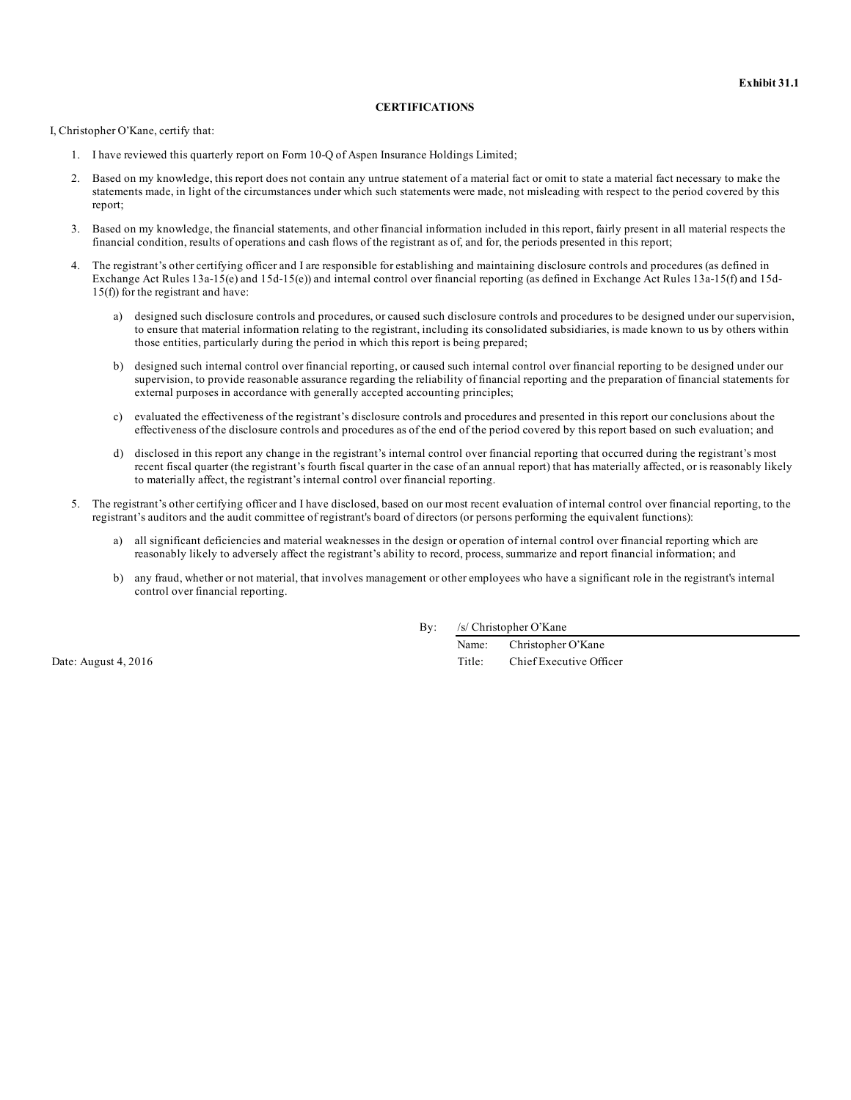#### **CERTIFICATIONS**

I, Christopher O'Kane, certify that:

- 1. I have reviewed this quarterly report on Form 10-Q of Aspen Insurance Holdings Limited;
- 2. Based on my knowledge, this report does not contain any untrue statement of a material fact or omit to state a material fact necessary to make the statements made, in light of the circumstances under which such statements were made, not misleading with respect to the period covered by this report;
- 3. Based on my knowledge, the financial statements, and other financial information included in this report, fairly present in all material respects the financial condition, results of operations and cash flows of the registrant as of, and for, the periods presented in this report;
- 4. The registrant's other certifying officer and I are responsible for establishing and maintaining disclosure controls and procedures (as defined in Exchange Act Rules 13a-15(e) and 15d-15(e)) and internal control over financial reporting (as defined in Exchange Act Rules 13a-15(f) and 15d-15(f)) for the registrant and have:
	- a) designed such disclosure controls and procedures, or caused such disclosure controls and procedures to be designed under our supervision, to ensure that material information relating to the registrant, including its consolidated subsidiaries, is made known to us by others within those entities, particularly during the period in which this report is being prepared;
	- b) designed such internal control over financial reporting, or caused such internal control over financial reporting to be designed under our supervision, to provide reasonable assurance regarding the reliability of financial reporting and the preparation of financial statements for external purposes in accordance with generally accepted accounting principles;
	- c) evaluated the effectiveness of the registrant's disclosure controls and procedures and presented in this report our conclusions about the effectiveness of the disclosure controls and procedures as of the end of the period covered by this report based on such evaluation; and
	- d) disclosed in this report any change in the registrant's internal control over financial reporting that occurred during the registrant's most recent fiscal quarter (the registrant's fourth fiscal quarter in the case of an annual report) that has materially affected, or is reasonably likely to materially affect, the registrant's internal control over financial reporting.
- 5. The registrant's other certifying officer and I have disclosed, based on our most recent evaluation of internal control over financial reporting, to the registrant's auditors and the audit committee of registrant's board of directors (or persons performing the equivalent functions):
	- a) all significant deficiencies and material weaknesses in the design or operation of internal control over financial reporting which are reasonably likely to adversely affect the registrant's ability to record, process, summarize and report financial information; and
	- b) any fraud, whether or not material, that involves management or other employees who have a significant role in the registrant's internal control over financial reporting.

By: /s/ Christopher O'Kane

Name: Christopher O'Kane Date: August 4, 2016 Title: Chief Executive Officer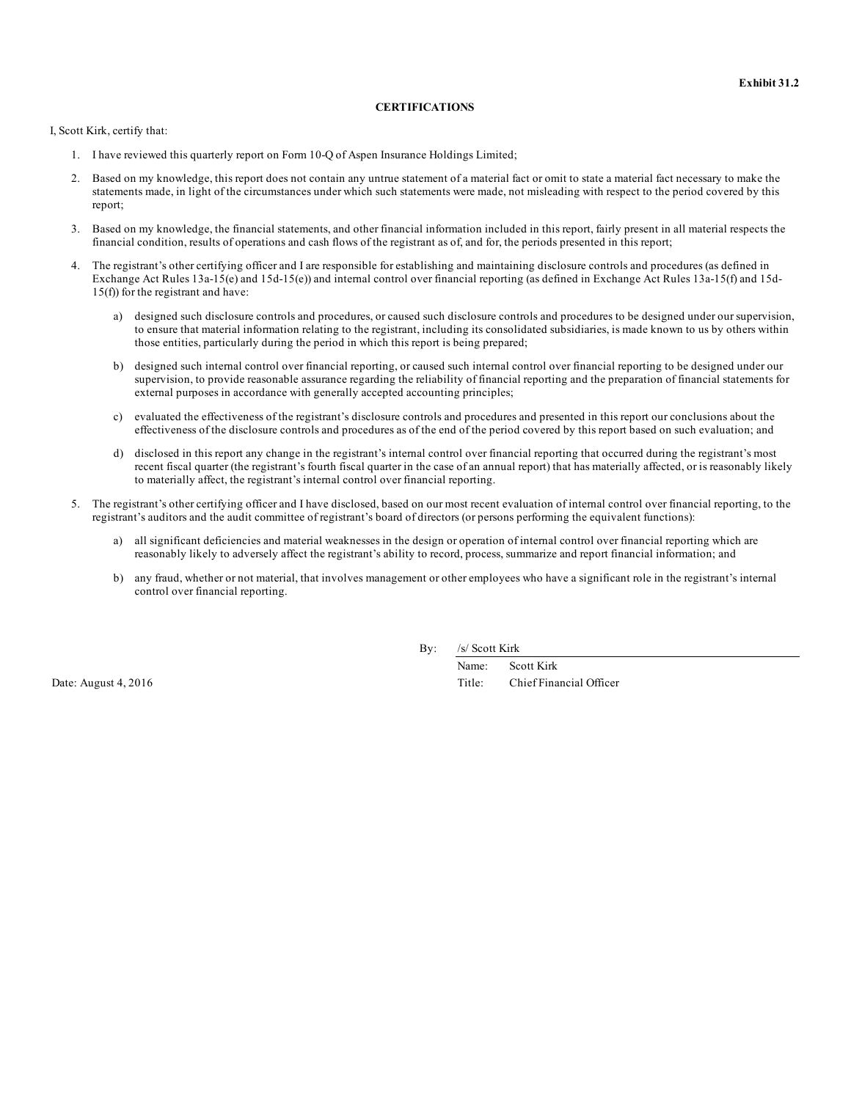#### **CERTIFICATIONS**

I, Scott Kirk, certify that:

- 1. I have reviewed this quarterly report on Form 10-Q of Aspen Insurance Holdings Limited;
- 2. Based on my knowledge, this report does not contain any untrue statement of a material fact or omit to state a material fact necessary to make the statements made, in light of the circumstances under which such statements were made, not misleading with respect to the period covered by this report;
- 3. Based on my knowledge, the financial statements, and other financial information included in this report, fairly present in all material respects the financial condition, results of operations and cash flows of the registrant as of, and for, the periods presented in this report;
- 4. The registrant's other certifying officer and I are responsible for establishing and maintaining disclosure controls and procedures (as defined in Exchange Act Rules 13a-15(e) and 15d-15(e)) and internal control over financial reporting (as defined in Exchange Act Rules 13a-15(f) and 15d-15(f)) for the registrant and have:
	- a) designed such disclosure controls and procedures, or caused such disclosure controls and procedures to be designed under our supervision, to ensure that material information relating to the registrant, including its consolidated subsidiaries, is made known to us by others within those entities, particularly during the period in which this report is being prepared;
	- b) designed such internal control over financial reporting, or caused such internal control over financial reporting to be designed under our supervision, to provide reasonable assurance regarding the reliability of financial reporting and the preparation of financial statements for external purposes in accordance with generally accepted accounting principles;
	- c) evaluated the effectiveness of the registrant's disclosure controls and procedures and presented in this report our conclusions about the effectiveness of the disclosure controls and procedures as of the end of the period covered by this report based on such evaluation; and
	- d) disclosed in this report any change in the registrant's internal control over financial reporting that occurred during the registrant's most recent fiscal quarter (the registrant's fourth fiscal quarter in the case of an annual report) that has materially affected, or is reasonably likely to materially affect, the registrant's internal control over financial reporting.
- 5. The registrant's other certifying officer and I have disclosed, based on our most recent evaluation of internal control over financial reporting, to the registrant's auditors and the audit committee of registrant's board of directors (or persons performing the equivalent functions):
	- a) all significant deficiencies and material weaknesses in the design or operation of internal control over financial reporting which are reasonably likely to adversely affect the registrant's ability to record, process, summarize and report financial information; and
	- b) any fraud, whether or not material, that involves management or other employees who have a significant role in the registrant's internal control over financial reporting.

By: /s/ Scott Kirk

Name: Scott Kirk Date: August 4, 2016 Title: Chief Financial Officer